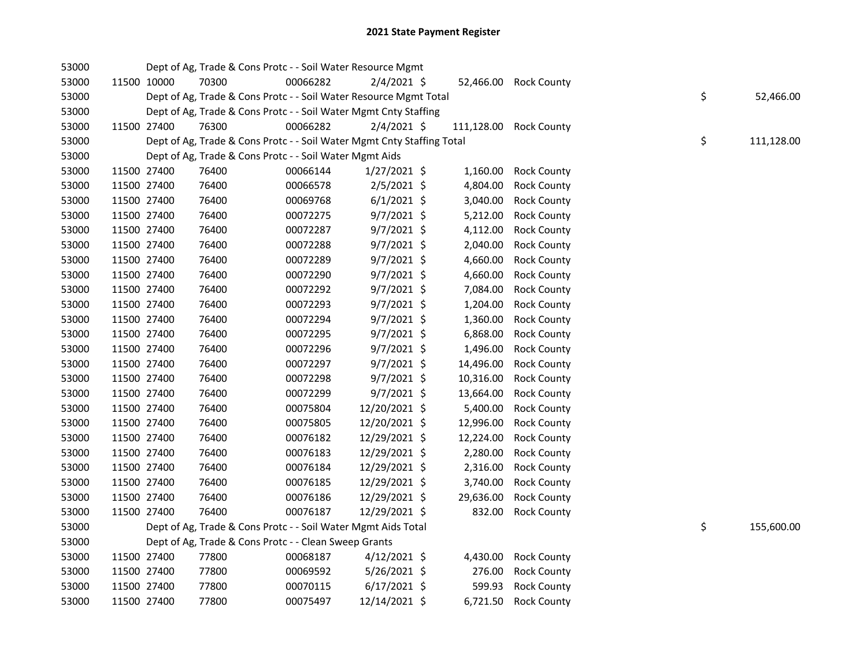| 53000 |             | Dept of Ag, Trade & Cons Protc - - Soil Water Resource Mgmt            |          |                |            |                    |    |            |
|-------|-------------|------------------------------------------------------------------------|----------|----------------|------------|--------------------|----|------------|
| 53000 | 11500 10000 | 70300                                                                  | 00066282 | $2/4/2021$ \$  | 52,466.00  | <b>Rock County</b> |    |            |
| 53000 |             | Dept of Ag, Trade & Cons Protc - - Soil Water Resource Mgmt Total      |          |                |            |                    | \$ | 52,466.00  |
| 53000 |             | Dept of Ag, Trade & Cons Protc - - Soil Water Mgmt Cnty Staffing       |          |                |            |                    |    |            |
| 53000 | 11500 27400 | 76300                                                                  | 00066282 | $2/4/2021$ \$  | 111,128.00 | <b>Rock County</b> |    |            |
| 53000 |             | Dept of Ag, Trade & Cons Protc - - Soil Water Mgmt Cnty Staffing Total |          |                |            |                    | \$ | 111,128.00 |
| 53000 |             | Dept of Ag, Trade & Cons Protc - - Soil Water Mgmt Aids                |          |                |            |                    |    |            |
| 53000 | 11500 27400 | 76400                                                                  | 00066144 | $1/27/2021$ \$ | 1,160.00   | <b>Rock County</b> |    |            |
| 53000 | 11500 27400 | 76400                                                                  | 00066578 | 2/5/2021 \$    | 4,804.00   | <b>Rock County</b> |    |            |
| 53000 | 11500 27400 | 76400                                                                  | 00069768 | $6/1/2021$ \$  | 3,040.00   | <b>Rock County</b> |    |            |
| 53000 | 11500 27400 | 76400                                                                  | 00072275 | $9/7/2021$ \$  | 5,212.00   | <b>Rock County</b> |    |            |
| 53000 | 11500 27400 | 76400                                                                  | 00072287 | $9/7/2021$ \$  | 4,112.00   | <b>Rock County</b> |    |            |
| 53000 | 11500 27400 | 76400                                                                  | 00072288 | $9/7/2021$ \$  | 2,040.00   | <b>Rock County</b> |    |            |
| 53000 | 11500 27400 | 76400                                                                  | 00072289 | 9/7/2021 \$    | 4,660.00   | <b>Rock County</b> |    |            |
| 53000 | 11500 27400 | 76400                                                                  | 00072290 | 9/7/2021 \$    | 4,660.00   | <b>Rock County</b> |    |            |
| 53000 | 11500 27400 | 76400                                                                  | 00072292 | 9/7/2021 \$    | 7,084.00   | <b>Rock County</b> |    |            |
| 53000 | 11500 27400 | 76400                                                                  | 00072293 | 9/7/2021 \$    | 1,204.00   | <b>Rock County</b> |    |            |
| 53000 | 11500 27400 | 76400                                                                  | 00072294 | $9/7/2021$ \$  | 1,360.00   | <b>Rock County</b> |    |            |
| 53000 | 11500 27400 | 76400                                                                  | 00072295 | $9/7/2021$ \$  | 6,868.00   | <b>Rock County</b> |    |            |
| 53000 | 11500 27400 | 76400                                                                  | 00072296 | $9/7/2021$ \$  | 1,496.00   | <b>Rock County</b> |    |            |
| 53000 | 11500 27400 | 76400                                                                  | 00072297 | $9/7/2021$ \$  | 14,496.00  | <b>Rock County</b> |    |            |
| 53000 | 11500 27400 | 76400                                                                  | 00072298 | 9/7/2021 \$    | 10,316.00  | <b>Rock County</b> |    |            |
| 53000 | 11500 27400 | 76400                                                                  | 00072299 | 9/7/2021 \$    | 13,664.00  | <b>Rock County</b> |    |            |
| 53000 | 11500 27400 | 76400                                                                  | 00075804 | 12/20/2021 \$  | 5,400.00   | <b>Rock County</b> |    |            |
| 53000 | 11500 27400 | 76400                                                                  | 00075805 | 12/20/2021 \$  | 12,996.00  | <b>Rock County</b> |    |            |
| 53000 | 11500 27400 | 76400                                                                  | 00076182 | 12/29/2021 \$  | 12,224.00  | <b>Rock County</b> |    |            |
| 53000 | 11500 27400 | 76400                                                                  | 00076183 | 12/29/2021 \$  | 2,280.00   | <b>Rock County</b> |    |            |
| 53000 | 11500 27400 | 76400                                                                  | 00076184 | 12/29/2021 \$  | 2,316.00   | <b>Rock County</b> |    |            |
| 53000 | 11500 27400 | 76400                                                                  | 00076185 | 12/29/2021 \$  | 3,740.00   | <b>Rock County</b> |    |            |
| 53000 | 11500 27400 | 76400                                                                  | 00076186 | 12/29/2021 \$  | 29,636.00  | <b>Rock County</b> |    |            |
| 53000 | 11500 27400 | 76400                                                                  | 00076187 | 12/29/2021 \$  | 832.00     | <b>Rock County</b> |    |            |
| 53000 |             | Dept of Ag, Trade & Cons Protc - - Soil Water Mgmt Aids Total          |          |                |            |                    | \$ | 155,600.00 |
| 53000 |             | Dept of Ag, Trade & Cons Protc - - Clean Sweep Grants                  |          |                |            |                    |    |            |
| 53000 | 11500 27400 | 77800                                                                  | 00068187 | $4/12/2021$ \$ | 4,430.00   | <b>Rock County</b> |    |            |
| 53000 | 11500 27400 | 77800                                                                  | 00069592 | $5/26/2021$ \$ | 276.00     | <b>Rock County</b> |    |            |
| 53000 | 11500 27400 | 77800                                                                  | 00070115 | $6/17/2021$ \$ | 599.93     | <b>Rock County</b> |    |            |
| 53000 | 11500 27400 | 77800                                                                  | 00075497 | 12/14/2021 \$  | 6,721.50   | <b>Rock County</b> |    |            |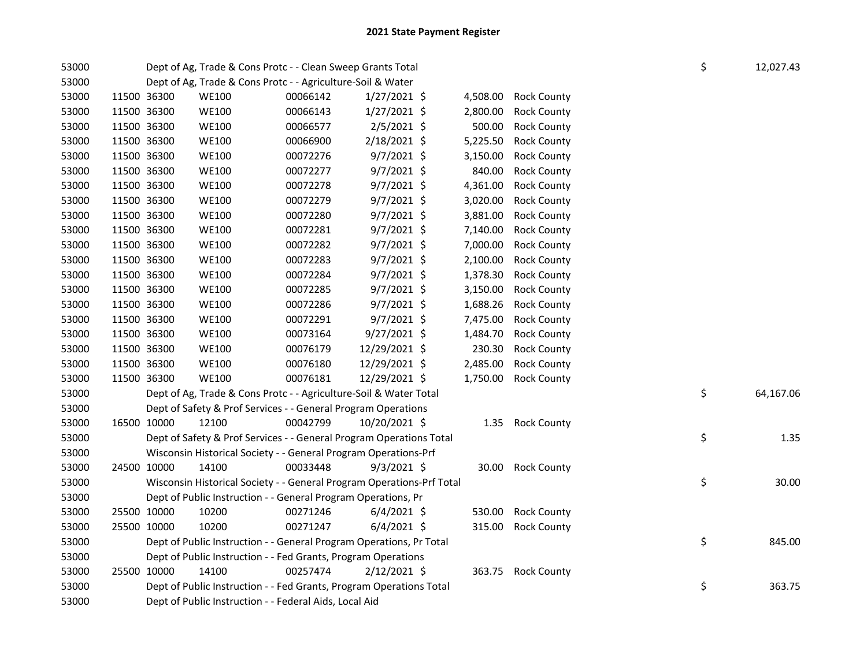| 53000 |             | Dept of Ag, Trade & Cons Protc - - Clean Sweep Grants Total           |          |                |          |                    | \$ | 12,027.43 |
|-------|-------------|-----------------------------------------------------------------------|----------|----------------|----------|--------------------|----|-----------|
| 53000 |             | Dept of Ag, Trade & Cons Protc - - Agriculture-Soil & Water           |          |                |          |                    |    |           |
| 53000 | 11500 36300 | <b>WE100</b>                                                          | 00066142 | $1/27/2021$ \$ | 4,508.00 | <b>Rock County</b> |    |           |
| 53000 | 11500 36300 | <b>WE100</b>                                                          | 00066143 | $1/27/2021$ \$ | 2,800.00 | <b>Rock County</b> |    |           |
| 53000 | 11500 36300 | <b>WE100</b>                                                          | 00066577 | $2/5/2021$ \$  | 500.00   | <b>Rock County</b> |    |           |
| 53000 | 11500 36300 | <b>WE100</b>                                                          | 00066900 | 2/18/2021 \$   | 5,225.50 | <b>Rock County</b> |    |           |
| 53000 | 11500 36300 | <b>WE100</b>                                                          | 00072276 | $9/7/2021$ \$  | 3,150.00 | <b>Rock County</b> |    |           |
| 53000 | 11500 36300 | <b>WE100</b>                                                          | 00072277 | $9/7/2021$ \$  | 840.00   | <b>Rock County</b> |    |           |
| 53000 | 11500 36300 | <b>WE100</b>                                                          | 00072278 | 9/7/2021 \$    | 4,361.00 | <b>Rock County</b> |    |           |
| 53000 | 11500 36300 | <b>WE100</b>                                                          | 00072279 | 9/7/2021 \$    | 3,020.00 | <b>Rock County</b> |    |           |
| 53000 | 11500 36300 | <b>WE100</b>                                                          | 00072280 | 9/7/2021 \$    | 3,881.00 | <b>Rock County</b> |    |           |
| 53000 | 11500 36300 | <b>WE100</b>                                                          | 00072281 | $9/7/2021$ \$  | 7,140.00 | <b>Rock County</b> |    |           |
| 53000 | 11500 36300 | <b>WE100</b>                                                          | 00072282 | $9/7/2021$ \$  | 7,000.00 | <b>Rock County</b> |    |           |
| 53000 | 11500 36300 | <b>WE100</b>                                                          | 00072283 | $9/7/2021$ \$  | 2,100.00 | <b>Rock County</b> |    |           |
| 53000 | 11500 36300 | <b>WE100</b>                                                          | 00072284 | $9/7/2021$ \$  | 1,378.30 | <b>Rock County</b> |    |           |
| 53000 | 11500 36300 | <b>WE100</b>                                                          | 00072285 | $9/7/2021$ \$  | 3,150.00 | <b>Rock County</b> |    |           |
| 53000 | 11500 36300 | <b>WE100</b>                                                          | 00072286 | 9/7/2021 \$    | 1,688.26 | <b>Rock County</b> |    |           |
| 53000 | 11500 36300 | <b>WE100</b>                                                          | 00072291 | $9/7/2021$ \$  | 7,475.00 | <b>Rock County</b> |    |           |
| 53000 | 11500 36300 | <b>WE100</b>                                                          | 00073164 | 9/27/2021 \$   | 1,484.70 | <b>Rock County</b> |    |           |
| 53000 | 11500 36300 | <b>WE100</b>                                                          | 00076179 | 12/29/2021 \$  | 230.30   | <b>Rock County</b> |    |           |
| 53000 | 11500 36300 | <b>WE100</b>                                                          | 00076180 | 12/29/2021 \$  | 2,485.00 | <b>Rock County</b> |    |           |
| 53000 | 11500 36300 | <b>WE100</b>                                                          | 00076181 | 12/29/2021 \$  | 1,750.00 | <b>Rock County</b> |    |           |
| 53000 |             | Dept of Ag, Trade & Cons Protc - - Agriculture-Soil & Water Total     |          |                |          |                    | \$ | 64,167.06 |
| 53000 |             | Dept of Safety & Prof Services - - General Program Operations         |          |                |          |                    |    |           |
| 53000 | 16500 10000 | 12100                                                                 | 00042799 | 10/20/2021 \$  |          | 1.35 Rock County   |    |           |
| 53000 |             | Dept of Safety & Prof Services - - General Program Operations Total   |          |                |          |                    | \$ | 1.35      |
| 53000 |             | Wisconsin Historical Society - - General Program Operations-Prf       |          |                |          |                    |    |           |
| 53000 | 24500 10000 | 14100                                                                 | 00033448 | $9/3/2021$ \$  | 30.00    | <b>Rock County</b> |    |           |
| 53000 |             | Wisconsin Historical Society - - General Program Operations-Prf Total |          |                |          |                    | \$ | 30.00     |
| 53000 |             | Dept of Public Instruction - - General Program Operations, Pr         |          |                |          |                    |    |           |
| 53000 | 25500 10000 | 10200                                                                 | 00271246 | $6/4/2021$ \$  | 530.00   | <b>Rock County</b> |    |           |
| 53000 | 25500 10000 | 10200                                                                 | 00271247 | $6/4/2021$ \$  | 315.00   | <b>Rock County</b> |    |           |
| 53000 |             | Dept of Public Instruction - - General Program Operations, Pr Total   |          |                |          |                    | \$ | 845.00    |
| 53000 |             | Dept of Public Instruction - - Fed Grants, Program Operations         |          |                |          |                    |    |           |
| 53000 | 25500 10000 | 14100                                                                 | 00257474 | 2/12/2021 \$   | 363.75   | <b>Rock County</b> |    |           |
| 53000 |             | Dept of Public Instruction - - Fed Grants, Program Operations Total   |          |                |          |                    | \$ | 363.75    |
| 53000 |             | Dept of Public Instruction - - Federal Aids, Local Aid                |          |                |          |                    |    |           |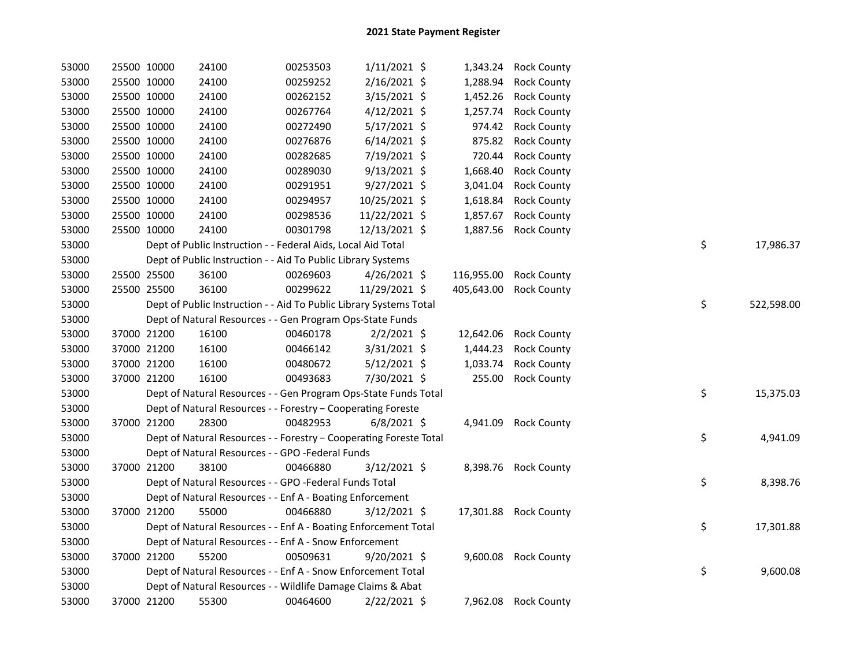| 53000 | 25500 10000 | 24100                                                              | 00253503 | $1/11/2021$ \$ |            | 1,343.24 Rock County   |    |            |
|-------|-------------|--------------------------------------------------------------------|----------|----------------|------------|------------------------|----|------------|
| 53000 | 25500 10000 | 24100                                                              | 00259252 | 2/16/2021 \$   | 1,288.94   | <b>Rock County</b>     |    |            |
| 53000 | 25500 10000 | 24100                                                              | 00262152 | $3/15/2021$ \$ | 1,452.26   | <b>Rock County</b>     |    |            |
| 53000 | 25500 10000 | 24100                                                              | 00267764 | $4/12/2021$ \$ | 1,257.74   | <b>Rock County</b>     |    |            |
| 53000 | 25500 10000 | 24100                                                              | 00272490 | 5/17/2021 \$   | 974.42     | <b>Rock County</b>     |    |            |
| 53000 | 25500 10000 | 24100                                                              | 00276876 | $6/14/2021$ \$ | 875.82     | <b>Rock County</b>     |    |            |
| 53000 | 25500 10000 | 24100                                                              | 00282685 | 7/19/2021 \$   | 720.44     | <b>Rock County</b>     |    |            |
| 53000 | 25500 10000 | 24100                                                              | 00289030 | $9/13/2021$ \$ | 1,668.40   | <b>Rock County</b>     |    |            |
| 53000 | 25500 10000 | 24100                                                              | 00291951 | $9/27/2021$ \$ | 3,041.04   | <b>Rock County</b>     |    |            |
| 53000 | 25500 10000 | 24100                                                              | 00294957 | 10/25/2021 \$  | 1,618.84   | <b>Rock County</b>     |    |            |
| 53000 | 25500 10000 | 24100                                                              | 00298536 | 11/22/2021 \$  | 1,857.67   | <b>Rock County</b>     |    |            |
| 53000 | 25500 10000 | 24100                                                              | 00301798 | 12/13/2021 \$  | 1,887.56   | <b>Rock County</b>     |    |            |
| 53000 |             | Dept of Public Instruction - - Federal Aids, Local Aid Total       |          |                |            |                        | \$ | 17,986.37  |
| 53000 |             | Dept of Public Instruction - - Aid To Public Library Systems       |          |                |            |                        |    |            |
| 53000 | 25500 25500 | 36100                                                              | 00269603 | $4/26/2021$ \$ |            | 116,955.00 Rock County |    |            |
| 53000 | 25500 25500 | 36100                                                              | 00299622 | 11/29/2021 \$  | 405,643.00 | <b>Rock County</b>     |    |            |
| 53000 |             | Dept of Public Instruction - - Aid To Public Library Systems Total |          |                |            |                        | \$ | 522,598.00 |
| 53000 |             | Dept of Natural Resources - - Gen Program Ops-State Funds          |          |                |            |                        |    |            |
| 53000 | 37000 21200 | 16100                                                              | 00460178 | $2/2/2021$ \$  | 12,642.06  | <b>Rock County</b>     |    |            |
| 53000 | 37000 21200 | 16100                                                              | 00466142 | $3/31/2021$ \$ | 1,444.23   | <b>Rock County</b>     |    |            |
| 53000 | 37000 21200 | 16100                                                              | 00480672 | $5/12/2021$ \$ | 1,033.74   | <b>Rock County</b>     |    |            |
| 53000 | 37000 21200 | 16100                                                              | 00493683 | 7/30/2021 \$   | 255.00     | <b>Rock County</b>     |    |            |
| 53000 |             | Dept of Natural Resources - - Gen Program Ops-State Funds Total    |          |                |            |                        | \$ | 15,375.03  |
| 53000 |             | Dept of Natural Resources - - Forestry - Cooperating Foreste       |          |                |            |                        |    |            |
| 53000 | 37000 21200 | 28300                                                              | 00482953 | $6/8/2021$ \$  |            | 4,941.09 Rock County   |    |            |
| 53000 |             | Dept of Natural Resources - - Forestry - Cooperating Foreste Total |          |                |            |                        | \$ | 4,941.09   |
| 53000 |             | Dept of Natural Resources - - GPO -Federal Funds                   |          |                |            |                        |    |            |
| 53000 | 37000 21200 | 38100                                                              | 00466880 | $3/12/2021$ \$ |            | 8,398.76 Rock County   |    |            |
| 53000 |             | Dept of Natural Resources - - GPO -Federal Funds Total             |          |                |            |                        | \$ | 8,398.76   |
| 53000 |             | Dept of Natural Resources - - Enf A - Boating Enforcement          |          |                |            |                        |    |            |
| 53000 | 37000 21200 | 55000                                                              | 00466880 | $3/12/2021$ \$ |            | 17,301.88 Rock County  |    |            |
| 53000 |             | Dept of Natural Resources - - Enf A - Boating Enforcement Total    |          |                |            |                        | \$ | 17,301.88  |
| 53000 |             | Dept of Natural Resources - - Enf A - Snow Enforcement             |          |                |            |                        |    |            |
| 53000 | 37000 21200 | 55200                                                              | 00509631 | $9/20/2021$ \$ |            | 9,600.08 Rock County   |    |            |
| 53000 |             | Dept of Natural Resources - - Enf A - Snow Enforcement Total       |          |                |            |                        | \$ | 9,600.08   |
| 53000 |             | Dept of Natural Resources - - Wildlife Damage Claims & Abat        |          |                |            |                        |    |            |
| 53000 | 37000 21200 | 55300                                                              | 00464600 | 2/22/2021 \$   |            | 7,962.08 Rock County   |    |            |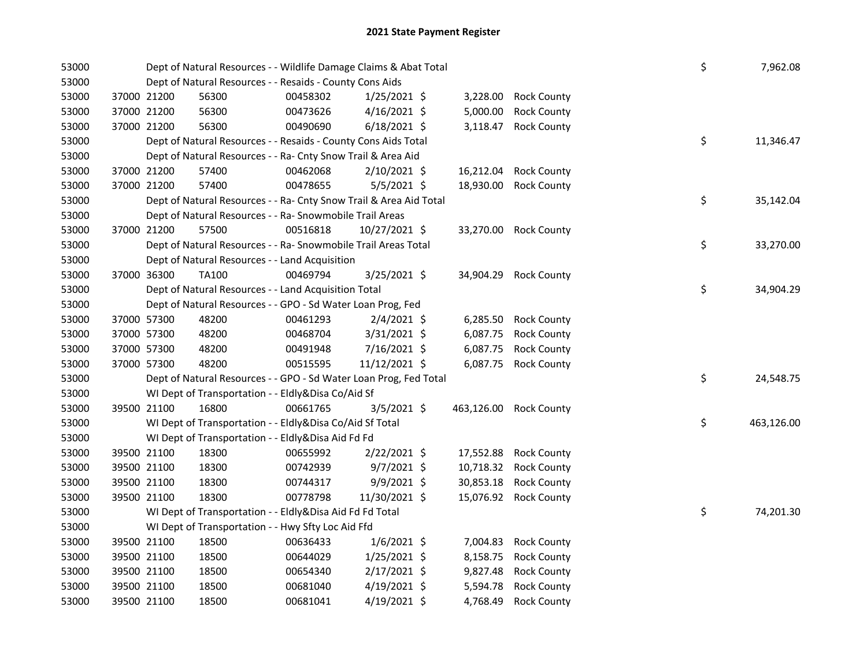| 53000 |             | Dept of Natural Resources - - Wildlife Damage Claims & Abat Total  | \$       | 7,962.08       |            |                       |    |            |
|-------|-------------|--------------------------------------------------------------------|----------|----------------|------------|-----------------------|----|------------|
| 53000 |             | Dept of Natural Resources - - Resaids - County Cons Aids           |          |                |            |                       |    |            |
| 53000 | 37000 21200 | 56300                                                              | 00458302 | $1/25/2021$ \$ | 3,228.00   | <b>Rock County</b>    |    |            |
| 53000 | 37000 21200 | 56300                                                              | 00473626 | $4/16/2021$ \$ | 5,000.00   | <b>Rock County</b>    |    |            |
| 53000 | 37000 21200 | 56300                                                              | 00490690 | $6/18/2021$ \$ | 3,118.47   | <b>Rock County</b>    |    |            |
| 53000 |             | Dept of Natural Resources - - Resaids - County Cons Aids Total     |          |                |            |                       | \$ | 11,346.47  |
| 53000 |             | Dept of Natural Resources - - Ra- Cnty Snow Trail & Area Aid       |          |                |            |                       |    |            |
| 53000 | 37000 21200 | 57400                                                              | 00462068 | 2/10/2021 \$   | 16,212.04  | <b>Rock County</b>    |    |            |
| 53000 | 37000 21200 | 57400                                                              | 00478655 | 5/5/2021 \$    | 18,930.00  | <b>Rock County</b>    |    |            |
| 53000 |             | Dept of Natural Resources - - Ra- Cnty Snow Trail & Area Aid Total |          |                |            |                       | \$ | 35,142.04  |
| 53000 |             | Dept of Natural Resources - - Ra- Snowmobile Trail Areas           |          |                |            |                       |    |            |
| 53000 | 37000 21200 | 57500                                                              | 00516818 | 10/27/2021 \$  |            | 33,270.00 Rock County |    |            |
| 53000 |             | Dept of Natural Resources - - Ra- Snowmobile Trail Areas Total     |          |                |            |                       | \$ | 33,270.00  |
| 53000 |             | Dept of Natural Resources - - Land Acquisition                     |          |                |            |                       |    |            |
| 53000 | 37000 36300 | <b>TA100</b>                                                       | 00469794 | 3/25/2021 \$   | 34,904.29  | <b>Rock County</b>    |    |            |
| 53000 |             | Dept of Natural Resources - - Land Acquisition Total               |          |                |            |                       | \$ | 34,904.29  |
| 53000 |             | Dept of Natural Resources - - GPO - Sd Water Loan Prog, Fed        |          |                |            |                       |    |            |
| 53000 | 37000 57300 | 48200                                                              | 00461293 | $2/4/2021$ \$  | 6,285.50   | <b>Rock County</b>    |    |            |
| 53000 | 37000 57300 | 48200                                                              | 00468704 | 3/31/2021 \$   | 6,087.75   | <b>Rock County</b>    |    |            |
| 53000 | 37000 57300 | 48200                                                              | 00491948 | 7/16/2021 \$   | 6,087.75   | <b>Rock County</b>    |    |            |
| 53000 | 37000 57300 | 48200                                                              | 00515595 | 11/12/2021 \$  | 6,087.75   | <b>Rock County</b>    |    |            |
| 53000 |             | Dept of Natural Resources - - GPO - Sd Water Loan Prog, Fed Total  |          |                |            |                       | \$ | 24,548.75  |
| 53000 |             | WI Dept of Transportation - - Eldly&Disa Co/Aid Sf                 |          |                |            |                       |    |            |
| 53000 | 39500 21100 | 16800                                                              | 00661765 | 3/5/2021 \$    | 463,126.00 | <b>Rock County</b>    |    |            |
| 53000 |             | WI Dept of Transportation - - Eldly&Disa Co/Aid Sf Total           |          |                |            |                       | \$ | 463,126.00 |
| 53000 |             | WI Dept of Transportation - - Eldly&Disa Aid Fd Fd                 |          |                |            |                       |    |            |
| 53000 | 39500 21100 | 18300                                                              | 00655992 | $2/22/2021$ \$ |            | 17,552.88 Rock County |    |            |
| 53000 | 39500 21100 | 18300                                                              | 00742939 | $9/7/2021$ \$  |            | 10,718.32 Rock County |    |            |
| 53000 | 39500 21100 | 18300                                                              | 00744317 | $9/9/2021$ \$  | 30,853.18  | <b>Rock County</b>    |    |            |
| 53000 | 39500 21100 | 18300                                                              | 00778798 | 11/30/2021 \$  |            | 15,076.92 Rock County |    |            |
| 53000 |             | WI Dept of Transportation - - Eldly&Disa Aid Fd Fd Total           |          |                |            |                       | \$ | 74,201.30  |
| 53000 |             | WI Dept of Transportation - - Hwy Sfty Loc Aid Ffd                 |          |                |            |                       |    |            |
| 53000 | 39500 21100 | 18500                                                              | 00636433 | $1/6/2021$ \$  | 7,004.83   | <b>Rock County</b>    |    |            |
| 53000 | 39500 21100 | 18500                                                              | 00644029 | $1/25/2021$ \$ | 8,158.75   | <b>Rock County</b>    |    |            |
| 53000 | 39500 21100 | 18500                                                              | 00654340 | $2/17/2021$ \$ | 9,827.48   | <b>Rock County</b>    |    |            |
| 53000 | 39500 21100 | 18500                                                              | 00681040 | $4/19/2021$ \$ | 5,594.78   | <b>Rock County</b>    |    |            |
| 53000 | 39500 21100 | 18500                                                              | 00681041 | $4/19/2021$ \$ | 4,768.49   | <b>Rock County</b>    |    |            |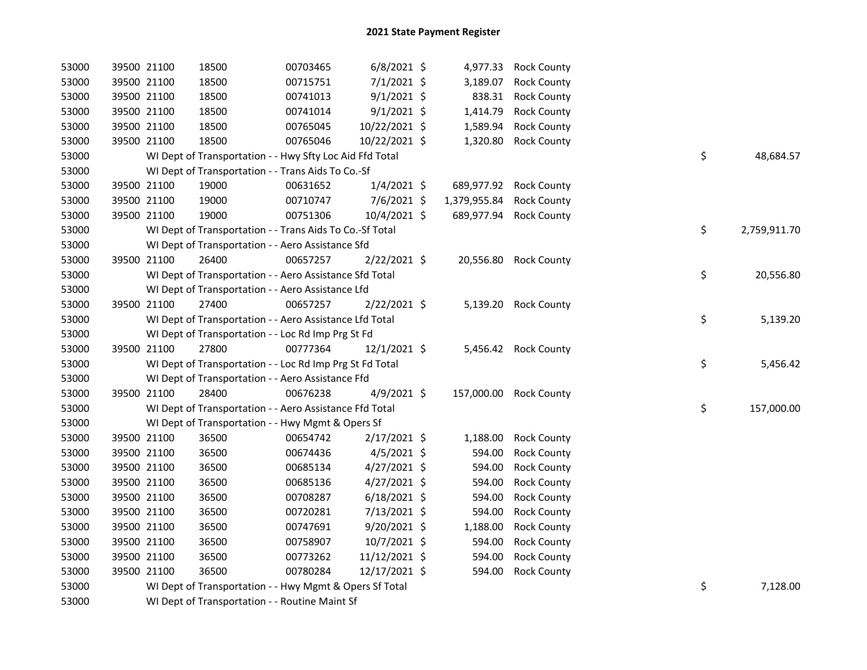| 53000 | 39500 21100 |             | 18500                                                    | 00703465 | $6/8/2021$ \$  |              | 4,977.33 Rock County   |    |              |
|-------|-------------|-------------|----------------------------------------------------------|----------|----------------|--------------|------------------------|----|--------------|
| 53000 |             | 39500 21100 | 18500                                                    | 00715751 | 7/1/2021 \$    | 3,189.07     | <b>Rock County</b>     |    |              |
| 53000 |             | 39500 21100 | 18500                                                    | 00741013 | $9/1/2021$ \$  | 838.31       | <b>Rock County</b>     |    |              |
| 53000 |             | 39500 21100 | 18500                                                    | 00741014 | $9/1/2021$ \$  | 1,414.79     | <b>Rock County</b>     |    |              |
| 53000 | 39500 21100 |             | 18500                                                    | 00765045 | 10/22/2021 \$  | 1,589.94     | <b>Rock County</b>     |    |              |
| 53000 | 39500 21100 |             | 18500                                                    | 00765046 | 10/22/2021 \$  | 1,320.80     | <b>Rock County</b>     |    |              |
| 53000 |             |             | WI Dept of Transportation - - Hwy Sfty Loc Aid Ffd Total |          |                |              |                        | \$ | 48,684.57    |
| 53000 |             |             | WI Dept of Transportation - - Trans Aids To Co.-Sf       |          |                |              |                        |    |              |
| 53000 |             | 39500 21100 | 19000                                                    | 00631652 | $1/4/2021$ \$  | 689,977.92   | <b>Rock County</b>     |    |              |
| 53000 |             | 39500 21100 | 19000                                                    | 00710747 | 7/6/2021 \$    | 1,379,955.84 | <b>Rock County</b>     |    |              |
| 53000 | 39500 21100 |             | 19000                                                    | 00751306 | $10/4/2021$ \$ | 689,977.94   | <b>Rock County</b>     |    |              |
| 53000 |             |             | WI Dept of Transportation - - Trans Aids To Co.-Sf Total |          |                |              |                        | \$ | 2,759,911.70 |
| 53000 |             |             | WI Dept of Transportation - - Aero Assistance Sfd        |          |                |              |                        |    |              |
| 53000 | 39500 21100 |             | 26400                                                    | 00657257 | 2/22/2021 \$   |              | 20,556.80 Rock County  |    |              |
| 53000 |             |             | WI Dept of Transportation - - Aero Assistance Sfd Total  |          |                |              |                        | \$ | 20,556.80    |
| 53000 |             |             | WI Dept of Transportation - - Aero Assistance Lfd        |          |                |              |                        |    |              |
| 53000 | 39500 21100 |             | 27400                                                    | 00657257 | 2/22/2021 \$   |              | 5,139.20 Rock County   |    |              |
| 53000 |             |             | WI Dept of Transportation - - Aero Assistance Lfd Total  |          |                |              |                        | \$ | 5,139.20     |
| 53000 |             |             | WI Dept of Transportation - - Loc Rd Imp Prg St Fd       |          |                |              |                        |    |              |
| 53000 |             | 39500 21100 | 27800                                                    | 00777364 | 12/1/2021 \$   |              | 5,456.42 Rock County   |    |              |
| 53000 |             |             | WI Dept of Transportation - - Loc Rd Imp Prg St Fd Total |          |                |              |                        | \$ | 5,456.42     |
| 53000 |             |             | WI Dept of Transportation - - Aero Assistance Ffd        |          |                |              |                        |    |              |
| 53000 |             | 39500 21100 | 28400                                                    | 00676238 | 4/9/2021 \$    |              | 157,000.00 Rock County |    |              |
| 53000 |             |             | WI Dept of Transportation - - Aero Assistance Ffd Total  |          |                |              |                        | \$ | 157,000.00   |
| 53000 |             |             | WI Dept of Transportation - - Hwy Mgmt & Opers Sf        |          |                |              |                        |    |              |
| 53000 |             | 39500 21100 | 36500                                                    | 00654742 | $2/17/2021$ \$ | 1,188.00     | <b>Rock County</b>     |    |              |
| 53000 |             | 39500 21100 | 36500                                                    | 00674436 | $4/5/2021$ \$  | 594.00       | <b>Rock County</b>     |    |              |
| 53000 |             | 39500 21100 | 36500                                                    | 00685134 | $4/27/2021$ \$ | 594.00       | <b>Rock County</b>     |    |              |
| 53000 | 39500 21100 |             | 36500                                                    | 00685136 | $4/27/2021$ \$ | 594.00       | <b>Rock County</b>     |    |              |
| 53000 |             | 39500 21100 | 36500                                                    | 00708287 | $6/18/2021$ \$ | 594.00       | <b>Rock County</b>     |    |              |
| 53000 | 39500 21100 |             | 36500                                                    | 00720281 | 7/13/2021 \$   | 594.00       | <b>Rock County</b>     |    |              |
| 53000 | 39500 21100 |             | 36500                                                    | 00747691 | $9/20/2021$ \$ | 1,188.00     | <b>Rock County</b>     |    |              |
| 53000 | 39500 21100 |             | 36500                                                    | 00758907 | 10/7/2021 \$   | 594.00       | <b>Rock County</b>     |    |              |
| 53000 | 39500 21100 |             | 36500                                                    | 00773262 | 11/12/2021 \$  | 594.00       | <b>Rock County</b>     |    |              |
| 53000 | 39500 21100 |             | 36500                                                    | 00780284 | 12/17/2021 \$  | 594.00       | <b>Rock County</b>     |    |              |
| 53000 |             |             | WI Dept of Transportation - - Hwy Mgmt & Opers Sf Total  |          |                |              |                        | \$ | 7,128.00     |
| 53000 |             |             | WI Dept of Transportation - - Routine Maint Sf           |          |                |              |                        |    |              |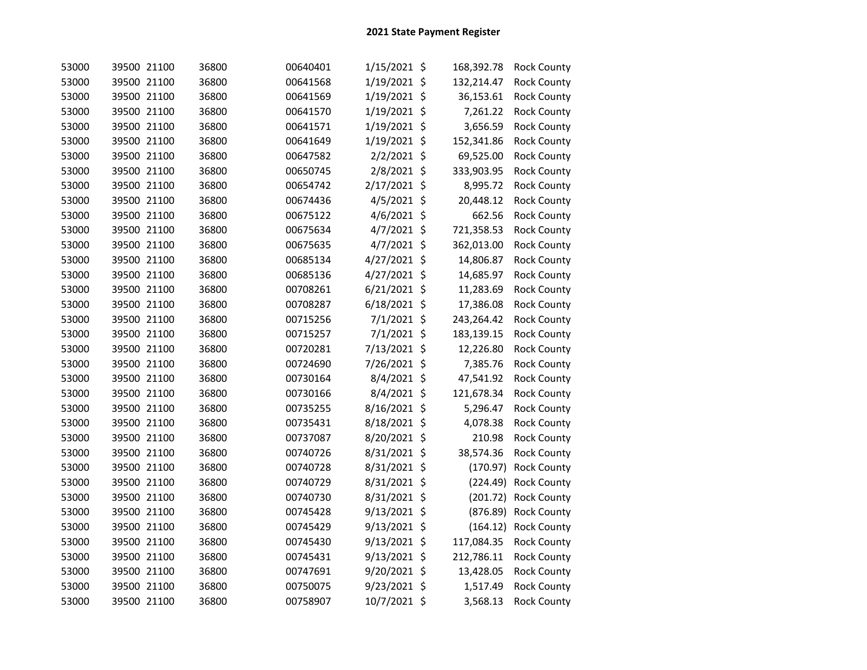| 53000 | 39500 21100 | 36800 | 00640401 | 1/15/2021 \$   | 168,392.78 | <b>Rock County</b> |
|-------|-------------|-------|----------|----------------|------------|--------------------|
| 53000 | 39500 21100 | 36800 | 00641568 | 1/19/2021 \$   | 132,214.47 | <b>Rock County</b> |
| 53000 | 39500 21100 | 36800 | 00641569 | 1/19/2021 \$   | 36,153.61  | <b>Rock County</b> |
| 53000 | 39500 21100 | 36800 | 00641570 | 1/19/2021 \$   | 7,261.22   | <b>Rock County</b> |
| 53000 | 39500 21100 | 36800 | 00641571 | 1/19/2021 \$   | 3,656.59   | <b>Rock County</b> |
| 53000 | 39500 21100 | 36800 | 00641649 | 1/19/2021 \$   | 152,341.86 | <b>Rock County</b> |
| 53000 | 39500 21100 | 36800 | 00647582 | $2/2/2021$ \$  | 69,525.00  | <b>Rock County</b> |
| 53000 | 39500 21100 | 36800 | 00650745 | 2/8/2021 \$    | 333,903.95 | <b>Rock County</b> |
| 53000 | 39500 21100 | 36800 | 00654742 | 2/17/2021 \$   | 8,995.72   | <b>Rock County</b> |
| 53000 | 39500 21100 | 36800 | 00674436 | $4/5/2021$ \$  | 20,448.12  | <b>Rock County</b> |
| 53000 | 39500 21100 | 36800 | 00675122 | 4/6/2021 \$    | 662.56     | <b>Rock County</b> |
| 53000 | 39500 21100 | 36800 | 00675634 | 4/7/2021 \$    | 721,358.53 | Rock County        |
| 53000 | 39500 21100 | 36800 | 00675635 | $4/7/2021$ \$  | 362,013.00 | <b>Rock County</b> |
| 53000 | 39500 21100 | 36800 | 00685134 | 4/27/2021 \$   | 14,806.87  | <b>Rock County</b> |
| 53000 | 39500 21100 | 36800 | 00685136 | 4/27/2021 \$   | 14,685.97  | <b>Rock County</b> |
| 53000 | 39500 21100 | 36800 | 00708261 | 6/21/2021 \$   | 11,283.69  | <b>Rock County</b> |
| 53000 | 39500 21100 | 36800 | 00708287 | $6/18/2021$ \$ | 17,386.08  | <b>Rock County</b> |
| 53000 | 39500 21100 | 36800 | 00715256 | $7/1/2021$ \$  | 243,264.42 | Rock County        |
| 53000 | 39500 21100 | 36800 | 00715257 | 7/1/2021 \$    | 183,139.15 | <b>Rock County</b> |
| 53000 | 39500 21100 | 36800 | 00720281 | 7/13/2021 \$   | 12,226.80  | <b>Rock County</b> |
| 53000 | 39500 21100 | 36800 | 00724690 | 7/26/2021 \$   | 7,385.76   | <b>Rock County</b> |
| 53000 | 39500 21100 | 36800 | 00730164 | 8/4/2021 \$    | 47,541.92  | <b>Rock County</b> |
| 53000 | 39500 21100 | 36800 | 00730166 | 8/4/2021 \$    | 121,678.34 | <b>Rock County</b> |
| 53000 | 39500 21100 | 36800 | 00735255 | 8/16/2021 \$   | 5,296.47   | <b>Rock County</b> |
| 53000 | 39500 21100 | 36800 | 00735431 | 8/18/2021 \$   | 4,078.38   | <b>Rock County</b> |
| 53000 | 39500 21100 | 36800 | 00737087 | 8/20/2021 \$   | 210.98     | <b>Rock County</b> |
| 53000 | 39500 21100 | 36800 | 00740726 | 8/31/2021 \$   | 38,574.36  | <b>Rock County</b> |
| 53000 | 39500 21100 | 36800 | 00740728 | 8/31/2021 \$   | (170.97)   | <b>Rock County</b> |
| 53000 | 39500 21100 | 36800 | 00740729 | 8/31/2021 \$   | (224.49)   | <b>Rock County</b> |
| 53000 | 39500 21100 | 36800 | 00740730 | 8/31/2021 \$   | (201.72)   | <b>Rock County</b> |
| 53000 | 39500 21100 | 36800 | 00745428 | 9/13/2021 \$   | (876.89)   | <b>Rock County</b> |
| 53000 | 39500 21100 | 36800 | 00745429 | 9/13/2021 \$   | (164.12)   | <b>Rock County</b> |
| 53000 | 39500 21100 | 36800 | 00745430 | 9/13/2021 \$   | 117,084.35 | Rock County        |
| 53000 | 39500 21100 | 36800 | 00745431 | 9/13/2021 \$   | 212,786.11 | <b>Rock County</b> |
| 53000 | 39500 21100 | 36800 | 00747691 | 9/20/2021 \$   | 13,428.05  | <b>Rock County</b> |
| 53000 | 39500 21100 | 36800 | 00750075 | 9/23/2021 \$   | 1,517.49   | <b>Rock County</b> |
| 53000 | 39500 21100 | 36800 | 00758907 | 10/7/2021 \$   | 3,568.13   | <b>Rock County</b> |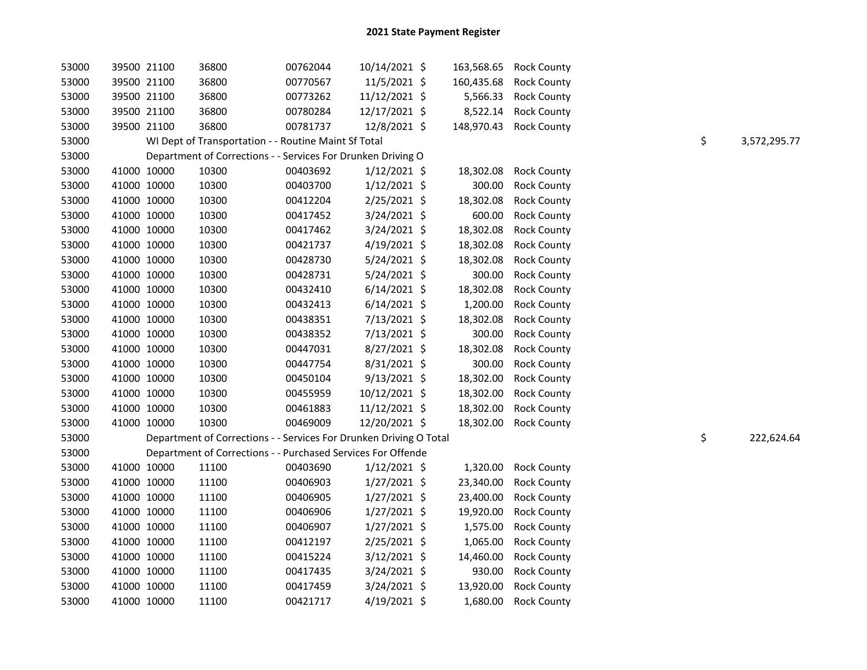| 53000 | 39500 21100 | 36800                                                              | 00762044 | 10/14/2021 \$  |            | 163,568.65 Rock County |    |              |
|-------|-------------|--------------------------------------------------------------------|----------|----------------|------------|------------------------|----|--------------|
| 53000 | 39500 21100 | 36800                                                              | 00770567 | 11/5/2021 \$   | 160,435.68 | <b>Rock County</b>     |    |              |
| 53000 | 39500 21100 | 36800                                                              | 00773262 | 11/12/2021 \$  | 5,566.33   | <b>Rock County</b>     |    |              |
| 53000 | 39500 21100 | 36800                                                              | 00780284 | 12/17/2021 \$  | 8,522.14   | <b>Rock County</b>     |    |              |
| 53000 | 39500 21100 | 36800                                                              | 00781737 | 12/8/2021 \$   |            | 148,970.43 Rock County |    |              |
| 53000 |             | WI Dept of Transportation - - Routine Maint Sf Total               |          |                |            |                        | \$ | 3,572,295.77 |
| 53000 |             | Department of Corrections - - Services For Drunken Driving O       |          |                |            |                        |    |              |
| 53000 | 41000 10000 | 10300                                                              | 00403692 | $1/12/2021$ \$ | 18,302.08  | <b>Rock County</b>     |    |              |
| 53000 | 41000 10000 | 10300                                                              | 00403700 | $1/12/2021$ \$ | 300.00     | <b>Rock County</b>     |    |              |
| 53000 | 41000 10000 | 10300                                                              | 00412204 | 2/25/2021 \$   | 18,302.08  | <b>Rock County</b>     |    |              |
| 53000 | 41000 10000 | 10300                                                              | 00417452 | 3/24/2021 \$   | 600.00     | <b>Rock County</b>     |    |              |
| 53000 | 41000 10000 | 10300                                                              | 00417462 | 3/24/2021 \$   | 18,302.08  | <b>Rock County</b>     |    |              |
| 53000 | 41000 10000 | 10300                                                              | 00421737 | 4/19/2021 \$   | 18,302.08  | <b>Rock County</b>     |    |              |
| 53000 | 41000 10000 | 10300                                                              | 00428730 | $5/24/2021$ \$ | 18,302.08  | <b>Rock County</b>     |    |              |
| 53000 | 41000 10000 | 10300                                                              | 00428731 | 5/24/2021 \$   | 300.00     | <b>Rock County</b>     |    |              |
| 53000 | 41000 10000 | 10300                                                              | 00432410 | $6/14/2021$ \$ | 18,302.08  | <b>Rock County</b>     |    |              |
| 53000 | 41000 10000 | 10300                                                              | 00432413 | $6/14/2021$ \$ | 1,200.00   | <b>Rock County</b>     |    |              |
| 53000 | 41000 10000 | 10300                                                              | 00438351 | 7/13/2021 \$   | 18,302.08  | <b>Rock County</b>     |    |              |
| 53000 | 41000 10000 | 10300                                                              | 00438352 | 7/13/2021 \$   | 300.00     | <b>Rock County</b>     |    |              |
| 53000 | 41000 10000 | 10300                                                              | 00447031 | 8/27/2021 \$   | 18,302.08  | <b>Rock County</b>     |    |              |
| 53000 | 41000 10000 | 10300                                                              | 00447754 | 8/31/2021 \$   | 300.00     | <b>Rock County</b>     |    |              |
| 53000 | 41000 10000 | 10300                                                              | 00450104 | $9/13/2021$ \$ | 18,302.00  | <b>Rock County</b>     |    |              |
| 53000 | 41000 10000 | 10300                                                              | 00455959 | 10/12/2021 \$  | 18,302.00  | <b>Rock County</b>     |    |              |
| 53000 | 41000 10000 | 10300                                                              | 00461883 | 11/12/2021 \$  | 18,302.00  | <b>Rock County</b>     |    |              |
| 53000 | 41000 10000 | 10300                                                              | 00469009 | 12/20/2021 \$  | 18,302.00  | <b>Rock County</b>     |    |              |
| 53000 |             | Department of Corrections - - Services For Drunken Driving O Total |          |                |            |                        | \$ | 222,624.64   |
| 53000 |             | Department of Corrections - - Purchased Services For Offende       |          |                |            |                        |    |              |
| 53000 | 41000 10000 | 11100                                                              | 00403690 | $1/12/2021$ \$ | 1,320.00   | <b>Rock County</b>     |    |              |
| 53000 | 41000 10000 | 11100                                                              | 00406903 | $1/27/2021$ \$ | 23,340.00  | <b>Rock County</b>     |    |              |
| 53000 | 41000 10000 | 11100                                                              | 00406905 | $1/27/2021$ \$ | 23,400.00  | <b>Rock County</b>     |    |              |
| 53000 | 41000 10000 | 11100                                                              | 00406906 | $1/27/2021$ \$ | 19,920.00  | <b>Rock County</b>     |    |              |
| 53000 | 41000 10000 | 11100                                                              | 00406907 | $1/27/2021$ \$ | 1,575.00   | <b>Rock County</b>     |    |              |
| 53000 | 41000 10000 | 11100                                                              | 00412197 | 2/25/2021 \$   | 1,065.00   | <b>Rock County</b>     |    |              |
| 53000 | 41000 10000 | 11100                                                              | 00415224 | $3/12/2021$ \$ | 14,460.00  | <b>Rock County</b>     |    |              |
| 53000 | 41000 10000 | 11100                                                              | 00417435 | $3/24/2021$ \$ | 930.00     | <b>Rock County</b>     |    |              |
| 53000 | 41000 10000 | 11100                                                              | 00417459 | $3/24/2021$ \$ | 13,920.00  | <b>Rock County</b>     |    |              |
| 53000 | 41000 10000 | 11100                                                              | 00421717 | $4/19/2021$ \$ | 1,680.00   | <b>Rock County</b>     |    |              |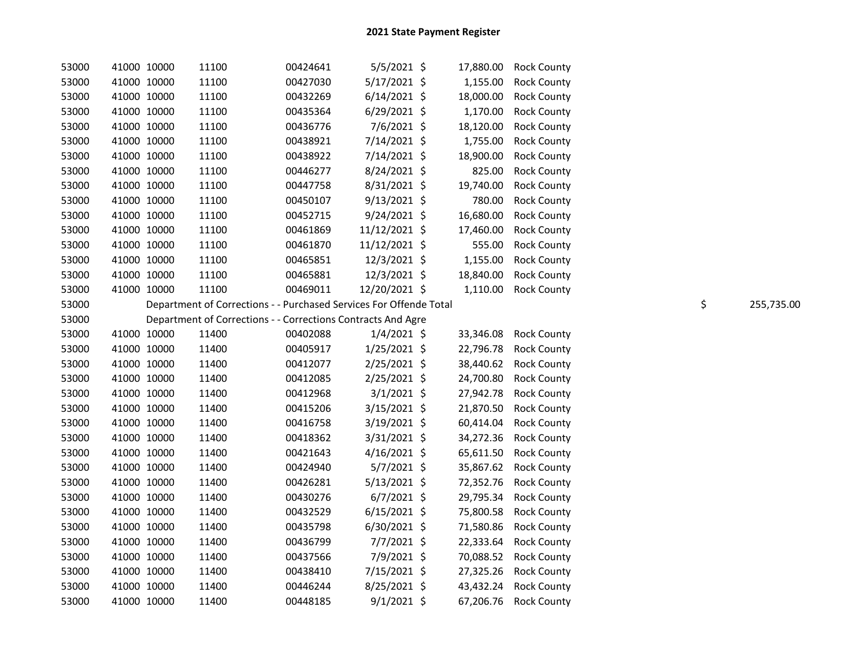| 53000 | 41000 10000 | 11100                                                              | 00424641 | 5/5/2021 \$    | 17,880.00 | <b>Rock County</b> |    |            |
|-------|-------------|--------------------------------------------------------------------|----------|----------------|-----------|--------------------|----|------------|
| 53000 | 41000 10000 | 11100                                                              | 00427030 | 5/17/2021 \$   | 1,155.00  | <b>Rock County</b> |    |            |
| 53000 | 41000 10000 | 11100                                                              | 00432269 | $6/14/2021$ \$ | 18,000.00 | <b>Rock County</b> |    |            |
| 53000 | 41000 10000 | 11100                                                              | 00435364 | $6/29/2021$ \$ | 1,170.00  | <b>Rock County</b> |    |            |
| 53000 | 41000 10000 | 11100                                                              | 00436776 | 7/6/2021 \$    | 18,120.00 | <b>Rock County</b> |    |            |
| 53000 | 41000 10000 | 11100                                                              | 00438921 | 7/14/2021 \$   | 1,755.00  | <b>Rock County</b> |    |            |
| 53000 | 41000 10000 | 11100                                                              | 00438922 | 7/14/2021 \$   | 18,900.00 | <b>Rock County</b> |    |            |
| 53000 | 41000 10000 | 11100                                                              | 00446277 | 8/24/2021 \$   | 825.00    | <b>Rock County</b> |    |            |
| 53000 | 41000 10000 | 11100                                                              | 00447758 | 8/31/2021 \$   | 19,740.00 | <b>Rock County</b> |    |            |
| 53000 | 41000 10000 | 11100                                                              | 00450107 | $9/13/2021$ \$ | 780.00    | <b>Rock County</b> |    |            |
| 53000 | 41000 10000 | 11100                                                              | 00452715 | 9/24/2021 \$   | 16,680.00 | <b>Rock County</b> |    |            |
| 53000 | 41000 10000 | 11100                                                              | 00461869 | 11/12/2021 \$  | 17,460.00 | <b>Rock County</b> |    |            |
| 53000 | 41000 10000 | 11100                                                              | 00461870 | 11/12/2021 \$  | 555.00    | <b>Rock County</b> |    |            |
| 53000 | 41000 10000 | 11100                                                              | 00465851 | 12/3/2021 \$   | 1,155.00  | <b>Rock County</b> |    |            |
| 53000 | 41000 10000 | 11100                                                              | 00465881 | 12/3/2021 \$   | 18,840.00 | <b>Rock County</b> |    |            |
| 53000 | 41000 10000 | 11100                                                              | 00469011 | 12/20/2021 \$  | 1,110.00  | <b>Rock County</b> |    |            |
| 53000 |             | Department of Corrections - - Purchased Services For Offende Total |          |                |           |                    | \$ | 255,735.00 |
| 53000 |             | Department of Corrections - - Corrections Contracts And Agre       |          |                |           |                    |    |            |
| 53000 | 41000 10000 | 11400                                                              | 00402088 | $1/4/2021$ \$  | 33,346.08 | <b>Rock County</b> |    |            |
| 53000 | 41000 10000 | 11400                                                              | 00405917 | 1/25/2021 \$   | 22,796.78 | <b>Rock County</b> |    |            |
| 53000 | 41000 10000 | 11400                                                              | 00412077 | 2/25/2021 \$   | 38,440.62 | <b>Rock County</b> |    |            |
| 53000 | 41000 10000 | 11400                                                              | 00412085 | 2/25/2021 \$   | 24,700.80 | <b>Rock County</b> |    |            |
| 53000 | 41000 10000 | 11400                                                              | 00412968 | $3/1/2021$ \$  | 27,942.78 | <b>Rock County</b> |    |            |
| 53000 | 41000 10000 | 11400                                                              | 00415206 | 3/15/2021 \$   | 21,870.50 | <b>Rock County</b> |    |            |
| 53000 | 41000 10000 | 11400                                                              | 00416758 | 3/19/2021 \$   | 60,414.04 | <b>Rock County</b> |    |            |
| 53000 | 41000 10000 | 11400                                                              | 00418362 | 3/31/2021 \$   | 34,272.36 | <b>Rock County</b> |    |            |
| 53000 | 41000 10000 | 11400                                                              | 00421643 | $4/16/2021$ \$ | 65,611.50 | <b>Rock County</b> |    |            |
| 53000 | 41000 10000 | 11400                                                              | 00424940 | 5/7/2021 \$    | 35,867.62 | <b>Rock County</b> |    |            |
| 53000 | 41000 10000 | 11400                                                              | 00426281 | $5/13/2021$ \$ | 72,352.76 | <b>Rock County</b> |    |            |
| 53000 | 41000 10000 | 11400                                                              | 00430276 | $6/7/2021$ \$  | 29,795.34 | <b>Rock County</b> |    |            |
| 53000 | 41000 10000 | 11400                                                              | 00432529 | $6/15/2021$ \$ | 75,800.58 | <b>Rock County</b> |    |            |
| 53000 | 41000 10000 | 11400                                                              | 00435798 | $6/30/2021$ \$ | 71,580.86 | <b>Rock County</b> |    |            |
| 53000 | 41000 10000 | 11400                                                              | 00436799 | 7/7/2021 \$    | 22,333.64 | <b>Rock County</b> |    |            |
| 53000 | 41000 10000 | 11400                                                              | 00437566 | 7/9/2021 \$    | 70,088.52 | <b>Rock County</b> |    |            |
| 53000 | 41000 10000 | 11400                                                              | 00438410 | 7/15/2021 \$   | 27,325.26 | <b>Rock County</b> |    |            |
| 53000 | 41000 10000 | 11400                                                              | 00446244 | 8/25/2021 \$   | 43,432.24 | <b>Rock County</b> |    |            |
| 53000 | 41000 10000 | 11400                                                              | 00448185 | $9/1/2021$ \$  | 67,206.76 | <b>Rock County</b> |    |            |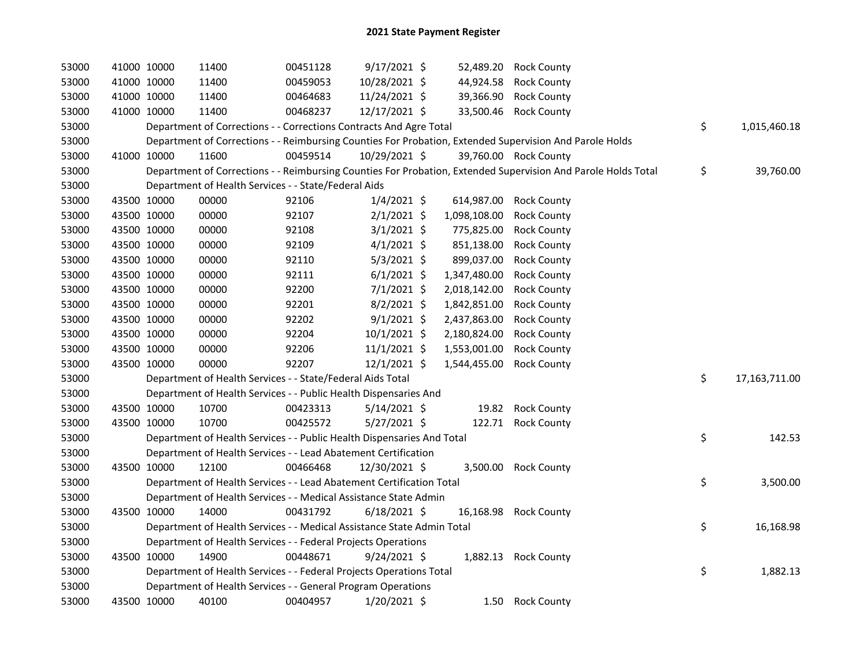| 53000 | 41000 10000 |             | 11400                                                                  | 00451128 | 9/17/2021 \$   |              | 52,489.20 Rock County                                                                                         |                     |
|-------|-------------|-------------|------------------------------------------------------------------------|----------|----------------|--------------|---------------------------------------------------------------------------------------------------------------|---------------------|
| 53000 |             | 41000 10000 | 11400                                                                  | 00459053 | 10/28/2021 \$  |              | 44,924.58 Rock County                                                                                         |                     |
| 53000 | 41000 10000 |             | 11400                                                                  | 00464683 | 11/24/2021 \$  |              | 39,366.90 Rock County                                                                                         |                     |
| 53000 | 41000 10000 |             | 11400                                                                  | 00468237 | 12/17/2021 \$  |              | 33,500.46 Rock County                                                                                         |                     |
| 53000 |             |             | Department of Corrections - - Corrections Contracts And Agre Total     |          |                |              |                                                                                                               | \$<br>1,015,460.18  |
| 53000 |             |             |                                                                        |          |                |              | Department of Corrections - - Reimbursing Counties For Probation, Extended Supervision And Parole Holds       |                     |
| 53000 | 41000 10000 |             | 11600                                                                  | 00459514 | 10/29/2021 \$  |              | 39,760.00 Rock County                                                                                         |                     |
| 53000 |             |             |                                                                        |          |                |              | Department of Corrections - - Reimbursing Counties For Probation, Extended Supervision And Parole Holds Total | \$<br>39,760.00     |
| 53000 |             |             | Department of Health Services - - State/Federal Aids                   |          |                |              |                                                                                                               |                     |
| 53000 | 43500 10000 |             | 00000                                                                  | 92106    | $1/4/2021$ \$  |              | 614,987.00 Rock County                                                                                        |                     |
| 53000 | 43500 10000 |             | 00000                                                                  | 92107    | $2/1/2021$ \$  | 1,098,108.00 | <b>Rock County</b>                                                                                            |                     |
| 53000 | 43500 10000 |             | 00000                                                                  | 92108    | $3/1/2021$ \$  | 775,825.00   | <b>Rock County</b>                                                                                            |                     |
| 53000 | 43500 10000 |             | 00000                                                                  | 92109    | $4/1/2021$ \$  | 851,138.00   | <b>Rock County</b>                                                                                            |                     |
| 53000 | 43500 10000 |             | 00000                                                                  | 92110    | $5/3/2021$ \$  | 899,037.00   | <b>Rock County</b>                                                                                            |                     |
| 53000 | 43500 10000 |             | 00000                                                                  | 92111    | $6/1/2021$ \$  | 1,347,480.00 | <b>Rock County</b>                                                                                            |                     |
| 53000 | 43500 10000 |             | 00000                                                                  | 92200    | $7/1/2021$ \$  | 2,018,142.00 | <b>Rock County</b>                                                                                            |                     |
| 53000 | 43500 10000 |             | 00000                                                                  | 92201    | $8/2/2021$ \$  | 1,842,851.00 | <b>Rock County</b>                                                                                            |                     |
| 53000 | 43500 10000 |             | 00000                                                                  | 92202    | $9/1/2021$ \$  | 2,437,863.00 | <b>Rock County</b>                                                                                            |                     |
| 53000 | 43500 10000 |             | 00000                                                                  | 92204    | 10/1/2021 \$   | 2,180,824.00 | <b>Rock County</b>                                                                                            |                     |
| 53000 | 43500 10000 |             | 00000                                                                  | 92206    | $11/1/2021$ \$ | 1,553,001.00 | <b>Rock County</b>                                                                                            |                     |
| 53000 | 43500 10000 |             | 00000                                                                  | 92207    | 12/1/2021 \$   | 1,544,455.00 | <b>Rock County</b>                                                                                            |                     |
| 53000 |             |             | Department of Health Services - - State/Federal Aids Total             |          |                |              |                                                                                                               | \$<br>17,163,711.00 |
| 53000 |             |             | Department of Health Services - - Public Health Dispensaries And       |          |                |              |                                                                                                               |                     |
| 53000 | 43500 10000 |             | 10700                                                                  | 00423313 | $5/14/2021$ \$ |              | 19.82 Rock County                                                                                             |                     |
| 53000 | 43500 10000 |             | 10700                                                                  | 00425572 | 5/27/2021 \$   |              | 122.71 Rock County                                                                                            |                     |
| 53000 |             |             | Department of Health Services - - Public Health Dispensaries And Total |          |                |              |                                                                                                               | \$<br>142.53        |
| 53000 |             |             | Department of Health Services - - Lead Abatement Certification         |          |                |              |                                                                                                               |                     |
| 53000 | 43500 10000 |             | 12100                                                                  | 00466468 | 12/30/2021 \$  |              | 3,500.00 Rock County                                                                                          |                     |
| 53000 |             |             | Department of Health Services - - Lead Abatement Certification Total   |          |                |              |                                                                                                               | \$<br>3,500.00      |
| 53000 |             |             | Department of Health Services - - Medical Assistance State Admin       |          |                |              |                                                                                                               |                     |
| 53000 | 43500 10000 |             | 14000                                                                  | 00431792 | $6/18/2021$ \$ |              | 16,168.98 Rock County                                                                                         |                     |
| 53000 |             |             | Department of Health Services - - Medical Assistance State Admin Total |          |                |              |                                                                                                               | \$<br>16,168.98     |
| 53000 |             |             | Department of Health Services - - Federal Projects Operations          |          |                |              |                                                                                                               |                     |
| 53000 | 43500 10000 |             | 14900                                                                  | 00448671 | 9/24/2021 \$   |              | 1,882.13 Rock County                                                                                          |                     |
| 53000 |             |             | Department of Health Services - - Federal Projects Operations Total    |          |                |              |                                                                                                               | \$<br>1,882.13      |
| 53000 |             |             | Department of Health Services - - General Program Operations           |          |                |              |                                                                                                               |                     |
| 53000 | 43500 10000 |             | 40100                                                                  | 00404957 | 1/20/2021 \$   |              | 1.50 Rock County                                                                                              |                     |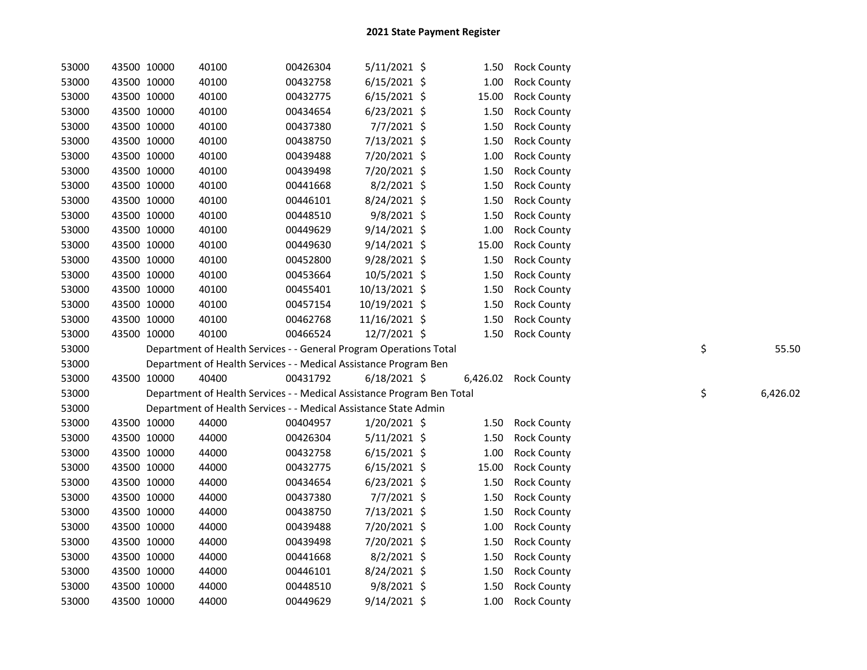| 53000 | 43500 10000 | 40100                                                                  | 00426304 | $5/11/2021$ \$ | 1.50  | <b>Rock County</b>   |    |          |
|-------|-------------|------------------------------------------------------------------------|----------|----------------|-------|----------------------|----|----------|
| 53000 | 43500 10000 | 40100                                                                  | 00432758 | $6/15/2021$ \$ | 1.00  | <b>Rock County</b>   |    |          |
| 53000 | 43500 10000 | 40100                                                                  | 00432775 | $6/15/2021$ \$ | 15.00 | <b>Rock County</b>   |    |          |
| 53000 | 43500 10000 | 40100                                                                  | 00434654 | $6/23/2021$ \$ | 1.50  | <b>Rock County</b>   |    |          |
| 53000 | 43500 10000 | 40100                                                                  | 00437380 | 7/7/2021 \$    | 1.50  | <b>Rock County</b>   |    |          |
| 53000 | 43500 10000 | 40100                                                                  | 00438750 | 7/13/2021 \$   | 1.50  | <b>Rock County</b>   |    |          |
| 53000 | 43500 10000 | 40100                                                                  | 00439488 | 7/20/2021 \$   | 1.00  | <b>Rock County</b>   |    |          |
| 53000 | 43500 10000 | 40100                                                                  | 00439498 | 7/20/2021 \$   | 1.50  | <b>Rock County</b>   |    |          |
| 53000 | 43500 10000 | 40100                                                                  | 00441668 | $8/2/2021$ \$  | 1.50  | <b>Rock County</b>   |    |          |
| 53000 | 43500 10000 | 40100                                                                  | 00446101 | 8/24/2021 \$   | 1.50  | <b>Rock County</b>   |    |          |
| 53000 | 43500 10000 | 40100                                                                  | 00448510 | $9/8/2021$ \$  | 1.50  | <b>Rock County</b>   |    |          |
| 53000 | 43500 10000 | 40100                                                                  | 00449629 | $9/14/2021$ \$ | 1.00  | <b>Rock County</b>   |    |          |
| 53000 | 43500 10000 | 40100                                                                  | 00449630 | 9/14/2021 \$   | 15.00 | <b>Rock County</b>   |    |          |
| 53000 | 43500 10000 | 40100                                                                  | 00452800 | 9/28/2021 \$   | 1.50  | <b>Rock County</b>   |    |          |
| 53000 | 43500 10000 | 40100                                                                  | 00453664 | 10/5/2021 \$   | 1.50  | <b>Rock County</b>   |    |          |
| 53000 | 43500 10000 | 40100                                                                  | 00455401 | 10/13/2021 \$  | 1.50  | <b>Rock County</b>   |    |          |
| 53000 | 43500 10000 | 40100                                                                  | 00457154 | 10/19/2021 \$  | 1.50  | <b>Rock County</b>   |    |          |
| 53000 | 43500 10000 | 40100                                                                  | 00462768 | 11/16/2021 \$  | 1.50  | <b>Rock County</b>   |    |          |
| 53000 | 43500 10000 | 40100                                                                  | 00466524 | 12/7/2021 \$   | 1.50  | <b>Rock County</b>   |    |          |
| 53000 |             | Department of Health Services - - General Program Operations Total     |          |                |       |                      | \$ | 55.50    |
| 53000 |             | Department of Health Services - - Medical Assistance Program Ben       |          |                |       |                      |    |          |
| 53000 | 43500 10000 | 40400                                                                  | 00431792 | $6/18/2021$ \$ |       | 6,426.02 Rock County |    |          |
| 53000 |             | Department of Health Services - - Medical Assistance Program Ben Total |          |                |       |                      | \$ | 6,426.02 |
| 53000 |             | Department of Health Services - - Medical Assistance State Admin       |          |                |       |                      |    |          |
| 53000 | 43500 10000 | 44000                                                                  | 00404957 | 1/20/2021 \$   | 1.50  | <b>Rock County</b>   |    |          |
| 53000 | 43500 10000 | 44000                                                                  | 00426304 | $5/11/2021$ \$ | 1.50  | <b>Rock County</b>   |    |          |
| 53000 | 43500 10000 | 44000                                                                  | 00432758 | $6/15/2021$ \$ | 1.00  | <b>Rock County</b>   |    |          |
| 53000 | 43500 10000 | 44000                                                                  | 00432775 | $6/15/2021$ \$ | 15.00 | <b>Rock County</b>   |    |          |
| 53000 | 43500 10000 | 44000                                                                  | 00434654 | 6/23/2021 \$   | 1.50  | <b>Rock County</b>   |    |          |
| 53000 | 43500 10000 | 44000                                                                  | 00437380 | 7/7/2021 \$    | 1.50  | <b>Rock County</b>   |    |          |
| 53000 | 43500 10000 | 44000                                                                  | 00438750 | 7/13/2021 \$   | 1.50  | <b>Rock County</b>   |    |          |
| 53000 | 43500 10000 | 44000                                                                  | 00439488 | 7/20/2021 \$   | 1.00  | <b>Rock County</b>   |    |          |
| 53000 | 43500 10000 | 44000                                                                  | 00439498 | 7/20/2021 \$   | 1.50  | <b>Rock County</b>   |    |          |
| 53000 | 43500 10000 | 44000                                                                  | 00441668 | 8/2/2021 \$    | 1.50  | <b>Rock County</b>   |    |          |
| 53000 | 43500 10000 | 44000                                                                  | 00446101 | 8/24/2021 \$   | 1.50  | <b>Rock County</b>   |    |          |
| 53000 | 43500 10000 | 44000                                                                  | 00448510 | $9/8/2021$ \$  | 1.50  | <b>Rock County</b>   |    |          |
| 53000 | 43500 10000 | 44000                                                                  | 00449629 | 9/14/2021 \$   | 1.00  | <b>Rock County</b>   |    |          |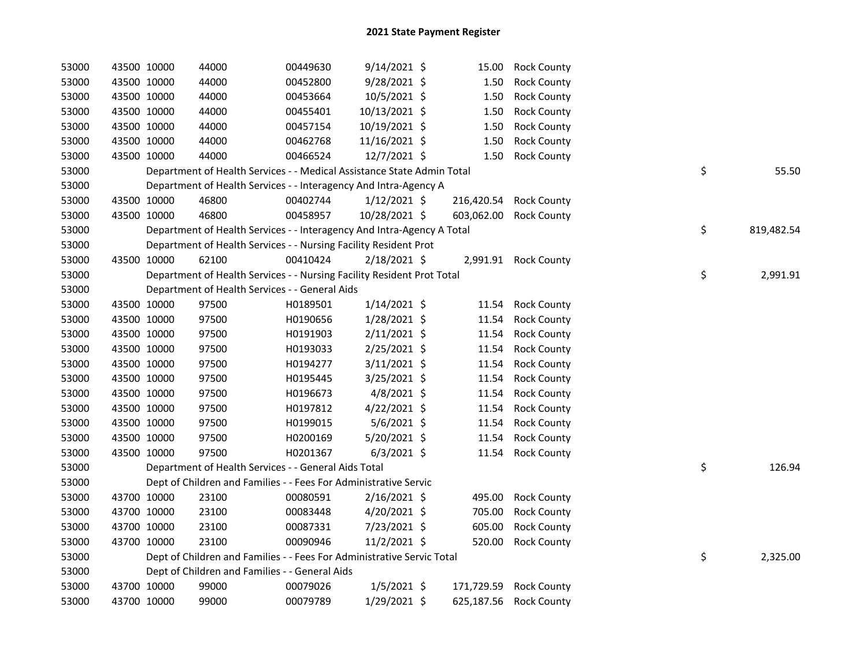| 53000 | 43500 10000 | 44000                                                                  | 00449630 | $9/14/2021$ \$ | 15.00      | <b>Rock County</b>     |    |            |
|-------|-------------|------------------------------------------------------------------------|----------|----------------|------------|------------------------|----|------------|
| 53000 | 43500 10000 | 44000                                                                  | 00452800 | 9/28/2021 \$   | 1.50       | <b>Rock County</b>     |    |            |
| 53000 | 43500 10000 | 44000                                                                  | 00453664 | 10/5/2021 \$   | 1.50       | <b>Rock County</b>     |    |            |
| 53000 | 43500 10000 | 44000                                                                  | 00455401 | 10/13/2021 \$  | 1.50       | <b>Rock County</b>     |    |            |
| 53000 | 43500 10000 | 44000                                                                  | 00457154 | 10/19/2021 \$  | 1.50       | <b>Rock County</b>     |    |            |
| 53000 | 43500 10000 | 44000                                                                  | 00462768 | 11/16/2021 \$  | 1.50       | <b>Rock County</b>     |    |            |
| 53000 | 43500 10000 | 44000                                                                  | 00466524 | 12/7/2021 \$   | 1.50       | <b>Rock County</b>     |    |            |
| 53000 |             | Department of Health Services - - Medical Assistance State Admin Total |          |                |            |                        | \$ | 55.50      |
| 53000 |             | Department of Health Services - - Interagency And Intra-Agency A       |          |                |            |                        |    |            |
| 53000 | 43500 10000 | 46800                                                                  | 00402744 | $1/12/2021$ \$ | 216,420.54 | <b>Rock County</b>     |    |            |
| 53000 | 43500 10000 | 46800                                                                  | 00458957 | 10/28/2021 \$  | 603,062.00 | <b>Rock County</b>     |    |            |
| 53000 |             | Department of Health Services - - Interagency And Intra-Agency A Total |          |                |            |                        | \$ | 819,482.54 |
| 53000 |             | Department of Health Services - - Nursing Facility Resident Prot       |          |                |            |                        |    |            |
| 53000 | 43500 10000 | 62100                                                                  | 00410424 | 2/18/2021 \$   |            | 2,991.91 Rock County   |    |            |
| 53000 |             | Department of Health Services - - Nursing Facility Resident Prot Total |          |                |            |                        | \$ | 2,991.91   |
| 53000 |             | Department of Health Services - - General Aids                         |          |                |            |                        |    |            |
| 53000 | 43500 10000 | 97500                                                                  | H0189501 | $1/14/2021$ \$ | 11.54      | <b>Rock County</b>     |    |            |
| 53000 | 43500 10000 | 97500                                                                  | H0190656 | 1/28/2021 \$   | 11.54      | <b>Rock County</b>     |    |            |
| 53000 | 43500 10000 | 97500                                                                  | H0191903 | $2/11/2021$ \$ | 11.54      | <b>Rock County</b>     |    |            |
| 53000 | 43500 10000 | 97500                                                                  | H0193033 | 2/25/2021 \$   | 11.54      | <b>Rock County</b>     |    |            |
| 53000 | 43500 10000 | 97500                                                                  | H0194277 | 3/11/2021 \$   | 11.54      | <b>Rock County</b>     |    |            |
| 53000 | 43500 10000 | 97500                                                                  | H0195445 | 3/25/2021 \$   | 11.54      | <b>Rock County</b>     |    |            |
| 53000 | 43500 10000 | 97500                                                                  | H0196673 | 4/8/2021 \$    | 11.54      | <b>Rock County</b>     |    |            |
| 53000 | 43500 10000 | 97500                                                                  | H0197812 | $4/22/2021$ \$ | 11.54      | <b>Rock County</b>     |    |            |
| 53000 | 43500 10000 | 97500                                                                  | H0199015 | $5/6/2021$ \$  | 11.54      | <b>Rock County</b>     |    |            |
| 53000 | 43500 10000 | 97500                                                                  | H0200169 | 5/20/2021 \$   | 11.54      | <b>Rock County</b>     |    |            |
| 53000 | 43500 10000 | 97500                                                                  | H0201367 | $6/3/2021$ \$  | 11.54      | <b>Rock County</b>     |    |            |
| 53000 |             | Department of Health Services - - General Aids Total                   |          |                |            |                        | \$ | 126.94     |
| 53000 |             | Dept of Children and Families - - Fees For Administrative Servic       |          |                |            |                        |    |            |
| 53000 | 43700 10000 | 23100                                                                  | 00080591 | $2/16/2021$ \$ | 495.00     | <b>Rock County</b>     |    |            |
| 53000 | 43700 10000 | 23100                                                                  | 00083448 | $4/20/2021$ \$ | 705.00     | <b>Rock County</b>     |    |            |
| 53000 | 43700 10000 | 23100                                                                  | 00087331 | 7/23/2021 \$   | 605.00     | <b>Rock County</b>     |    |            |
| 53000 | 43700 10000 | 23100                                                                  | 00090946 | 11/2/2021 \$   | 520.00     | <b>Rock County</b>     |    |            |
| 53000 |             | Dept of Children and Families - - Fees For Administrative Servic Total |          |                |            |                        | \$ | 2,325.00   |
| 53000 |             | Dept of Children and Families - - General Aids                         |          |                |            |                        |    |            |
| 53000 | 43700 10000 | 99000                                                                  | 00079026 | $1/5/2021$ \$  | 171,729.59 | <b>Rock County</b>     |    |            |
| 53000 | 43700 10000 | 99000                                                                  | 00079789 | 1/29/2021 \$   |            | 625,187.56 Rock County |    |            |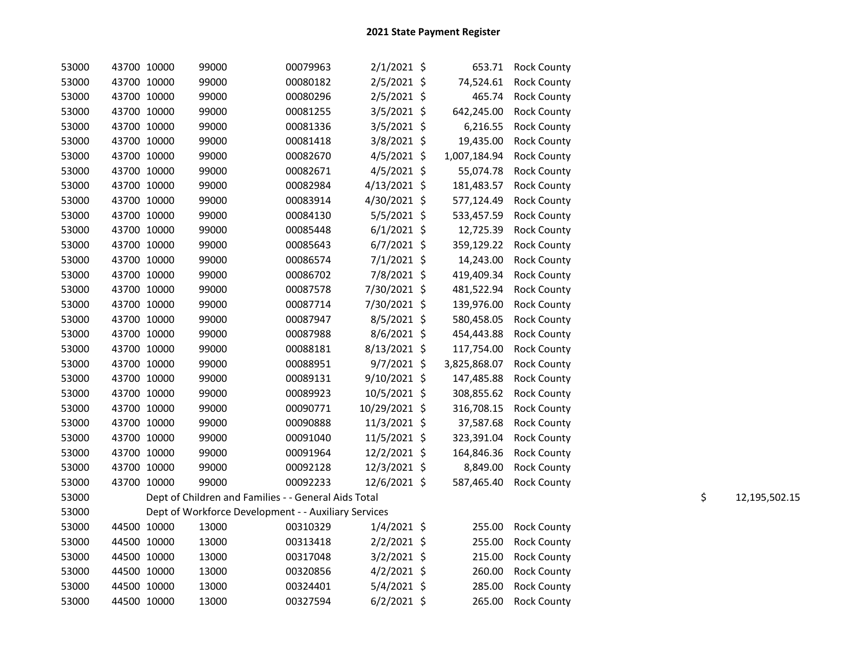| 53000 |             | 43700 10000 | 99000                                                | 00079963 | $2/1/2021$ \$  |              | 653.71 Rock County     |    |               |
|-------|-------------|-------------|------------------------------------------------------|----------|----------------|--------------|------------------------|----|---------------|
| 53000 | 43700 10000 |             | 99000                                                | 00080182 | $2/5/2021$ \$  |              | 74,524.61 Rock County  |    |               |
| 53000 | 43700 10000 |             | 99000                                                | 00080296 | $2/5/2021$ \$  | 465.74       | <b>Rock County</b>     |    |               |
| 53000 | 43700 10000 |             | 99000                                                | 00081255 | $3/5/2021$ \$  | 642,245.00   | <b>Rock County</b>     |    |               |
| 53000 | 43700 10000 |             | 99000                                                | 00081336 | $3/5/2021$ \$  | 6,216.55     | <b>Rock County</b>     |    |               |
| 53000 | 43700 10000 |             | 99000                                                | 00081418 | $3/8/2021$ \$  | 19,435.00    | <b>Rock County</b>     |    |               |
| 53000 | 43700 10000 |             | 99000                                                | 00082670 | $4/5/2021$ \$  | 1,007,184.94 | <b>Rock County</b>     |    |               |
| 53000 |             | 43700 10000 | 99000                                                | 00082671 | $4/5/2021$ \$  | 55,074.78    | <b>Rock County</b>     |    |               |
| 53000 |             | 43700 10000 | 99000                                                | 00082984 | $4/13/2021$ \$ | 181,483.57   | <b>Rock County</b>     |    |               |
| 53000 |             | 43700 10000 | 99000                                                | 00083914 | 4/30/2021 \$   | 577,124.49   | <b>Rock County</b>     |    |               |
| 53000 |             | 43700 10000 | 99000                                                | 00084130 | $5/5/2021$ \$  | 533,457.59   | <b>Rock County</b>     |    |               |
| 53000 |             | 43700 10000 | 99000                                                | 00085448 | $6/1/2021$ \$  | 12,725.39    | <b>Rock County</b>     |    |               |
| 53000 |             | 43700 10000 | 99000                                                | 00085643 | $6/7/2021$ \$  | 359,129.22   | <b>Rock County</b>     |    |               |
| 53000 | 43700 10000 |             | 99000                                                | 00086574 | $7/1/2021$ \$  | 14,243.00    | <b>Rock County</b>     |    |               |
| 53000 | 43700 10000 |             | 99000                                                | 00086702 | 7/8/2021 \$    | 419,409.34   | <b>Rock County</b>     |    |               |
| 53000 | 43700 10000 |             | 99000                                                | 00087578 | 7/30/2021 \$   | 481,522.94   | <b>Rock County</b>     |    |               |
| 53000 | 43700 10000 |             | 99000                                                | 00087714 | 7/30/2021 \$   | 139,976.00   | <b>Rock County</b>     |    |               |
| 53000 | 43700 10000 |             | 99000                                                | 00087947 | $8/5/2021$ \$  | 580,458.05   | <b>Rock County</b>     |    |               |
| 53000 | 43700 10000 |             | 99000                                                | 00087988 | $8/6/2021$ \$  | 454,443.88   | <b>Rock County</b>     |    |               |
| 53000 |             | 43700 10000 | 99000                                                | 00088181 | 8/13/2021 \$   | 117,754.00   | <b>Rock County</b>     |    |               |
| 53000 | 43700 10000 |             | 99000                                                | 00088951 | $9/7/2021$ \$  | 3,825,868.07 | <b>Rock County</b>     |    |               |
| 53000 | 43700 10000 |             | 99000                                                | 00089131 | 9/10/2021 \$   | 147,485.88   | <b>Rock County</b>     |    |               |
| 53000 | 43700 10000 |             | 99000                                                | 00089923 | 10/5/2021 \$   |              | 308,855.62 Rock County |    |               |
| 53000 | 43700 10000 |             | 99000                                                | 00090771 | 10/29/2021 \$  | 316,708.15   | <b>Rock County</b>     |    |               |
| 53000 | 43700 10000 |             | 99000                                                | 00090888 | 11/3/2021 \$   | 37,587.68    | <b>Rock County</b>     |    |               |
| 53000 | 43700 10000 |             | 99000                                                | 00091040 | 11/5/2021 \$   | 323,391.04   | <b>Rock County</b>     |    |               |
| 53000 | 43700 10000 |             | 99000                                                | 00091964 | 12/2/2021 \$   | 164,846.36   | <b>Rock County</b>     |    |               |
| 53000 | 43700 10000 |             | 99000                                                | 00092128 | 12/3/2021 \$   | 8,849.00     | <b>Rock County</b>     |    |               |
| 53000 | 43700 10000 |             | 99000                                                | 00092233 | 12/6/2021 \$   |              | 587,465.40 Rock County |    |               |
| 53000 |             |             | Dept of Children and Families - - General Aids Total |          |                |              |                        | \$ | 12,195,502.15 |
| 53000 |             |             | Dept of Workforce Development - - Auxiliary Services |          |                |              |                        |    |               |
| 53000 | 44500 10000 |             | 13000                                                | 00310329 | $1/4/2021$ \$  | 255.00       | <b>Rock County</b>     |    |               |
| 53000 |             | 44500 10000 | 13000                                                | 00313418 | $2/2/2021$ \$  | 255.00       | <b>Rock County</b>     |    |               |
| 53000 |             | 44500 10000 | 13000                                                | 00317048 | $3/2/2021$ \$  | 215.00       | <b>Rock County</b>     |    |               |
| 53000 |             | 44500 10000 | 13000                                                | 00320856 | $4/2/2021$ \$  | 260.00       | <b>Rock County</b>     |    |               |
| 53000 |             | 44500 10000 | 13000                                                | 00324401 | 5/4/2021 \$    | 285.00       | <b>Rock County</b>     |    |               |
| 53000 | 44500 10000 |             | 13000                                                | 00327594 | $6/2/2021$ \$  | 265.00       | <b>Rock County</b>     |    |               |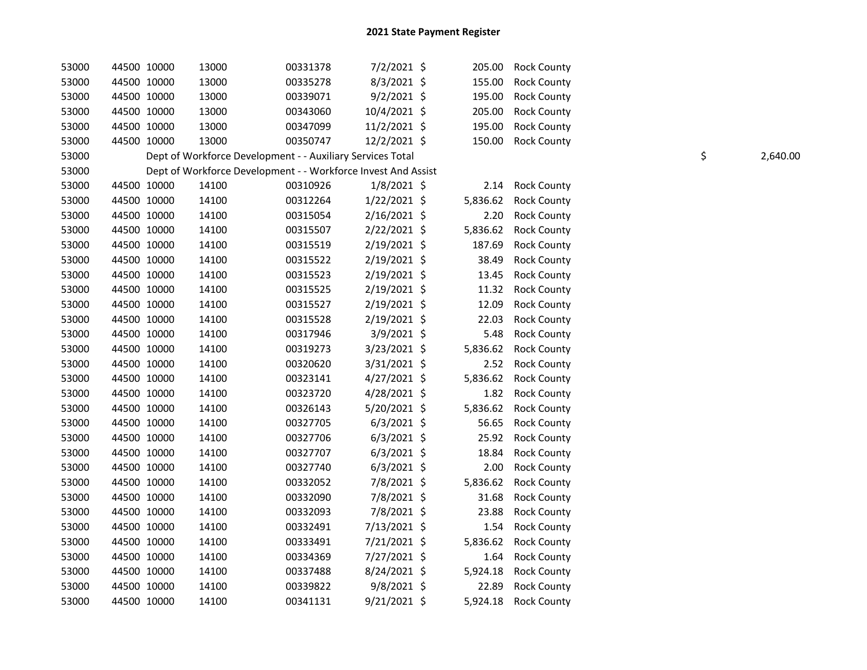| 53000 | 44500 10000 | 13000 | 00331378                                                      | 7/2/2021 \$    | 205.00   | <b>Rock County</b> |    |          |
|-------|-------------|-------|---------------------------------------------------------------|----------------|----------|--------------------|----|----------|
| 53000 | 44500 10000 | 13000 | 00335278                                                      | $8/3/2021$ \$  | 155.00   | <b>Rock County</b> |    |          |
| 53000 | 44500 10000 | 13000 | 00339071                                                      | $9/2/2021$ \$  | 195.00   | Rock County        |    |          |
| 53000 | 44500 10000 | 13000 | 00343060                                                      | 10/4/2021 \$   | 205.00   | <b>Rock County</b> |    |          |
| 53000 | 44500 10000 | 13000 | 00347099                                                      | 11/2/2021 \$   | 195.00   | <b>Rock County</b> |    |          |
| 53000 | 44500 10000 | 13000 | 00350747                                                      | 12/2/2021 \$   | 150.00   | <b>Rock County</b> |    |          |
| 53000 |             |       | Dept of Workforce Development - - Auxiliary Services Total    |                |          |                    | \$ | 2,640.00 |
| 53000 |             |       | Dept of Workforce Development - - Workforce Invest And Assist |                |          |                    |    |          |
| 53000 | 44500 10000 | 14100 | 00310926                                                      | $1/8/2021$ \$  | 2.14     | <b>Rock County</b> |    |          |
| 53000 | 44500 10000 | 14100 | 00312264                                                      | $1/22/2021$ \$ | 5,836.62 | <b>Rock County</b> |    |          |
| 53000 | 44500 10000 | 14100 | 00315054                                                      | $2/16/2021$ \$ | 2.20     | <b>Rock County</b> |    |          |
| 53000 | 44500 10000 | 14100 | 00315507                                                      | 2/22/2021 \$   | 5,836.62 | <b>Rock County</b> |    |          |
| 53000 | 44500 10000 | 14100 | 00315519                                                      | $2/19/2021$ \$ | 187.69   | <b>Rock County</b> |    |          |
| 53000 | 44500 10000 | 14100 | 00315522                                                      | 2/19/2021 \$   | 38.49    | <b>Rock County</b> |    |          |
| 53000 | 44500 10000 | 14100 | 00315523                                                      | 2/19/2021 \$   | 13.45    | <b>Rock County</b> |    |          |
| 53000 | 44500 10000 | 14100 | 00315525                                                      | 2/19/2021 \$   | 11.32    | <b>Rock County</b> |    |          |
| 53000 | 44500 10000 | 14100 | 00315527                                                      | 2/19/2021 \$   | 12.09    | <b>Rock County</b> |    |          |
| 53000 | 44500 10000 | 14100 | 00315528                                                      | 2/19/2021 \$   | 22.03    | <b>Rock County</b> |    |          |
| 53000 | 44500 10000 | 14100 | 00317946                                                      | $3/9/2021$ \$  | 5.48     | <b>Rock County</b> |    |          |
| 53000 | 44500 10000 | 14100 | 00319273                                                      | 3/23/2021 \$   | 5,836.62 | <b>Rock County</b> |    |          |
| 53000 | 44500 10000 | 14100 | 00320620                                                      | $3/31/2021$ \$ | 2.52     | <b>Rock County</b> |    |          |
| 53000 | 44500 10000 | 14100 | 00323141                                                      | $4/27/2021$ \$ | 5,836.62 | <b>Rock County</b> |    |          |
| 53000 | 44500 10000 | 14100 | 00323720                                                      | 4/28/2021 \$   | 1.82     | <b>Rock County</b> |    |          |
| 53000 | 44500 10000 | 14100 | 00326143                                                      | 5/20/2021 \$   | 5,836.62 | <b>Rock County</b> |    |          |
| 53000 | 44500 10000 | 14100 | 00327705                                                      | $6/3/2021$ \$  | 56.65    | <b>Rock County</b> |    |          |
| 53000 | 44500 10000 | 14100 | 00327706                                                      | $6/3/2021$ \$  | 25.92    | <b>Rock County</b> |    |          |
| 53000 | 44500 10000 | 14100 | 00327707                                                      | $6/3/2021$ \$  | 18.84    | <b>Rock County</b> |    |          |
| 53000 | 44500 10000 | 14100 | 00327740                                                      | $6/3/2021$ \$  | 2.00     | <b>Rock County</b> |    |          |
| 53000 | 44500 10000 | 14100 | 00332052                                                      | 7/8/2021 \$    | 5,836.62 | <b>Rock County</b> |    |          |
| 53000 | 44500 10000 | 14100 | 00332090                                                      | 7/8/2021 \$    | 31.68    | <b>Rock County</b> |    |          |
| 53000 | 44500 10000 | 14100 | 00332093                                                      | 7/8/2021 \$    | 23.88    | <b>Rock County</b> |    |          |
| 53000 | 44500 10000 | 14100 | 00332491                                                      | 7/13/2021 \$   | 1.54     | <b>Rock County</b> |    |          |
| 53000 | 44500 10000 | 14100 | 00333491                                                      | 7/21/2021 \$   | 5,836.62 | <b>Rock County</b> |    |          |
| 53000 | 44500 10000 | 14100 | 00334369                                                      | 7/27/2021 \$   | 1.64     | <b>Rock County</b> |    |          |
| 53000 | 44500 10000 | 14100 | 00337488                                                      | 8/24/2021 \$   | 5,924.18 | <b>Rock County</b> |    |          |
| 53000 | 44500 10000 | 14100 | 00339822                                                      | $9/8/2021$ \$  | 22.89    | <b>Rock County</b> |    |          |
| 53000 | 44500 10000 | 14100 | 00341131                                                      | $9/21/2021$ \$ | 5,924.18 | <b>Rock County</b> |    |          |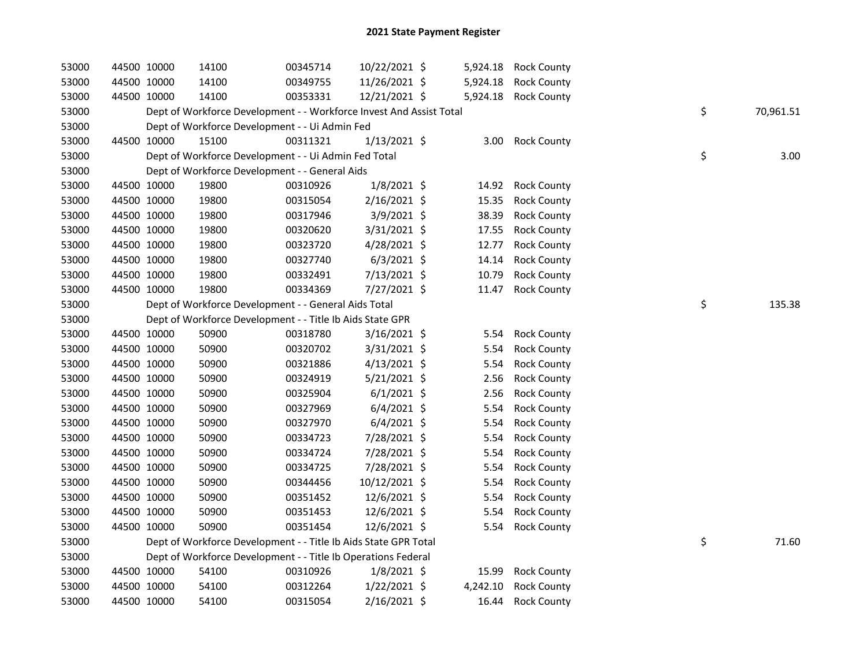| 53000 | 44500 10000 | 14100                                                               | 00345714 | 10/22/2021 \$  | 5,924.18 | <b>Rock County</b> |    |           |
|-------|-------------|---------------------------------------------------------------------|----------|----------------|----------|--------------------|----|-----------|
| 53000 | 44500 10000 | 14100                                                               | 00349755 | 11/26/2021 \$  | 5,924.18 | <b>Rock County</b> |    |           |
| 53000 | 44500 10000 | 14100                                                               | 00353331 | 12/21/2021 \$  | 5,924.18 | <b>Rock County</b> |    |           |
| 53000 |             | Dept of Workforce Development - - Workforce Invest And Assist Total |          |                |          |                    | \$ | 70,961.51 |
| 53000 |             | Dept of Workforce Development - - Ui Admin Fed                      |          |                |          |                    |    |           |
| 53000 | 44500 10000 | 15100                                                               | 00311321 | $1/13/2021$ \$ | 3.00     | <b>Rock County</b> |    |           |
| 53000 |             | Dept of Workforce Development - - Ui Admin Fed Total                |          |                |          |                    | \$ | 3.00      |
| 53000 |             | Dept of Workforce Development - - General Aids                      |          |                |          |                    |    |           |
| 53000 | 44500 10000 | 19800                                                               | 00310926 | $1/8/2021$ \$  | 14.92    | <b>Rock County</b> |    |           |
| 53000 | 44500 10000 | 19800                                                               | 00315054 | 2/16/2021 \$   | 15.35    | <b>Rock County</b> |    |           |
| 53000 | 44500 10000 | 19800                                                               | 00317946 | 3/9/2021 \$    | 38.39    | <b>Rock County</b> |    |           |
| 53000 | 44500 10000 | 19800                                                               | 00320620 | 3/31/2021 \$   | 17.55    | <b>Rock County</b> |    |           |
| 53000 | 44500 10000 | 19800                                                               | 00323720 | 4/28/2021 \$   | 12.77    | <b>Rock County</b> |    |           |
| 53000 | 44500 10000 | 19800                                                               | 00327740 | $6/3/2021$ \$  | 14.14    | <b>Rock County</b> |    |           |
| 53000 | 44500 10000 | 19800                                                               | 00332491 | 7/13/2021 \$   | 10.79    | <b>Rock County</b> |    |           |
| 53000 | 44500 10000 | 19800                                                               | 00334369 | 7/27/2021 \$   | 11.47    | <b>Rock County</b> |    |           |
| 53000 |             | Dept of Workforce Development - - General Aids Total                |          |                |          |                    | \$ | 135.38    |
| 53000 |             | Dept of Workforce Development - - Title Ib Aids State GPR           |          |                |          |                    |    |           |
| 53000 | 44500 10000 | 50900                                                               | 00318780 | $3/16/2021$ \$ | 5.54     | <b>Rock County</b> |    |           |
| 53000 | 44500 10000 | 50900                                                               | 00320702 | 3/31/2021 \$   | 5.54     | <b>Rock County</b> |    |           |
| 53000 | 44500 10000 | 50900                                                               | 00321886 | $4/13/2021$ \$ | 5.54     | <b>Rock County</b> |    |           |
| 53000 | 44500 10000 | 50900                                                               | 00324919 | 5/21/2021 \$   | 2.56     | <b>Rock County</b> |    |           |
| 53000 | 44500 10000 | 50900                                                               | 00325904 | $6/1/2021$ \$  | 2.56     | <b>Rock County</b> |    |           |
| 53000 | 44500 10000 | 50900                                                               | 00327969 | $6/4/2021$ \$  | 5.54     | <b>Rock County</b> |    |           |
| 53000 | 44500 10000 | 50900                                                               | 00327970 | $6/4/2021$ \$  | 5.54     | <b>Rock County</b> |    |           |
| 53000 | 44500 10000 | 50900                                                               | 00334723 | 7/28/2021 \$   | 5.54     | <b>Rock County</b> |    |           |
| 53000 | 44500 10000 | 50900                                                               | 00334724 | 7/28/2021 \$   | 5.54     | <b>Rock County</b> |    |           |
| 53000 | 44500 10000 | 50900                                                               | 00334725 | 7/28/2021 \$   | 5.54     | <b>Rock County</b> |    |           |
| 53000 | 44500 10000 | 50900                                                               | 00344456 | 10/12/2021 \$  | 5.54     | <b>Rock County</b> |    |           |
| 53000 | 44500 10000 | 50900                                                               | 00351452 | 12/6/2021 \$   | 5.54     | <b>Rock County</b> |    |           |
| 53000 | 44500 10000 | 50900                                                               | 00351453 | 12/6/2021 \$   | 5.54     | <b>Rock County</b> |    |           |
| 53000 | 44500 10000 | 50900                                                               | 00351454 | 12/6/2021 \$   | 5.54     | <b>Rock County</b> |    |           |
| 53000 |             | Dept of Workforce Development - - Title Ib Aids State GPR Total     |          |                |          |                    | \$ | 71.60     |
| 53000 |             | Dept of Workforce Development - - Title Ib Operations Federal       |          |                |          |                    |    |           |
| 53000 | 44500 10000 | 54100                                                               | 00310926 | $1/8/2021$ \$  | 15.99    | <b>Rock County</b> |    |           |
| 53000 | 44500 10000 | 54100                                                               | 00312264 | $1/22/2021$ \$ | 4,242.10 | <b>Rock County</b> |    |           |
| 53000 | 44500 10000 | 54100                                                               | 00315054 | 2/16/2021 \$   | 16.44    | <b>Rock County</b> |    |           |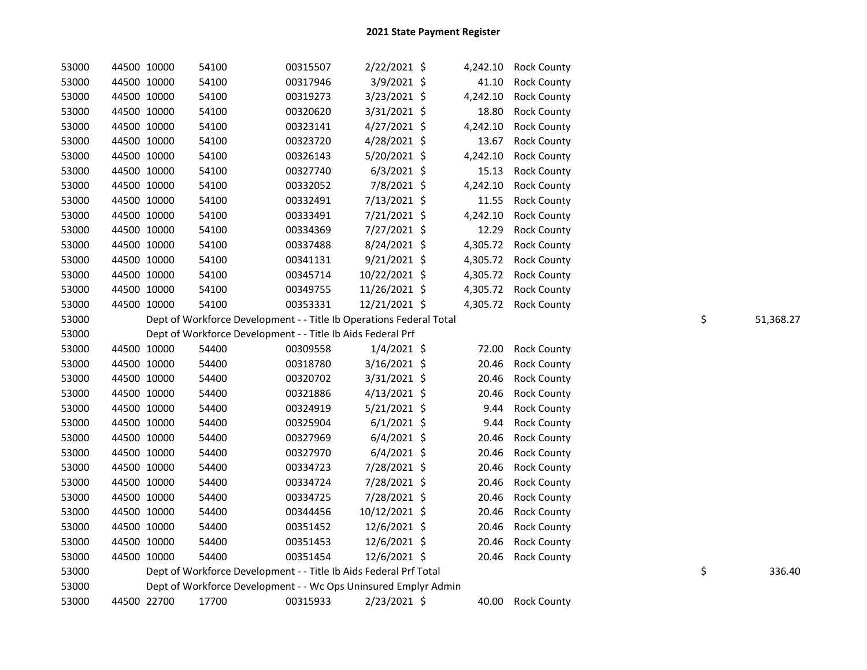| 53000          | 44500 10000 |             | 54100                                                                    | 00315507 | 2/22/2021 \$   |          | 4,242.10 Rock County |                 |
|----------------|-------------|-------------|--------------------------------------------------------------------------|----------|----------------|----------|----------------------|-----------------|
| 53000          | 44500 10000 |             | 54100                                                                    | 00317946 | 3/9/2021 \$    | 41.10    | <b>Rock County</b>   |                 |
| 53000          | 44500 10000 |             | 54100                                                                    | 00319273 | 3/23/2021 \$   | 4,242.10 | <b>Rock County</b>   |                 |
| 53000          | 44500 10000 |             | 54100                                                                    | 00320620 | 3/31/2021 \$   | 18.80    | <b>Rock County</b>   |                 |
| 53000          | 44500 10000 |             | 54100                                                                    | 00323141 | $4/27/2021$ \$ | 4,242.10 | <b>Rock County</b>   |                 |
| 53000          | 44500 10000 |             | 54100                                                                    | 00323720 | 4/28/2021 \$   | 13.67    | <b>Rock County</b>   |                 |
| 53000          | 44500 10000 |             | 54100                                                                    | 00326143 | 5/20/2021 \$   | 4,242.10 | <b>Rock County</b>   |                 |
| 53000          | 44500 10000 |             | 54100                                                                    | 00327740 | $6/3/2021$ \$  | 15.13    | <b>Rock County</b>   |                 |
| 53000          | 44500 10000 |             | 54100                                                                    | 00332052 | 7/8/2021 \$    | 4,242.10 | <b>Rock County</b>   |                 |
| 53000          | 44500 10000 |             | 54100                                                                    | 00332491 | 7/13/2021 \$   | 11.55    | <b>Rock County</b>   |                 |
| 53000          | 44500 10000 |             | 54100                                                                    | 00333491 | 7/21/2021 \$   | 4,242.10 | <b>Rock County</b>   |                 |
| 53000          | 44500 10000 |             | 54100                                                                    | 00334369 | 7/27/2021 \$   | 12.29    | <b>Rock County</b>   |                 |
| 53000          | 44500 10000 |             | 54100                                                                    | 00337488 | 8/24/2021 \$   | 4,305.72 | <b>Rock County</b>   |                 |
| 53000          |             | 44500 10000 | 54100                                                                    | 00341131 | $9/21/2021$ \$ | 4,305.72 | <b>Rock County</b>   |                 |
| 53000          |             | 44500 10000 | 54100                                                                    | 00345714 | 10/22/2021 \$  |          | 4,305.72 Rock County |                 |
| 53000          | 44500 10000 |             | 54100                                                                    | 00349755 | 11/26/2021 \$  |          | 4,305.72 Rock County |                 |
| 53000          | 44500 10000 |             | 54100                                                                    | 00353331 | 12/21/2021 \$  |          | 4,305.72 Rock County |                 |
| 53000          |             |             | Dept of Workforce Development - - Title Ib Operations Federal Total      |          |                |          |                      | \$<br>51,368.27 |
| 53000          |             |             | Dept of Workforce Development - - Title Ib Aids Federal Prf              |          |                |          |                      |                 |
| 53000          |             | 44500 10000 | 54400                                                                    | 00309558 | $1/4/2021$ \$  | 72.00    | <b>Rock County</b>   |                 |
| 53000          |             | 44500 10000 | 54400                                                                    | 00318780 | 3/16/2021 \$   | 20.46    | <b>Rock County</b>   |                 |
| 53000          |             | 44500 10000 | 54400                                                                    | 00320702 | $3/31/2021$ \$ | 20.46    | <b>Rock County</b>   |                 |
| 53000          |             | 44500 10000 | 54400                                                                    | 00321886 | $4/13/2021$ \$ | 20.46    | <b>Rock County</b>   |                 |
| 53000          |             | 44500 10000 | 54400                                                                    | 00324919 | 5/21/2021 \$   | 9.44     | <b>Rock County</b>   |                 |
| 53000          |             | 44500 10000 | 54400                                                                    | 00325904 | $6/1/2021$ \$  | 9.44     | <b>Rock County</b>   |                 |
| 53000          |             | 44500 10000 | 54400                                                                    | 00327969 | $6/4/2021$ \$  |          |                      |                 |
| 53000          |             |             |                                                                          |          |                | 20.46    | <b>Rock County</b>   |                 |
|                |             | 44500 10000 | 54400                                                                    | 00327970 | $6/4/2021$ \$  | 20.46    | <b>Rock County</b>   |                 |
| 53000          |             | 44500 10000 | 54400                                                                    | 00334723 | 7/28/2021 \$   | 20.46    | <b>Rock County</b>   |                 |
| 53000          |             | 44500 10000 | 54400                                                                    | 00334724 | 7/28/2021 \$   | 20.46    | <b>Rock County</b>   |                 |
| 53000          |             | 44500 10000 | 54400                                                                    | 00334725 | 7/28/2021 \$   | 20.46    | <b>Rock County</b>   |                 |
| 53000          |             | 44500 10000 | 54400                                                                    | 00344456 | 10/12/2021 \$  | 20.46    | <b>Rock County</b>   |                 |
| 53000          |             | 44500 10000 | 54400                                                                    | 00351452 | 12/6/2021 \$   | 20.46    | <b>Rock County</b>   |                 |
| 53000          | 44500 10000 |             | 54400                                                                    | 00351453 | 12/6/2021 \$   | 20.46    | <b>Rock County</b>   |                 |
| 53000          | 44500 10000 |             | 54400                                                                    | 00351454 | 12/6/2021 \$   |          | 20.46 Rock County    |                 |
| 53000          |             |             | Dept of Workforce Development - - Title Ib Aids Federal Prf Total        |          |                |          |                      | \$<br>336.40    |
| 53000<br>53000 |             | 44500 22700 | Dept of Workforce Development - - Wc Ops Uninsured Emplyr Admin<br>17700 | 00315933 | 2/23/2021 \$   |          |                      |                 |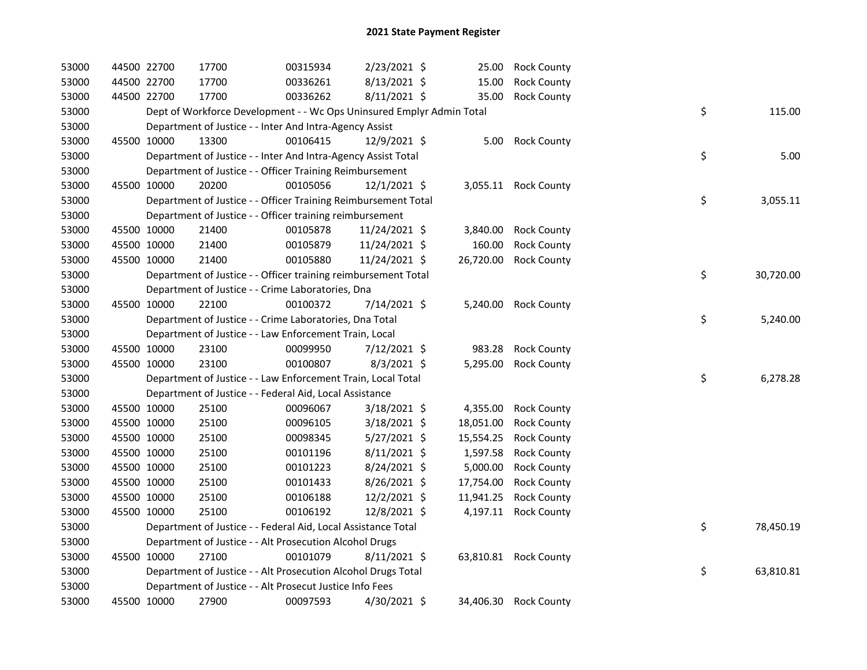| 53000 | 44500 22700 | 17700                                                                 | 00315934 | 2/23/2021 \$   | 25.00     | <b>Rock County</b>    |    |           |
|-------|-------------|-----------------------------------------------------------------------|----------|----------------|-----------|-----------------------|----|-----------|
| 53000 | 44500 22700 | 17700                                                                 | 00336261 | $8/13/2021$ \$ | 15.00     | <b>Rock County</b>    |    |           |
| 53000 | 44500 22700 | 17700                                                                 | 00336262 | $8/11/2021$ \$ | 35.00     | <b>Rock County</b>    |    |           |
| 53000 |             | Dept of Workforce Development - - Wc Ops Uninsured Emplyr Admin Total |          |                |           |                       | \$ | 115.00    |
| 53000 |             | Department of Justice - - Inter And Intra-Agency Assist               |          |                |           |                       |    |           |
| 53000 | 45500 10000 | 13300                                                                 | 00106415 | 12/9/2021 \$   |           | 5.00 Rock County      |    |           |
| 53000 |             | Department of Justice - - Inter And Intra-Agency Assist Total         |          |                |           |                       | \$ | 5.00      |
| 53000 |             | Department of Justice - - Officer Training Reimbursement              |          |                |           |                       |    |           |
| 53000 | 45500 10000 | 20200                                                                 | 00105056 | 12/1/2021 \$   |           | 3,055.11 Rock County  |    |           |
| 53000 |             | Department of Justice - - Officer Training Reimbursement Total        |          |                |           |                       | \$ | 3,055.11  |
| 53000 |             | Department of Justice - - Officer training reimbursement              |          |                |           |                       |    |           |
| 53000 | 45500 10000 | 21400                                                                 | 00105878 | 11/24/2021 \$  | 3,840.00  | <b>Rock County</b>    |    |           |
| 53000 | 45500 10000 | 21400                                                                 | 00105879 | 11/24/2021 \$  | 160.00    | <b>Rock County</b>    |    |           |
| 53000 | 45500 10000 | 21400                                                                 | 00105880 | 11/24/2021 \$  | 26,720.00 | <b>Rock County</b>    |    |           |
| 53000 |             | Department of Justice - - Officer training reimbursement Total        |          |                |           |                       | \$ | 30,720.00 |
| 53000 |             | Department of Justice - - Crime Laboratories, Dna                     |          |                |           |                       |    |           |
| 53000 | 45500 10000 | 22100                                                                 | 00100372 | 7/14/2021 \$   |           | 5,240.00 Rock County  |    |           |
| 53000 |             | Department of Justice - - Crime Laboratories, Dna Total               |          |                |           |                       | \$ | 5,240.00  |
| 53000 |             | Department of Justice - - Law Enforcement Train, Local                |          |                |           |                       |    |           |
| 53000 | 45500 10000 | 23100                                                                 | 00099950 | 7/12/2021 \$   | 983.28    | <b>Rock County</b>    |    |           |
| 53000 | 45500 10000 | 23100                                                                 | 00100807 | 8/3/2021 \$    | 5,295.00  | <b>Rock County</b>    |    |           |
| 53000 |             | Department of Justice - - Law Enforcement Train, Local Total          |          |                |           |                       | \$ | 6,278.28  |
| 53000 |             | Department of Justice - - Federal Aid, Local Assistance               |          |                |           |                       |    |           |
| 53000 | 45500 10000 | 25100                                                                 | 00096067 | 3/18/2021 \$   | 4,355.00  | <b>Rock County</b>    |    |           |
| 53000 | 45500 10000 | 25100                                                                 | 00096105 | $3/18/2021$ \$ | 18,051.00 | <b>Rock County</b>    |    |           |
| 53000 | 45500 10000 | 25100                                                                 | 00098345 | $5/27/2021$ \$ | 15,554.25 | <b>Rock County</b>    |    |           |
| 53000 | 45500 10000 | 25100                                                                 | 00101196 | 8/11/2021 \$   | 1,597.58  | <b>Rock County</b>    |    |           |
| 53000 | 45500 10000 | 25100                                                                 | 00101223 | 8/24/2021 \$   | 5,000.00  | <b>Rock County</b>    |    |           |
| 53000 | 45500 10000 | 25100                                                                 | 00101433 | $8/26/2021$ \$ | 17,754.00 | <b>Rock County</b>    |    |           |
| 53000 | 45500 10000 | 25100                                                                 | 00106188 | 12/2/2021 \$   | 11,941.25 | <b>Rock County</b>    |    |           |
| 53000 | 45500 10000 | 25100                                                                 | 00106192 | 12/8/2021 \$   |           | 4,197.11 Rock County  |    |           |
| 53000 |             | Department of Justice - - Federal Aid, Local Assistance Total         |          |                |           |                       | \$ | 78,450.19 |
| 53000 |             | Department of Justice - - Alt Prosecution Alcohol Drugs               |          |                |           |                       |    |           |
| 53000 | 45500 10000 | 27100                                                                 | 00101079 | $8/11/2021$ \$ |           | 63,810.81 Rock County |    |           |
| 53000 |             | Department of Justice - - Alt Prosecution Alcohol Drugs Total         |          |                |           |                       | \$ | 63,810.81 |
| 53000 |             | Department of Justice - - Alt Prosecut Justice Info Fees              |          |                |           |                       |    |           |
| 53000 | 45500 10000 | 27900                                                                 | 00097593 | 4/30/2021 \$   |           | 34,406.30 Rock County |    |           |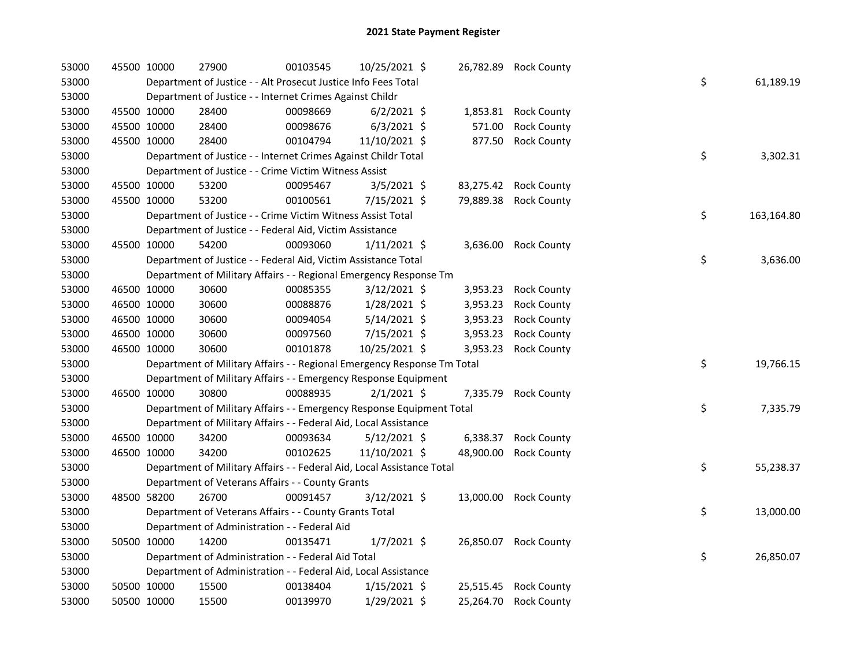| 53000 | 45500 10000 | 27900                                                                   | 00103545 | 10/25/2021 \$  | 26,782.89 | <b>Rock County</b>    |    |            |
|-------|-------------|-------------------------------------------------------------------------|----------|----------------|-----------|-----------------------|----|------------|
| 53000 |             | Department of Justice - - Alt Prosecut Justice Info Fees Total          |          |                |           |                       | \$ | 61,189.19  |
| 53000 |             | Department of Justice - - Internet Crimes Against Childr                |          |                |           |                       |    |            |
| 53000 | 45500 10000 | 28400                                                                   | 00098669 | $6/2/2021$ \$  | 1,853.81  | <b>Rock County</b>    |    |            |
| 53000 | 45500 10000 | 28400                                                                   | 00098676 | $6/3/2021$ \$  | 571.00    | <b>Rock County</b>    |    |            |
| 53000 | 45500 10000 | 28400                                                                   | 00104794 | 11/10/2021 \$  | 877.50    | <b>Rock County</b>    |    |            |
| 53000 |             | Department of Justice - - Internet Crimes Against Childr Total          |          |                |           |                       | \$ | 3,302.31   |
| 53000 |             | Department of Justice - - Crime Victim Witness Assist                   |          |                |           |                       |    |            |
| 53000 | 45500 10000 | 53200                                                                   | 00095467 | $3/5/2021$ \$  | 83,275.42 | <b>Rock County</b>    |    |            |
| 53000 | 45500 10000 | 53200                                                                   | 00100561 | 7/15/2021 \$   | 79,889.38 | <b>Rock County</b>    |    |            |
| 53000 |             | Department of Justice - - Crime Victim Witness Assist Total             |          |                |           |                       | \$ | 163,164.80 |
| 53000 |             | Department of Justice - - Federal Aid, Victim Assistance                |          |                |           |                       |    |            |
| 53000 | 45500 10000 | 54200                                                                   | 00093060 | $1/11/2021$ \$ | 3,636.00  | <b>Rock County</b>    |    |            |
| 53000 |             | Department of Justice - - Federal Aid, Victim Assistance Total          |          |                |           |                       | \$ | 3,636.00   |
| 53000 |             | Department of Military Affairs - - Regional Emergency Response Tm       |          |                |           |                       |    |            |
| 53000 | 46500 10000 | 30600                                                                   | 00085355 | 3/12/2021 \$   | 3,953.23  | <b>Rock County</b>    |    |            |
| 53000 | 46500 10000 | 30600                                                                   | 00088876 | $1/28/2021$ \$ | 3,953.23  | <b>Rock County</b>    |    |            |
| 53000 | 46500 10000 | 30600                                                                   | 00094054 | $5/14/2021$ \$ | 3,953.23  | <b>Rock County</b>    |    |            |
| 53000 | 46500 10000 | 30600                                                                   | 00097560 | 7/15/2021 \$   | 3,953.23  | <b>Rock County</b>    |    |            |
| 53000 | 46500 10000 | 30600                                                                   | 00101878 | 10/25/2021 \$  | 3,953.23  | <b>Rock County</b>    |    |            |
| 53000 |             | Department of Military Affairs - - Regional Emergency Response Tm Total |          |                |           |                       | \$ | 19,766.15  |
| 53000 |             | Department of Military Affairs - - Emergency Response Equipment         |          |                |           |                       |    |            |
| 53000 | 46500 10000 | 30800                                                                   | 00088935 | $2/1/2021$ \$  | 7,335.79  | <b>Rock County</b>    |    |            |
| 53000 |             | Department of Military Affairs - - Emergency Response Equipment Total   |          |                |           |                       | \$ | 7,335.79   |
| 53000 |             | Department of Military Affairs - - Federal Aid, Local Assistance        |          |                |           |                       |    |            |
| 53000 | 46500 10000 | 34200                                                                   | 00093634 | $5/12/2021$ \$ | 6,338.37  | <b>Rock County</b>    |    |            |
| 53000 | 46500 10000 | 34200                                                                   | 00102625 | 11/10/2021 \$  | 48,900.00 | <b>Rock County</b>    |    |            |
| 53000 |             | Department of Military Affairs - - Federal Aid, Local Assistance Total  |          |                |           |                       | \$ | 55,238.37  |
| 53000 |             | Department of Veterans Affairs - - County Grants                        |          |                |           |                       |    |            |
| 53000 | 48500 58200 | 26700                                                                   | 00091457 | $3/12/2021$ \$ |           | 13,000.00 Rock County |    |            |
| 53000 |             | Department of Veterans Affairs - - County Grants Total                  |          |                |           |                       | \$ | 13,000.00  |
| 53000 |             | Department of Administration - - Federal Aid                            |          |                |           |                       |    |            |
| 53000 | 50500 10000 | 14200                                                                   | 00135471 | $1/7/2021$ \$  | 26,850.07 | <b>Rock County</b>    |    |            |
| 53000 |             | Department of Administration - - Federal Aid Total                      |          |                |           |                       | \$ | 26,850.07  |
| 53000 |             | Department of Administration - - Federal Aid, Local Assistance          |          |                |           |                       |    |            |
| 53000 | 50500 10000 | 15500                                                                   | 00138404 | $1/15/2021$ \$ | 25,515.45 | <b>Rock County</b>    |    |            |
| 53000 | 50500 10000 | 15500                                                                   | 00139970 | 1/29/2021 \$   | 25,264.70 | <b>Rock County</b>    |    |            |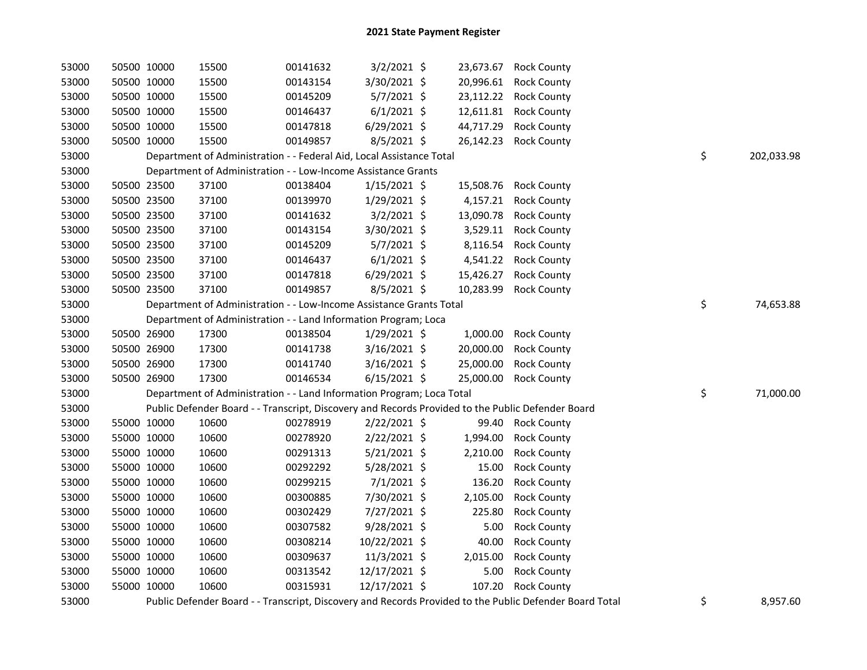| 53000 | 50500 10000 |             | 15500                                                                                             | 00141632 | $3/2/2021$ \$  |           | 23,673.67 Rock County                                                                                   |                  |
|-------|-------------|-------------|---------------------------------------------------------------------------------------------------|----------|----------------|-----------|---------------------------------------------------------------------------------------------------------|------------------|
| 53000 | 50500 10000 |             | 15500                                                                                             | 00143154 | 3/30/2021 \$   | 20,996.61 | <b>Rock County</b>                                                                                      |                  |
| 53000 | 50500 10000 |             | 15500                                                                                             | 00145209 | 5/7/2021 \$    | 23,112.22 | <b>Rock County</b>                                                                                      |                  |
| 53000 | 50500 10000 |             | 15500                                                                                             | 00146437 | $6/1/2021$ \$  | 12,611.81 | <b>Rock County</b>                                                                                      |                  |
| 53000 | 50500 10000 |             | 15500                                                                                             | 00147818 | $6/29/2021$ \$ | 44,717.29 | <b>Rock County</b>                                                                                      |                  |
| 53000 | 50500 10000 |             | 15500                                                                                             | 00149857 | $8/5/2021$ \$  | 26,142.23 | <b>Rock County</b>                                                                                      |                  |
| 53000 |             |             | Department of Administration - - Federal Aid, Local Assistance Total                              |          |                |           |                                                                                                         | \$<br>202,033.98 |
| 53000 |             |             | Department of Administration - - Low-Income Assistance Grants                                     |          |                |           |                                                                                                         |                  |
| 53000 |             | 50500 23500 | 37100                                                                                             | 00138404 | 1/15/2021 \$   | 15,508.76 | <b>Rock County</b>                                                                                      |                  |
| 53000 |             | 50500 23500 | 37100                                                                                             | 00139970 | 1/29/2021 \$   | 4,157.21  | <b>Rock County</b>                                                                                      |                  |
| 53000 |             | 50500 23500 | 37100                                                                                             | 00141632 | $3/2/2021$ \$  | 13,090.78 | <b>Rock County</b>                                                                                      |                  |
| 53000 | 50500 23500 |             | 37100                                                                                             | 00143154 | 3/30/2021 \$   | 3,529.11  | <b>Rock County</b>                                                                                      |                  |
| 53000 | 50500 23500 |             | 37100                                                                                             | 00145209 | $5/7/2021$ \$  | 8,116.54  | <b>Rock County</b>                                                                                      |                  |
| 53000 | 50500 23500 |             | 37100                                                                                             | 00146437 | $6/1/2021$ \$  | 4,541.22  | <b>Rock County</b>                                                                                      |                  |
| 53000 | 50500 23500 |             | 37100                                                                                             | 00147818 | $6/29/2021$ \$ | 15,426.27 | <b>Rock County</b>                                                                                      |                  |
| 53000 | 50500 23500 |             | 37100                                                                                             | 00149857 | 8/5/2021 \$    | 10,283.99 | <b>Rock County</b>                                                                                      |                  |
| 53000 |             |             | Department of Administration - - Low-Income Assistance Grants Total                               |          |                |           |                                                                                                         | \$<br>74,653.88  |
| 53000 |             |             | Department of Administration - - Land Information Program; Loca                                   |          |                |           |                                                                                                         |                  |
| 53000 |             | 50500 26900 | 17300                                                                                             | 00138504 | 1/29/2021 \$   | 1,000.00  | <b>Rock County</b>                                                                                      |                  |
| 53000 | 50500 26900 |             | 17300                                                                                             | 00141738 | $3/16/2021$ \$ | 20,000.00 | <b>Rock County</b>                                                                                      |                  |
| 53000 | 50500 26900 |             | 17300                                                                                             | 00141740 | 3/16/2021 \$   | 25,000.00 | <b>Rock County</b>                                                                                      |                  |
| 53000 | 50500 26900 |             | 17300                                                                                             | 00146534 | $6/15/2021$ \$ | 25,000.00 | <b>Rock County</b>                                                                                      |                  |
| 53000 |             |             | Department of Administration - - Land Information Program; Loca Total                             |          |                |           |                                                                                                         | \$<br>71,000.00  |
| 53000 |             |             | Public Defender Board - - Transcript, Discovery and Records Provided to the Public Defender Board |          |                |           |                                                                                                         |                  |
| 53000 | 55000 10000 |             | 10600                                                                                             | 00278919 | $2/22/2021$ \$ |           | 99.40 Rock County                                                                                       |                  |
| 53000 | 55000 10000 |             | 10600                                                                                             | 00278920 | $2/22/2021$ \$ | 1,994.00  | <b>Rock County</b>                                                                                      |                  |
| 53000 | 55000 10000 |             | 10600                                                                                             | 00291313 | $5/21/2021$ \$ | 2,210.00  | <b>Rock County</b>                                                                                      |                  |
| 53000 | 55000 10000 |             | 10600                                                                                             | 00292292 | 5/28/2021 \$   | 15.00     | <b>Rock County</b>                                                                                      |                  |
| 53000 | 55000 10000 |             | 10600                                                                                             | 00299215 | $7/1/2021$ \$  | 136.20    | <b>Rock County</b>                                                                                      |                  |
| 53000 | 55000 10000 |             | 10600                                                                                             | 00300885 | 7/30/2021 \$   | 2,105.00  | <b>Rock County</b>                                                                                      |                  |
| 53000 | 55000 10000 |             | 10600                                                                                             | 00302429 | 7/27/2021 \$   | 225.80    | <b>Rock County</b>                                                                                      |                  |
| 53000 | 55000 10000 |             | 10600                                                                                             | 00307582 | 9/28/2021 \$   | 5.00      | <b>Rock County</b>                                                                                      |                  |
| 53000 | 55000 10000 |             | 10600                                                                                             | 00308214 | 10/22/2021 \$  | 40.00     | <b>Rock County</b>                                                                                      |                  |
| 53000 | 55000 10000 |             | 10600                                                                                             | 00309637 | 11/3/2021 \$   | 2,015.00  | <b>Rock County</b>                                                                                      |                  |
| 53000 | 55000 10000 |             | 10600                                                                                             | 00313542 | 12/17/2021 \$  | 5.00      | <b>Rock County</b>                                                                                      |                  |
| 53000 | 55000 10000 |             | 10600                                                                                             | 00315931 | 12/17/2021 \$  | 107.20    | <b>Rock County</b>                                                                                      |                  |
| 53000 |             |             |                                                                                                   |          |                |           | Public Defender Board - - Transcript, Discovery and Records Provided to the Public Defender Board Total | \$<br>8,957.60   |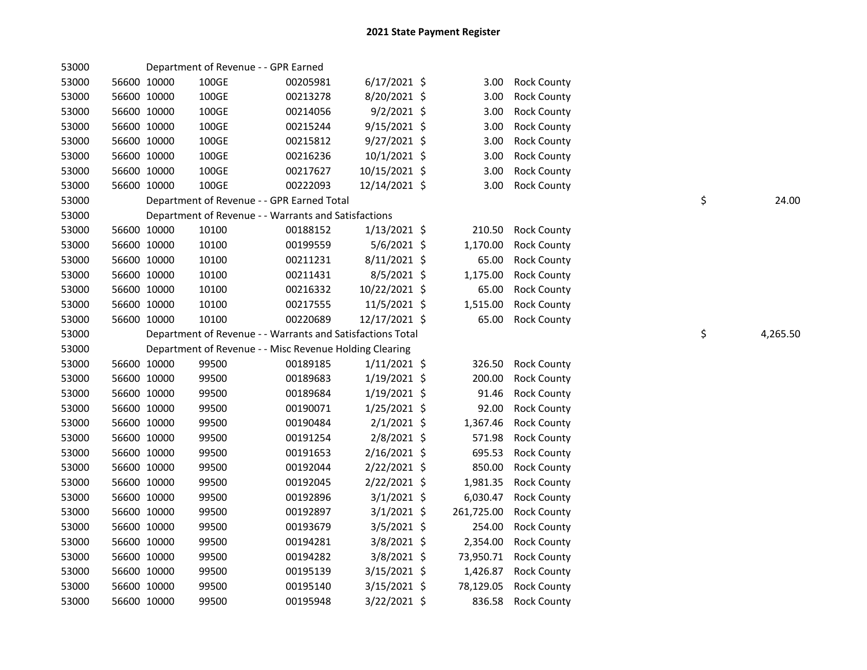| 53000 |             |             | Department of Revenue - - GPR Earned                       |                |            |                    |    |          |
|-------|-------------|-------------|------------------------------------------------------------|----------------|------------|--------------------|----|----------|
| 53000 | 56600 10000 | 100GE       | 00205981                                                   | $6/17/2021$ \$ | 3.00       | <b>Rock County</b> |    |          |
| 53000 | 56600 10000 | $100\times$ | 00213278                                                   | 8/20/2021 \$   | 3.00       | <b>Rock County</b> |    |          |
| 53000 | 56600 10000 | 100GE       | 00214056                                                   | $9/2/2021$ \$  | 3.00       | <b>Rock County</b> |    |          |
| 53000 | 56600 10000 | 100GE       | 00215244                                                   | 9/15/2021 \$   | 3.00       | <b>Rock County</b> |    |          |
| 53000 | 56600 10000 | 100GE       | 00215812                                                   | $9/27/2021$ \$ | 3.00       | <b>Rock County</b> |    |          |
| 53000 | 56600 10000 | 100GE       | 00216236                                                   | $10/1/2021$ \$ | 3.00       | <b>Rock County</b> |    |          |
| 53000 | 56600 10000 | 100GE       | 00217627                                                   | 10/15/2021 \$  | 3.00       | <b>Rock County</b> |    |          |
| 53000 | 56600 10000 | 100GE       | 00222093                                                   | 12/14/2021 \$  | 3.00       | <b>Rock County</b> |    |          |
| 53000 |             |             | Department of Revenue - - GPR Earned Total                 |                |            |                    | \$ | 24.00    |
| 53000 |             |             | Department of Revenue - - Warrants and Satisfactions       |                |            |                    |    |          |
| 53000 | 56600 10000 | 10100       | 00188152                                                   | $1/13/2021$ \$ | 210.50     | <b>Rock County</b> |    |          |
| 53000 | 56600 10000 | 10100       | 00199559                                                   | 5/6/2021 \$    | 1,170.00   | <b>Rock County</b> |    |          |
| 53000 | 56600 10000 | 10100       | 00211231                                                   | $8/11/2021$ \$ | 65.00      | <b>Rock County</b> |    |          |
| 53000 | 56600 10000 | 10100       | 00211431                                                   | 8/5/2021 \$    | 1,175.00   | <b>Rock County</b> |    |          |
| 53000 | 56600 10000 | 10100       | 00216332                                                   | 10/22/2021 \$  | 65.00      | <b>Rock County</b> |    |          |
| 53000 | 56600 10000 | 10100       | 00217555                                                   | 11/5/2021 \$   | 1,515.00   | <b>Rock County</b> |    |          |
| 53000 | 56600 10000 | 10100       | 00220689                                                   | 12/17/2021 \$  | 65.00      | <b>Rock County</b> |    |          |
| 53000 |             |             | Department of Revenue - - Warrants and Satisfactions Total |                |            |                    | \$ | 4,265.50 |
| 53000 |             |             | Department of Revenue - - Misc Revenue Holding Clearing    |                |            |                    |    |          |
| 53000 | 56600 10000 | 99500       | 00189185                                                   | $1/11/2021$ \$ | 326.50     | <b>Rock County</b> |    |          |
| 53000 | 56600 10000 | 99500       | 00189683                                                   | $1/19/2021$ \$ | 200.00     | <b>Rock County</b> |    |          |
| 53000 | 56600 10000 | 99500       | 00189684                                                   | 1/19/2021 \$   | 91.46      | <b>Rock County</b> |    |          |
| 53000 | 56600 10000 | 99500       | 00190071                                                   | 1/25/2021 \$   | 92.00      | <b>Rock County</b> |    |          |
| 53000 | 56600 10000 | 99500       | 00190484                                                   | $2/1/2021$ \$  | 1,367.46   | <b>Rock County</b> |    |          |
| 53000 | 56600 10000 | 99500       | 00191254                                                   | 2/8/2021 \$    | 571.98     | <b>Rock County</b> |    |          |
| 53000 | 56600 10000 | 99500       | 00191653                                                   | 2/16/2021 \$   | 695.53     | <b>Rock County</b> |    |          |
| 53000 | 56600 10000 | 99500       | 00192044                                                   | 2/22/2021 \$   | 850.00     | <b>Rock County</b> |    |          |
| 53000 | 56600 10000 | 99500       | 00192045                                                   | 2/22/2021 \$   | 1,981.35   | <b>Rock County</b> |    |          |
| 53000 | 56600 10000 | 99500       | 00192896                                                   | $3/1/2021$ \$  | 6,030.47   | <b>Rock County</b> |    |          |
| 53000 | 56600 10000 | 99500       | 00192897                                                   | $3/1/2021$ \$  | 261,725.00 | <b>Rock County</b> |    |          |
| 53000 | 56600 10000 | 99500       | 00193679                                                   | 3/5/2021 \$    | 254.00     | <b>Rock County</b> |    |          |
| 53000 | 56600 10000 | 99500       | 00194281                                                   | $3/8/2021$ \$  | 2,354.00   | <b>Rock County</b> |    |          |
| 53000 | 56600 10000 | 99500       | 00194282                                                   | 3/8/2021 \$    | 73,950.71  | <b>Rock County</b> |    |          |
| 53000 | 56600 10000 | 99500       | 00195139                                                   | 3/15/2021 \$   | 1,426.87   | <b>Rock County</b> |    |          |
| 53000 | 56600 10000 | 99500       | 00195140                                                   | 3/15/2021 \$   | 78,129.05  | <b>Rock County</b> |    |          |
| 53000 | 56600 10000 | 99500       | 00195948                                                   | 3/22/2021 \$   | 836.58     | <b>Rock County</b> |    |          |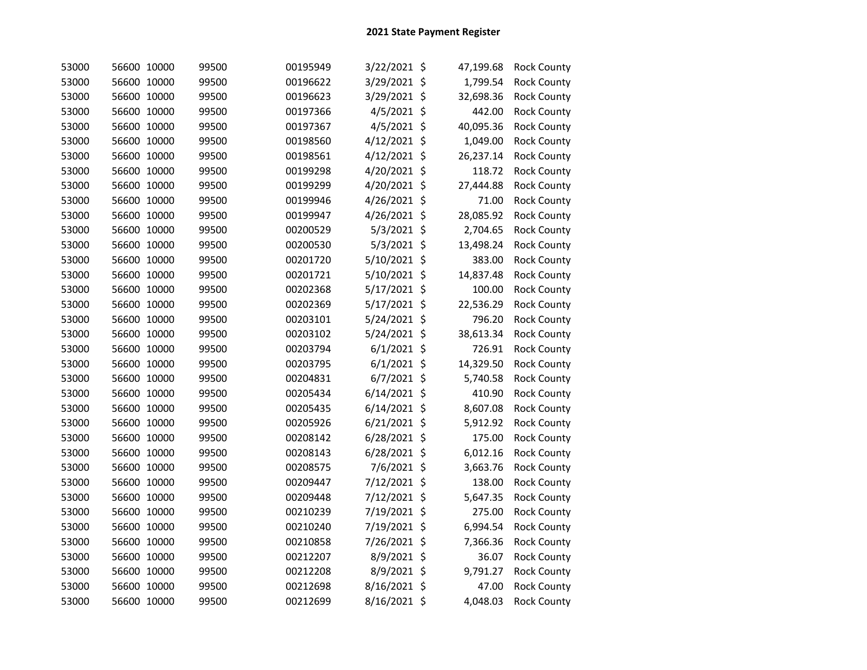| 53000 | 56600 10000 |       | 99500 | 00195949 | 3/22/2021 \$  | 47,199.68 | <b>Rock County</b> |
|-------|-------------|-------|-------|----------|---------------|-----------|--------------------|
| 53000 | 56600 10000 |       | 99500 | 00196622 | 3/29/2021 \$  | 1,799.54  | <b>Rock County</b> |
| 53000 | 56600 10000 |       | 99500 | 00196623 | 3/29/2021 \$  | 32,698.36 | <b>Rock County</b> |
| 53000 | 56600 10000 |       | 99500 | 00197366 | 4/5/2021 \$   | 442.00    | <b>Rock County</b> |
| 53000 | 56600 10000 |       | 99500 | 00197367 | 4/5/2021 \$   | 40,095.36 | <b>Rock County</b> |
| 53000 | 56600 10000 |       | 99500 | 00198560 | 4/12/2021 \$  | 1,049.00  | <b>Rock County</b> |
| 53000 | 56600 10000 |       | 99500 | 00198561 | 4/12/2021 \$  | 26,237.14 | <b>Rock County</b> |
| 53000 | 56600 10000 |       | 99500 | 00199298 | 4/20/2021 \$  | 118.72    | Rock County        |
| 53000 | 56600 10000 |       | 99500 | 00199299 | 4/20/2021 \$  | 27,444.88 | <b>Rock County</b> |
| 53000 | 56600 10000 |       | 99500 | 00199946 | 4/26/2021 \$  | 71.00     | <b>Rock County</b> |
| 53000 | 56600 10000 |       | 99500 | 00199947 | 4/26/2021 \$  | 28,085.92 | <b>Rock County</b> |
| 53000 | 56600 10000 |       | 99500 | 00200529 | 5/3/2021 \$   | 2,704.65  | <b>Rock County</b> |
| 53000 | 56600 10000 |       | 99500 | 00200530 | 5/3/2021 \$   | 13,498.24 | <b>Rock County</b> |
| 53000 | 56600 10000 |       | 99500 | 00201720 | 5/10/2021 \$  | 383.00    | <b>Rock County</b> |
| 53000 | 56600 10000 |       | 99500 | 00201721 | 5/10/2021 \$  | 14,837.48 | <b>Rock County</b> |
| 53000 | 56600 10000 |       | 99500 | 00202368 | 5/17/2021 \$  | 100.00    | <b>Rock County</b> |
| 53000 | 56600 10000 |       | 99500 | 00202369 | 5/17/2021 \$  | 22,536.29 | <b>Rock County</b> |
| 53000 | 56600 10000 |       | 99500 | 00203101 | 5/24/2021 \$  | 796.20    | <b>Rock County</b> |
| 53000 | 56600 10000 |       | 99500 | 00203102 | 5/24/2021 \$  | 38,613.34 | <b>Rock County</b> |
| 53000 | 56600 10000 |       | 99500 | 00203794 | $6/1/2021$ \$ | 726.91    | <b>Rock County</b> |
| 53000 | 56600 10000 |       | 99500 | 00203795 | $6/1/2021$ \$ | 14,329.50 | <b>Rock County</b> |
| 53000 | 56600 10000 |       | 99500 | 00204831 | 6/7/2021 \$   | 5,740.58  | <b>Rock County</b> |
| 53000 | 56600 10000 |       | 99500 | 00205434 | 6/14/2021 \$  | 410.90    | <b>Rock County</b> |
| 53000 | 56600 10000 |       | 99500 | 00205435 | 6/14/2021 \$  | 8,607.08  | <b>Rock County</b> |
| 53000 | 56600 10000 |       | 99500 | 00205926 | 6/21/2021 \$  | 5,912.92  | Rock County        |
| 53000 | 56600       | 10000 | 99500 | 00208142 | 6/28/2021 \$  | 175.00    | <b>Rock County</b> |
| 53000 | 56600 10000 |       | 99500 | 00208143 | 6/28/2021 \$  | 6,012.16  | <b>Rock County</b> |
| 53000 | 56600       | 10000 | 99500 | 00208575 | 7/6/2021 \$   | 3,663.76  | <b>Rock County</b> |
| 53000 | 56600       | 10000 | 99500 | 00209447 | 7/12/2021 \$  | 138.00    | <b>Rock County</b> |
| 53000 | 56600       | 10000 | 99500 | 00209448 | 7/12/2021 \$  | 5,647.35  | <b>Rock County</b> |
| 53000 | 56600       | 10000 | 99500 | 00210239 | 7/19/2021 \$  | 275.00    | <b>Rock County</b> |
| 53000 | 56600       | 10000 | 99500 | 00210240 | 7/19/2021 \$  | 6,994.54  | <b>Rock County</b> |
| 53000 | 56600       | 10000 | 99500 | 00210858 | 7/26/2021 \$  | 7,366.36  | Rock County        |
| 53000 | 56600 10000 |       | 99500 | 00212207 | 8/9/2021 \$   | 36.07     | <b>Rock County</b> |
| 53000 | 56600 10000 |       | 99500 | 00212208 | 8/9/2021 \$   | 9,791.27  | <b>Rock County</b> |
| 53000 | 56600 10000 |       | 99500 | 00212698 | 8/16/2021 \$  | 47.00     | <b>Rock County</b> |
| 53000 | 56600 10000 |       | 99500 | 00212699 | 8/16/2021 \$  | 4,048.03  | <b>Rock County</b> |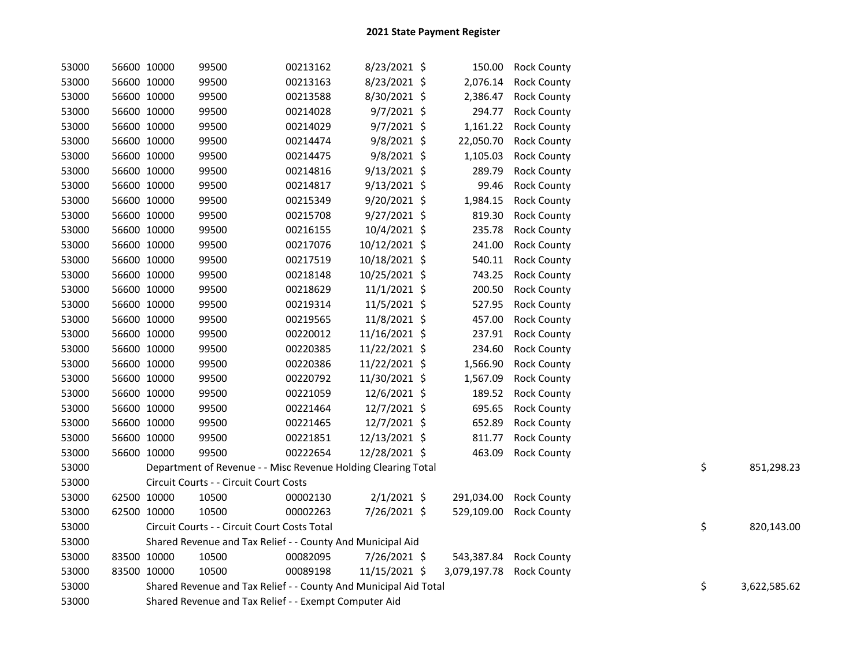| 53000 | 56600 10000 | 99500                                                            | 00213162 | 8/23/2021 \$   |                          | 150.00 Rock County     |    |              |
|-------|-------------|------------------------------------------------------------------|----------|----------------|--------------------------|------------------------|----|--------------|
| 53000 | 56600 10000 | 99500                                                            | 00213163 | 8/23/2021 \$   | 2,076.14                 | <b>Rock County</b>     |    |              |
| 53000 | 56600 10000 | 99500                                                            | 00213588 | 8/30/2021 \$   | 2,386.47                 | <b>Rock County</b>     |    |              |
| 53000 | 56600 10000 | 99500                                                            | 00214028 | $9/7/2021$ \$  | 294.77                   | <b>Rock County</b>     |    |              |
| 53000 | 56600 10000 | 99500                                                            | 00214029 | 9/7/2021 \$    | 1,161.22                 | <b>Rock County</b>     |    |              |
| 53000 | 56600 10000 | 99500                                                            | 00214474 | 9/8/2021 \$    | 22,050.70                | <b>Rock County</b>     |    |              |
| 53000 | 56600 10000 | 99500                                                            | 00214475 | 9/8/2021 \$    | 1,105.03                 | <b>Rock County</b>     |    |              |
| 53000 | 56600 10000 | 99500                                                            | 00214816 | $9/13/2021$ \$ | 289.79                   | <b>Rock County</b>     |    |              |
| 53000 | 56600 10000 | 99500                                                            | 00214817 | $9/13/2021$ \$ | 99.46                    | <b>Rock County</b>     |    |              |
| 53000 | 56600 10000 | 99500                                                            | 00215349 | 9/20/2021 \$   | 1,984.15                 | <b>Rock County</b>     |    |              |
| 53000 | 56600 10000 | 99500                                                            | 00215708 | 9/27/2021 \$   | 819.30                   | <b>Rock County</b>     |    |              |
| 53000 | 56600 10000 | 99500                                                            | 00216155 | 10/4/2021 \$   | 235.78                   | <b>Rock County</b>     |    |              |
| 53000 | 56600 10000 | 99500                                                            | 00217076 | 10/12/2021 \$  | 241.00                   | <b>Rock County</b>     |    |              |
| 53000 | 56600 10000 | 99500                                                            | 00217519 | 10/18/2021 \$  | 540.11                   | <b>Rock County</b>     |    |              |
| 53000 | 56600 10000 | 99500                                                            | 00218148 | 10/25/2021 \$  | 743.25                   | <b>Rock County</b>     |    |              |
| 53000 | 56600 10000 | 99500                                                            | 00218629 | 11/1/2021 \$   | 200.50                   | <b>Rock County</b>     |    |              |
| 53000 | 56600 10000 | 99500                                                            | 00219314 | 11/5/2021 \$   | 527.95                   | <b>Rock County</b>     |    |              |
| 53000 | 56600 10000 | 99500                                                            | 00219565 | 11/8/2021 \$   | 457.00                   | <b>Rock County</b>     |    |              |
| 53000 | 56600 10000 | 99500                                                            | 00220012 | 11/16/2021 \$  | 237.91                   | <b>Rock County</b>     |    |              |
| 53000 | 56600 10000 | 99500                                                            | 00220385 | 11/22/2021 \$  | 234.60                   | <b>Rock County</b>     |    |              |
| 53000 | 56600 10000 | 99500                                                            | 00220386 | 11/22/2021 \$  | 1,566.90                 | <b>Rock County</b>     |    |              |
| 53000 | 56600 10000 | 99500                                                            | 00220792 | 11/30/2021 \$  | 1,567.09                 | <b>Rock County</b>     |    |              |
| 53000 | 56600 10000 | 99500                                                            | 00221059 | 12/6/2021 \$   | 189.52                   | <b>Rock County</b>     |    |              |
| 53000 | 56600 10000 | 99500                                                            | 00221464 | 12/7/2021 \$   | 695.65                   | <b>Rock County</b>     |    |              |
| 53000 | 56600 10000 | 99500                                                            | 00221465 | 12/7/2021 \$   | 652.89                   | <b>Rock County</b>     |    |              |
| 53000 | 56600 10000 | 99500                                                            | 00221851 | 12/13/2021 \$  | 811.77                   | <b>Rock County</b>     |    |              |
| 53000 | 56600 10000 | 99500                                                            | 00222654 | 12/28/2021 \$  | 463.09                   | <b>Rock County</b>     |    |              |
| 53000 |             | Department of Revenue - - Misc Revenue Holding Clearing Total    |          |                |                          |                        | \$ | 851,298.23   |
| 53000 |             | Circuit Courts - - Circuit Court Costs                           |          |                |                          |                        |    |              |
| 53000 | 62500 10000 | 10500                                                            | 00002130 | $2/1/2021$ \$  | 291,034.00               | <b>Rock County</b>     |    |              |
| 53000 | 62500 10000 | 10500                                                            | 00002263 | 7/26/2021 \$   | 529,109.00               | <b>Rock County</b>     |    |              |
| 53000 |             | Circuit Courts - - Circuit Court Costs Total                     |          |                |                          |                        | \$ | 820,143.00   |
| 53000 |             | Shared Revenue and Tax Relief - - County And Municipal Aid       |          |                |                          |                        |    |              |
| 53000 | 83500 10000 | 10500                                                            | 00082095 | 7/26/2021 \$   |                          | 543,387.84 Rock County |    |              |
| 53000 | 83500 10000 | 10500                                                            | 00089198 | 11/15/2021 \$  | 3,079,197.78 Rock County |                        |    |              |
| 53000 |             | Shared Revenue and Tax Relief - - County And Municipal Aid Total |          |                |                          |                        | \$ | 3,622,585.62 |
| 53000 |             | Shared Revenue and Tax Relief - - Exempt Computer Aid            |          |                |                          |                        |    |              |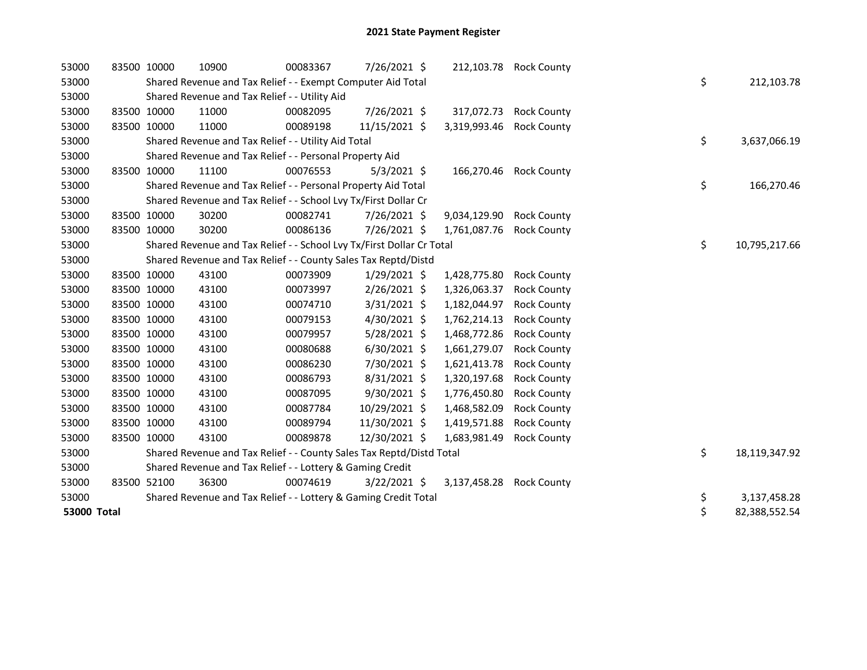| 53000       |             | 83500 10000 | 10900                                                                 | 00083367 | 7/26/2021 \$   |              | 212,103.78 Rock County |    |               |
|-------------|-------------|-------------|-----------------------------------------------------------------------|----------|----------------|--------------|------------------------|----|---------------|
| 53000       |             |             | Shared Revenue and Tax Relief - - Exempt Computer Aid Total           |          |                |              |                        | \$ | 212,103.78    |
| 53000       |             |             | Shared Revenue and Tax Relief - - Utility Aid                         |          |                |              |                        |    |               |
| 53000       |             | 83500 10000 | 11000                                                                 | 00082095 | 7/26/2021 \$   | 317,072.73   | <b>Rock County</b>     |    |               |
| 53000       |             | 83500 10000 | 11000                                                                 | 00089198 | 11/15/2021 \$  | 3,319,993.46 | <b>Rock County</b>     |    |               |
| 53000       |             |             | Shared Revenue and Tax Relief - - Utility Aid Total                   |          |                |              |                        | \$ | 3,637,066.19  |
| 53000       |             |             | Shared Revenue and Tax Relief - - Personal Property Aid               |          |                |              |                        |    |               |
| 53000       |             | 83500 10000 | 11100                                                                 | 00076553 | $5/3/2021$ \$  | 166,270.46   | <b>Rock County</b>     |    |               |
| 53000       |             |             | Shared Revenue and Tax Relief - - Personal Property Aid Total         |          |                |              |                        | \$ | 166,270.46    |
| 53000       |             |             | Shared Revenue and Tax Relief - - School Lvy Tx/First Dollar Cr       |          |                |              |                        |    |               |
| 53000       | 83500 10000 |             | 30200                                                                 | 00082741 | 7/26/2021 \$   | 9,034,129.90 | <b>Rock County</b>     |    |               |
| 53000       |             | 83500 10000 | 30200                                                                 | 00086136 | 7/26/2021 \$   | 1,761,087.76 | <b>Rock County</b>     |    |               |
| 53000       |             |             | Shared Revenue and Tax Relief - - School Lvy Tx/First Dollar Cr Total |          |                |              |                        | \$ | 10,795,217.66 |
| 53000       |             |             | Shared Revenue and Tax Relief - - County Sales Tax Reptd/Distd        |          |                |              |                        |    |               |
| 53000       |             | 83500 10000 | 43100                                                                 | 00073909 | 1/29/2021 \$   | 1,428,775.80 | <b>Rock County</b>     |    |               |
| 53000       |             | 83500 10000 | 43100                                                                 | 00073997 | $2/26/2021$ \$ | 1,326,063.37 | <b>Rock County</b>     |    |               |
| 53000       |             | 83500 10000 | 43100                                                                 | 00074710 | 3/31/2021 \$   | 1,182,044.97 | <b>Rock County</b>     |    |               |
| 53000       |             | 83500 10000 | 43100                                                                 | 00079153 | 4/30/2021 \$   | 1,762,214.13 | <b>Rock County</b>     |    |               |
| 53000       |             | 83500 10000 | 43100                                                                 | 00079957 | $5/28/2021$ \$ | 1,468,772.86 | <b>Rock County</b>     |    |               |
| 53000       |             | 83500 10000 | 43100                                                                 | 00080688 | $6/30/2021$ \$ | 1,661,279.07 | <b>Rock County</b>     |    |               |
| 53000       |             | 83500 10000 | 43100                                                                 | 00086230 | 7/30/2021 \$   | 1,621,413.78 | <b>Rock County</b>     |    |               |
| 53000       |             | 83500 10000 | 43100                                                                 | 00086793 | 8/31/2021 \$   | 1,320,197.68 | <b>Rock County</b>     |    |               |
| 53000       |             | 83500 10000 | 43100                                                                 | 00087095 | $9/30/2021$ \$ | 1,776,450.80 | <b>Rock County</b>     |    |               |
| 53000       | 83500 10000 |             | 43100                                                                 | 00087784 | 10/29/2021 \$  | 1,468,582.09 | <b>Rock County</b>     |    |               |
| 53000       |             | 83500 10000 | 43100                                                                 | 00089794 | 11/30/2021 \$  | 1,419,571.88 | <b>Rock County</b>     |    |               |
| 53000       |             | 83500 10000 | 43100                                                                 | 00089878 | 12/30/2021 \$  | 1,683,981.49 | <b>Rock County</b>     |    |               |
| 53000       |             |             | Shared Revenue and Tax Relief - - County Sales Tax Reptd/Distd Total  |          |                |              |                        | \$ | 18,119,347.92 |
| 53000       |             |             | Shared Revenue and Tax Relief - - Lottery & Gaming Credit             |          |                |              |                        |    |               |
| 53000       |             | 83500 52100 | 36300                                                                 | 00074619 | $3/22/2021$ \$ | 3,137,458.28 | <b>Rock County</b>     |    |               |
| 53000       |             |             | Shared Revenue and Tax Relief - - Lottery & Gaming Credit Total       |          |                |              |                        | \$ | 3,137,458.28  |
| 53000 Total |             |             |                                                                       |          |                |              |                        | \$ | 82,388,552.54 |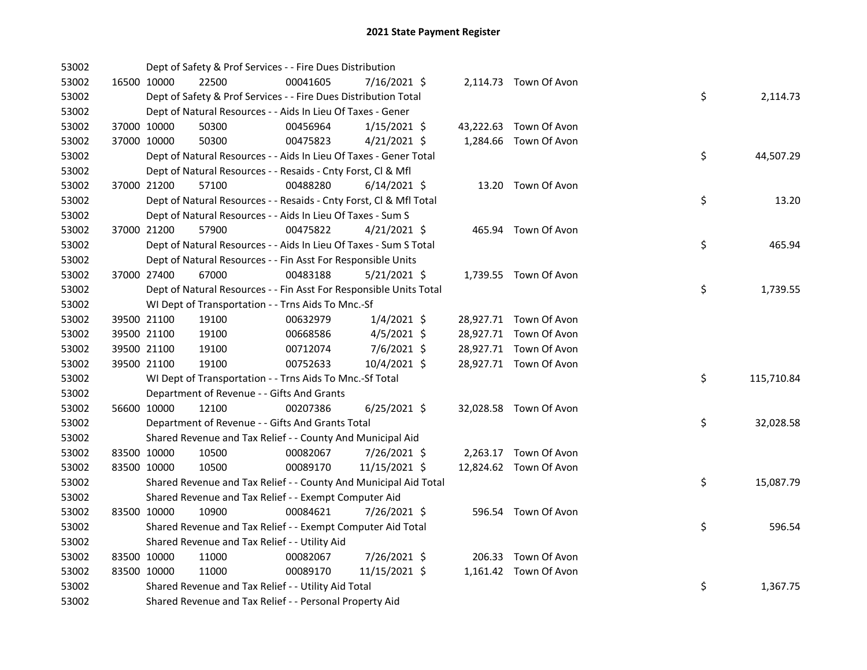| 53002 |             | Dept of Safety & Prof Services - - Fire Dues Distribution          |          |                |  |                        |    |            |
|-------|-------------|--------------------------------------------------------------------|----------|----------------|--|------------------------|----|------------|
| 53002 | 16500 10000 | 22500                                                              | 00041605 | 7/16/2021 \$   |  | 2,114.73 Town Of Avon  |    |            |
| 53002 |             | Dept of Safety & Prof Services - - Fire Dues Distribution Total    |          |                |  |                        | \$ | 2,114.73   |
| 53002 |             | Dept of Natural Resources - - Aids In Lieu Of Taxes - Gener        |          |                |  |                        |    |            |
| 53002 | 37000 10000 | 50300                                                              | 00456964 | $1/15/2021$ \$ |  | 43,222.63 Town Of Avon |    |            |
| 53002 | 37000 10000 | 50300                                                              | 00475823 | $4/21/2021$ \$ |  | 1,284.66 Town Of Avon  |    |            |
| 53002 |             | Dept of Natural Resources - - Aids In Lieu Of Taxes - Gener Total  |          |                |  |                        | \$ | 44,507.29  |
| 53002 |             | Dept of Natural Resources - - Resaids - Cnty Forst, Cl & Mfl       |          |                |  |                        |    |            |
| 53002 | 37000 21200 | 57100                                                              | 00488280 | $6/14/2021$ \$ |  | 13.20 Town Of Avon     |    |            |
| 53002 |             | Dept of Natural Resources - - Resaids - Cnty Forst, CI & Mfl Total |          |                |  |                        | \$ | 13.20      |
| 53002 |             | Dept of Natural Resources - - Aids In Lieu Of Taxes - Sum S        |          |                |  |                        |    |            |
| 53002 | 37000 21200 | 57900                                                              | 00475822 | $4/21/2021$ \$ |  | 465.94 Town Of Avon    |    |            |
| 53002 |             | Dept of Natural Resources - - Aids In Lieu Of Taxes - Sum S Total  |          |                |  |                        | \$ | 465.94     |
| 53002 |             | Dept of Natural Resources - - Fin Asst For Responsible Units       |          |                |  |                        |    |            |
| 53002 | 37000 27400 | 67000                                                              | 00483188 | $5/21/2021$ \$ |  | 1,739.55 Town Of Avon  |    |            |
| 53002 |             | Dept of Natural Resources - - Fin Asst For Responsible Units Total |          |                |  |                        | \$ | 1,739.55   |
| 53002 |             | WI Dept of Transportation - - Trns Aids To Mnc.-Sf                 |          |                |  |                        |    |            |
| 53002 | 39500 21100 | 19100                                                              | 00632979 | $1/4/2021$ \$  |  | 28,927.71 Town Of Avon |    |            |
| 53002 | 39500 21100 | 19100                                                              | 00668586 | $4/5/2021$ \$  |  | 28,927.71 Town Of Avon |    |            |
| 53002 | 39500 21100 | 19100                                                              | 00712074 | $7/6/2021$ \$  |  | 28,927.71 Town Of Avon |    |            |
| 53002 | 39500 21100 | 19100                                                              | 00752633 | 10/4/2021 \$   |  | 28,927.71 Town Of Avon |    |            |
| 53002 |             | WI Dept of Transportation - - Trns Aids To Mnc.-Sf Total           |          |                |  |                        | \$ | 115,710.84 |
| 53002 |             | Department of Revenue - - Gifts And Grants                         |          |                |  |                        |    |            |
| 53002 | 56600 10000 | 12100                                                              | 00207386 | $6/25/2021$ \$ |  | 32,028.58 Town Of Avon |    |            |
| 53002 |             | Department of Revenue - - Gifts And Grants Total                   |          |                |  |                        | \$ | 32,028.58  |
| 53002 |             | Shared Revenue and Tax Relief - - County And Municipal Aid         |          |                |  |                        |    |            |
| 53002 | 83500 10000 | 10500                                                              | 00082067 | 7/26/2021 \$   |  | 2,263.17 Town Of Avon  |    |            |
| 53002 | 83500 10000 | 10500                                                              | 00089170 | 11/15/2021 \$  |  | 12,824.62 Town Of Avon |    |            |
| 53002 |             | Shared Revenue and Tax Relief - - County And Municipal Aid Total   |          |                |  |                        | \$ | 15,087.79  |
| 53002 |             | Shared Revenue and Tax Relief - - Exempt Computer Aid              |          |                |  |                        |    |            |
| 53002 | 83500 10000 | 10900                                                              | 00084621 | 7/26/2021 \$   |  | 596.54 Town Of Avon    |    |            |
| 53002 |             | Shared Revenue and Tax Relief - - Exempt Computer Aid Total        |          |                |  |                        | \$ | 596.54     |
| 53002 |             | Shared Revenue and Tax Relief - - Utility Aid                      |          |                |  |                        |    |            |
| 53002 | 83500 10000 | 11000                                                              | 00082067 | 7/26/2021 \$   |  | 206.33 Town Of Avon    |    |            |
| 53002 | 83500 10000 | 11000                                                              | 00089170 | 11/15/2021 \$  |  | 1,161.42 Town Of Avon  |    |            |
| 53002 |             | Shared Revenue and Tax Relief - - Utility Aid Total                |          |                |  |                        | \$ | 1,367.75   |
| 53002 |             | Shared Revenue and Tax Relief - - Personal Property Aid            |          |                |  |                        |    |            |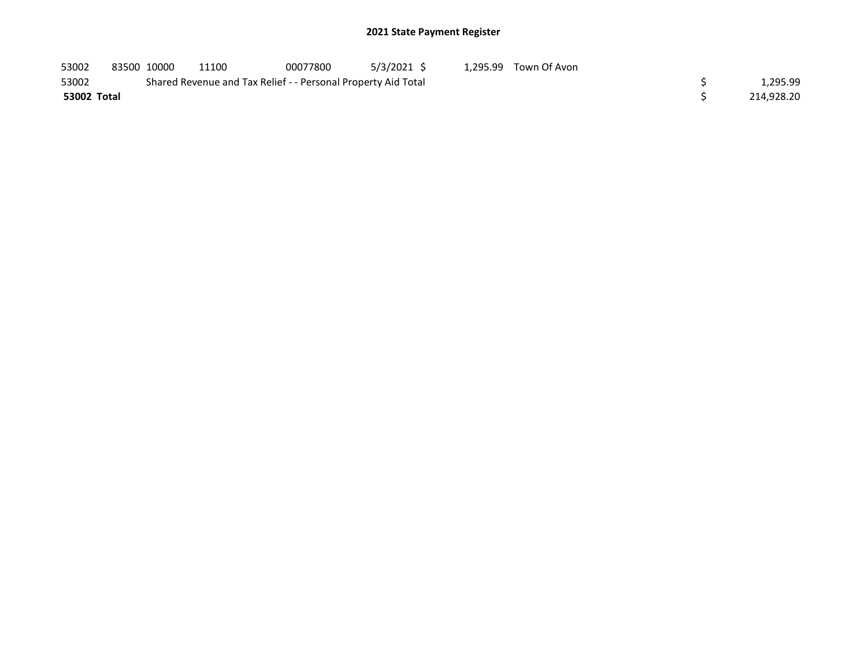## 2021 State Payment Register

| 53002       | 83500 10000 | 11100                                                         | 00077800 | 5/3/2021 \$ | 1.295.99 Town Of Avon |            |
|-------------|-------------|---------------------------------------------------------------|----------|-------------|-----------------------|------------|
| 53002       |             | Shared Revenue and Tax Relief - - Personal Property Aid Total |          |             |                       | 1,295.99   |
| 53002 Total |             |                                                               |          |             |                       | 214,928.20 |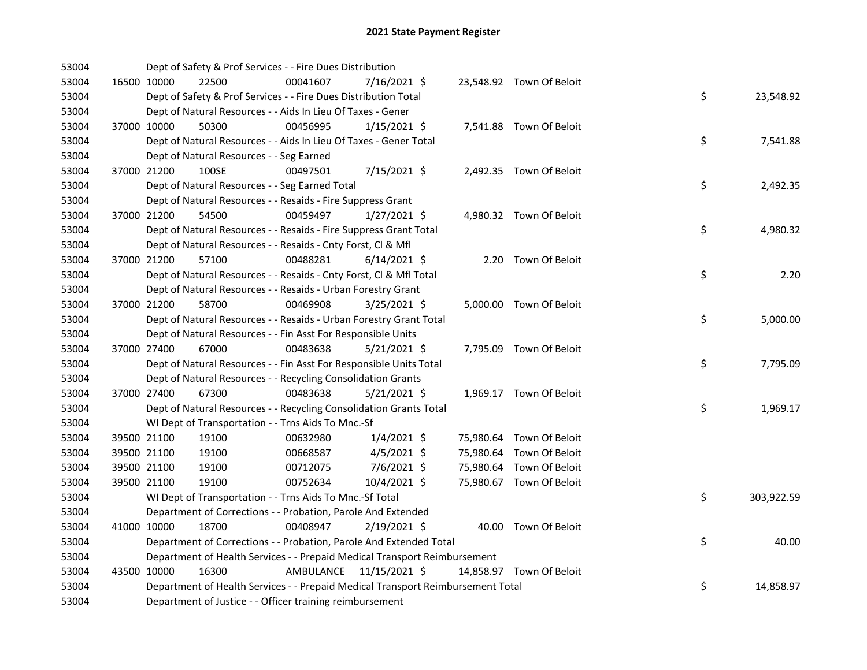| 53004 |             | Dept of Safety & Prof Services - - Fire Dues Distribution                       |           |                |  |                          |    |            |
|-------|-------------|---------------------------------------------------------------------------------|-----------|----------------|--|--------------------------|----|------------|
| 53004 | 16500 10000 | 22500                                                                           | 00041607  | 7/16/2021 \$   |  | 23,548.92 Town Of Beloit |    |            |
| 53004 |             | Dept of Safety & Prof Services - - Fire Dues Distribution Total                 |           |                |  |                          | \$ | 23,548.92  |
| 53004 |             | Dept of Natural Resources - - Aids In Lieu Of Taxes - Gener                     |           |                |  |                          |    |            |
| 53004 | 37000 10000 | 50300                                                                           | 00456995  | $1/15/2021$ \$ |  | 7,541.88 Town Of Beloit  |    |            |
| 53004 |             | Dept of Natural Resources - - Aids In Lieu Of Taxes - Gener Total               |           |                |  |                          | \$ | 7,541.88   |
| 53004 |             | Dept of Natural Resources - - Seg Earned                                        |           |                |  |                          |    |            |
| 53004 | 37000 21200 | 100SE                                                                           | 00497501  | $7/15/2021$ \$ |  | 2,492.35 Town Of Beloit  |    |            |
| 53004 |             | Dept of Natural Resources - - Seg Earned Total                                  |           |                |  |                          | \$ | 2,492.35   |
| 53004 |             | Dept of Natural Resources - - Resaids - Fire Suppress Grant                     |           |                |  |                          |    |            |
| 53004 | 37000 21200 | 54500                                                                           | 00459497  | $1/27/2021$ \$ |  | 4,980.32 Town Of Beloit  |    |            |
| 53004 |             | Dept of Natural Resources - - Resaids - Fire Suppress Grant Total               |           |                |  |                          | \$ | 4,980.32   |
| 53004 |             | Dept of Natural Resources - - Resaids - Cnty Forst, Cl & Mfl                    |           |                |  |                          |    |            |
| 53004 | 37000 21200 | 57100                                                                           | 00488281  | $6/14/2021$ \$ |  | 2.20 Town Of Beloit      |    |            |
| 53004 |             | Dept of Natural Resources - - Resaids - Cnty Forst, Cl & Mfl Total              |           |                |  |                          | \$ | 2.20       |
| 53004 |             | Dept of Natural Resources - - Resaids - Urban Forestry Grant                    |           |                |  |                          |    |            |
| 53004 | 37000 21200 | 58700                                                                           | 00469908  | 3/25/2021 \$   |  | 5,000.00 Town Of Beloit  |    |            |
| 53004 |             | Dept of Natural Resources - - Resaids - Urban Forestry Grant Total              |           |                |  |                          | \$ | 5,000.00   |
| 53004 |             | Dept of Natural Resources - - Fin Asst For Responsible Units                    |           |                |  |                          |    |            |
| 53004 | 37000 27400 | 67000                                                                           | 00483638  | $5/21/2021$ \$ |  | 7,795.09 Town Of Beloit  |    |            |
| 53004 |             | Dept of Natural Resources - - Fin Asst For Responsible Units Total              |           |                |  |                          | \$ | 7,795.09   |
| 53004 |             | Dept of Natural Resources - - Recycling Consolidation Grants                    |           |                |  |                          |    |            |
| 53004 | 37000 27400 | 67300                                                                           | 00483638  | $5/21/2021$ \$ |  | 1,969.17 Town Of Beloit  |    |            |
| 53004 |             | Dept of Natural Resources - - Recycling Consolidation Grants Total              |           |                |  |                          | \$ | 1,969.17   |
| 53004 |             | WI Dept of Transportation - - Trns Aids To Mnc.-Sf                              |           |                |  |                          |    |            |
| 53004 | 39500 21100 | 19100                                                                           | 00632980  | $1/4/2021$ \$  |  | 75,980.64 Town Of Beloit |    |            |
| 53004 | 39500 21100 | 19100                                                                           | 00668587  | $4/5/2021$ \$  |  | 75,980.64 Town Of Beloit |    |            |
| 53004 | 39500 21100 | 19100                                                                           | 00712075  | 7/6/2021 \$    |  | 75,980.64 Town Of Beloit |    |            |
| 53004 | 39500 21100 | 19100                                                                           | 00752634  | 10/4/2021 \$   |  | 75,980.67 Town Of Beloit |    |            |
| 53004 |             | WI Dept of Transportation - - Trns Aids To Mnc.-Sf Total                        |           |                |  |                          | \$ | 303,922.59 |
| 53004 |             | Department of Corrections - - Probation, Parole And Extended                    |           |                |  |                          |    |            |
| 53004 | 41000 10000 | 18700                                                                           | 00408947  | 2/19/2021 \$   |  | 40.00 Town Of Beloit     |    |            |
| 53004 |             | Department of Corrections - - Probation, Parole And Extended Total              |           |                |  |                          | \$ | 40.00      |
| 53004 |             | Department of Health Services - - Prepaid Medical Transport Reimbursement       |           |                |  |                          |    |            |
| 53004 | 43500 10000 | 16300                                                                           | AMBULANCE | 11/15/2021 \$  |  | 14,858.97 Town Of Beloit |    |            |
| 53004 |             | Department of Health Services - - Prepaid Medical Transport Reimbursement Total |           |                |  |                          | \$ | 14,858.97  |
| 53004 |             | Department of Justice - - Officer training reimbursement                        |           |                |  |                          |    |            |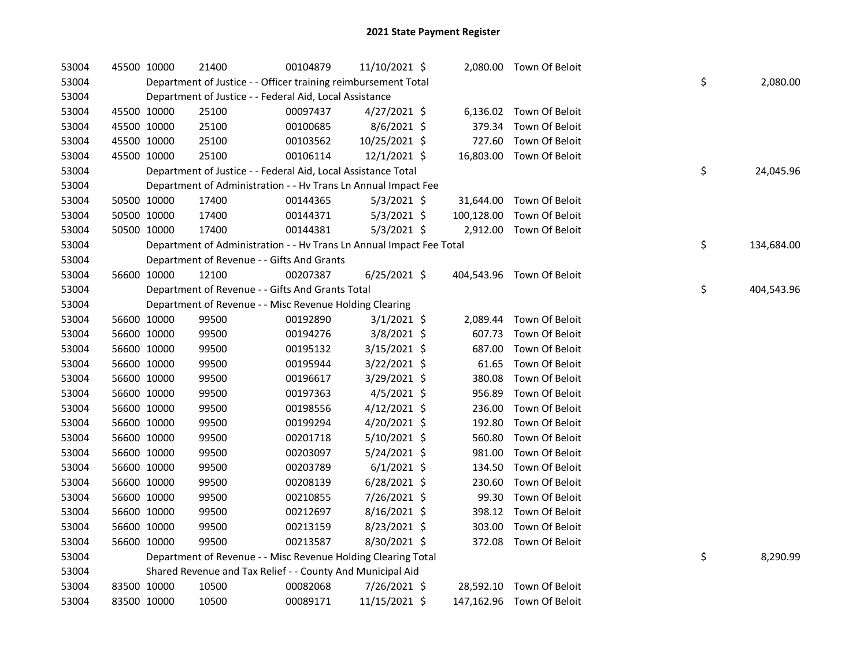| 53004 | 45500 10000 |             | 21400                                                                | 00104879 | 11/10/2021 \$  |        | 2,080.00 Town Of Beloit   |    |            |
|-------|-------------|-------------|----------------------------------------------------------------------|----------|----------------|--------|---------------------------|----|------------|
| 53004 |             |             | Department of Justice - - Officer training reimbursement Total       |          |                |        |                           | \$ | 2,080.00   |
| 53004 |             |             | Department of Justice - - Federal Aid, Local Assistance              |          |                |        |                           |    |            |
| 53004 |             | 45500 10000 | 25100                                                                | 00097437 | $4/27/2021$ \$ |        | 6,136.02 Town Of Beloit   |    |            |
| 53004 |             | 45500 10000 | 25100                                                                | 00100685 | 8/6/2021 \$    | 379.34 | Town Of Beloit            |    |            |
| 53004 |             | 45500 10000 | 25100                                                                | 00103562 | 10/25/2021 \$  | 727.60 | Town Of Beloit            |    |            |
| 53004 |             | 45500 10000 | 25100                                                                | 00106114 | 12/1/2021 \$   |        | 16,803.00 Town Of Beloit  |    |            |
| 53004 |             |             | Department of Justice - - Federal Aid, Local Assistance Total        |          |                |        |                           | \$ | 24,045.96  |
| 53004 |             |             | Department of Administration - - Hv Trans Ln Annual Impact Fee       |          |                |        |                           |    |            |
| 53004 |             | 50500 10000 | 17400                                                                | 00144365 | $5/3/2021$ \$  |        | 31,644.00 Town Of Beloit  |    |            |
| 53004 |             | 50500 10000 | 17400                                                                | 00144371 | $5/3/2021$ \$  |        | 100,128.00 Town Of Beloit |    |            |
| 53004 |             | 50500 10000 | 17400                                                                | 00144381 | $5/3/2021$ \$  |        | 2,912.00 Town Of Beloit   |    |            |
| 53004 |             |             | Department of Administration - - Hv Trans Ln Annual Impact Fee Total |          |                |        |                           | \$ | 134,684.00 |
| 53004 |             |             | Department of Revenue - - Gifts And Grants                           |          |                |        |                           |    |            |
| 53004 |             | 56600 10000 | 12100                                                                | 00207387 | $6/25/2021$ \$ |        | 404,543.96 Town Of Beloit |    |            |
| 53004 |             |             | Department of Revenue - - Gifts And Grants Total                     |          |                |        |                           | \$ | 404,543.96 |
| 53004 |             |             | Department of Revenue - - Misc Revenue Holding Clearing              |          |                |        |                           |    |            |
| 53004 |             | 56600 10000 | 99500                                                                | 00192890 | $3/1/2021$ \$  |        | 2,089.44 Town Of Beloit   |    |            |
| 53004 |             | 56600 10000 | 99500                                                                | 00194276 | 3/8/2021 \$    | 607.73 | Town Of Beloit            |    |            |
| 53004 |             | 56600 10000 | 99500                                                                | 00195132 | 3/15/2021 \$   | 687.00 | Town Of Beloit            |    |            |
| 53004 |             | 56600 10000 | 99500                                                                | 00195944 | $3/22/2021$ \$ | 61.65  | Town Of Beloit            |    |            |
| 53004 |             | 56600 10000 | 99500                                                                | 00196617 | 3/29/2021 \$   | 380.08 | Town Of Beloit            |    |            |
| 53004 |             | 56600 10000 | 99500                                                                | 00197363 | $4/5/2021$ \$  | 956.89 | Town Of Beloit            |    |            |
| 53004 |             | 56600 10000 | 99500                                                                | 00198556 | $4/12/2021$ \$ | 236.00 | Town Of Beloit            |    |            |
| 53004 |             | 56600 10000 | 99500                                                                | 00199294 | 4/20/2021 \$   | 192.80 | Town Of Beloit            |    |            |
| 53004 |             | 56600 10000 | 99500                                                                | 00201718 | $5/10/2021$ \$ | 560.80 | Town Of Beloit            |    |            |
| 53004 |             | 56600 10000 | 99500                                                                | 00203097 | 5/24/2021 \$   | 981.00 | Town Of Beloit            |    |            |
| 53004 |             | 56600 10000 | 99500                                                                | 00203789 | $6/1/2021$ \$  | 134.50 | Town Of Beloit            |    |            |
| 53004 |             | 56600 10000 | 99500                                                                | 00208139 | $6/28/2021$ \$ | 230.60 | Town Of Beloit            |    |            |
| 53004 |             | 56600 10000 | 99500                                                                | 00210855 | 7/26/2021 \$   | 99.30  | Town Of Beloit            |    |            |
| 53004 |             | 56600 10000 | 99500                                                                | 00212697 | $8/16/2021$ \$ |        | 398.12 Town Of Beloit     |    |            |
| 53004 |             | 56600 10000 | 99500                                                                | 00213159 | 8/23/2021 \$   |        | 303.00 Town Of Beloit     |    |            |
| 53004 |             | 56600 10000 | 99500                                                                | 00213587 | 8/30/2021 \$   |        | 372.08 Town Of Beloit     |    |            |
| 53004 |             |             | Department of Revenue - - Misc Revenue Holding Clearing Total        |          |                |        |                           | \$ | 8,290.99   |
| 53004 |             |             | Shared Revenue and Tax Relief - - County And Municipal Aid           |          |                |        |                           |    |            |
| 53004 |             | 83500 10000 | 10500                                                                | 00082068 | 7/26/2021 \$   |        | 28,592.10 Town Of Beloit  |    |            |
| 53004 |             | 83500 10000 | 10500                                                                | 00089171 | 11/15/2021 \$  |        | 147,162.96 Town Of Beloit |    |            |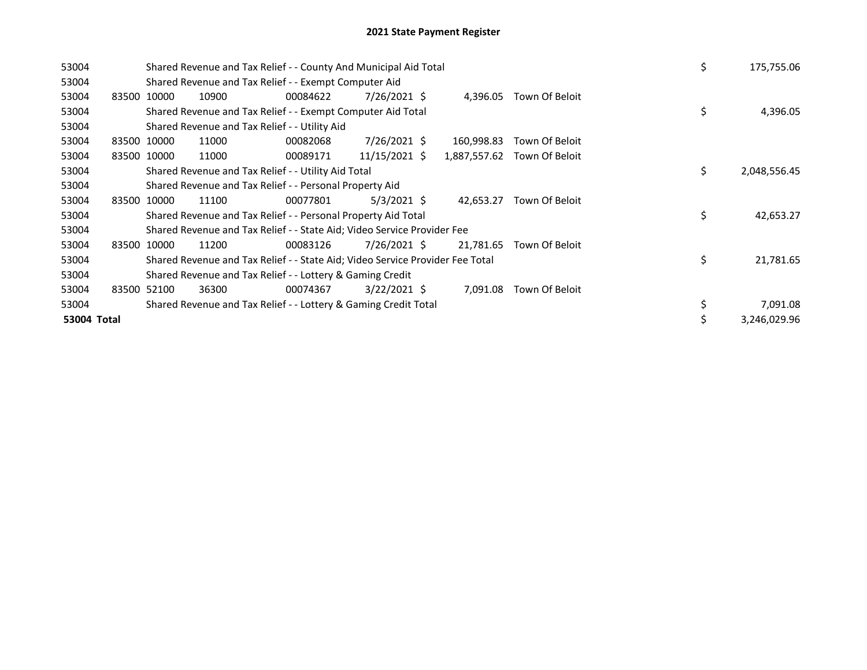| 53004       |             |             | Shared Revenue and Tax Relief - - County And Municipal Aid Total              |          |                |              |                | \$ | 175,755.06   |
|-------------|-------------|-------------|-------------------------------------------------------------------------------|----------|----------------|--------------|----------------|----|--------------|
| 53004       |             |             | Shared Revenue and Tax Relief - - Exempt Computer Aid                         |          |                |              |                |    |              |
| 53004       | 83500 10000 |             | 10900                                                                         | 00084622 | $7/26/2021$ \$ | 4,396.05     | Town Of Beloit |    |              |
| 53004       |             |             | Shared Revenue and Tax Relief - - Exempt Computer Aid Total                   |          |                |              |                | \$ | 4,396.05     |
| 53004       |             |             | Shared Revenue and Tax Relief - - Utility Aid                                 |          |                |              |                |    |              |
| 53004       |             | 83500 10000 | 11000                                                                         | 00082068 | 7/26/2021 \$   | 160,998.83   | Town Of Beloit |    |              |
| 53004       |             | 83500 10000 | 11000                                                                         | 00089171 | 11/15/2021 \$  | 1,887,557.62 | Town Of Beloit |    |              |
| 53004       |             |             | Shared Revenue and Tax Relief - - Utility Aid Total                           |          |                |              |                | \$ | 2,048,556.45 |
| 53004       |             |             | Shared Revenue and Tax Relief - - Personal Property Aid                       |          |                |              |                |    |              |
| 53004       |             | 83500 10000 | 11100                                                                         | 00077801 | $5/3/2021$ \$  | 42.653.27    | Town Of Beloit |    |              |
| 53004       |             |             | Shared Revenue and Tax Relief - - Personal Property Aid Total                 |          |                |              |                | \$ | 42,653.27    |
| 53004       |             |             | Shared Revenue and Tax Relief - - State Aid; Video Service Provider Fee       |          |                |              |                |    |              |
| 53004       | 83500       | 10000       | 11200                                                                         | 00083126 | 7/26/2021 \$   | 21,781.65    | Town Of Beloit |    |              |
| 53004       |             |             | Shared Revenue and Tax Relief - - State Aid; Video Service Provider Fee Total |          |                |              |                | \$ | 21,781.65    |
| 53004       |             |             | Shared Revenue and Tax Relief - - Lottery & Gaming Credit                     |          |                |              |                |    |              |
| 53004       |             | 83500 52100 | 36300                                                                         | 00074367 | $3/22/2021$ \$ | 7,091.08     | Town Of Beloit |    |              |
| 53004       |             |             | Shared Revenue and Tax Relief - - Lottery & Gaming Credit Total               |          |                |              |                | \$ | 7,091.08     |
| 53004 Total |             |             |                                                                               |          |                |              |                | \$ | 3,246,029.96 |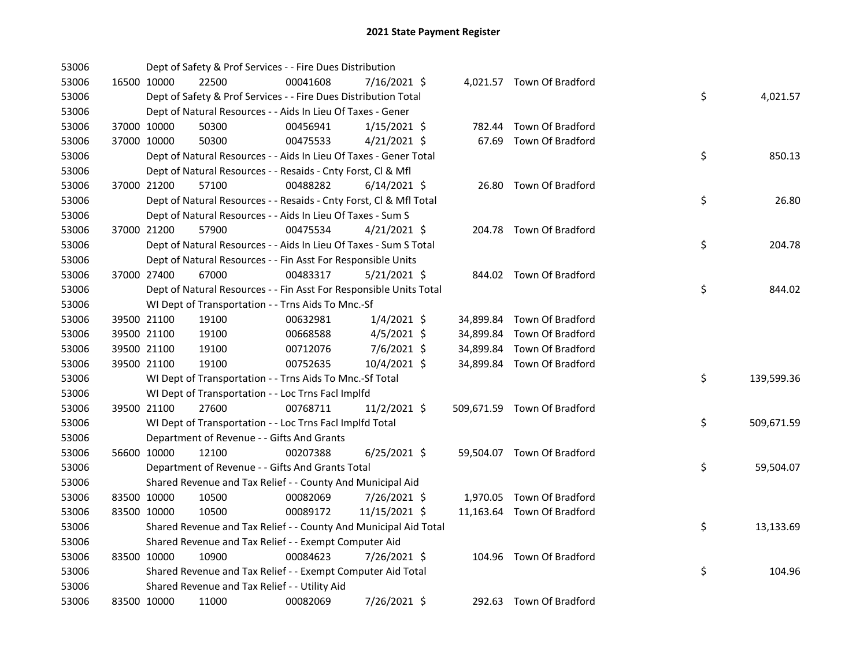| 53006 |             |             | Dept of Safety & Prof Services - - Fire Dues Distribution          |          |                |  |                             |    |            |
|-------|-------------|-------------|--------------------------------------------------------------------|----------|----------------|--|-----------------------------|----|------------|
| 53006 |             | 16500 10000 | 22500                                                              | 00041608 | 7/16/2021 \$   |  | 4,021.57 Town Of Bradford   |    |            |
| 53006 |             |             | Dept of Safety & Prof Services - - Fire Dues Distribution Total    |          |                |  |                             | \$ | 4,021.57   |
| 53006 |             |             | Dept of Natural Resources - - Aids In Lieu Of Taxes - Gener        |          |                |  |                             |    |            |
| 53006 |             | 37000 10000 | 50300                                                              | 00456941 | $1/15/2021$ \$ |  | 782.44 Town Of Bradford     |    |            |
| 53006 | 37000 10000 |             | 50300                                                              | 00475533 | $4/21/2021$ \$ |  | 67.69 Town Of Bradford      |    |            |
| 53006 |             |             | Dept of Natural Resources - - Aids In Lieu Of Taxes - Gener Total  |          |                |  |                             | \$ | 850.13     |
| 53006 |             |             | Dept of Natural Resources - - Resaids - Cnty Forst, Cl & Mfl       |          |                |  |                             |    |            |
| 53006 |             | 37000 21200 | 57100                                                              | 00488282 | $6/14/2021$ \$ |  | 26.80 Town Of Bradford      |    |            |
| 53006 |             |             | Dept of Natural Resources - - Resaids - Cnty Forst, CI & Mfl Total |          |                |  |                             | \$ | 26.80      |
| 53006 |             |             | Dept of Natural Resources - - Aids In Lieu Of Taxes - Sum S        |          |                |  |                             |    |            |
| 53006 |             | 37000 21200 | 57900                                                              | 00475534 | $4/21/2021$ \$ |  | 204.78 Town Of Bradford     |    |            |
| 53006 |             |             | Dept of Natural Resources - - Aids In Lieu Of Taxes - Sum S Total  |          |                |  |                             | \$ | 204.78     |
| 53006 |             |             | Dept of Natural Resources - - Fin Asst For Responsible Units       |          |                |  |                             |    |            |
| 53006 | 37000 27400 |             | 67000                                                              | 00483317 | $5/21/2021$ \$ |  | 844.02 Town Of Bradford     |    |            |
| 53006 |             |             | Dept of Natural Resources - - Fin Asst For Responsible Units Total |          |                |  |                             | \$ | 844.02     |
| 53006 |             |             | WI Dept of Transportation - - Trns Aids To Mnc.-Sf                 |          |                |  |                             |    |            |
| 53006 |             | 39500 21100 | 19100                                                              | 00632981 | $1/4/2021$ \$  |  | 34,899.84 Town Of Bradford  |    |            |
| 53006 |             | 39500 21100 | 19100                                                              | 00668588 | $4/5/2021$ \$  |  | 34,899.84 Town Of Bradford  |    |            |
| 53006 | 39500 21100 |             | 19100                                                              | 00712076 | 7/6/2021 \$    |  | 34,899.84 Town Of Bradford  |    |            |
| 53006 |             | 39500 21100 | 19100                                                              | 00752635 | 10/4/2021 \$   |  | 34,899.84 Town Of Bradford  |    |            |
| 53006 |             |             | WI Dept of Transportation - - Trns Aids To Mnc.-Sf Total           |          |                |  |                             | \$ | 139,599.36 |
| 53006 |             |             | WI Dept of Transportation - - Loc Trns Facl Implfd                 |          |                |  |                             |    |            |
| 53006 |             | 39500 21100 | 27600                                                              | 00768711 | 11/2/2021 \$   |  | 509,671.59 Town Of Bradford |    |            |
| 53006 |             |             | WI Dept of Transportation - - Loc Trns Facl Implfd Total           |          |                |  |                             | \$ | 509,671.59 |
| 53006 |             |             | Department of Revenue - - Gifts And Grants                         |          |                |  |                             |    |            |
| 53006 |             | 56600 10000 | 12100                                                              | 00207388 | $6/25/2021$ \$ |  | 59,504.07 Town Of Bradford  |    |            |
| 53006 |             |             | Department of Revenue - - Gifts And Grants Total                   |          |                |  |                             | \$ | 59,504.07  |
| 53006 |             |             | Shared Revenue and Tax Relief - - County And Municipal Aid         |          |                |  |                             |    |            |
| 53006 | 83500 10000 |             | 10500                                                              | 00082069 | 7/26/2021 \$   |  | 1,970.05 Town Of Bradford   |    |            |
| 53006 | 83500 10000 |             | 10500                                                              | 00089172 | 11/15/2021 \$  |  | 11,163.64 Town Of Bradford  |    |            |
| 53006 |             |             | Shared Revenue and Tax Relief - - County And Municipal Aid Total   |          |                |  |                             | \$ | 13,133.69  |
| 53006 |             |             | Shared Revenue and Tax Relief - - Exempt Computer Aid              |          |                |  |                             |    |            |
| 53006 | 83500 10000 |             | 10900                                                              | 00084623 | 7/26/2021 \$   |  | 104.96 Town Of Bradford     |    |            |
| 53006 |             |             | Shared Revenue and Tax Relief - - Exempt Computer Aid Total        |          |                |  |                             | \$ | 104.96     |
| 53006 |             |             | Shared Revenue and Tax Relief - - Utility Aid                      |          |                |  |                             |    |            |
| 53006 |             | 83500 10000 | 11000                                                              | 00082069 | 7/26/2021 \$   |  | 292.63 Town Of Bradford     |    |            |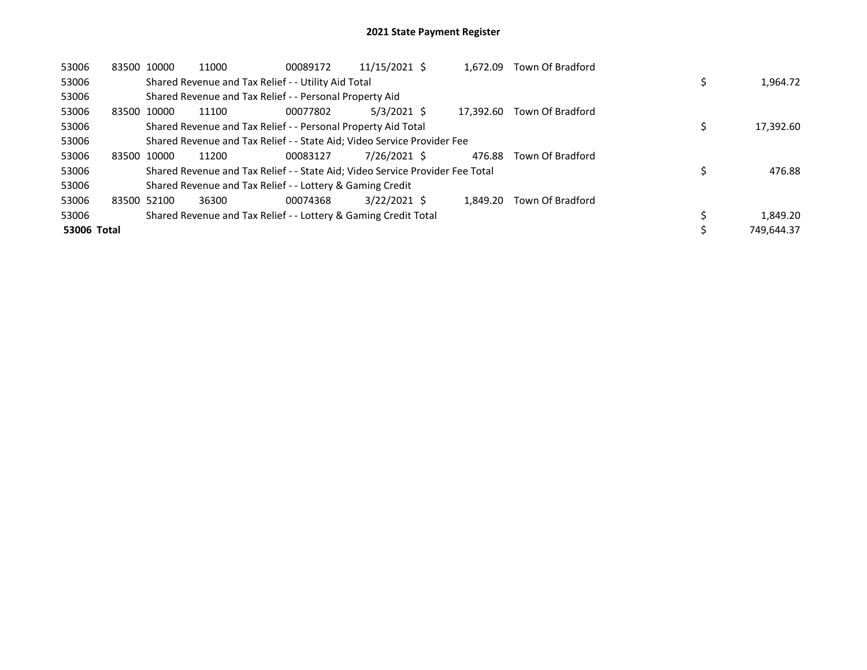| 53006       | 83500 10000 | 11000                                                                         | 00089172 | 11/15/2021 \$  | 1.672.09  | Town Of Bradford        |            |
|-------------|-------------|-------------------------------------------------------------------------------|----------|----------------|-----------|-------------------------|------------|
| 53006       |             | Shared Revenue and Tax Relief - - Utility Aid Total                           |          |                |           |                         | 1,964.72   |
| 53006       |             | Shared Revenue and Tax Relief - - Personal Property Aid                       |          |                |           |                         |            |
| 53006       | 83500 10000 | 11100                                                                         | 00077802 | $5/3/2021$ \$  | 17.392.60 | Town Of Bradford        |            |
| 53006       |             | Shared Revenue and Tax Relief - - Personal Property Aid Total                 |          |                |           |                         | 17,392.60  |
| 53006       |             | Shared Revenue and Tax Relief - - State Aid; Video Service Provider Fee       |          |                |           |                         |            |
| 53006       | 83500 10000 | 11200                                                                         | 00083127 | 7/26/2021 \$   |           | 476.88 Town Of Bradford |            |
| 53006       |             | Shared Revenue and Tax Relief - - State Aid; Video Service Provider Fee Total |          |                |           |                         | 476.88     |
| 53006       |             | Shared Revenue and Tax Relief - - Lottery & Gaming Credit                     |          |                |           |                         |            |
| 53006       | 83500 52100 | 36300                                                                         | 00074368 | $3/22/2021$ \$ | 1.849.20  | Town Of Bradford        |            |
| 53006       |             | Shared Revenue and Tax Relief - - Lottery & Gaming Credit Total               |          |                |           |                         | 1,849.20   |
| 53006 Total |             |                                                                               |          |                |           |                         | 749.644.37 |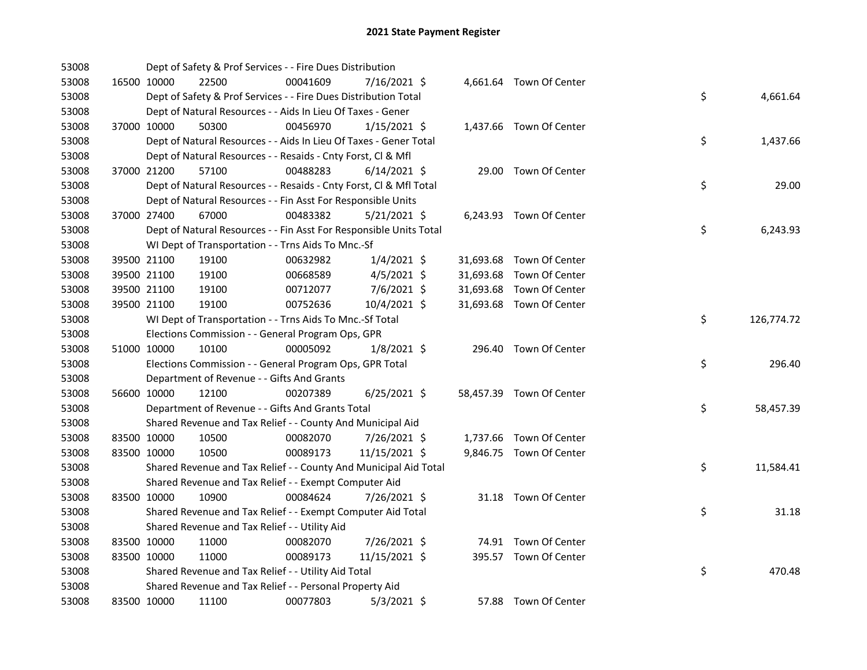| 53008 |             |             | Dept of Safety & Prof Services - - Fire Dues Distribution          |          |                |  |                          |    |            |
|-------|-------------|-------------|--------------------------------------------------------------------|----------|----------------|--|--------------------------|----|------------|
| 53008 |             | 16500 10000 | 22500                                                              | 00041609 | 7/16/2021 \$   |  | 4,661.64 Town Of Center  |    |            |
| 53008 |             |             | Dept of Safety & Prof Services - - Fire Dues Distribution Total    |          |                |  |                          | \$ | 4,661.64   |
| 53008 |             |             | Dept of Natural Resources - - Aids In Lieu Of Taxes - Gener        |          |                |  |                          |    |            |
| 53008 |             | 37000 10000 | 50300                                                              | 00456970 | $1/15/2021$ \$ |  | 1,437.66 Town Of Center  |    |            |
| 53008 |             |             | Dept of Natural Resources - - Aids In Lieu Of Taxes - Gener Total  |          |                |  |                          | \$ | 1,437.66   |
| 53008 |             |             | Dept of Natural Resources - - Resaids - Cnty Forst, Cl & Mfl       |          |                |  |                          |    |            |
| 53008 |             | 37000 21200 | 57100                                                              | 00488283 | $6/14/2021$ \$ |  | 29.00 Town Of Center     |    |            |
| 53008 |             |             | Dept of Natural Resources - - Resaids - Cnty Forst, Cl & Mfl Total |          |                |  |                          | \$ | 29.00      |
| 53008 |             |             | Dept of Natural Resources - - Fin Asst For Responsible Units       |          |                |  |                          |    |            |
| 53008 |             | 37000 27400 | 67000                                                              | 00483382 | $5/21/2021$ \$ |  | 6,243.93 Town Of Center  |    |            |
| 53008 |             |             | Dept of Natural Resources - - Fin Asst For Responsible Units Total |          |                |  |                          | \$ | 6,243.93   |
| 53008 |             |             | WI Dept of Transportation - - Trns Aids To Mnc.-Sf                 |          |                |  |                          |    |            |
| 53008 |             | 39500 21100 | 19100                                                              | 00632982 | $1/4/2021$ \$  |  | 31,693.68 Town Of Center |    |            |
| 53008 |             | 39500 21100 | 19100                                                              | 00668589 | $4/5/2021$ \$  |  | 31,693.68 Town Of Center |    |            |
| 53008 |             | 39500 21100 | 19100                                                              | 00712077 | 7/6/2021 \$    |  | 31,693.68 Town Of Center |    |            |
| 53008 | 39500 21100 |             | 19100                                                              | 00752636 | 10/4/2021 \$   |  | 31,693.68 Town Of Center |    |            |
| 53008 |             |             | WI Dept of Transportation - - Trns Aids To Mnc.-Sf Total           |          |                |  |                          | \$ | 126,774.72 |
| 53008 |             |             | Elections Commission - - General Program Ops, GPR                  |          |                |  |                          |    |            |
| 53008 |             | 51000 10000 | 10100                                                              | 00005092 | $1/8/2021$ \$  |  | 296.40 Town Of Center    |    |            |
| 53008 |             |             | Elections Commission - - General Program Ops, GPR Total            |          |                |  |                          | \$ | 296.40     |
| 53008 |             |             | Department of Revenue - - Gifts And Grants                         |          |                |  |                          |    |            |
| 53008 | 56600 10000 |             | 12100                                                              | 00207389 | $6/25/2021$ \$ |  | 58,457.39 Town Of Center |    |            |
| 53008 |             |             | Department of Revenue - - Gifts And Grants Total                   |          |                |  |                          | \$ | 58,457.39  |
| 53008 |             |             | Shared Revenue and Tax Relief - - County And Municipal Aid         |          |                |  |                          |    |            |
| 53008 | 83500 10000 |             | 10500                                                              | 00082070 | 7/26/2021 \$   |  | 1,737.66 Town Of Center  |    |            |
| 53008 | 83500 10000 |             | 10500                                                              | 00089173 | 11/15/2021 \$  |  | 9,846.75 Town Of Center  |    |            |
| 53008 |             |             | Shared Revenue and Tax Relief - - County And Municipal Aid Total   |          |                |  |                          | \$ | 11,584.41  |
| 53008 |             |             | Shared Revenue and Tax Relief - - Exempt Computer Aid              |          |                |  |                          |    |            |
| 53008 | 83500 10000 |             | 10900                                                              | 00084624 | 7/26/2021 \$   |  | 31.18 Town Of Center     |    |            |
| 53008 |             |             | Shared Revenue and Tax Relief - - Exempt Computer Aid Total        |          |                |  |                          | \$ | 31.18      |
| 53008 |             |             | Shared Revenue and Tax Relief - - Utility Aid                      |          |                |  |                          |    |            |
| 53008 | 83500 10000 |             | 11000                                                              | 00082070 | 7/26/2021 \$   |  | 74.91 Town Of Center     |    |            |
| 53008 | 83500 10000 |             | 11000                                                              | 00089173 | 11/15/2021 \$  |  | 395.57 Town Of Center    |    |            |
| 53008 |             |             | Shared Revenue and Tax Relief - - Utility Aid Total                |          |                |  |                          | \$ | 470.48     |
| 53008 |             |             | Shared Revenue and Tax Relief - - Personal Property Aid            |          |                |  |                          |    |            |
| 53008 |             | 83500 10000 | 11100                                                              | 00077803 | $5/3/2021$ \$  |  | 57.88 Town Of Center     |    |            |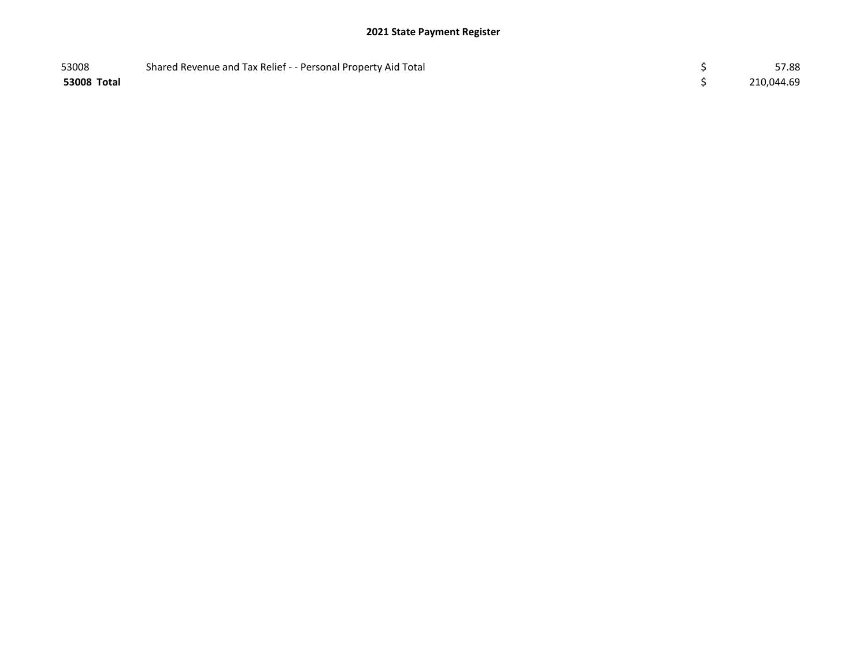## 2021 State Payment Register

| 53008       | Shared Revenue and Tax Relief - - Personal Property Aid Total | 57.88      |
|-------------|---------------------------------------------------------------|------------|
| 53008 Total |                                                               | 210,044.69 |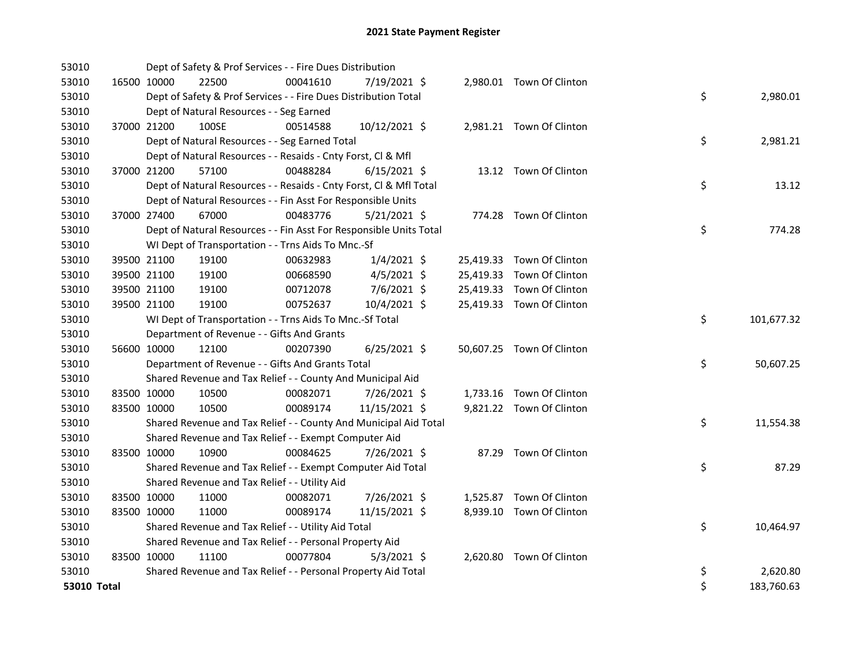| 53010       |             | Dept of Safety & Prof Services - - Fire Dues Distribution          |          |                |  |                           |    |            |
|-------------|-------------|--------------------------------------------------------------------|----------|----------------|--|---------------------------|----|------------|
| 53010       | 16500 10000 | 22500                                                              | 00041610 | 7/19/2021 \$   |  | 2,980.01 Town Of Clinton  |    |            |
| 53010       |             | Dept of Safety & Prof Services - - Fire Dues Distribution Total    |          |                |  |                           | \$ | 2,980.01   |
| 53010       |             | Dept of Natural Resources - - Seg Earned                           |          |                |  |                           |    |            |
| 53010       | 37000 21200 | 100SE                                                              | 00514588 | 10/12/2021 \$  |  | 2,981.21 Town Of Clinton  |    |            |
| 53010       |             | Dept of Natural Resources - - Seg Earned Total                     |          |                |  |                           | \$ | 2,981.21   |
| 53010       |             | Dept of Natural Resources - - Resaids - Cnty Forst, Cl & Mfl       |          |                |  |                           |    |            |
| 53010       | 37000 21200 | 57100                                                              | 00488284 | $6/15/2021$ \$ |  | 13.12 Town Of Clinton     |    |            |
| 53010       |             | Dept of Natural Resources - - Resaids - Cnty Forst, Cl & Mfl Total |          |                |  |                           | \$ | 13.12      |
| 53010       |             | Dept of Natural Resources - - Fin Asst For Responsible Units       |          |                |  |                           |    |            |
| 53010       | 37000 27400 | 67000                                                              | 00483776 | $5/21/2021$ \$ |  | 774.28 Town Of Clinton    |    |            |
| 53010       |             | Dept of Natural Resources - - Fin Asst For Responsible Units Total |          |                |  |                           | \$ | 774.28     |
| 53010       |             | WI Dept of Transportation - - Trns Aids To Mnc.-Sf                 |          |                |  |                           |    |            |
| 53010       | 39500 21100 | 19100                                                              | 00632983 | $1/4/2021$ \$  |  | 25,419.33 Town Of Clinton |    |            |
| 53010       | 39500 21100 | 19100                                                              | 00668590 | $4/5/2021$ \$  |  | 25,419.33 Town Of Clinton |    |            |
| 53010       | 39500 21100 | 19100                                                              | 00712078 | 7/6/2021 \$    |  | 25,419.33 Town Of Clinton |    |            |
| 53010       | 39500 21100 | 19100                                                              | 00752637 | 10/4/2021 \$   |  | 25,419.33 Town Of Clinton |    |            |
| 53010       |             | WI Dept of Transportation - - Trns Aids To Mnc.-Sf Total           |          |                |  |                           | \$ | 101,677.32 |
| 53010       |             | Department of Revenue - - Gifts And Grants                         |          |                |  |                           |    |            |
| 53010       | 56600 10000 | 12100                                                              | 00207390 | $6/25/2021$ \$ |  | 50,607.25 Town Of Clinton |    |            |
| 53010       |             | Department of Revenue - - Gifts And Grants Total                   |          |                |  |                           | \$ | 50,607.25  |
| 53010       |             | Shared Revenue and Tax Relief - - County And Municipal Aid         |          |                |  |                           |    |            |
| 53010       | 83500 10000 | 10500                                                              | 00082071 | 7/26/2021 \$   |  | 1,733.16 Town Of Clinton  |    |            |
| 53010       | 83500 10000 | 10500                                                              | 00089174 | 11/15/2021 \$  |  | 9,821.22 Town Of Clinton  |    |            |
| 53010       |             | Shared Revenue and Tax Relief - - County And Municipal Aid Total   |          |                |  |                           | \$ | 11,554.38  |
| 53010       |             | Shared Revenue and Tax Relief - - Exempt Computer Aid              |          |                |  |                           |    |            |
| 53010       | 83500 10000 | 10900                                                              | 00084625 | 7/26/2021 \$   |  | 87.29 Town Of Clinton     |    |            |
| 53010       |             | Shared Revenue and Tax Relief - - Exempt Computer Aid Total        |          |                |  |                           | \$ | 87.29      |
| 53010       |             | Shared Revenue and Tax Relief - - Utility Aid                      |          |                |  |                           |    |            |
| 53010       | 83500 10000 | 11000                                                              | 00082071 | 7/26/2021 \$   |  | 1,525.87 Town Of Clinton  |    |            |
| 53010       | 83500 10000 | 11000                                                              | 00089174 | 11/15/2021 \$  |  | 8,939.10 Town Of Clinton  |    |            |
| 53010       |             | Shared Revenue and Tax Relief - - Utility Aid Total                |          |                |  |                           | \$ | 10,464.97  |
| 53010       |             | Shared Revenue and Tax Relief - - Personal Property Aid            |          |                |  |                           |    |            |
| 53010       | 83500 10000 | 11100                                                              | 00077804 | $5/3/2021$ \$  |  | 2,620.80 Town Of Clinton  |    |            |
| 53010       |             | Shared Revenue and Tax Relief - - Personal Property Aid Total      |          |                |  |                           | \$ | 2,620.80   |
| 53010 Total |             |                                                                    |          |                |  |                           | \$ | 183,760.63 |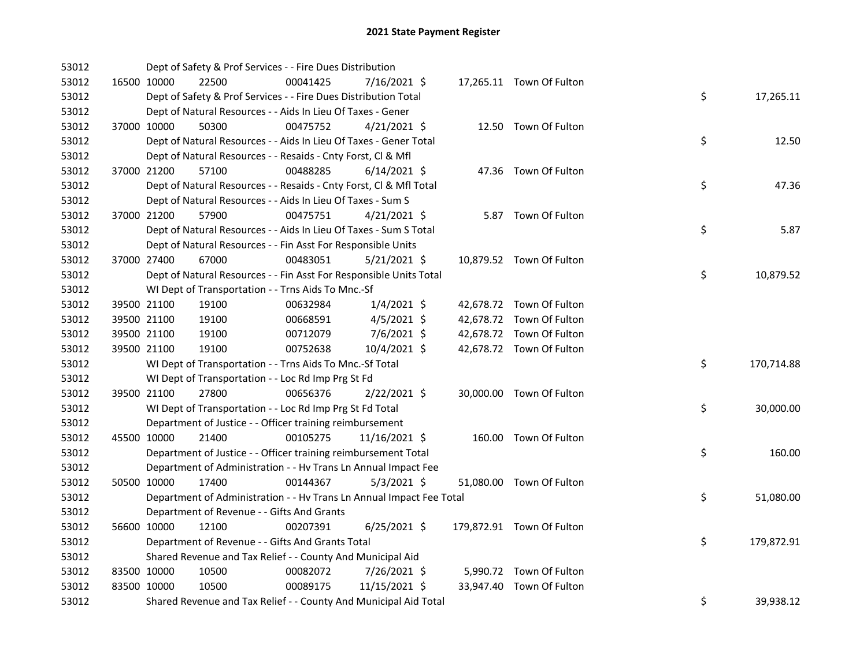| 53012 |             | Dept of Safety & Prof Services - - Fire Dues Distribution            |          |                |  |                           |    |            |
|-------|-------------|----------------------------------------------------------------------|----------|----------------|--|---------------------------|----|------------|
| 53012 | 16500 10000 | 22500                                                                | 00041425 | 7/16/2021 \$   |  | 17,265.11 Town Of Fulton  |    |            |
| 53012 |             | Dept of Safety & Prof Services - - Fire Dues Distribution Total      |          |                |  |                           | \$ | 17,265.11  |
| 53012 |             | Dept of Natural Resources - - Aids In Lieu Of Taxes - Gener          |          |                |  |                           |    |            |
| 53012 | 37000 10000 | 50300                                                                | 00475752 | $4/21/2021$ \$ |  | 12.50 Town Of Fulton      |    |            |
| 53012 |             | Dept of Natural Resources - - Aids In Lieu Of Taxes - Gener Total    |          |                |  |                           | \$ | 12.50      |
| 53012 |             | Dept of Natural Resources - - Resaids - Cnty Forst, Cl & Mfl         |          |                |  |                           |    |            |
| 53012 | 37000 21200 | 57100                                                                | 00488285 | $6/14/2021$ \$ |  | 47.36 Town Of Fulton      |    |            |
| 53012 |             | Dept of Natural Resources - - Resaids - Cnty Forst, Cl & Mfl Total   |          |                |  |                           | \$ | 47.36      |
| 53012 |             | Dept of Natural Resources - - Aids In Lieu Of Taxes - Sum S          |          |                |  |                           |    |            |
| 53012 | 37000 21200 | 57900                                                                | 00475751 | $4/21/2021$ \$ |  | 5.87 Town Of Fulton       |    |            |
| 53012 |             | Dept of Natural Resources - - Aids In Lieu Of Taxes - Sum S Total    |          |                |  |                           | \$ | 5.87       |
| 53012 |             | Dept of Natural Resources - - Fin Asst For Responsible Units         |          |                |  |                           |    |            |
| 53012 | 37000 27400 | 67000                                                                | 00483051 | $5/21/2021$ \$ |  | 10,879.52 Town Of Fulton  |    |            |
| 53012 |             | Dept of Natural Resources - - Fin Asst For Responsible Units Total   |          |                |  |                           | \$ | 10,879.52  |
| 53012 |             | WI Dept of Transportation - - Trns Aids To Mnc.-Sf                   |          |                |  |                           |    |            |
| 53012 | 39500 21100 | 19100                                                                | 00632984 | $1/4/2021$ \$  |  | 42,678.72 Town Of Fulton  |    |            |
| 53012 | 39500 21100 | 19100                                                                | 00668591 | $4/5/2021$ \$  |  | 42,678.72 Town Of Fulton  |    |            |
| 53012 | 39500 21100 | 19100                                                                | 00712079 | 7/6/2021 \$    |  | 42,678.72 Town Of Fulton  |    |            |
| 53012 | 39500 21100 | 19100                                                                | 00752638 | 10/4/2021 \$   |  | 42,678.72 Town Of Fulton  |    |            |
| 53012 |             | WI Dept of Transportation - - Trns Aids To Mnc.-Sf Total             |          |                |  |                           | \$ | 170,714.88 |
| 53012 |             | WI Dept of Transportation - - Loc Rd Imp Prg St Fd                   |          |                |  |                           |    |            |
| 53012 | 39500 21100 | 27800                                                                | 00656376 | 2/22/2021 \$   |  | 30,000.00 Town Of Fulton  |    |            |
| 53012 |             | WI Dept of Transportation - - Loc Rd Imp Prg St Fd Total             |          |                |  |                           | \$ | 30,000.00  |
| 53012 |             | Department of Justice - - Officer training reimbursement             |          |                |  |                           |    |            |
| 53012 | 45500 10000 | 21400                                                                | 00105275 | 11/16/2021 \$  |  | 160.00 Town Of Fulton     |    |            |
| 53012 |             | Department of Justice - - Officer training reimbursement Total       |          |                |  |                           | \$ | 160.00     |
| 53012 |             | Department of Administration - - Hv Trans Ln Annual Impact Fee       |          |                |  |                           |    |            |
| 53012 | 50500 10000 | 17400                                                                | 00144367 | $5/3/2021$ \$  |  | 51,080.00 Town Of Fulton  |    |            |
| 53012 |             | Department of Administration - - Hv Trans Ln Annual Impact Fee Total |          |                |  |                           | \$ | 51,080.00  |
| 53012 |             | Department of Revenue - - Gifts And Grants                           |          |                |  |                           |    |            |
| 53012 | 56600 10000 | 12100                                                                | 00207391 | $6/25/2021$ \$ |  | 179,872.91 Town Of Fulton |    |            |
| 53012 |             | Department of Revenue - - Gifts And Grants Total                     |          |                |  |                           | \$ | 179,872.91 |
| 53012 |             | Shared Revenue and Tax Relief - - County And Municipal Aid           |          |                |  |                           |    |            |
| 53012 | 83500 10000 | 10500                                                                | 00082072 | 7/26/2021 \$   |  | 5,990.72 Town Of Fulton   |    |            |
| 53012 | 83500 10000 | 10500                                                                | 00089175 | 11/15/2021 \$  |  | 33,947.40 Town Of Fulton  |    |            |
| 53012 |             | Shared Revenue and Tax Relief - - County And Municipal Aid Total     |          |                |  |                           | \$ | 39,938.12  |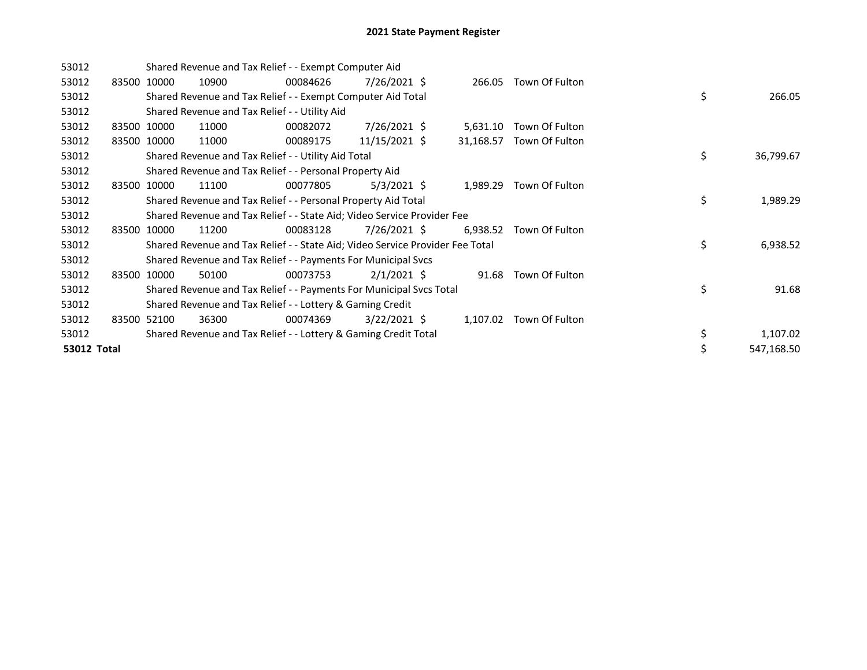| 53012       |       |             |       | Shared Revenue and Tax Relief - - Exempt Computer Aid                         |                |           |                         |    |            |
|-------------|-------|-------------|-------|-------------------------------------------------------------------------------|----------------|-----------|-------------------------|----|------------|
| 53012       |       | 83500 10000 | 10900 | 00084626                                                                      | 7/26/2021 \$   | 266.05    | Town Of Fulton          |    |            |
| 53012       |       |             |       | Shared Revenue and Tax Relief - - Exempt Computer Aid Total                   |                |           |                         | \$ | 266.05     |
| 53012       |       |             |       | Shared Revenue and Tax Relief - - Utility Aid                                 |                |           |                         |    |            |
| 53012       |       | 83500 10000 | 11000 | 00082072                                                                      | $7/26/2021$ \$ | 5,631.10  | Town Of Fulton          |    |            |
| 53012       |       | 83500 10000 | 11000 | 00089175                                                                      | 11/15/2021 \$  | 31,168.57 | Town Of Fulton          |    |            |
| 53012       |       |             |       | Shared Revenue and Tax Relief - - Utility Aid Total                           |                |           |                         | \$ | 36,799.67  |
| 53012       |       |             |       | Shared Revenue and Tax Relief - - Personal Property Aid                       |                |           |                         |    |            |
| 53012       |       | 83500 10000 | 11100 | 00077805                                                                      | $5/3/2021$ \$  | 1,989.29  | Town Of Fulton          |    |            |
| 53012       |       |             |       | Shared Revenue and Tax Relief - - Personal Property Aid Total                 |                |           |                         | \$ | 1,989.29   |
| 53012       |       |             |       | Shared Revenue and Tax Relief - - State Aid; Video Service Provider Fee       |                |           |                         |    |            |
| 53012       | 83500 | 10000       | 11200 | 00083128                                                                      | $7/26/2021$ \$ | 6,938.52  | Town Of Fulton          |    |            |
| 53012       |       |             |       | Shared Revenue and Tax Relief - - State Aid; Video Service Provider Fee Total |                |           |                         | \$ | 6,938.52   |
| 53012       |       |             |       | Shared Revenue and Tax Relief - - Payments For Municipal Svcs                 |                |           |                         |    |            |
| 53012       | 83500 | 10000       | 50100 | 00073753                                                                      | $2/1/2021$ \$  | 91.68     | Town Of Fulton          |    |            |
| 53012       |       |             |       | Shared Revenue and Tax Relief - - Payments For Municipal Svcs Total           |                |           |                         | \$ | 91.68      |
| 53012       |       |             |       | Shared Revenue and Tax Relief - - Lottery & Gaming Credit                     |                |           |                         |    |            |
| 53012       |       | 83500 52100 | 36300 | 00074369                                                                      | $3/22/2021$ \$ |           | 1,107.02 Town Of Fulton |    |            |
| 53012       |       |             |       | Shared Revenue and Tax Relief - - Lottery & Gaming Credit Total               |                |           |                         | \$ | 1,107.02   |
| 53012 Total |       |             |       |                                                                               |                |           |                         | \$ | 547,168.50 |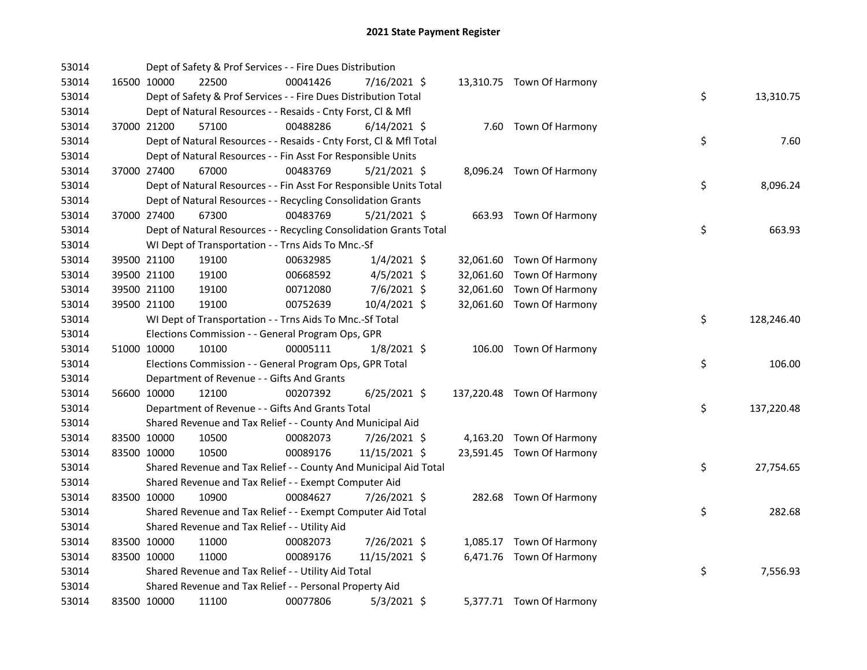| 53014 |             | Dept of Safety & Prof Services - - Fire Dues Distribution          |          |                |  |                            |    |            |
|-------|-------------|--------------------------------------------------------------------|----------|----------------|--|----------------------------|----|------------|
| 53014 | 16500 10000 | 22500                                                              | 00041426 | 7/16/2021 \$   |  | 13,310.75 Town Of Harmony  |    |            |
| 53014 |             | Dept of Safety & Prof Services - - Fire Dues Distribution Total    |          |                |  |                            | \$ | 13,310.75  |
| 53014 |             | Dept of Natural Resources - - Resaids - Cnty Forst, Cl & Mfl       |          |                |  |                            |    |            |
| 53014 | 37000 21200 | 57100                                                              | 00488286 | $6/14/2021$ \$ |  | 7.60 Town Of Harmony       |    |            |
| 53014 |             | Dept of Natural Resources - - Resaids - Cnty Forst, Cl & Mfl Total |          |                |  |                            | \$ | 7.60       |
| 53014 |             | Dept of Natural Resources - - Fin Asst For Responsible Units       |          |                |  |                            |    |            |
| 53014 | 37000 27400 | 67000                                                              | 00483769 | $5/21/2021$ \$ |  | 8,096.24 Town Of Harmony   |    |            |
| 53014 |             | Dept of Natural Resources - - Fin Asst For Responsible Units Total |          |                |  |                            | \$ | 8,096.24   |
| 53014 |             | Dept of Natural Resources - - Recycling Consolidation Grants       |          |                |  |                            |    |            |
| 53014 | 37000 27400 | 67300                                                              | 00483769 | $5/21/2021$ \$ |  | 663.93 Town Of Harmony     |    |            |
| 53014 |             | Dept of Natural Resources - - Recycling Consolidation Grants Total |          |                |  |                            | \$ | 663.93     |
| 53014 |             | WI Dept of Transportation - - Trns Aids To Mnc.-Sf                 |          |                |  |                            |    |            |
| 53014 | 39500 21100 | 19100                                                              | 00632985 | $1/4/2021$ \$  |  | 32,061.60 Town Of Harmony  |    |            |
| 53014 | 39500 21100 | 19100                                                              | 00668592 | $4/5/2021$ \$  |  | 32,061.60 Town Of Harmony  |    |            |
| 53014 | 39500 21100 | 19100                                                              | 00712080 | 7/6/2021 \$    |  | 32,061.60 Town Of Harmony  |    |            |
| 53014 | 39500 21100 | 19100                                                              | 00752639 | 10/4/2021 \$   |  | 32,061.60 Town Of Harmony  |    |            |
| 53014 |             | WI Dept of Transportation - - Trns Aids To Mnc.-Sf Total           |          |                |  |                            | \$ | 128,246.40 |
| 53014 |             | Elections Commission - - General Program Ops, GPR                  |          |                |  |                            |    |            |
| 53014 | 51000 10000 | 10100                                                              | 00005111 | 1/8/2021 \$    |  | 106.00 Town Of Harmony     |    |            |
| 53014 |             | Elections Commission - - General Program Ops, GPR Total            |          |                |  |                            | \$ | 106.00     |
| 53014 |             | Department of Revenue - - Gifts And Grants                         |          |                |  |                            |    |            |
| 53014 | 56600 10000 | 12100                                                              | 00207392 | $6/25/2021$ \$ |  | 137,220.48 Town Of Harmony |    |            |
| 53014 |             | Department of Revenue - - Gifts And Grants Total                   |          |                |  |                            | \$ | 137,220.48 |
| 53014 |             | Shared Revenue and Tax Relief - - County And Municipal Aid         |          |                |  |                            |    |            |
| 53014 | 83500 10000 | 10500                                                              | 00082073 | 7/26/2021 \$   |  | 4,163.20 Town Of Harmony   |    |            |
| 53014 | 83500 10000 | 10500                                                              | 00089176 | 11/15/2021 \$  |  | 23,591.45 Town Of Harmony  |    |            |
| 53014 |             | Shared Revenue and Tax Relief - - County And Municipal Aid Total   |          |                |  |                            | \$ | 27,754.65  |
| 53014 |             | Shared Revenue and Tax Relief - - Exempt Computer Aid              |          |                |  |                            |    |            |
| 53014 | 83500 10000 | 10900                                                              | 00084627 | 7/26/2021 \$   |  | 282.68 Town Of Harmony     |    |            |
| 53014 |             | Shared Revenue and Tax Relief - - Exempt Computer Aid Total        |          |                |  |                            | \$ | 282.68     |
| 53014 |             | Shared Revenue and Tax Relief - - Utility Aid                      |          |                |  |                            |    |            |
| 53014 | 83500 10000 | 11000                                                              | 00082073 | 7/26/2021 \$   |  | 1,085.17 Town Of Harmony   |    |            |
| 53014 | 83500 10000 | 11000                                                              | 00089176 | 11/15/2021 \$  |  | 6,471.76 Town Of Harmony   |    |            |
| 53014 |             | Shared Revenue and Tax Relief - - Utility Aid Total                |          |                |  |                            | \$ | 7,556.93   |
| 53014 |             | Shared Revenue and Tax Relief - - Personal Property Aid            |          |                |  |                            |    |            |
| 53014 | 83500 10000 | 11100                                                              | 00077806 | $5/3/2021$ \$  |  | 5,377.71 Town Of Harmony   |    |            |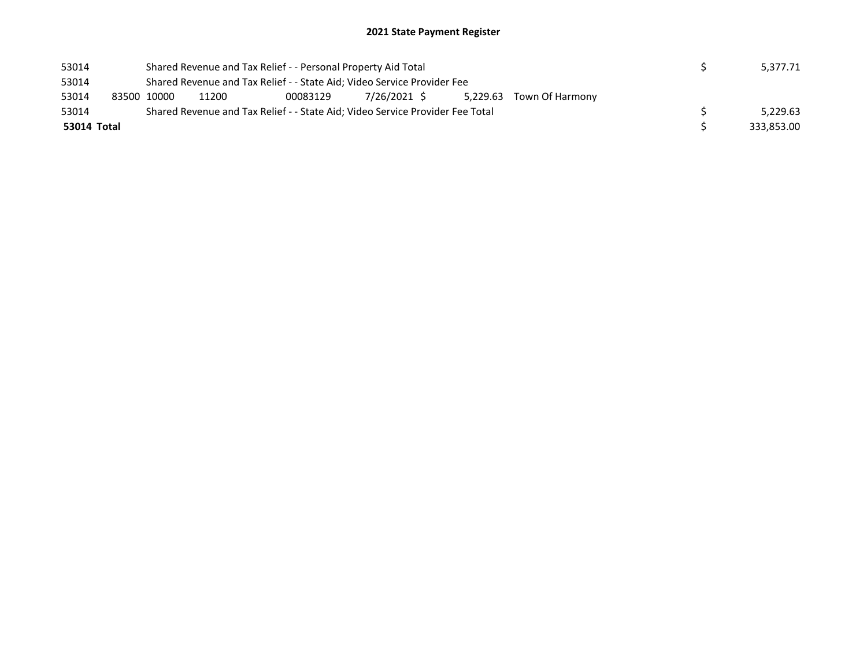## 2021 State Payment Register

| 53014       |             | Shared Revenue and Tax Relief - - Personal Property Aid Total                 |          |              |  |                          |  | 5,377.71   |
|-------------|-------------|-------------------------------------------------------------------------------|----------|--------------|--|--------------------------|--|------------|
| 53014       |             | Shared Revenue and Tax Relief - - State Aid; Video Service Provider Fee       |          |              |  |                          |  |            |
| 53014       | 83500 10000 | 11200                                                                         | 00083129 | 7/26/2021 \$ |  | 5,229.63 Town Of Harmony |  |            |
| 53014       |             | Shared Revenue and Tax Relief - - State Aid; Video Service Provider Fee Total |          |              |  |                          |  | 5.229.63   |
| 53014 Total |             |                                                                               |          |              |  |                          |  | 333,853.00 |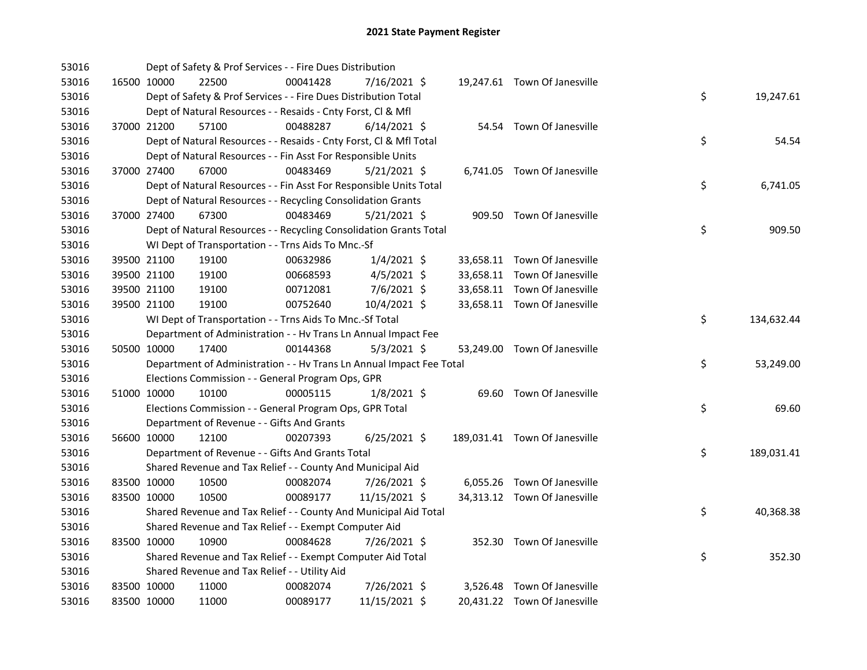| 53016 |             | Dept of Safety & Prof Services - - Fire Dues Distribution            |          |                |  |                               |    |            |
|-------|-------------|----------------------------------------------------------------------|----------|----------------|--|-------------------------------|----|------------|
| 53016 | 16500 10000 | 22500                                                                | 00041428 | 7/16/2021 \$   |  | 19,247.61 Town Of Janesville  |    |            |
| 53016 |             | Dept of Safety & Prof Services - - Fire Dues Distribution Total      |          |                |  |                               | \$ | 19,247.61  |
| 53016 |             | Dept of Natural Resources - - Resaids - Cnty Forst, Cl & Mfl         |          |                |  |                               |    |            |
| 53016 | 37000 21200 | 57100                                                                | 00488287 | $6/14/2021$ \$ |  | 54.54 Town Of Janesville      |    |            |
| 53016 |             | Dept of Natural Resources - - Resaids - Cnty Forst, Cl & Mfl Total   |          |                |  |                               | \$ | 54.54      |
| 53016 |             | Dept of Natural Resources - - Fin Asst For Responsible Units         |          |                |  |                               |    |            |
| 53016 | 37000 27400 | 67000                                                                | 00483469 | $5/21/2021$ \$ |  | 6,741.05 Town Of Janesville   |    |            |
| 53016 |             | Dept of Natural Resources - - Fin Asst For Responsible Units Total   |          |                |  |                               | \$ | 6,741.05   |
| 53016 |             | Dept of Natural Resources - - Recycling Consolidation Grants         |          |                |  |                               |    |            |
| 53016 | 37000 27400 | 67300                                                                | 00483469 | $5/21/2021$ \$ |  | 909.50 Town Of Janesville     |    |            |
| 53016 |             | Dept of Natural Resources - - Recycling Consolidation Grants Total   |          |                |  |                               | \$ | 909.50     |
| 53016 |             | WI Dept of Transportation - - Trns Aids To Mnc.-Sf                   |          |                |  |                               |    |            |
| 53016 | 39500 21100 | 19100                                                                | 00632986 | $1/4/2021$ \$  |  | 33,658.11 Town Of Janesville  |    |            |
| 53016 | 39500 21100 | 19100                                                                | 00668593 | $4/5/2021$ \$  |  | 33,658.11 Town Of Janesville  |    |            |
| 53016 | 39500 21100 | 19100                                                                | 00712081 | 7/6/2021 \$    |  | 33,658.11 Town Of Janesville  |    |            |
| 53016 | 39500 21100 | 19100                                                                | 00752640 | 10/4/2021 \$   |  | 33,658.11 Town Of Janesville  |    |            |
| 53016 |             | WI Dept of Transportation - - Trns Aids To Mnc.-Sf Total             |          |                |  |                               | \$ | 134,632.44 |
| 53016 |             | Department of Administration - - Hv Trans Ln Annual Impact Fee       |          |                |  |                               |    |            |
| 53016 | 50500 10000 | 17400                                                                | 00144368 | $5/3/2021$ \$  |  | 53,249.00 Town Of Janesville  |    |            |
| 53016 |             | Department of Administration - - Hv Trans Ln Annual Impact Fee Total |          |                |  |                               | \$ | 53,249.00  |
| 53016 |             | Elections Commission - - General Program Ops, GPR                    |          |                |  |                               |    |            |
| 53016 | 51000 10000 | 10100                                                                | 00005115 | $1/8/2021$ \$  |  | 69.60 Town Of Janesville      |    |            |
| 53016 |             | Elections Commission - - General Program Ops, GPR Total              |          |                |  |                               | \$ | 69.60      |
| 53016 |             | Department of Revenue - - Gifts And Grants                           |          |                |  |                               |    |            |
| 53016 | 56600 10000 | 12100                                                                | 00207393 | $6/25/2021$ \$ |  | 189,031.41 Town Of Janesville |    |            |
| 53016 |             | Department of Revenue - - Gifts And Grants Total                     |          |                |  |                               | \$ | 189,031.41 |
| 53016 |             | Shared Revenue and Tax Relief - - County And Municipal Aid           |          |                |  |                               |    |            |
| 53016 | 83500 10000 | 10500                                                                | 00082074 | $7/26/2021$ \$ |  | 6,055.26 Town Of Janesville   |    |            |
| 53016 | 83500 10000 | 10500                                                                | 00089177 | 11/15/2021 \$  |  | 34,313.12 Town Of Janesville  |    |            |
| 53016 |             | Shared Revenue and Tax Relief - - County And Municipal Aid Total     |          |                |  |                               | \$ | 40,368.38  |
| 53016 |             | Shared Revenue and Tax Relief - - Exempt Computer Aid                |          |                |  |                               |    |            |
| 53016 | 83500 10000 | 10900                                                                | 00084628 | 7/26/2021 \$   |  | 352.30 Town Of Janesville     |    |            |
| 53016 |             | Shared Revenue and Tax Relief - - Exempt Computer Aid Total          |          |                |  |                               | \$ | 352.30     |
| 53016 |             | Shared Revenue and Tax Relief - - Utility Aid                        |          |                |  |                               |    |            |
| 53016 | 83500 10000 | 11000                                                                | 00082074 | 7/26/2021 \$   |  | 3,526.48 Town Of Janesville   |    |            |
| 53016 | 83500 10000 | 11000                                                                | 00089177 | 11/15/2021 \$  |  | 20,431.22 Town Of Janesville  |    |            |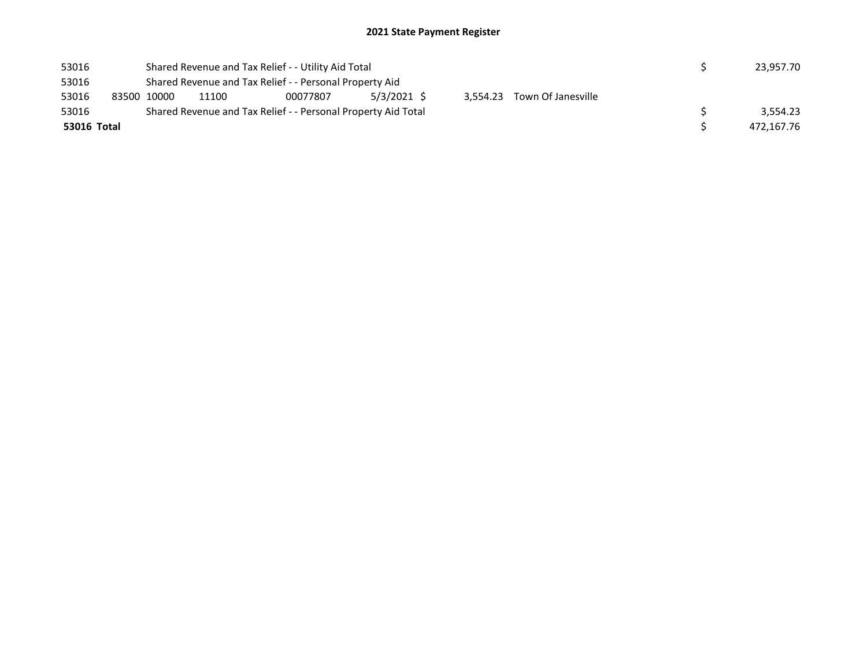| 53016       |  |             | Shared Revenue and Tax Relief - - Utility Aid Total             |                                                               | 23.957.70 |  |  |  |            |  |  |
|-------------|--|-------------|-----------------------------------------------------------------|---------------------------------------------------------------|-----------|--|--|--|------------|--|--|
| 53016       |  |             | Shared Revenue and Tax Relief - - Personal Property Aid         |                                                               |           |  |  |  |            |  |  |
| 53016       |  | 83500 10000 | 5/3/2021 \$<br>3.554.23 Town Of Janesville<br>11100<br>00077807 |                                                               |           |  |  |  |            |  |  |
| 53016       |  |             |                                                                 | Shared Revenue and Tax Relief - - Personal Property Aid Total |           |  |  |  | 3.554.23   |  |  |
| 53016 Total |  |             |                                                                 |                                                               |           |  |  |  | 472,167.76 |  |  |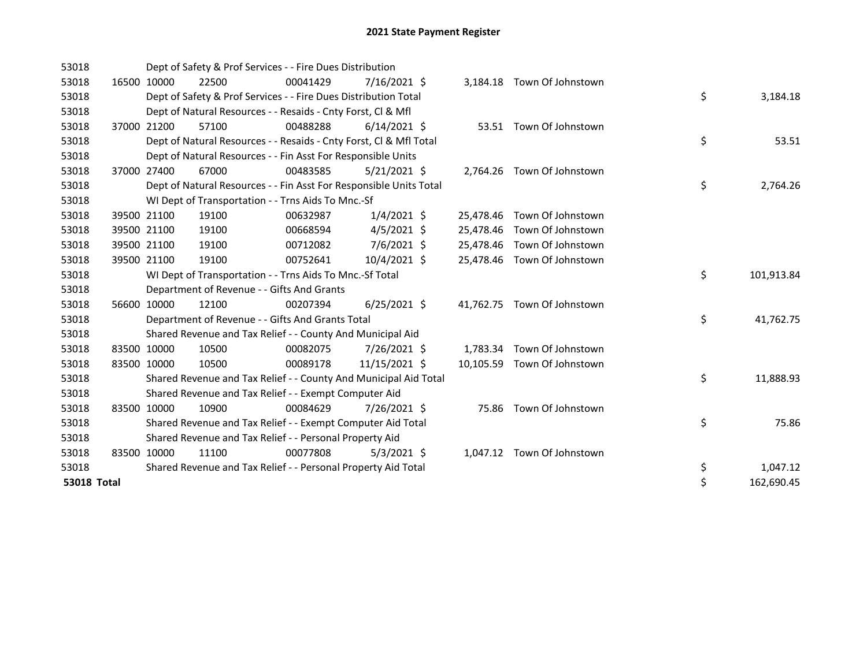| 53018              |             |             | Dept of Safety & Prof Services - - Fire Dues Distribution          |          |                |           |                             |    |            |
|--------------------|-------------|-------------|--------------------------------------------------------------------|----------|----------------|-----------|-----------------------------|----|------------|
| 53018              |             | 16500 10000 | 22500                                                              | 00041429 | 7/16/2021 \$   |           | 3,184.18 Town Of Johnstown  |    |            |
| 53018              |             |             | Dept of Safety & Prof Services - - Fire Dues Distribution Total    |          |                |           |                             | \$ | 3,184.18   |
| 53018              |             |             | Dept of Natural Resources - - Resaids - Cnty Forst, Cl & Mfl       |          |                |           |                             |    |            |
| 53018              |             | 37000 21200 | 57100                                                              | 00488288 | $6/14/2021$ \$ |           | 53.51 Town Of Johnstown     |    |            |
| 53018              |             |             | Dept of Natural Resources - - Resaids - Cnty Forst, Cl & Mfl Total |          |                |           |                             | \$ | 53.51      |
| 53018              |             |             | Dept of Natural Resources - - Fin Asst For Responsible Units       |          |                |           |                             |    |            |
| 53018              | 37000 27400 |             | 67000                                                              | 00483585 | $5/21/2021$ \$ |           | 2,764.26 Town Of Johnstown  |    |            |
| 53018              |             |             | Dept of Natural Resources - - Fin Asst For Responsible Units Total |          |                |           |                             | \$ | 2,764.26   |
| 53018              |             |             | WI Dept of Transportation - - Trns Aids To Mnc.-Sf                 |          |                |           |                             |    |            |
| 53018              |             | 39500 21100 | 19100                                                              | 00632987 | $1/4/2021$ \$  | 25,478.46 | Town Of Johnstown           |    |            |
| 53018              |             | 39500 21100 | 19100                                                              | 00668594 | $4/5/2021$ \$  | 25,478.46 | Town Of Johnstown           |    |            |
| 53018              |             | 39500 21100 | 19100                                                              | 00712082 | 7/6/2021 \$    | 25,478.46 | Town Of Johnstown           |    |            |
| 53018              |             | 39500 21100 | 19100                                                              | 00752641 | 10/4/2021 \$   |           | 25,478.46 Town Of Johnstown |    |            |
| 53018              |             |             | WI Dept of Transportation - - Trns Aids To Mnc.-Sf Total           |          |                |           |                             | \$ | 101,913.84 |
| 53018              |             |             | Department of Revenue - - Gifts And Grants                         |          |                |           |                             |    |            |
| 53018              |             | 56600 10000 | 12100                                                              | 00207394 | $6/25/2021$ \$ |           | 41,762.75 Town Of Johnstown |    |            |
| 53018              |             |             | Department of Revenue - - Gifts And Grants Total                   |          |                |           |                             | \$ | 41,762.75  |
| 53018              |             |             | Shared Revenue and Tax Relief - - County And Municipal Aid         |          |                |           |                             |    |            |
| 53018              | 83500 10000 |             | 10500                                                              | 00082075 | 7/26/2021 \$   |           | 1,783.34 Town Of Johnstown  |    |            |
| 53018              | 83500 10000 |             | 10500                                                              | 00089178 | 11/15/2021 \$  |           | 10,105.59 Town Of Johnstown |    |            |
| 53018              |             |             | Shared Revenue and Tax Relief - - County And Municipal Aid Total   |          |                |           |                             | \$ | 11,888.93  |
| 53018              |             |             | Shared Revenue and Tax Relief - - Exempt Computer Aid              |          |                |           |                             |    |            |
| 53018              | 83500 10000 |             | 10900                                                              | 00084629 | 7/26/2021 \$   | 75.86     | Town Of Johnstown           |    |            |
| 53018              |             |             | Shared Revenue and Tax Relief - - Exempt Computer Aid Total        |          |                |           |                             | \$ | 75.86      |
| 53018              |             |             | Shared Revenue and Tax Relief - - Personal Property Aid            |          |                |           |                             |    |            |
| 53018              | 83500 10000 |             | 11100                                                              | 00077808 | $5/3/2021$ \$  |           | 1,047.12 Town Of Johnstown  |    |            |
| 53018              |             |             | Shared Revenue and Tax Relief - - Personal Property Aid Total      |          |                |           |                             | \$ | 1,047.12   |
| <b>53018 Total</b> |             |             |                                                                    |          |                |           |                             | \$ | 162,690.45 |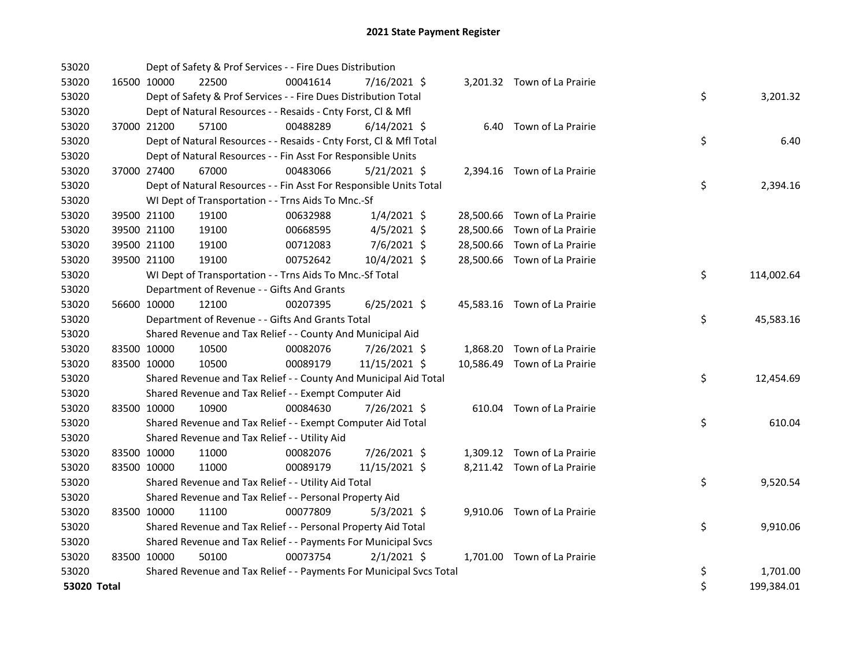| 53020       |             | Dept of Safety & Prof Services - - Fire Dues Distribution           |          |                |  |                              |    |            |
|-------------|-------------|---------------------------------------------------------------------|----------|----------------|--|------------------------------|----|------------|
| 53020       | 16500 10000 | 22500                                                               | 00041614 | 7/16/2021 \$   |  | 3,201.32 Town of La Prairie  |    |            |
| 53020       |             | Dept of Safety & Prof Services - - Fire Dues Distribution Total     |          |                |  |                              | \$ | 3,201.32   |
| 53020       |             | Dept of Natural Resources - - Resaids - Cnty Forst, CI & Mfl        |          |                |  |                              |    |            |
| 53020       | 37000 21200 | 57100                                                               | 00488289 | $6/14/2021$ \$ |  | 6.40 Town of La Prairie      |    |            |
| 53020       |             | Dept of Natural Resources - - Resaids - Cnty Forst, CI & Mfl Total  |          |                |  |                              | \$ | 6.40       |
| 53020       |             | Dept of Natural Resources - - Fin Asst For Responsible Units        |          |                |  |                              |    |            |
| 53020       | 37000 27400 | 67000                                                               | 00483066 | 5/21/2021 \$   |  | 2,394.16 Town of La Prairie  |    |            |
| 53020       |             | Dept of Natural Resources - - Fin Asst For Responsible Units Total  |          |                |  |                              | \$ | 2,394.16   |
| 53020       |             | WI Dept of Transportation - - Trns Aids To Mnc.-Sf                  |          |                |  |                              |    |            |
| 53020       | 39500 21100 | 19100                                                               | 00632988 | $1/4/2021$ \$  |  | 28,500.66 Town of La Prairie |    |            |
| 53020       | 39500 21100 | 19100                                                               | 00668595 | $4/5/2021$ \$  |  | 28,500.66 Town of La Prairie |    |            |
| 53020       | 39500 21100 | 19100                                                               | 00712083 | 7/6/2021 \$    |  | 28,500.66 Town of La Prairie |    |            |
| 53020       | 39500 21100 | 19100                                                               | 00752642 | 10/4/2021 \$   |  | 28,500.66 Town of La Prairie |    |            |
| 53020       |             | WI Dept of Transportation - - Trns Aids To Mnc.-Sf Total            |          |                |  |                              | \$ | 114,002.64 |
| 53020       |             | Department of Revenue - - Gifts And Grants                          |          |                |  |                              |    |            |
| 53020       | 56600 10000 | 12100                                                               | 00207395 | $6/25/2021$ \$ |  | 45,583.16 Town of La Prairie |    |            |
| 53020       |             | Department of Revenue - - Gifts And Grants Total                    |          |                |  |                              | \$ | 45,583.16  |
| 53020       |             | Shared Revenue and Tax Relief - - County And Municipal Aid          |          |                |  |                              |    |            |
| 53020       | 83500 10000 | 10500                                                               | 00082076 | 7/26/2021 \$   |  | 1,868.20 Town of La Prairie  |    |            |
| 53020       | 83500 10000 | 10500                                                               | 00089179 | 11/15/2021 \$  |  | 10,586.49 Town of La Prairie |    |            |
| 53020       |             | Shared Revenue and Tax Relief - - County And Municipal Aid Total    |          |                |  |                              | \$ | 12,454.69  |
| 53020       |             | Shared Revenue and Tax Relief - - Exempt Computer Aid               |          |                |  |                              |    |            |
| 53020       | 83500 10000 | 10900                                                               | 00084630 | 7/26/2021 \$   |  | 610.04 Town of La Prairie    |    |            |
| 53020       |             | Shared Revenue and Tax Relief - - Exempt Computer Aid Total         |          |                |  |                              | \$ | 610.04     |
| 53020       |             | Shared Revenue and Tax Relief - - Utility Aid                       |          |                |  |                              |    |            |
| 53020       | 83500 10000 | 11000                                                               | 00082076 | 7/26/2021 \$   |  | 1,309.12 Town of La Prairie  |    |            |
| 53020       | 83500 10000 | 11000                                                               | 00089179 | 11/15/2021 \$  |  | 8,211.42 Town of La Prairie  |    |            |
| 53020       |             | Shared Revenue and Tax Relief - - Utility Aid Total                 |          |                |  |                              | \$ | 9,520.54   |
| 53020       |             | Shared Revenue and Tax Relief - - Personal Property Aid             |          |                |  |                              |    |            |
| 53020       | 83500 10000 | 11100                                                               | 00077809 | $5/3/2021$ \$  |  | 9,910.06 Town of La Prairie  |    |            |
| 53020       |             | Shared Revenue and Tax Relief - - Personal Property Aid Total       |          |                |  |                              | \$ | 9,910.06   |
| 53020       |             | Shared Revenue and Tax Relief - - Payments For Municipal Svcs       |          |                |  |                              |    |            |
| 53020       | 83500 10000 | 50100                                                               | 00073754 | $2/1/2021$ \$  |  | 1,701.00 Town of La Prairie  |    |            |
| 53020       |             | Shared Revenue and Tax Relief - - Payments For Municipal Svcs Total |          |                |  |                              | \$ | 1,701.00   |
| 53020 Total |             |                                                                     |          |                |  |                              | \$ | 199,384.01 |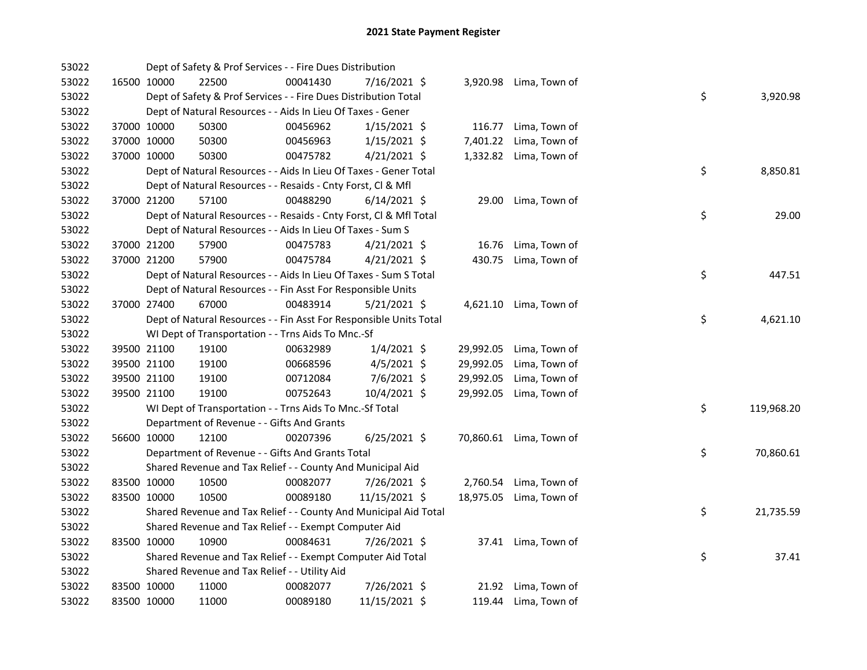| 53022 |             |             | Dept of Safety & Prof Services - - Fire Dues Distribution          |          |                |           |                         |    |            |
|-------|-------------|-------------|--------------------------------------------------------------------|----------|----------------|-----------|-------------------------|----|------------|
| 53022 |             | 16500 10000 | 22500                                                              | 00041430 | 7/16/2021 \$   |           | 3,920.98 Lima, Town of  |    |            |
| 53022 |             |             | Dept of Safety & Prof Services - - Fire Dues Distribution Total    |          |                |           |                         | \$ | 3,920.98   |
| 53022 |             |             | Dept of Natural Resources - - Aids In Lieu Of Taxes - Gener        |          |                |           |                         |    |            |
| 53022 |             | 37000 10000 | 50300                                                              | 00456962 | $1/15/2021$ \$ | 116.77    | Lima, Town of           |    |            |
| 53022 |             | 37000 10000 | 50300                                                              | 00456963 | $1/15/2021$ \$ | 7,401.22  | Lima, Town of           |    |            |
| 53022 | 37000 10000 |             | 50300                                                              | 00475782 | $4/21/2021$ \$ | 1,332.82  | Lima, Town of           |    |            |
| 53022 |             |             | Dept of Natural Resources - - Aids In Lieu Of Taxes - Gener Total  |          |                |           |                         | \$ | 8,850.81   |
| 53022 |             |             | Dept of Natural Resources - - Resaids - Cnty Forst, Cl & Mfl       |          |                |           |                         |    |            |
| 53022 |             | 37000 21200 | 57100                                                              | 00488290 | $6/14/2021$ \$ |           | 29.00 Lima, Town of     |    |            |
| 53022 |             |             | Dept of Natural Resources - - Resaids - Cnty Forst, Cl & Mfl Total |          |                |           |                         | \$ | 29.00      |
| 53022 |             |             | Dept of Natural Resources - - Aids In Lieu Of Taxes - Sum S        |          |                |           |                         |    |            |
| 53022 |             | 37000 21200 | 57900                                                              | 00475783 | $4/21/2021$ \$ | 16.76     | Lima, Town of           |    |            |
| 53022 |             | 37000 21200 | 57900                                                              | 00475784 | $4/21/2021$ \$ | 430.75    | Lima, Town of           |    |            |
| 53022 |             |             | Dept of Natural Resources - - Aids In Lieu Of Taxes - Sum S Total  |          |                |           |                         | \$ | 447.51     |
| 53022 |             |             | Dept of Natural Resources - - Fin Asst For Responsible Units       |          |                |           |                         |    |            |
| 53022 |             | 37000 27400 | 67000                                                              | 00483914 | $5/21/2021$ \$ |           | 4,621.10 Lima, Town of  |    |            |
| 53022 |             |             | Dept of Natural Resources - - Fin Asst For Responsible Units Total |          |                |           |                         | \$ | 4,621.10   |
| 53022 |             |             | WI Dept of Transportation - - Trns Aids To Mnc.-Sf                 |          |                |           |                         |    |            |
| 53022 |             | 39500 21100 | 19100                                                              | 00632989 | $1/4/2021$ \$  | 29,992.05 | Lima, Town of           |    |            |
| 53022 |             | 39500 21100 | 19100                                                              | 00668596 | $4/5/2021$ \$  | 29,992.05 | Lima, Town of           |    |            |
| 53022 |             | 39500 21100 | 19100                                                              | 00712084 | 7/6/2021 \$    | 29,992.05 | Lima, Town of           |    |            |
| 53022 |             | 39500 21100 | 19100                                                              | 00752643 | 10/4/2021 \$   | 29,992.05 | Lima, Town of           |    |            |
| 53022 |             |             | WI Dept of Transportation - - Trns Aids To Mnc.-Sf Total           |          |                |           |                         | \$ | 119,968.20 |
| 53022 |             |             | Department of Revenue - - Gifts And Grants                         |          |                |           |                         |    |            |
| 53022 |             | 56600 10000 | 12100                                                              | 00207396 | $6/25/2021$ \$ |           | 70,860.61 Lima, Town of |    |            |
| 53022 |             |             | Department of Revenue - - Gifts And Grants Total                   |          |                |           |                         | \$ | 70,860.61  |
| 53022 |             |             | Shared Revenue and Tax Relief - - County And Municipal Aid         |          |                |           |                         |    |            |
| 53022 |             | 83500 10000 | 10500                                                              | 00082077 | 7/26/2021 \$   |           | 2,760.54 Lima, Town of  |    |            |
| 53022 |             | 83500 10000 | 10500                                                              | 00089180 | 11/15/2021 \$  |           | 18,975.05 Lima, Town of |    |            |
| 53022 |             |             | Shared Revenue and Tax Relief - - County And Municipal Aid Total   |          |                |           |                         | \$ | 21,735.59  |
| 53022 |             |             | Shared Revenue and Tax Relief - - Exempt Computer Aid              |          |                |           |                         |    |            |
| 53022 |             | 83500 10000 | 10900                                                              | 00084631 | 7/26/2021 \$   |           | 37.41 Lima, Town of     |    |            |
| 53022 |             |             | Shared Revenue and Tax Relief - - Exempt Computer Aid Total        |          |                |           |                         | \$ | 37.41      |
| 53022 |             |             | Shared Revenue and Tax Relief - - Utility Aid                      |          |                |           |                         |    |            |
| 53022 |             | 83500 10000 | 11000                                                              | 00082077 | 7/26/2021 \$   |           | 21.92 Lima, Town of     |    |            |
| 53022 | 83500 10000 |             | 11000                                                              | 00089180 | 11/15/2021 \$  |           | 119.44 Lima, Town of    |    |            |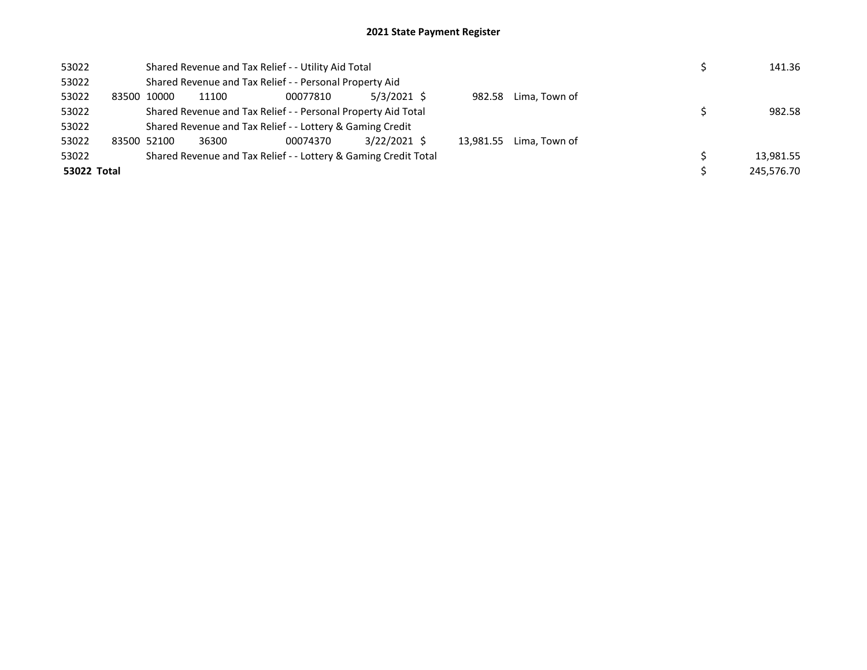## 2021 State Payment Register

| 53022       |       | Shared Revenue and Tax Relief - - Utility Aid Total           |       |                                                                 |              |  |  |                         |  | 141.36     |
|-------------|-------|---------------------------------------------------------------|-------|-----------------------------------------------------------------|--------------|--|--|-------------------------|--|------------|
| 53022       |       |                                                               |       | Shared Revenue and Tax Relief - - Personal Property Aid         |              |  |  |                         |  |            |
| 53022       | 83500 | 10000                                                         | 11100 | 00077810                                                        | 5/3/2021 \$  |  |  | 982.58 Lima. Town of    |  |            |
| 53022       |       | Shared Revenue and Tax Relief - - Personal Property Aid Total |       | 982.58                                                          |              |  |  |                         |  |            |
| 53022       |       |                                                               |       | Shared Revenue and Tax Relief - - Lottery & Gaming Credit       |              |  |  |                         |  |            |
| 53022       |       | 83500 52100                                                   | 36300 | 00074370                                                        | 3/22/2021 \$ |  |  | 13.981.55 Lima. Town of |  |            |
| 53022       |       |                                                               |       | Shared Revenue and Tax Relief - - Lottery & Gaming Credit Total |              |  |  |                         |  | 13,981.55  |
| 53022 Total |       |                                                               |       |                                                                 |              |  |  |                         |  | 245.576.70 |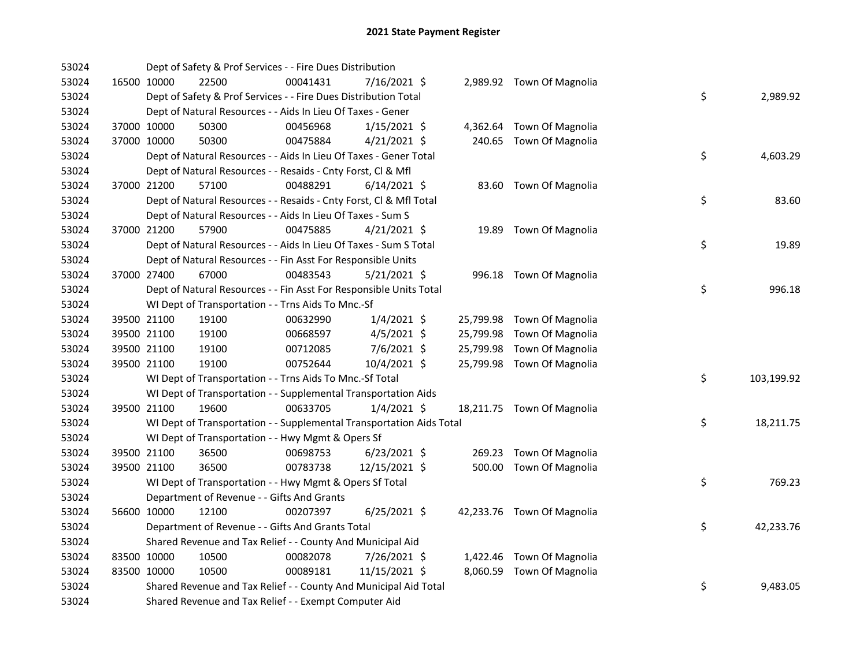| 53024 |             | Dept of Safety & Prof Services - - Fire Dues Distribution            |          |                |  |                            |    |            |
|-------|-------------|----------------------------------------------------------------------|----------|----------------|--|----------------------------|----|------------|
| 53024 | 16500 10000 | 22500                                                                | 00041431 | 7/16/2021 \$   |  | 2,989.92 Town Of Magnolia  |    |            |
| 53024 |             | Dept of Safety & Prof Services - - Fire Dues Distribution Total      |          |                |  |                            | \$ | 2,989.92   |
| 53024 |             | Dept of Natural Resources - - Aids In Lieu Of Taxes - Gener          |          |                |  |                            |    |            |
| 53024 | 37000 10000 | 50300                                                                | 00456968 | $1/15/2021$ \$ |  | 4,362.64 Town Of Magnolia  |    |            |
| 53024 | 37000 10000 | 50300                                                                | 00475884 | $4/21/2021$ \$ |  | 240.65 Town Of Magnolia    |    |            |
| 53024 |             | Dept of Natural Resources - - Aids In Lieu Of Taxes - Gener Total    |          |                |  |                            | \$ | 4,603.29   |
| 53024 |             | Dept of Natural Resources - - Resaids - Cnty Forst, Cl & Mfl         |          |                |  |                            |    |            |
| 53024 | 37000 21200 | 57100                                                                | 00488291 | $6/14/2021$ \$ |  | 83.60 Town Of Magnolia     |    |            |
| 53024 |             | Dept of Natural Resources - - Resaids - Cnty Forst, Cl & Mfl Total   |          |                |  |                            | \$ | 83.60      |
| 53024 |             | Dept of Natural Resources - - Aids In Lieu Of Taxes - Sum S          |          |                |  |                            |    |            |
| 53024 | 37000 21200 | 57900                                                                | 00475885 | $4/21/2021$ \$ |  | 19.89 Town Of Magnolia     |    |            |
| 53024 |             | Dept of Natural Resources - - Aids In Lieu Of Taxes - Sum S Total    |          |                |  |                            | \$ | 19.89      |
| 53024 |             | Dept of Natural Resources - - Fin Asst For Responsible Units         |          |                |  |                            |    |            |
| 53024 | 37000 27400 | 67000                                                                | 00483543 | $5/21/2021$ \$ |  | 996.18 Town Of Magnolia    |    |            |
| 53024 |             | Dept of Natural Resources - - Fin Asst For Responsible Units Total   |          |                |  |                            | \$ | 996.18     |
| 53024 |             | WI Dept of Transportation - - Trns Aids To Mnc.-Sf                   |          |                |  |                            |    |            |
| 53024 | 39500 21100 | 19100                                                                | 00632990 | $1/4/2021$ \$  |  | 25,799.98 Town Of Magnolia |    |            |
| 53024 | 39500 21100 | 19100                                                                | 00668597 | $4/5/2021$ \$  |  | 25,799.98 Town Of Magnolia |    |            |
| 53024 | 39500 21100 | 19100                                                                | 00712085 | $7/6/2021$ \$  |  | 25,799.98 Town Of Magnolia |    |            |
| 53024 | 39500 21100 | 19100                                                                | 00752644 | 10/4/2021 \$   |  | 25,799.98 Town Of Magnolia |    |            |
| 53024 |             | WI Dept of Transportation - - Trns Aids To Mnc.-Sf Total             |          |                |  |                            | \$ | 103,199.92 |
| 53024 |             | WI Dept of Transportation - - Supplemental Transportation Aids       |          |                |  |                            |    |            |
| 53024 | 39500 21100 | 19600                                                                | 00633705 | $1/4/2021$ \$  |  | 18,211.75 Town Of Magnolia |    |            |
| 53024 |             | WI Dept of Transportation - - Supplemental Transportation Aids Total |          |                |  |                            | \$ | 18,211.75  |
| 53024 |             | WI Dept of Transportation - - Hwy Mgmt & Opers Sf                    |          |                |  |                            |    |            |
| 53024 | 39500 21100 | 36500                                                                | 00698753 | $6/23/2021$ \$ |  | 269.23 Town Of Magnolia    |    |            |
| 53024 | 39500 21100 | 36500                                                                | 00783738 | 12/15/2021 \$  |  | 500.00 Town Of Magnolia    |    |            |
| 53024 |             | WI Dept of Transportation - - Hwy Mgmt & Opers Sf Total              |          |                |  |                            | \$ | 769.23     |
| 53024 |             | Department of Revenue - - Gifts And Grants                           |          |                |  |                            |    |            |
| 53024 | 56600 10000 | 12100                                                                | 00207397 | $6/25/2021$ \$ |  | 42,233.76 Town Of Magnolia |    |            |
| 53024 |             | Department of Revenue - - Gifts And Grants Total                     |          |                |  |                            | \$ | 42,233.76  |
| 53024 |             | Shared Revenue and Tax Relief - - County And Municipal Aid           |          |                |  |                            |    |            |
| 53024 | 83500 10000 | 10500                                                                | 00082078 | 7/26/2021 \$   |  | 1,422.46 Town Of Magnolia  |    |            |
| 53024 | 83500 10000 | 10500                                                                | 00089181 | 11/15/2021 \$  |  | 8,060.59 Town Of Magnolia  |    |            |
| 53024 |             | Shared Revenue and Tax Relief - - County And Municipal Aid Total     |          |                |  |                            | \$ | 9,483.05   |
| 53024 |             | Shared Revenue and Tax Relief - - Exempt Computer Aid                |          |                |  |                            |    |            |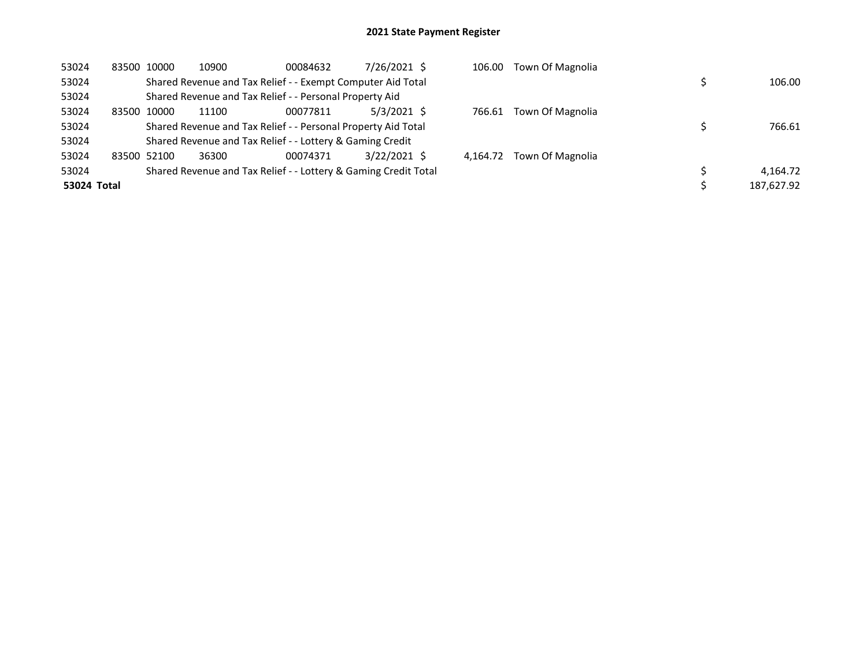| 53024       |             | 83500 10000 | 10900                                                           | 00084632 | 7/26/2021 \$  | 106.00   | Town Of Magnolia |            |
|-------------|-------------|-------------|-----------------------------------------------------------------|----------|---------------|----------|------------------|------------|
| 53024       |             |             | Shared Revenue and Tax Relief - - Exempt Computer Aid Total     |          |               |          |                  | 106.00     |
| 53024       |             |             | Shared Revenue and Tax Relief - - Personal Property Aid         |          |               |          |                  |            |
| 53024       | 83500       | 10000       | 11100                                                           | 00077811 | $5/3/2021$ \$ | 766.61   | Town Of Magnolia |            |
| 53024       |             |             | Shared Revenue and Tax Relief - - Personal Property Aid Total   |          |               |          |                  | 766.61     |
| 53024       |             |             | Shared Revenue and Tax Relief - - Lottery & Gaming Credit       |          |               |          |                  |            |
| 53024       | 83500 52100 |             | 36300                                                           | 00074371 | 3/22/2021 \$  | 4.164.72 | Town Of Magnolia |            |
| 53024       |             |             | Shared Revenue and Tax Relief - - Lottery & Gaming Credit Total |          |               |          |                  | 4,164.72   |
| 53024 Total |             |             |                                                                 |          |               |          |                  | 187.627.92 |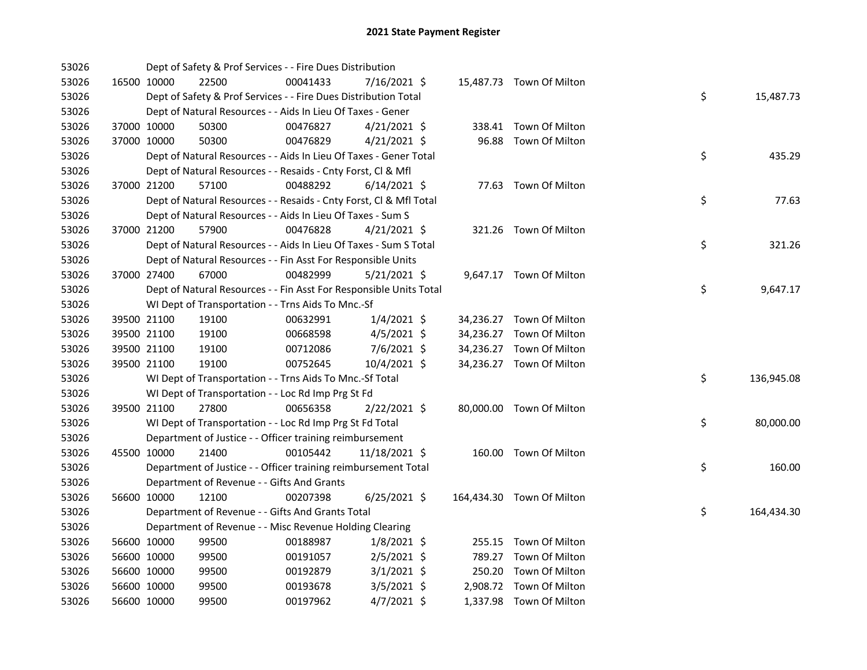| 53026 |             | Dept of Safety & Prof Services - - Fire Dues Distribution          |          |                |       |                           |    |            |
|-------|-------------|--------------------------------------------------------------------|----------|----------------|-------|---------------------------|----|------------|
| 53026 | 16500 10000 | 22500                                                              | 00041433 | 7/16/2021 \$   |       | 15,487.73 Town Of Milton  |    |            |
| 53026 |             | Dept of Safety & Prof Services - - Fire Dues Distribution Total    |          |                |       |                           | \$ | 15,487.73  |
| 53026 |             | Dept of Natural Resources - - Aids In Lieu Of Taxes - Gener        |          |                |       |                           |    |            |
| 53026 | 37000 10000 | 50300                                                              | 00476827 | $4/21/2021$ \$ |       | 338.41 Town Of Milton     |    |            |
| 53026 | 37000 10000 | 50300                                                              | 00476829 | $4/21/2021$ \$ | 96.88 | Town Of Milton            |    |            |
| 53026 |             | Dept of Natural Resources - - Aids In Lieu Of Taxes - Gener Total  |          |                |       |                           | \$ | 435.29     |
| 53026 |             | Dept of Natural Resources - - Resaids - Cnty Forst, Cl & Mfl       |          |                |       |                           |    |            |
| 53026 | 37000 21200 | 57100                                                              | 00488292 | $6/14/2021$ \$ |       | 77.63 Town Of Milton      |    |            |
| 53026 |             | Dept of Natural Resources - - Resaids - Cnty Forst, Cl & Mfl Total |          |                |       |                           | \$ | 77.63      |
| 53026 |             | Dept of Natural Resources - - Aids In Lieu Of Taxes - Sum S        |          |                |       |                           |    |            |
| 53026 | 37000 21200 | 57900                                                              | 00476828 | $4/21/2021$ \$ |       | 321.26 Town Of Milton     |    |            |
| 53026 |             | Dept of Natural Resources - - Aids In Lieu Of Taxes - Sum S Total  |          |                |       |                           | \$ | 321.26     |
| 53026 |             | Dept of Natural Resources - - Fin Asst For Responsible Units       |          |                |       |                           |    |            |
| 53026 | 37000 27400 | 67000                                                              | 00482999 | 5/21/2021 \$   |       | 9,647.17 Town Of Milton   |    |            |
| 53026 |             | Dept of Natural Resources - - Fin Asst For Responsible Units Total |          |                |       |                           | \$ | 9,647.17   |
| 53026 |             | WI Dept of Transportation - - Trns Aids To Mnc.-Sf                 |          |                |       |                           |    |            |
| 53026 | 39500 21100 | 19100                                                              | 00632991 | $1/4/2021$ \$  |       | 34,236.27 Town Of Milton  |    |            |
| 53026 | 39500 21100 | 19100                                                              | 00668598 | $4/5/2021$ \$  |       | 34,236.27 Town Of Milton  |    |            |
| 53026 | 39500 21100 | 19100                                                              | 00712086 | 7/6/2021 \$    |       | 34,236.27 Town Of Milton  |    |            |
| 53026 | 39500 21100 | 19100                                                              | 00752645 | 10/4/2021 \$   |       | 34,236.27 Town Of Milton  |    |            |
| 53026 |             | WI Dept of Transportation - - Trns Aids To Mnc.-Sf Total           |          |                |       |                           | \$ | 136,945.08 |
| 53026 |             | WI Dept of Transportation - - Loc Rd Imp Prg St Fd                 |          |                |       |                           |    |            |
| 53026 | 39500 21100 | 27800                                                              | 00656358 | $2/22/2021$ \$ |       | 80,000.00 Town Of Milton  |    |            |
| 53026 |             | WI Dept of Transportation - - Loc Rd Imp Prg St Fd Total           |          |                |       |                           | \$ | 80,000.00  |
| 53026 |             | Department of Justice - - Officer training reimbursement           |          |                |       |                           |    |            |
| 53026 | 45500 10000 | 21400                                                              | 00105442 | 11/18/2021 \$  |       | 160.00 Town Of Milton     |    |            |
| 53026 |             | Department of Justice - - Officer training reimbursement Total     |          |                |       |                           | \$ | 160.00     |
| 53026 |             | Department of Revenue - - Gifts And Grants                         |          |                |       |                           |    |            |
| 53026 | 56600 10000 | 12100                                                              | 00207398 | $6/25/2021$ \$ |       | 164,434.30 Town Of Milton |    |            |
| 53026 |             | Department of Revenue - - Gifts And Grants Total                   |          |                |       |                           | \$ | 164,434.30 |
| 53026 |             | Department of Revenue - - Misc Revenue Holding Clearing            |          |                |       |                           |    |            |
| 53026 | 56600 10000 | 99500                                                              | 00188987 | $1/8/2021$ \$  |       | 255.15 Town Of Milton     |    |            |
| 53026 | 56600 10000 | 99500                                                              | 00191057 | $2/5/2021$ \$  |       | 789.27 Town Of Milton     |    |            |
| 53026 | 56600 10000 | 99500                                                              | 00192879 | $3/1/2021$ \$  |       | 250.20 Town Of Milton     |    |            |
| 53026 | 56600 10000 | 99500                                                              | 00193678 | $3/5/2021$ \$  |       | 2,908.72 Town Of Milton   |    |            |
| 53026 | 56600 10000 | 99500                                                              | 00197962 | $4/7/2021$ \$  |       | 1,337.98 Town Of Milton   |    |            |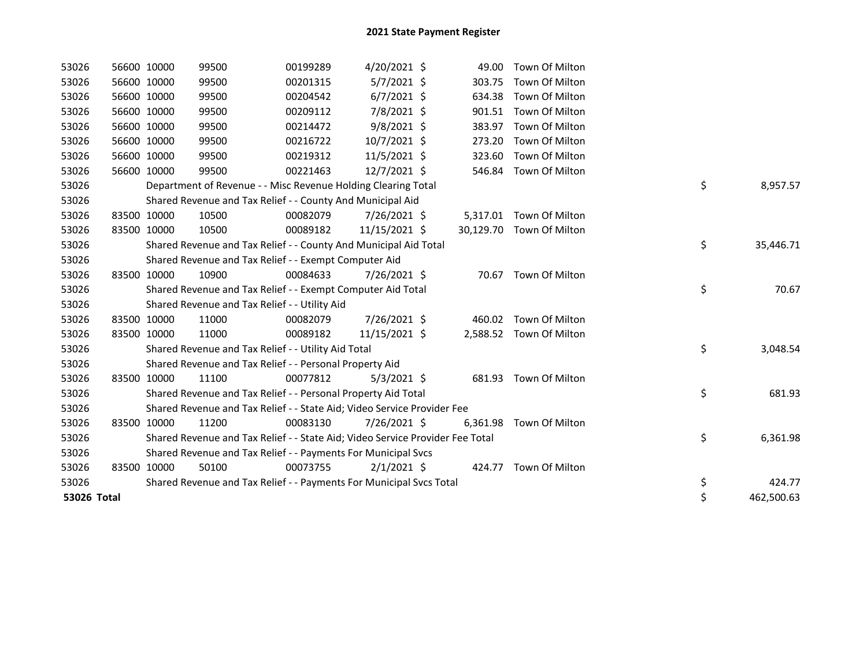| 53026       | 56600 10000 | 99500                                                                         | 00199289 | $4/20/2021$ \$ | 49.00    | Town Of Milton           |    |            |
|-------------|-------------|-------------------------------------------------------------------------------|----------|----------------|----------|--------------------------|----|------------|
| 53026       | 56600 10000 | 99500                                                                         | 00201315 | $5/7/2021$ \$  | 303.75   | Town Of Milton           |    |            |
| 53026       | 56600 10000 | 99500                                                                         | 00204542 | $6/7/2021$ \$  | 634.38   | Town Of Milton           |    |            |
| 53026       | 56600 10000 | 99500                                                                         | 00209112 | 7/8/2021 \$    |          | 901.51 Town Of Milton    |    |            |
| 53026       | 56600 10000 | 99500                                                                         | 00214472 | $9/8/2021$ \$  | 383.97   | Town Of Milton           |    |            |
| 53026       | 56600 10000 | 99500                                                                         | 00216722 | 10/7/2021 \$   | 273.20   | Town Of Milton           |    |            |
| 53026       | 56600 10000 | 99500                                                                         | 00219312 | 11/5/2021 \$   | 323.60   | Town Of Milton           |    |            |
| 53026       | 56600 10000 | 99500                                                                         | 00221463 | 12/7/2021 \$   |          | 546.84 Town Of Milton    |    |            |
| 53026       |             | Department of Revenue - - Misc Revenue Holding Clearing Total                 |          |                |          |                          | \$ | 8,957.57   |
| 53026       |             | Shared Revenue and Tax Relief - - County And Municipal Aid                    |          |                |          |                          |    |            |
| 53026       | 83500 10000 | 10500                                                                         | 00082079 | 7/26/2021 \$   |          | 5,317.01 Town Of Milton  |    |            |
| 53026       | 83500 10000 | 10500                                                                         | 00089182 | 11/15/2021 \$  |          | 30,129.70 Town Of Milton |    |            |
| 53026       |             | Shared Revenue and Tax Relief - - County And Municipal Aid Total              |          |                |          |                          | \$ | 35,446.71  |
| 53026       |             | Shared Revenue and Tax Relief - - Exempt Computer Aid                         |          |                |          |                          |    |            |
| 53026       | 83500 10000 | 10900                                                                         | 00084633 | 7/26/2021 \$   | 70.67    | Town Of Milton           |    |            |
| 53026       |             | Shared Revenue and Tax Relief - - Exempt Computer Aid Total                   |          |                |          |                          | \$ | 70.67      |
| 53026       |             | Shared Revenue and Tax Relief - - Utility Aid                                 |          |                |          |                          |    |            |
| 53026       | 83500 10000 | 11000                                                                         | 00082079 | 7/26/2021 \$   |          | 460.02 Town Of Milton    |    |            |
| 53026       | 83500 10000 | 11000                                                                         | 00089182 | 11/15/2021 \$  |          | 2,588.52 Town Of Milton  |    |            |
| 53026       |             | Shared Revenue and Tax Relief - - Utility Aid Total                           |          |                |          |                          | \$ | 3,048.54   |
| 53026       |             | Shared Revenue and Tax Relief - - Personal Property Aid                       |          |                |          |                          |    |            |
| 53026       | 83500 10000 | 11100                                                                         | 00077812 | $5/3/2021$ \$  |          | 681.93 Town Of Milton    |    |            |
| 53026       |             | Shared Revenue and Tax Relief - - Personal Property Aid Total                 |          |                |          |                          | \$ | 681.93     |
| 53026       |             | Shared Revenue and Tax Relief - - State Aid; Video Service Provider Fee       |          |                |          |                          |    |            |
| 53026       | 83500 10000 | 11200                                                                         | 00083130 | 7/26/2021 \$   | 6,361.98 | Town Of Milton           |    |            |
| 53026       |             | Shared Revenue and Tax Relief - - State Aid; Video Service Provider Fee Total |          |                |          |                          | \$ | 6,361.98   |
| 53026       |             | Shared Revenue and Tax Relief - - Payments For Municipal Svcs                 |          |                |          |                          |    |            |
| 53026       | 83500 10000 | 50100                                                                         | 00073755 | $2/1/2021$ \$  |          | 424.77 Town Of Milton    |    |            |
| 53026       |             | Shared Revenue and Tax Relief - - Payments For Municipal Svcs Total           |          |                |          |                          | \$ | 424.77     |
| 53026 Total |             |                                                                               |          |                |          |                          | \$ | 462,500.63 |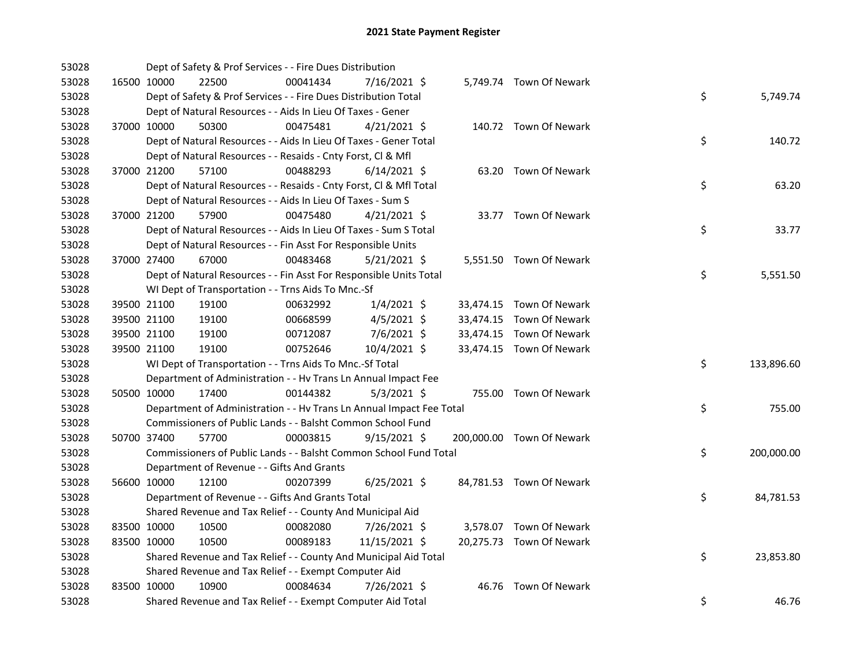| 53028 |             |             | Dept of Safety & Prof Services - - Fire Dues Distribution            |          |                |  |                           |    |            |
|-------|-------------|-------------|----------------------------------------------------------------------|----------|----------------|--|---------------------------|----|------------|
| 53028 |             | 16500 10000 | 22500                                                                | 00041434 | 7/16/2021 \$   |  | 5,749.74 Town Of Newark   |    |            |
| 53028 |             |             | Dept of Safety & Prof Services - - Fire Dues Distribution Total      |          |                |  |                           | \$ | 5,749.74   |
| 53028 |             |             | Dept of Natural Resources - - Aids In Lieu Of Taxes - Gener          |          |                |  |                           |    |            |
| 53028 |             | 37000 10000 | 50300                                                                | 00475481 | $4/21/2021$ \$ |  | 140.72 Town Of Newark     |    |            |
| 53028 |             |             | Dept of Natural Resources - - Aids In Lieu Of Taxes - Gener Total    |          |                |  |                           | \$ | 140.72     |
| 53028 |             |             | Dept of Natural Resources - - Resaids - Cnty Forst, Cl & Mfl         |          |                |  |                           |    |            |
| 53028 | 37000 21200 |             | 57100                                                                | 00488293 | $6/14/2021$ \$ |  | 63.20 Town Of Newark      |    |            |
| 53028 |             |             | Dept of Natural Resources - - Resaids - Cnty Forst, Cl & Mfl Total   |          |                |  |                           | \$ | 63.20      |
| 53028 |             |             | Dept of Natural Resources - - Aids In Lieu Of Taxes - Sum S          |          |                |  |                           |    |            |
| 53028 |             | 37000 21200 | 57900                                                                | 00475480 | $4/21/2021$ \$ |  | 33.77 Town Of Newark      |    |            |
| 53028 |             |             | Dept of Natural Resources - - Aids In Lieu Of Taxes - Sum S Total    |          |                |  |                           | \$ | 33.77      |
| 53028 |             |             | Dept of Natural Resources - - Fin Asst For Responsible Units         |          |                |  |                           |    |            |
| 53028 |             | 37000 27400 | 67000                                                                | 00483468 | 5/21/2021 \$   |  | 5,551.50 Town Of Newark   |    |            |
| 53028 |             |             | Dept of Natural Resources - - Fin Asst For Responsible Units Total   |          |                |  |                           | \$ | 5,551.50   |
| 53028 |             |             | WI Dept of Transportation - - Trns Aids To Mnc.-Sf                   |          |                |  |                           |    |            |
| 53028 |             | 39500 21100 | 19100                                                                | 00632992 | $1/4/2021$ \$  |  | 33,474.15 Town Of Newark  |    |            |
| 53028 |             | 39500 21100 | 19100                                                                | 00668599 | $4/5/2021$ \$  |  | 33,474.15 Town Of Newark  |    |            |
| 53028 |             | 39500 21100 | 19100                                                                | 00712087 | 7/6/2021 \$    |  | 33,474.15 Town Of Newark  |    |            |
| 53028 |             | 39500 21100 | 19100                                                                | 00752646 | 10/4/2021 \$   |  | 33,474.15 Town Of Newark  |    |            |
| 53028 |             |             | WI Dept of Transportation - - Trns Aids To Mnc.-Sf Total             |          |                |  |                           | \$ | 133,896.60 |
| 53028 |             |             | Department of Administration - - Hv Trans Ln Annual Impact Fee       |          |                |  |                           |    |            |
| 53028 |             | 50500 10000 | 17400                                                                | 00144382 | $5/3/2021$ \$  |  | 755.00 Town Of Newark     |    |            |
| 53028 |             |             | Department of Administration - - Hv Trans Ln Annual Impact Fee Total |          |                |  |                           | \$ | 755.00     |
| 53028 |             |             | Commissioners of Public Lands - - Balsht Common School Fund          |          |                |  |                           |    |            |
| 53028 |             | 50700 37400 | 57700                                                                | 00003815 | $9/15/2021$ \$ |  | 200,000.00 Town Of Newark |    |            |
| 53028 |             |             | Commissioners of Public Lands - - Balsht Common School Fund Total    |          |                |  |                           | \$ | 200,000.00 |
| 53028 |             |             | Department of Revenue - - Gifts And Grants                           |          |                |  |                           |    |            |
| 53028 |             | 56600 10000 | 12100                                                                | 00207399 | $6/25/2021$ \$ |  | 84,781.53 Town Of Newark  |    |            |
| 53028 |             |             | Department of Revenue - - Gifts And Grants Total                     |          |                |  |                           | \$ | 84,781.53  |
| 53028 |             |             | Shared Revenue and Tax Relief - - County And Municipal Aid           |          |                |  |                           |    |            |
| 53028 |             | 83500 10000 | 10500                                                                | 00082080 | 7/26/2021 \$   |  | 3,578.07 Town Of Newark   |    |            |
| 53028 |             | 83500 10000 | 10500                                                                | 00089183 | 11/15/2021 \$  |  | 20,275.73 Town Of Newark  |    |            |
| 53028 |             |             | Shared Revenue and Tax Relief - - County And Municipal Aid Total     |          |                |  |                           | \$ | 23,853.80  |
| 53028 |             |             | Shared Revenue and Tax Relief - - Exempt Computer Aid                |          |                |  |                           |    |            |
| 53028 |             | 83500 10000 | 10900                                                                | 00084634 | 7/26/2021 \$   |  | 46.76 Town Of Newark      |    |            |
| 53028 |             |             | Shared Revenue and Tax Relief - - Exempt Computer Aid Total          |          |                |  |                           | \$ | 46.76      |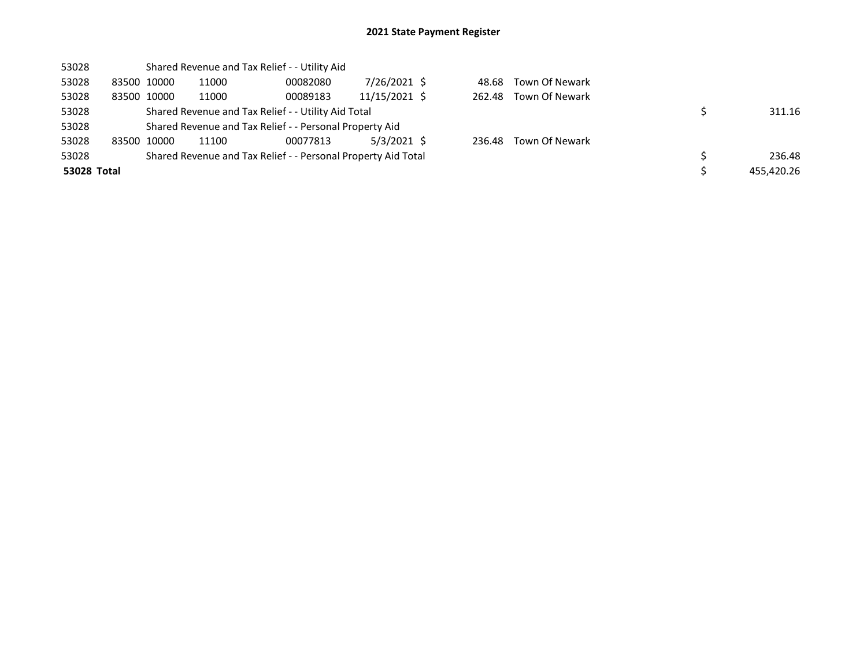| 53028       |             |       | Shared Revenue and Tax Relief - - Utility Aid                 |               |        |                |            |
|-------------|-------------|-------|---------------------------------------------------------------|---------------|--------|----------------|------------|
| 53028       | 83500 10000 | 11000 | 00082080                                                      | 7/26/2021 \$  | 48.68  | Town Of Newark |            |
| 53028       | 83500 10000 | 11000 | 00089183                                                      | 11/15/2021 \$ | 262.48 | Town Of Newark |            |
| 53028       |             |       | Shared Revenue and Tax Relief - - Utility Aid Total           |               |        |                | 311.16     |
| 53028       |             |       | Shared Revenue and Tax Relief - - Personal Property Aid       |               |        |                |            |
| 53028       | 83500 10000 | 11100 | 00077813                                                      | $5/3/2021$ \$ | 236.48 | Town Of Newark |            |
| 53028       |             |       | Shared Revenue and Tax Relief - - Personal Property Aid Total |               |        |                | 236.48     |
| 53028 Total |             |       |                                                               |               |        |                | 455.420.26 |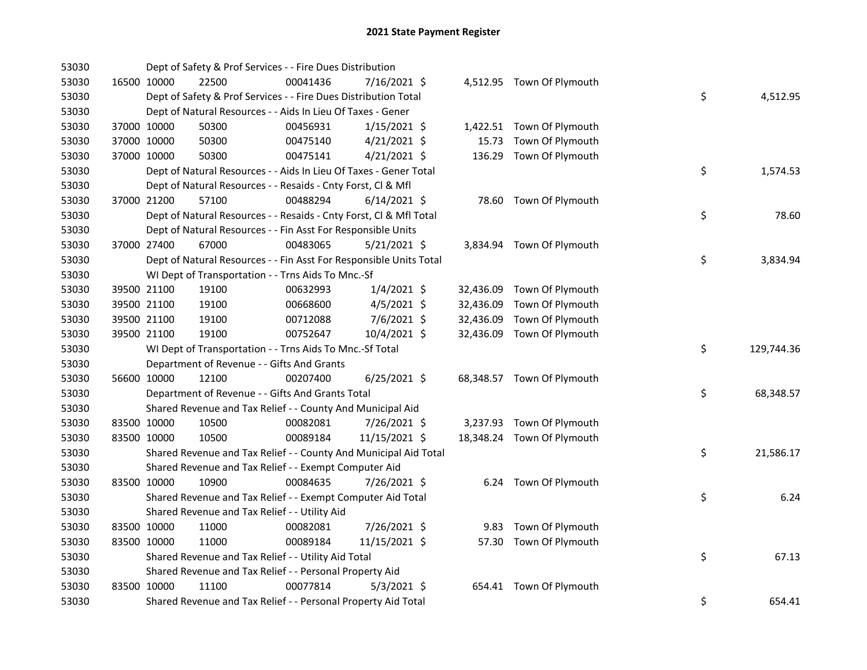| 53030 |             |             | Dept of Safety & Prof Services - - Fire Dues Distribution          |          |                |       |                            |    |            |
|-------|-------------|-------------|--------------------------------------------------------------------|----------|----------------|-------|----------------------------|----|------------|
| 53030 |             | 16500 10000 | 22500                                                              | 00041436 | 7/16/2021 \$   |       | 4,512.95 Town Of Plymouth  |    |            |
| 53030 |             |             | Dept of Safety & Prof Services - - Fire Dues Distribution Total    |          |                |       |                            | \$ | 4,512.95   |
| 53030 |             |             | Dept of Natural Resources - - Aids In Lieu Of Taxes - Gener        |          |                |       |                            |    |            |
| 53030 |             | 37000 10000 | 50300                                                              | 00456931 | $1/15/2021$ \$ |       | 1,422.51 Town Of Plymouth  |    |            |
| 53030 |             | 37000 10000 | 50300                                                              | 00475140 | $4/21/2021$ \$ | 15.73 | Town Of Plymouth           |    |            |
| 53030 | 37000 10000 |             | 50300                                                              | 00475141 | $4/21/2021$ \$ |       | 136.29 Town Of Plymouth    |    |            |
| 53030 |             |             | Dept of Natural Resources - - Aids In Lieu Of Taxes - Gener Total  |          |                |       |                            | \$ | 1,574.53   |
| 53030 |             |             | Dept of Natural Resources - - Resaids - Cnty Forst, Cl & Mfl       |          |                |       |                            |    |            |
| 53030 |             | 37000 21200 | 57100                                                              | 00488294 | $6/14/2021$ \$ |       | 78.60 Town Of Plymouth     |    |            |
| 53030 |             |             | Dept of Natural Resources - - Resaids - Cnty Forst, Cl & Mfl Total |          |                |       |                            | \$ | 78.60      |
| 53030 |             |             | Dept of Natural Resources - - Fin Asst For Responsible Units       |          |                |       |                            |    |            |
| 53030 |             | 37000 27400 | 67000                                                              | 00483065 | $5/21/2021$ \$ |       | 3,834.94 Town Of Plymouth  |    |            |
| 53030 |             |             | Dept of Natural Resources - - Fin Asst For Responsible Units Total |          |                |       |                            | \$ | 3,834.94   |
| 53030 |             |             | WI Dept of Transportation - - Trns Aids To Mnc.-Sf                 |          |                |       |                            |    |            |
| 53030 |             | 39500 21100 | 19100                                                              | 00632993 | $1/4/2021$ \$  |       | 32,436.09 Town Of Plymouth |    |            |
| 53030 |             | 39500 21100 | 19100                                                              | 00668600 | $4/5/2021$ \$  |       | 32,436.09 Town Of Plymouth |    |            |
| 53030 |             | 39500 21100 | 19100                                                              | 00712088 | 7/6/2021 \$    |       | 32,436.09 Town Of Plymouth |    |            |
| 53030 |             | 39500 21100 | 19100                                                              | 00752647 | 10/4/2021 \$   |       | 32,436.09 Town Of Plymouth |    |            |
| 53030 |             |             | WI Dept of Transportation - - Trns Aids To Mnc.-Sf Total           |          |                |       |                            | \$ | 129,744.36 |
| 53030 |             |             | Department of Revenue - - Gifts And Grants                         |          |                |       |                            |    |            |
| 53030 |             | 56600 10000 | 12100                                                              | 00207400 | $6/25/2021$ \$ |       | 68,348.57 Town Of Plymouth |    |            |
| 53030 |             |             | Department of Revenue - - Gifts And Grants Total                   |          |                |       |                            | \$ | 68,348.57  |
| 53030 |             |             | Shared Revenue and Tax Relief - - County And Municipal Aid         |          |                |       |                            |    |            |
| 53030 |             | 83500 10000 | 10500                                                              | 00082081 | 7/26/2021 \$   |       | 3,237.93 Town Of Plymouth  |    |            |
| 53030 |             | 83500 10000 | 10500                                                              | 00089184 | 11/15/2021 \$  |       | 18,348.24 Town Of Plymouth |    |            |
| 53030 |             |             | Shared Revenue and Tax Relief - - County And Municipal Aid Total   |          |                |       |                            | \$ | 21,586.17  |
| 53030 |             |             | Shared Revenue and Tax Relief - - Exempt Computer Aid              |          |                |       |                            |    |            |
| 53030 |             | 83500 10000 | 10900                                                              | 00084635 | 7/26/2021 \$   |       | 6.24 Town Of Plymouth      |    |            |
| 53030 |             |             | Shared Revenue and Tax Relief - - Exempt Computer Aid Total        |          |                |       |                            | \$ | 6.24       |
| 53030 |             |             | Shared Revenue and Tax Relief - - Utility Aid                      |          |                |       |                            |    |            |
| 53030 |             | 83500 10000 | 11000                                                              | 00082081 | 7/26/2021 \$   |       | 9.83 Town Of Plymouth      |    |            |
| 53030 |             | 83500 10000 | 11000                                                              | 00089184 | 11/15/2021 \$  |       | 57.30 Town Of Plymouth     |    |            |
| 53030 |             |             | Shared Revenue and Tax Relief - - Utility Aid Total                |          |                |       |                            | \$ | 67.13      |
| 53030 |             |             | Shared Revenue and Tax Relief - - Personal Property Aid            |          |                |       |                            |    |            |
| 53030 |             | 83500 10000 | 11100                                                              | 00077814 | $5/3/2021$ \$  |       | 654.41 Town Of Plymouth    |    |            |
| 53030 |             |             | Shared Revenue and Tax Relief - - Personal Property Aid Total      |          |                |       |                            | \$ | 654.41     |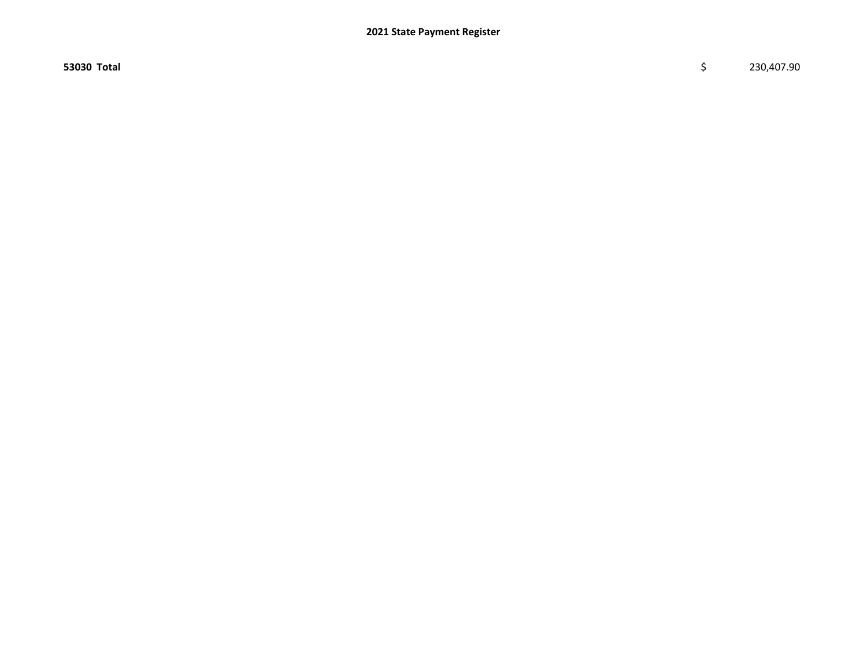53030 Total \$ 230,407.90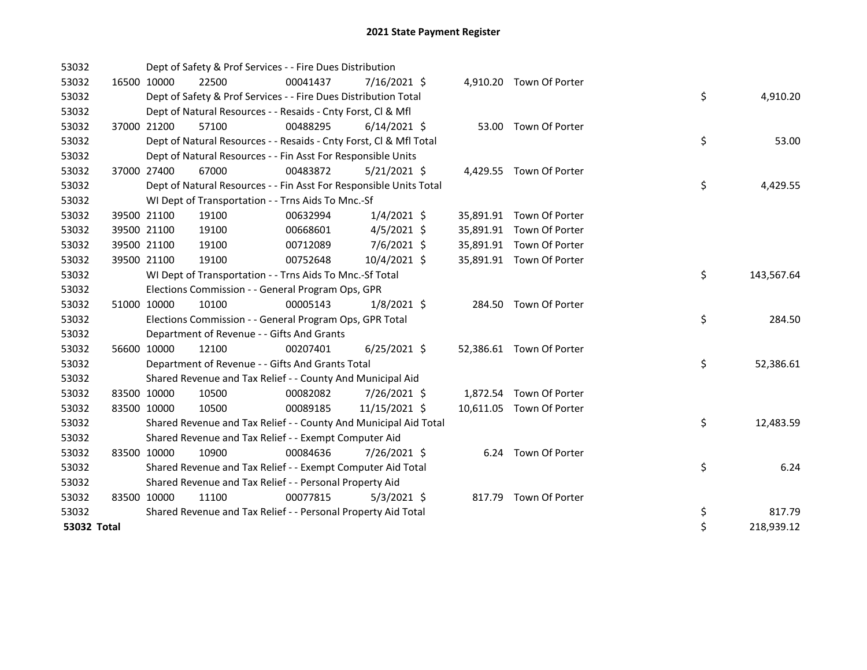| 53032       |             | Dept of Safety & Prof Services - - Fire Dues Distribution          |          |                |  |                          |    |            |
|-------------|-------------|--------------------------------------------------------------------|----------|----------------|--|--------------------------|----|------------|
| 53032       | 16500 10000 | 22500                                                              | 00041437 | 7/16/2021 \$   |  | 4,910.20 Town Of Porter  |    |            |
| 53032       |             | Dept of Safety & Prof Services - - Fire Dues Distribution Total    |          |                |  |                          | \$ | 4,910.20   |
| 53032       |             | Dept of Natural Resources - - Resaids - Cnty Forst, CI & Mfl       |          |                |  |                          |    |            |
| 53032       | 37000 21200 | 57100                                                              | 00488295 | $6/14/2021$ \$ |  | 53.00 Town Of Porter     |    |            |
| 53032       |             | Dept of Natural Resources - - Resaids - Cnty Forst, CI & Mfl Total |          |                |  |                          | \$ | 53.00      |
| 53032       |             | Dept of Natural Resources - - Fin Asst For Responsible Units       |          |                |  |                          |    |            |
| 53032       | 37000 27400 | 67000                                                              | 00483872 | $5/21/2021$ \$ |  | 4,429.55 Town Of Porter  |    |            |
| 53032       |             | Dept of Natural Resources - - Fin Asst For Responsible Units Total |          |                |  |                          | \$ | 4,429.55   |
| 53032       |             | WI Dept of Transportation - - Trns Aids To Mnc.-Sf                 |          |                |  |                          |    |            |
| 53032       | 39500 21100 | 19100                                                              | 00632994 | $1/4/2021$ \$  |  | 35,891.91 Town Of Porter |    |            |
| 53032       | 39500 21100 | 19100                                                              | 00668601 | $4/5/2021$ \$  |  | 35,891.91 Town Of Porter |    |            |
| 53032       | 39500 21100 | 19100                                                              | 00712089 | $7/6/2021$ \$  |  | 35,891.91 Town Of Porter |    |            |
| 53032       | 39500 21100 | 19100                                                              | 00752648 | 10/4/2021 \$   |  | 35,891.91 Town Of Porter |    |            |
| 53032       |             | WI Dept of Transportation - - Trns Aids To Mnc.-Sf Total           |          |                |  |                          | \$ | 143,567.64 |
| 53032       |             | Elections Commission - - General Program Ops, GPR                  |          |                |  |                          |    |            |
| 53032       | 51000 10000 | 10100                                                              | 00005143 | $1/8/2021$ \$  |  | 284.50 Town Of Porter    |    |            |
| 53032       |             | Elections Commission - - General Program Ops, GPR Total            |          |                |  |                          | \$ | 284.50     |
| 53032       |             | Department of Revenue - - Gifts And Grants                         |          |                |  |                          |    |            |
| 53032       | 56600 10000 | 12100                                                              | 00207401 | $6/25/2021$ \$ |  | 52,386.61 Town Of Porter |    |            |
| 53032       |             | Department of Revenue - - Gifts And Grants Total                   |          |                |  |                          | \$ | 52,386.61  |
| 53032       |             | Shared Revenue and Tax Relief - - County And Municipal Aid         |          |                |  |                          |    |            |
| 53032       | 83500 10000 | 10500                                                              | 00082082 | 7/26/2021 \$   |  | 1,872.54 Town Of Porter  |    |            |
| 53032       | 83500 10000 | 10500                                                              | 00089185 | 11/15/2021 \$  |  | 10,611.05 Town Of Porter |    |            |
| 53032       |             | Shared Revenue and Tax Relief - - County And Municipal Aid Total   |          |                |  |                          | \$ | 12,483.59  |
| 53032       |             | Shared Revenue and Tax Relief - - Exempt Computer Aid              |          |                |  |                          |    |            |
| 53032       | 83500 10000 | 10900                                                              | 00084636 | 7/26/2021 \$   |  | 6.24 Town Of Porter      |    |            |
| 53032       |             | Shared Revenue and Tax Relief - - Exempt Computer Aid Total        |          |                |  |                          | \$ | 6.24       |
| 53032       |             | Shared Revenue and Tax Relief - - Personal Property Aid            |          |                |  |                          |    |            |
| 53032       | 83500 10000 | 11100                                                              | 00077815 | $5/3/2021$ \$  |  | 817.79 Town Of Porter    |    |            |
| 53032       |             | Shared Revenue and Tax Relief - - Personal Property Aid Total      |          |                |  |                          | \$ | 817.79     |
| 53032 Total |             |                                                                    |          |                |  |                          | \$ | 218,939.12 |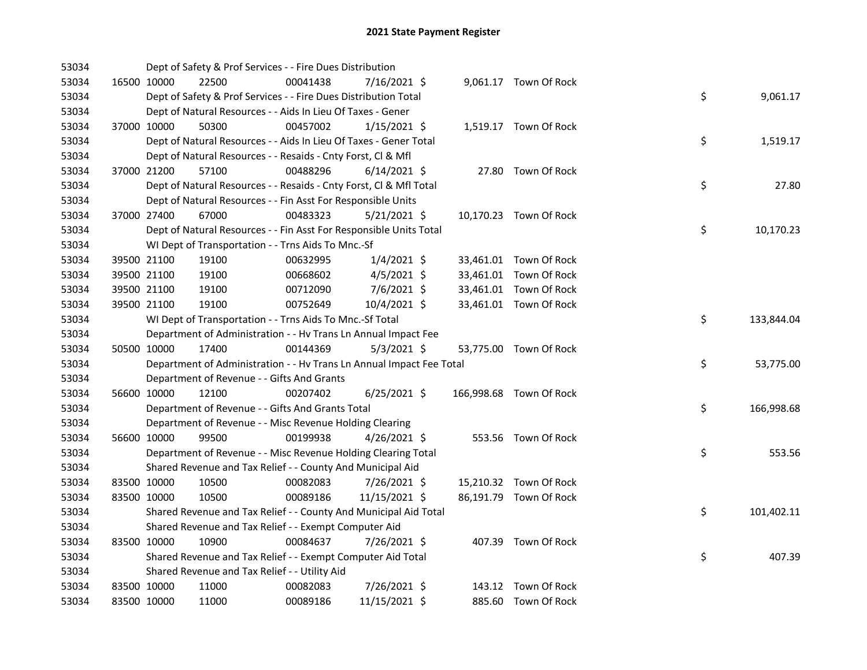| 53034 |             | Dept of Safety & Prof Services - - Fire Dues Distribution            |          |                |  |                         |    |            |
|-------|-------------|----------------------------------------------------------------------|----------|----------------|--|-------------------------|----|------------|
| 53034 | 16500 10000 | 22500                                                                | 00041438 | 7/16/2021 \$   |  | 9,061.17 Town Of Rock   |    |            |
| 53034 |             | Dept of Safety & Prof Services - - Fire Dues Distribution Total      |          |                |  |                         | \$ | 9,061.17   |
| 53034 |             | Dept of Natural Resources - - Aids In Lieu Of Taxes - Gener          |          |                |  |                         |    |            |
| 53034 | 37000 10000 | 50300                                                                | 00457002 | $1/15/2021$ \$ |  | 1,519.17 Town Of Rock   |    |            |
| 53034 |             | Dept of Natural Resources - - Aids In Lieu Of Taxes - Gener Total    |          |                |  |                         | \$ | 1,519.17   |
| 53034 |             | Dept of Natural Resources - - Resaids - Cnty Forst, Cl & Mfl         |          |                |  |                         |    |            |
| 53034 | 37000 21200 | 57100                                                                | 00488296 | $6/14/2021$ \$ |  | 27.80 Town Of Rock      |    |            |
| 53034 |             | Dept of Natural Resources - - Resaids - Cnty Forst, Cl & Mfl Total   |          |                |  |                         | \$ | 27.80      |
| 53034 |             | Dept of Natural Resources - - Fin Asst For Responsible Units         |          |                |  |                         |    |            |
| 53034 | 37000 27400 | 67000                                                                | 00483323 | $5/21/2021$ \$ |  | 10,170.23 Town Of Rock  |    |            |
| 53034 |             | Dept of Natural Resources - - Fin Asst For Responsible Units Total   |          |                |  |                         | \$ | 10,170.23  |
| 53034 |             | WI Dept of Transportation - - Trns Aids To Mnc.-Sf                   |          |                |  |                         |    |            |
| 53034 | 39500 21100 | 19100                                                                | 00632995 | $1/4/2021$ \$  |  | 33,461.01 Town Of Rock  |    |            |
| 53034 | 39500 21100 | 19100                                                                | 00668602 | $4/5/2021$ \$  |  | 33,461.01 Town Of Rock  |    |            |
| 53034 | 39500 21100 | 19100                                                                | 00712090 | $7/6/2021$ \$  |  | 33,461.01 Town Of Rock  |    |            |
| 53034 | 39500 21100 | 19100                                                                | 00752649 | 10/4/2021 \$   |  | 33,461.01 Town Of Rock  |    |            |
| 53034 |             | WI Dept of Transportation - - Trns Aids To Mnc.-Sf Total             |          |                |  |                         | \$ | 133,844.04 |
| 53034 |             | Department of Administration - - Hv Trans Ln Annual Impact Fee       |          |                |  |                         |    |            |
| 53034 | 50500 10000 | 17400                                                                | 00144369 | $5/3/2021$ \$  |  | 53,775.00 Town Of Rock  |    |            |
| 53034 |             | Department of Administration - - Hv Trans Ln Annual Impact Fee Total |          |                |  |                         | \$ | 53,775.00  |
| 53034 |             | Department of Revenue - - Gifts And Grants                           |          |                |  |                         |    |            |
| 53034 | 56600 10000 | 12100                                                                | 00207402 | $6/25/2021$ \$ |  | 166,998.68 Town Of Rock |    |            |
| 53034 |             | Department of Revenue - - Gifts And Grants Total                     |          |                |  |                         | \$ | 166,998.68 |
| 53034 |             | Department of Revenue - - Misc Revenue Holding Clearing              |          |                |  |                         |    |            |
| 53034 | 56600 10000 | 99500                                                                | 00199938 | 4/26/2021 \$   |  | 553.56 Town Of Rock     |    |            |
| 53034 |             | Department of Revenue - - Misc Revenue Holding Clearing Total        |          |                |  |                         | \$ | 553.56     |
| 53034 |             | Shared Revenue and Tax Relief - - County And Municipal Aid           |          |                |  |                         |    |            |
| 53034 | 83500 10000 | 10500                                                                | 00082083 | 7/26/2021 \$   |  | 15,210.32 Town Of Rock  |    |            |
| 53034 | 83500 10000 | 10500                                                                | 00089186 | 11/15/2021 \$  |  | 86,191.79 Town Of Rock  |    |            |
| 53034 |             | Shared Revenue and Tax Relief - - County And Municipal Aid Total     |          |                |  |                         | \$ | 101,402.11 |
| 53034 |             | Shared Revenue and Tax Relief - - Exempt Computer Aid                |          |                |  |                         |    |            |
| 53034 | 83500 10000 | 10900                                                                | 00084637 | 7/26/2021 \$   |  | 407.39 Town Of Rock     |    |            |
| 53034 |             | Shared Revenue and Tax Relief - - Exempt Computer Aid Total          |          |                |  |                         | \$ | 407.39     |
| 53034 |             | Shared Revenue and Tax Relief - - Utility Aid                        |          |                |  |                         |    |            |
| 53034 | 83500 10000 | 11000                                                                | 00082083 | 7/26/2021 \$   |  | 143.12 Town Of Rock     |    |            |
| 53034 | 83500 10000 | 11000                                                                | 00089186 | 11/15/2021 \$  |  | 885.60 Town Of Rock     |    |            |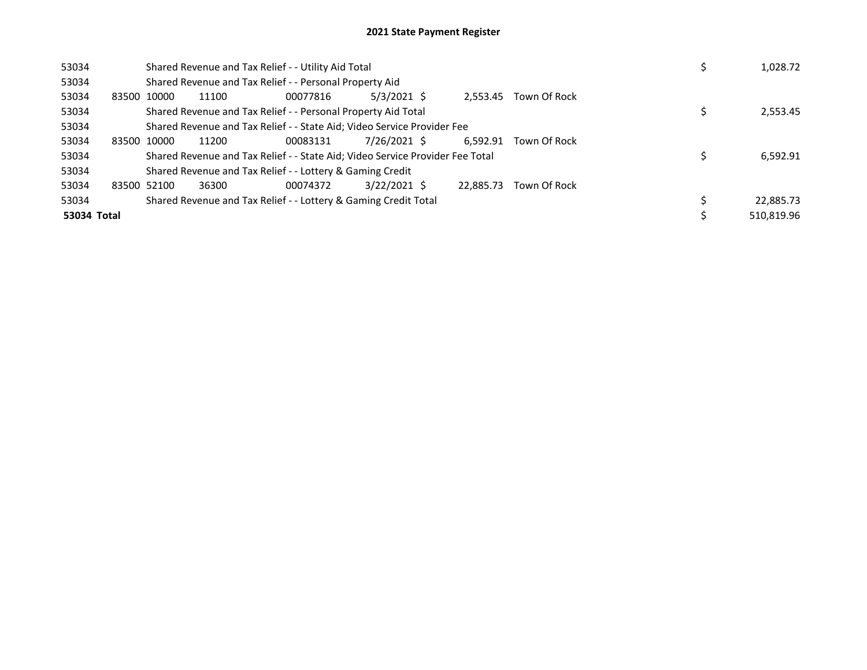| 53034       |             |             | Shared Revenue and Tax Relief - - Utility Aid Total                           |          | 1,028.72       |           |              |  |            |
|-------------|-------------|-------------|-------------------------------------------------------------------------------|----------|----------------|-----------|--------------|--|------------|
| 53034       |             |             | Shared Revenue and Tax Relief - - Personal Property Aid                       |          |                |           |              |  |            |
| 53034       | 83500 10000 |             | 11100                                                                         | 00077816 | $5/3/2021$ \$  | 2.553.45  | Town Of Rock |  |            |
| 53034       |             |             | Shared Revenue and Tax Relief - - Personal Property Aid Total                 |          |                |           |              |  | 2,553.45   |
| 53034       |             |             | Shared Revenue and Tax Relief - - State Aid; Video Service Provider Fee       |          |                |           |              |  |            |
| 53034       | 83500 10000 |             | 11200                                                                         | 00083131 | 7/26/2021 \$   | 6.592.91  | Town Of Rock |  |            |
| 53034       |             |             | Shared Revenue and Tax Relief - - State Aid; Video Service Provider Fee Total |          |                |           |              |  | 6,592.91   |
| 53034       |             |             | Shared Revenue and Tax Relief - - Lottery & Gaming Credit                     |          |                |           |              |  |            |
| 53034       |             | 83500 52100 | 36300                                                                         | 00074372 | $3/22/2021$ \$ | 22.885.73 | Town Of Rock |  |            |
| 53034       |             |             | Shared Revenue and Tax Relief - - Lottery & Gaming Credit Total               |          |                |           |              |  | 22,885.73  |
| 53034 Total |             |             |                                                                               |          |                |           |              |  | 510,819.96 |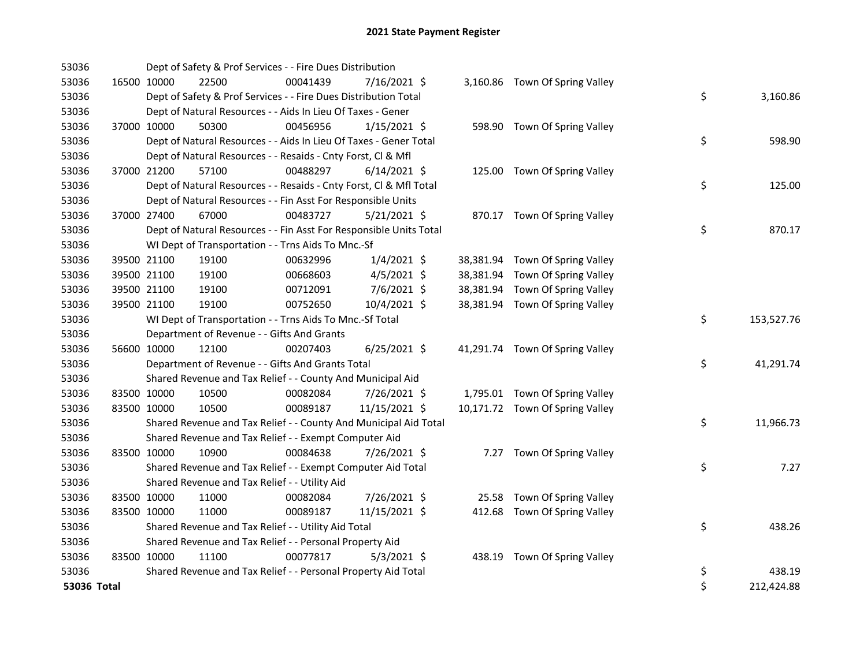| 53036       |             | Dept of Safety & Prof Services - - Fire Dues Distribution          |          |                |  |                                 |    |            |
|-------------|-------------|--------------------------------------------------------------------|----------|----------------|--|---------------------------------|----|------------|
| 53036       | 16500 10000 | 22500                                                              | 00041439 | 7/16/2021 \$   |  | 3,160.86 Town Of Spring Valley  |    |            |
| 53036       |             | Dept of Safety & Prof Services - - Fire Dues Distribution Total    |          |                |  |                                 | \$ | 3,160.86   |
| 53036       |             | Dept of Natural Resources - - Aids In Lieu Of Taxes - Gener        |          |                |  |                                 |    |            |
| 53036       | 37000 10000 | 50300                                                              | 00456956 | $1/15/2021$ \$ |  | 598.90 Town Of Spring Valley    |    |            |
| 53036       |             | Dept of Natural Resources - - Aids In Lieu Of Taxes - Gener Total  |          |                |  |                                 | \$ | 598.90     |
| 53036       |             | Dept of Natural Resources - - Resaids - Cnty Forst, Cl & Mfl       |          |                |  |                                 |    |            |
| 53036       | 37000 21200 | 57100                                                              | 00488297 | $6/14/2021$ \$ |  | 125.00 Town Of Spring Valley    |    |            |
| 53036       |             | Dept of Natural Resources - - Resaids - Cnty Forst, Cl & Mfl Total |          |                |  |                                 | \$ | 125.00     |
| 53036       |             | Dept of Natural Resources - - Fin Asst For Responsible Units       |          |                |  |                                 |    |            |
| 53036       | 37000 27400 | 67000                                                              | 00483727 | 5/21/2021 \$   |  | 870.17 Town Of Spring Valley    |    |            |
| 53036       |             | Dept of Natural Resources - - Fin Asst For Responsible Units Total |          |                |  |                                 | \$ | 870.17     |
| 53036       |             | WI Dept of Transportation - - Trns Aids To Mnc.-Sf                 |          |                |  |                                 |    |            |
| 53036       | 39500 21100 | 19100                                                              | 00632996 | $1/4/2021$ \$  |  | 38,381.94 Town Of Spring Valley |    |            |
| 53036       | 39500 21100 | 19100                                                              | 00668603 | $4/5/2021$ \$  |  | 38,381.94 Town Of Spring Valley |    |            |
| 53036       | 39500 21100 | 19100                                                              | 00712091 | 7/6/2021 \$    |  | 38,381.94 Town Of Spring Valley |    |            |
| 53036       | 39500 21100 | 19100                                                              | 00752650 | 10/4/2021 \$   |  | 38,381.94 Town Of Spring Valley |    |            |
| 53036       |             | WI Dept of Transportation - - Trns Aids To Mnc.-Sf Total           |          |                |  |                                 | \$ | 153,527.76 |
| 53036       |             | Department of Revenue - - Gifts And Grants                         |          |                |  |                                 |    |            |
| 53036       | 56600 10000 | 12100                                                              | 00207403 | $6/25/2021$ \$ |  | 41,291.74 Town Of Spring Valley |    |            |
| 53036       |             | Department of Revenue - - Gifts And Grants Total                   |          |                |  |                                 | \$ | 41,291.74  |
| 53036       |             | Shared Revenue and Tax Relief - - County And Municipal Aid         |          |                |  |                                 |    |            |
| 53036       | 83500 10000 | 10500                                                              | 00082084 | 7/26/2021 \$   |  | 1,795.01 Town Of Spring Valley  |    |            |
| 53036       | 83500 10000 | 10500                                                              | 00089187 | 11/15/2021 \$  |  | 10,171.72 Town Of Spring Valley |    |            |
| 53036       |             | Shared Revenue and Tax Relief - - County And Municipal Aid Total   |          |                |  |                                 | \$ | 11,966.73  |
| 53036       |             | Shared Revenue and Tax Relief - - Exempt Computer Aid              |          |                |  |                                 |    |            |
| 53036       | 83500 10000 | 10900                                                              | 00084638 | 7/26/2021 \$   |  | 7.27 Town Of Spring Valley      |    |            |
| 53036       |             | Shared Revenue and Tax Relief - - Exempt Computer Aid Total        |          |                |  |                                 | \$ | 7.27       |
| 53036       |             | Shared Revenue and Tax Relief - - Utility Aid                      |          |                |  |                                 |    |            |
| 53036       | 83500 10000 | 11000                                                              | 00082084 | 7/26/2021 \$   |  | 25.58 Town Of Spring Valley     |    |            |
| 53036       | 83500 10000 | 11000                                                              | 00089187 | 11/15/2021 \$  |  | 412.68 Town Of Spring Valley    |    |            |
| 53036       |             | Shared Revenue and Tax Relief - - Utility Aid Total                |          |                |  |                                 | \$ | 438.26     |
| 53036       |             | Shared Revenue and Tax Relief - - Personal Property Aid            |          |                |  |                                 |    |            |
| 53036       | 83500 10000 | 11100                                                              | 00077817 | $5/3/2021$ \$  |  | 438.19 Town Of Spring Valley    |    |            |
| 53036       |             | Shared Revenue and Tax Relief - - Personal Property Aid Total      |          |                |  |                                 | \$ | 438.19     |
| 53036 Total |             |                                                                    |          |                |  |                                 | \$ | 212,424.88 |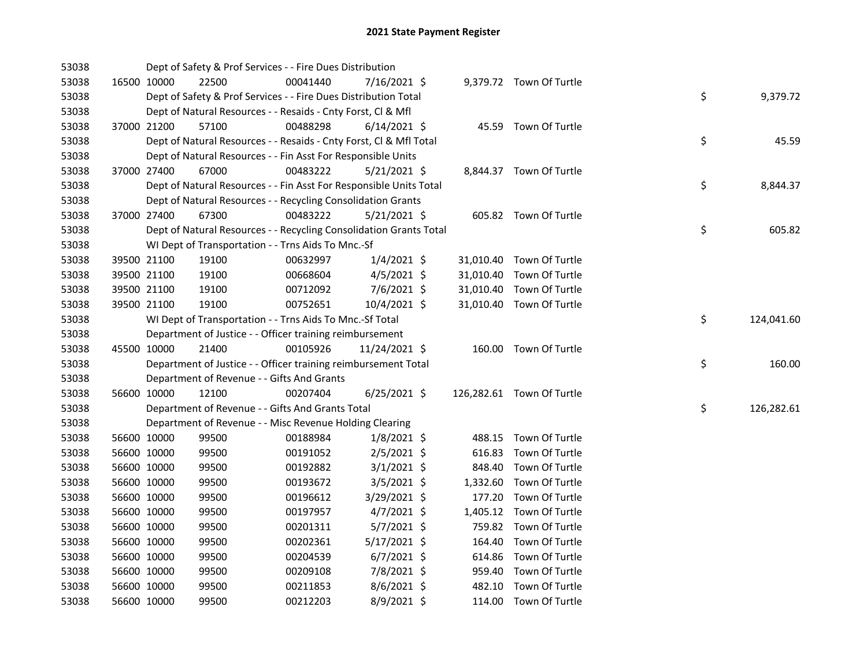| 53038 |             | Dept of Safety & Prof Services - - Fire Dues Distribution          |          |                |          |                           |    |            |
|-------|-------------|--------------------------------------------------------------------|----------|----------------|----------|---------------------------|----|------------|
| 53038 | 16500 10000 | 22500                                                              | 00041440 | 7/16/2021 \$   |          | 9,379.72 Town Of Turtle   |    |            |
| 53038 |             | Dept of Safety & Prof Services - - Fire Dues Distribution Total    |          |                |          |                           | \$ | 9,379.72   |
| 53038 |             | Dept of Natural Resources - - Resaids - Cnty Forst, Cl & Mfl       |          |                |          |                           |    |            |
| 53038 | 37000 21200 | 57100                                                              | 00488298 | $6/14/2021$ \$ |          | 45.59 Town Of Turtle      |    |            |
| 53038 |             | Dept of Natural Resources - - Resaids - Cnty Forst, Cl & Mfl Total |          |                |          |                           | \$ | 45.59      |
| 53038 |             | Dept of Natural Resources - - Fin Asst For Responsible Units       |          |                |          |                           |    |            |
| 53038 | 37000 27400 | 67000                                                              | 00483222 | $5/21/2021$ \$ |          | 8,844.37 Town Of Turtle   |    |            |
| 53038 |             | Dept of Natural Resources - - Fin Asst For Responsible Units Total |          |                |          |                           | \$ | 8,844.37   |
| 53038 |             | Dept of Natural Resources - - Recycling Consolidation Grants       |          |                |          |                           |    |            |
| 53038 | 37000 27400 | 67300                                                              | 00483222 | $5/21/2021$ \$ |          | 605.82 Town Of Turtle     |    |            |
| 53038 |             | Dept of Natural Resources - - Recycling Consolidation Grants Total |          |                |          |                           | \$ | 605.82     |
| 53038 |             | WI Dept of Transportation - - Trns Aids To Mnc.-Sf                 |          |                |          |                           |    |            |
| 53038 | 39500 21100 | 19100                                                              | 00632997 | $1/4/2021$ \$  |          | 31,010.40 Town Of Turtle  |    |            |
| 53038 | 39500 21100 | 19100                                                              | 00668604 | $4/5/2021$ \$  |          | 31,010.40 Town Of Turtle  |    |            |
| 53038 | 39500 21100 | 19100                                                              | 00712092 | 7/6/2021 \$    |          | 31,010.40 Town Of Turtle  |    |            |
| 53038 | 39500 21100 | 19100                                                              | 00752651 | 10/4/2021 \$   |          | 31,010.40 Town Of Turtle  |    |            |
| 53038 |             | WI Dept of Transportation - - Trns Aids To Mnc.-Sf Total           |          |                |          |                           | \$ | 124,041.60 |
| 53038 |             | Department of Justice - - Officer training reimbursement           |          |                |          |                           |    |            |
| 53038 | 45500 10000 | 21400                                                              | 00105926 | 11/24/2021 \$  |          | 160.00 Town Of Turtle     |    |            |
| 53038 |             | Department of Justice - - Officer training reimbursement Total     |          |                |          |                           | \$ | 160.00     |
| 53038 |             | Department of Revenue - - Gifts And Grants                         |          |                |          |                           |    |            |
| 53038 | 56600 10000 | 12100                                                              | 00207404 | $6/25/2021$ \$ |          | 126,282.61 Town Of Turtle |    |            |
| 53038 |             | Department of Revenue - - Gifts And Grants Total                   |          |                |          |                           | \$ | 126,282.61 |
| 53038 |             | Department of Revenue - - Misc Revenue Holding Clearing            |          |                |          |                           |    |            |
| 53038 | 56600 10000 | 99500                                                              | 00188984 | $1/8/2021$ \$  |          | 488.15 Town Of Turtle     |    |            |
| 53038 | 56600 10000 | 99500                                                              | 00191052 | $2/5/2021$ \$  | 616.83   | Town Of Turtle            |    |            |
| 53038 | 56600 10000 | 99500                                                              | 00192882 | $3/1/2021$ \$  |          | 848.40 Town Of Turtle     |    |            |
| 53038 | 56600 10000 | 99500                                                              | 00193672 | $3/5/2021$ \$  | 1,332.60 | Town Of Turtle            |    |            |
| 53038 | 56600 10000 | 99500                                                              | 00196612 | $3/29/2021$ \$ | 177.20   | Town Of Turtle            |    |            |
| 53038 | 56600 10000 | 99500                                                              | 00197957 | $4/7/2021$ \$  |          | 1,405.12 Town Of Turtle   |    |            |
| 53038 | 56600 10000 | 99500                                                              | 00201311 | $5/7/2021$ \$  |          | 759.82 Town Of Turtle     |    |            |
| 53038 | 56600 10000 | 99500                                                              | 00202361 | $5/17/2021$ \$ |          | 164.40 Town Of Turtle     |    |            |
| 53038 | 56600 10000 | 99500                                                              | 00204539 | $6/7/2021$ \$  |          | 614.86 Town Of Turtle     |    |            |
| 53038 | 56600 10000 | 99500                                                              | 00209108 | 7/8/2021 \$    |          | 959.40 Town Of Turtle     |    |            |
| 53038 | 56600 10000 | 99500                                                              | 00211853 | $8/6/2021$ \$  |          | 482.10 Town Of Turtle     |    |            |
| 53038 | 56600 10000 | 99500                                                              | 00212203 | 8/9/2021 \$    |          | 114.00 Town Of Turtle     |    |            |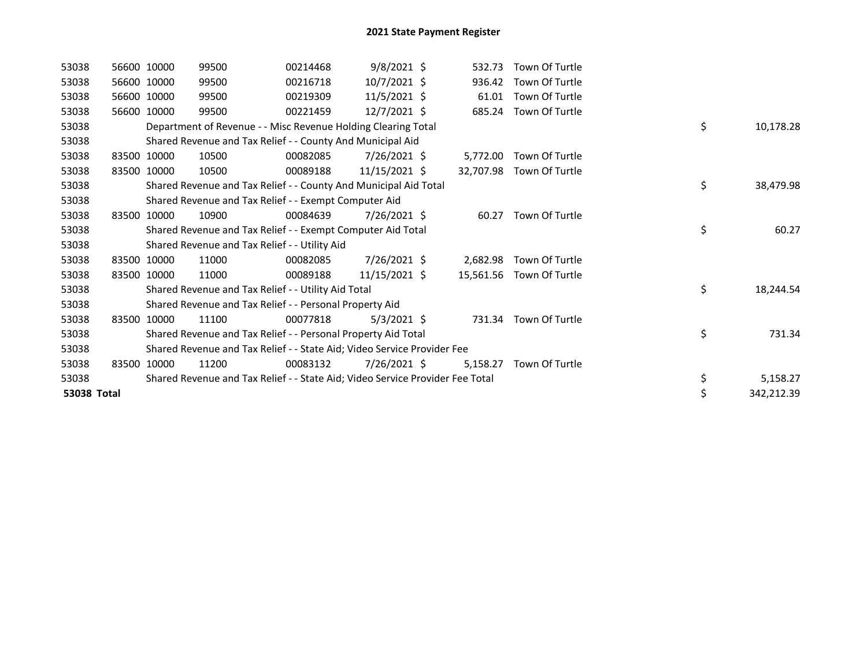| 53038       |       | 56600 10000 | 99500                                                                         | 00214468 | $9/8/2021$ \$   | 532.73    | Town Of Turtle           |                  |
|-------------|-------|-------------|-------------------------------------------------------------------------------|----------|-----------------|-----------|--------------------------|------------------|
| 53038       |       | 56600 10000 | 99500                                                                         | 00216718 | 10/7/2021 \$    | 936.42    | Town Of Turtle           |                  |
| 53038       |       | 56600 10000 | 99500                                                                         | 00219309 | $11/5/2021$ \$  | 61.01     | Town Of Turtle           |                  |
| 53038       | 56600 | 10000       | 99500                                                                         | 00221459 | $12/7/2021$ \$  |           | 685.24 Town Of Turtle    |                  |
| 53038       |       |             | Department of Revenue - - Misc Revenue Holding Clearing Total                 |          |                 |           |                          | \$<br>10,178.28  |
| 53038       |       |             | Shared Revenue and Tax Relief - - County And Municipal Aid                    |          |                 |           |                          |                  |
| 53038       |       | 83500 10000 | 10500                                                                         | 00082085 | 7/26/2021 \$    | 5,772.00  | Town Of Turtle           |                  |
| 53038       | 83500 | 10000       | 10500                                                                         | 00089188 | 11/15/2021 \$   | 32,707.98 | Town Of Turtle           |                  |
| 53038       |       |             | Shared Revenue and Tax Relief - - County And Municipal Aid Total              |          |                 |           |                          | \$<br>38,479.98  |
| 53038       |       |             | Shared Revenue and Tax Relief - - Exempt Computer Aid                         |          |                 |           |                          |                  |
| 53038       | 83500 | 10000       | 10900                                                                         | 00084639 | 7/26/2021 \$    | 60.27     | Town Of Turtle           |                  |
| 53038       |       |             | Shared Revenue and Tax Relief - - Exempt Computer Aid Total                   |          |                 |           |                          | \$<br>60.27      |
| 53038       |       |             | Shared Revenue and Tax Relief - - Utility Aid                                 |          |                 |           |                          |                  |
| 53038       |       | 83500 10000 | 11000                                                                         | 00082085 | 7/26/2021 \$    | 2,682.98  | Town Of Turtle           |                  |
| 53038       |       | 83500 10000 | 11000                                                                         | 00089188 | $11/15/2021$ \$ |           | 15,561.56 Town Of Turtle |                  |
| 53038       |       |             | Shared Revenue and Tax Relief - - Utility Aid Total                           |          |                 |           |                          | \$<br>18,244.54  |
| 53038       |       |             | Shared Revenue and Tax Relief - - Personal Property Aid                       |          |                 |           |                          |                  |
| 53038       |       | 83500 10000 | 11100                                                                         | 00077818 | $5/3/2021$ \$   |           | 731.34 Town Of Turtle    |                  |
| 53038       |       |             | Shared Revenue and Tax Relief - - Personal Property Aid Total                 |          |                 |           |                          | \$<br>731.34     |
| 53038       |       |             | Shared Revenue and Tax Relief - - State Aid; Video Service Provider Fee       |          |                 |           |                          |                  |
| 53038       | 83500 | 10000       | 11200                                                                         | 00083132 | 7/26/2021 \$    | 5,158.27  | Town Of Turtle           |                  |
| 53038       |       |             | Shared Revenue and Tax Relief - - State Aid; Video Service Provider Fee Total |          |                 |           |                          | \$<br>5,158.27   |
| 53038 Total |       |             |                                                                               |          |                 |           |                          | \$<br>342,212.39 |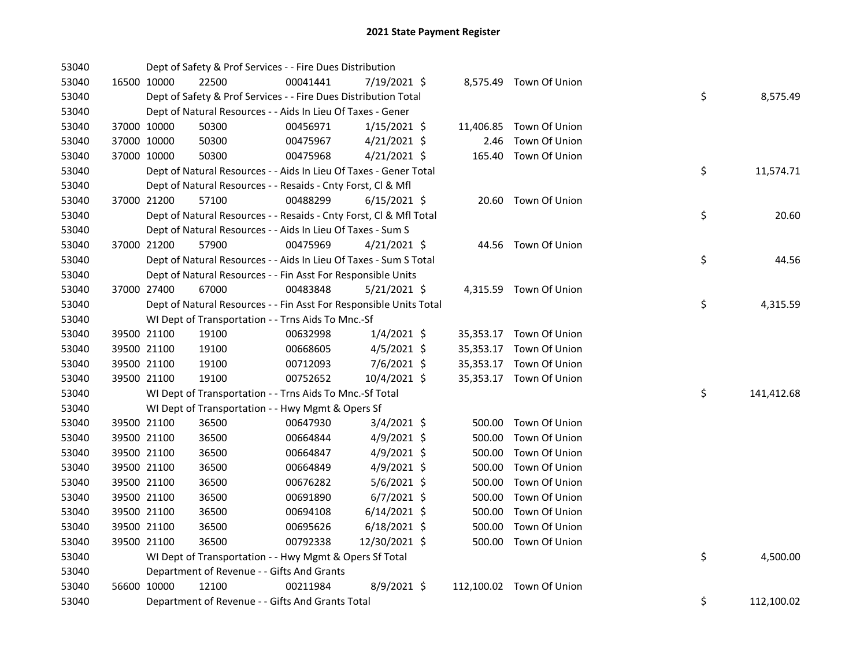| 53040 |             |             | Dept of Safety & Prof Services - - Fire Dues Distribution          |          |                |        |                          |    |            |
|-------|-------------|-------------|--------------------------------------------------------------------|----------|----------------|--------|--------------------------|----|------------|
| 53040 |             | 16500 10000 | 22500                                                              | 00041441 | 7/19/2021 \$   |        | 8,575.49 Town Of Union   |    |            |
| 53040 |             |             | Dept of Safety & Prof Services - - Fire Dues Distribution Total    |          |                |        |                          | \$ | 8,575.49   |
| 53040 |             |             | Dept of Natural Resources - - Aids In Lieu Of Taxes - Gener        |          |                |        |                          |    |            |
| 53040 |             | 37000 10000 | 50300                                                              | 00456971 | $1/15/2021$ \$ |        | 11,406.85 Town Of Union  |    |            |
| 53040 |             | 37000 10000 | 50300                                                              | 00475967 | $4/21/2021$ \$ | 2.46   | Town Of Union            |    |            |
| 53040 | 37000 10000 |             | 50300                                                              | 00475968 | $4/21/2021$ \$ |        | 165.40 Town Of Union     |    |            |
| 53040 |             |             | Dept of Natural Resources - - Aids In Lieu Of Taxes - Gener Total  |          |                |        |                          | \$ | 11,574.71  |
| 53040 |             |             | Dept of Natural Resources - - Resaids - Cnty Forst, Cl & Mfl       |          |                |        |                          |    |            |
| 53040 |             | 37000 21200 | 57100                                                              | 00488299 | $6/15/2021$ \$ |        | 20.60 Town Of Union      |    |            |
| 53040 |             |             | Dept of Natural Resources - - Resaids - Cnty Forst, Cl & Mfl Total |          |                |        |                          | \$ | 20.60      |
| 53040 |             |             | Dept of Natural Resources - - Aids In Lieu Of Taxes - Sum S        |          |                |        |                          |    |            |
| 53040 |             | 37000 21200 | 57900                                                              | 00475969 | $4/21/2021$ \$ |        | 44.56 Town Of Union      |    |            |
| 53040 |             |             | Dept of Natural Resources - - Aids In Lieu Of Taxes - Sum S Total  |          |                |        |                          | \$ | 44.56      |
| 53040 |             |             | Dept of Natural Resources - - Fin Asst For Responsible Units       |          |                |        |                          |    |            |
| 53040 | 37000 27400 |             | 67000                                                              | 00483848 | $5/21/2021$ \$ |        | 4,315.59 Town Of Union   |    |            |
| 53040 |             |             | Dept of Natural Resources - - Fin Asst For Responsible Units Total |          |                |        |                          | \$ | 4,315.59   |
| 53040 |             |             | WI Dept of Transportation - - Trns Aids To Mnc.-Sf                 |          |                |        |                          |    |            |
| 53040 |             | 39500 21100 | 19100                                                              | 00632998 | $1/4/2021$ \$  |        | 35,353.17 Town Of Union  |    |            |
| 53040 |             | 39500 21100 | 19100                                                              | 00668605 | $4/5/2021$ \$  |        | 35,353.17 Town Of Union  |    |            |
| 53040 |             | 39500 21100 | 19100                                                              | 00712093 | $7/6/2021$ \$  |        | 35,353.17 Town Of Union  |    |            |
| 53040 |             | 39500 21100 | 19100                                                              | 00752652 | 10/4/2021 \$   |        | 35,353.17 Town Of Union  |    |            |
| 53040 |             |             | WI Dept of Transportation - - Trns Aids To Mnc.-Sf Total           |          |                |        |                          | \$ | 141,412.68 |
| 53040 |             |             | WI Dept of Transportation - - Hwy Mgmt & Opers Sf                  |          |                |        |                          |    |            |
| 53040 |             | 39500 21100 | 36500                                                              | 00647930 | $3/4/2021$ \$  |        | 500.00 Town Of Union     |    |            |
| 53040 |             | 39500 21100 | 36500                                                              | 00664844 | $4/9/2021$ \$  | 500.00 | Town Of Union            |    |            |
| 53040 | 39500 21100 |             | 36500                                                              | 00664847 | $4/9/2021$ \$  | 500.00 | Town Of Union            |    |            |
| 53040 | 39500 21100 |             | 36500                                                              | 00664849 | 4/9/2021 \$    | 500.00 | Town Of Union            |    |            |
| 53040 |             | 39500 21100 | 36500                                                              | 00676282 | $5/6/2021$ \$  | 500.00 | Town Of Union            |    |            |
| 53040 |             | 39500 21100 | 36500                                                              | 00691890 | $6/7/2021$ \$  | 500.00 | Town Of Union            |    |            |
| 53040 | 39500 21100 |             | 36500                                                              | 00694108 | $6/14/2021$ \$ | 500.00 | Town Of Union            |    |            |
| 53040 | 39500 21100 |             | 36500                                                              | 00695626 | $6/18/2021$ \$ |        | 500.00 Town Of Union     |    |            |
| 53040 | 39500 21100 |             | 36500                                                              | 00792338 | 12/30/2021 \$  |        | 500.00 Town Of Union     |    |            |
| 53040 |             |             | WI Dept of Transportation - - Hwy Mgmt & Opers Sf Total            |          |                |        |                          | \$ | 4,500.00   |
| 53040 |             |             | Department of Revenue - - Gifts And Grants                         |          |                |        |                          |    |            |
| 53040 | 56600 10000 |             | 12100                                                              | 00211984 | $8/9/2021$ \$  |        | 112,100.02 Town Of Union |    |            |
| 53040 |             |             | Department of Revenue - - Gifts And Grants Total                   |          |                |        |                          | \$ | 112,100.02 |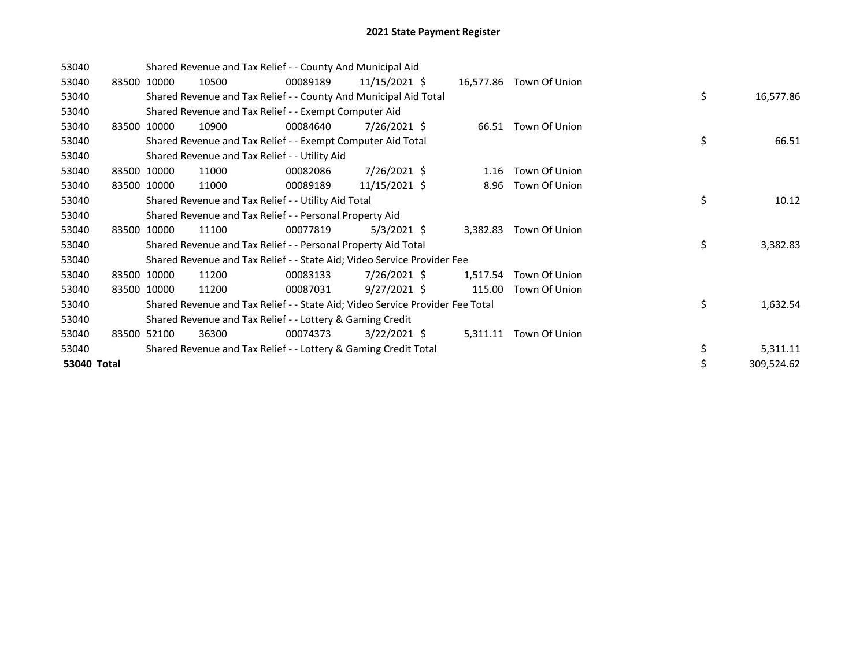| 53040       |             | Shared Revenue and Tax Relief - - County And Municipal Aid                    |          |                 |          |                         |    |            |
|-------------|-------------|-------------------------------------------------------------------------------|----------|-----------------|----------|-------------------------|----|------------|
| 53040       | 83500 10000 | 10500                                                                         | 00089189 | $11/15/2021$ \$ |          | 16,577.86 Town Of Union |    |            |
| 53040       |             | Shared Revenue and Tax Relief - - County And Municipal Aid Total              |          |                 |          |                         | \$ | 16,577.86  |
| 53040       |             | Shared Revenue and Tax Relief - - Exempt Computer Aid                         |          |                 |          |                         |    |            |
| 53040       | 83500 10000 | 10900                                                                         | 00084640 | 7/26/2021 \$    |          | 66.51 Town Of Union     |    |            |
| 53040       |             | Shared Revenue and Tax Relief - - Exempt Computer Aid Total                   |          |                 |          |                         | \$ | 66.51      |
| 53040       |             | Shared Revenue and Tax Relief - - Utility Aid                                 |          |                 |          |                         |    |            |
| 53040       | 83500 10000 | 11000                                                                         | 00082086 | 7/26/2021 \$    | 1.16     | Town Of Union           |    |            |
| 53040       | 83500 10000 | 11000                                                                         | 00089189 | 11/15/2021 \$   | 8.96     | Town Of Union           |    |            |
| 53040       |             | Shared Revenue and Tax Relief - - Utility Aid Total                           |          |                 |          |                         | \$ | 10.12      |
| 53040       |             | Shared Revenue and Tax Relief - - Personal Property Aid                       |          |                 |          |                         |    |            |
| 53040       | 83500 10000 | 11100                                                                         | 00077819 | $5/3/2021$ \$   |          | 3,382.83 Town Of Union  |    |            |
| 53040       |             | Shared Revenue and Tax Relief - - Personal Property Aid Total                 |          |                 |          |                         | \$ | 3,382.83   |
| 53040       |             | Shared Revenue and Tax Relief - - State Aid; Video Service Provider Fee       |          |                 |          |                         |    |            |
| 53040       | 83500 10000 | 11200                                                                         | 00083133 | 7/26/2021 \$    | 1,517.54 | Town Of Union           |    |            |
| 53040       | 83500 10000 | 11200                                                                         | 00087031 | $9/27/2021$ \$  | 115.00   | Town Of Union           |    |            |
| 53040       |             | Shared Revenue and Tax Relief - - State Aid; Video Service Provider Fee Total |          |                 |          |                         | \$ | 1,632.54   |
| 53040       |             | Shared Revenue and Tax Relief - - Lottery & Gaming Credit                     |          |                 |          |                         |    |            |
| 53040       | 83500 52100 | 36300                                                                         | 00074373 | $3/22/2021$ \$  | 5,311.11 | Town Of Union           |    |            |
| 53040       |             | Shared Revenue and Tax Relief - - Lottery & Gaming Credit Total               |          |                 |          |                         | \$ | 5,311.11   |
| 53040 Total |             |                                                                               |          |                 |          |                         | Ś  | 309,524.62 |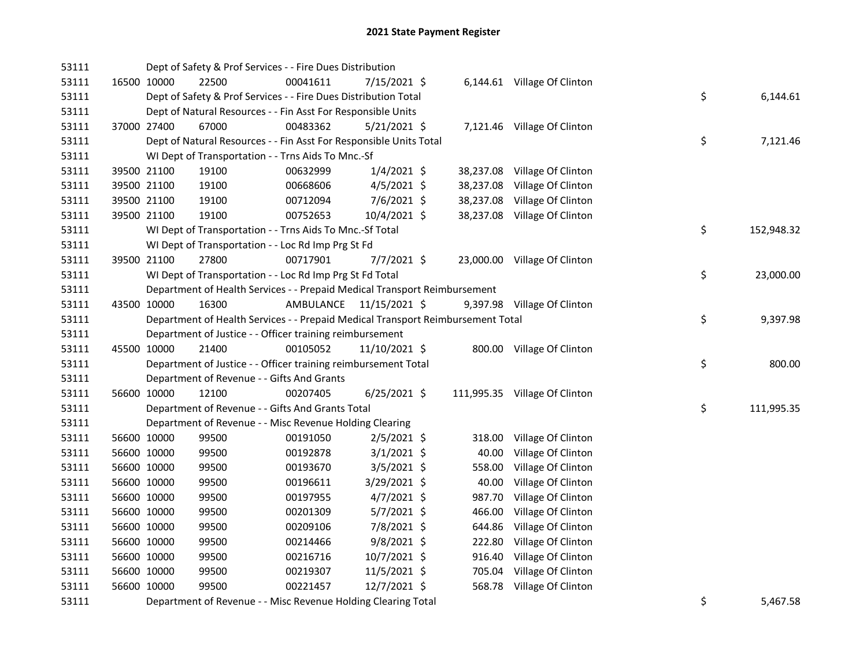| 53111 |             | Dept of Safety & Prof Services - - Fire Dues Distribution                       |           |                |        |                               |    |            |
|-------|-------------|---------------------------------------------------------------------------------|-----------|----------------|--------|-------------------------------|----|------------|
| 53111 | 16500 10000 | 22500                                                                           | 00041611  | 7/15/2021 \$   |        | 6,144.61 Village Of Clinton   |    |            |
| 53111 |             | Dept of Safety & Prof Services - - Fire Dues Distribution Total                 |           |                |        |                               | \$ | 6,144.61   |
| 53111 |             | Dept of Natural Resources - - Fin Asst For Responsible Units                    |           |                |        |                               |    |            |
| 53111 | 37000 27400 | 67000                                                                           | 00483362  | $5/21/2021$ \$ |        | 7,121.46 Village Of Clinton   |    |            |
| 53111 |             | Dept of Natural Resources - - Fin Asst For Responsible Units Total              |           |                |        |                               | \$ | 7,121.46   |
| 53111 |             | WI Dept of Transportation - - Trns Aids To Mnc.-Sf                              |           |                |        |                               |    |            |
| 53111 | 39500 21100 | 19100                                                                           | 00632999  | $1/4/2021$ \$  |        | 38,237.08 Village Of Clinton  |    |            |
| 53111 | 39500 21100 | 19100                                                                           | 00668606  | $4/5/2021$ \$  |        | 38,237.08 Village Of Clinton  |    |            |
| 53111 | 39500 21100 | 19100                                                                           | 00712094  | 7/6/2021 \$    |        | 38,237.08 Village Of Clinton  |    |            |
| 53111 | 39500 21100 | 19100                                                                           | 00752653  | 10/4/2021 \$   |        | 38,237.08 Village Of Clinton  |    |            |
| 53111 |             | WI Dept of Transportation - - Trns Aids To Mnc.-Sf Total                        |           |                |        |                               | \$ | 152,948.32 |
| 53111 |             | WI Dept of Transportation - - Loc Rd Imp Prg St Fd                              |           |                |        |                               |    |            |
| 53111 | 39500 21100 | 27800                                                                           | 00717901  | $7/7/2021$ \$  |        | 23,000.00 Village Of Clinton  |    |            |
| 53111 |             | WI Dept of Transportation - - Loc Rd Imp Prg St Fd Total                        |           |                |        |                               | \$ | 23,000.00  |
| 53111 |             | Department of Health Services - - Prepaid Medical Transport Reimbursement       |           |                |        |                               |    |            |
| 53111 | 43500 10000 | 16300                                                                           | AMBULANCE | 11/15/2021 \$  |        | 9,397.98 Village Of Clinton   |    |            |
| 53111 |             | Department of Health Services - - Prepaid Medical Transport Reimbursement Total |           |                |        |                               | \$ | 9,397.98   |
| 53111 |             | Department of Justice - - Officer training reimbursement                        |           |                |        |                               |    |            |
| 53111 | 45500 10000 | 21400                                                                           | 00105052  | 11/10/2021 \$  |        | 800.00 Village Of Clinton     |    |            |
| 53111 |             | Department of Justice - - Officer training reimbursement Total                  |           |                |        |                               | \$ | 800.00     |
| 53111 |             | Department of Revenue - - Gifts And Grants                                      |           |                |        |                               |    |            |
| 53111 | 56600 10000 | 12100                                                                           | 00207405  | $6/25/2021$ \$ |        | 111,995.35 Village Of Clinton |    |            |
| 53111 |             | Department of Revenue - - Gifts And Grants Total                                |           |                |        |                               | \$ | 111,995.35 |
| 53111 |             | Department of Revenue - - Misc Revenue Holding Clearing                         |           |                |        |                               |    |            |
| 53111 | 56600 10000 | 99500                                                                           | 00191050  | $2/5/2021$ \$  | 318.00 | Village Of Clinton            |    |            |
| 53111 | 56600 10000 | 99500                                                                           | 00192878  | $3/1/2021$ \$  | 40.00  | Village Of Clinton            |    |            |
| 53111 | 56600 10000 | 99500                                                                           | 00193670  | $3/5/2021$ \$  | 558.00 | Village Of Clinton            |    |            |
| 53111 | 56600 10000 | 99500                                                                           | 00196611  | 3/29/2021 \$   | 40.00  | Village Of Clinton            |    |            |
| 53111 | 56600 10000 | 99500                                                                           | 00197955  | $4/7/2021$ \$  | 987.70 | Village Of Clinton            |    |            |
| 53111 | 56600 10000 | 99500                                                                           | 00201309  | $5/7/2021$ \$  | 466.00 | Village Of Clinton            |    |            |
| 53111 | 56600 10000 | 99500                                                                           | 00209106  | 7/8/2021 \$    | 644.86 | Village Of Clinton            |    |            |
| 53111 | 56600 10000 | 99500                                                                           | 00214466  | $9/8/2021$ \$  | 222.80 | Village Of Clinton            |    |            |
| 53111 | 56600 10000 | 99500                                                                           | 00216716  | 10/7/2021 \$   |        | 916.40 Village Of Clinton     |    |            |
| 53111 | 56600 10000 | 99500                                                                           | 00219307  | 11/5/2021 \$   |        | 705.04 Village Of Clinton     |    |            |
| 53111 | 56600 10000 | 99500                                                                           | 00221457  | 12/7/2021 \$   |        | 568.78 Village Of Clinton     |    |            |
| 53111 |             | Department of Revenue - - Misc Revenue Holding Clearing Total                   |           |                |        |                               | \$ | 5,467.58   |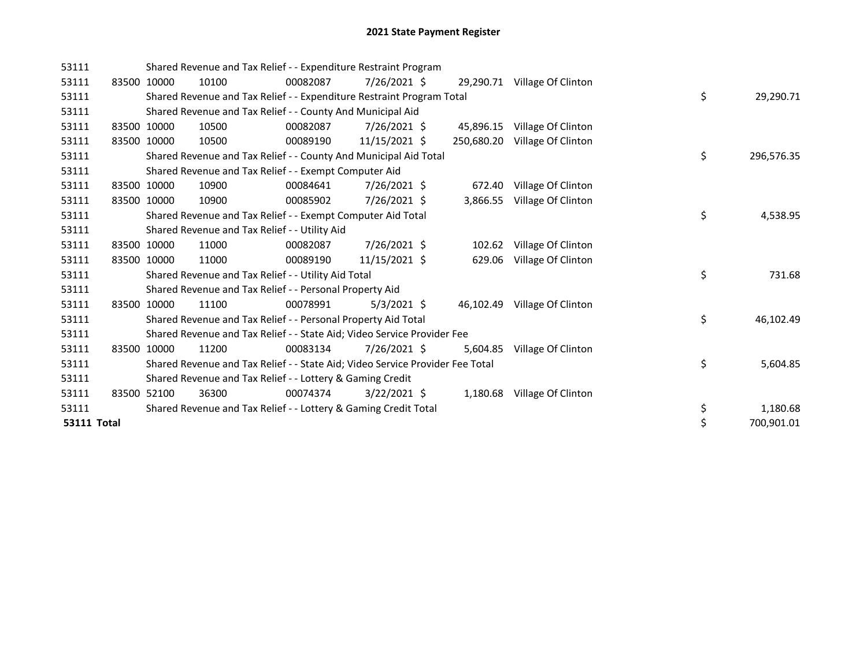| 53111              |             | Shared Revenue and Tax Relief - - Expenditure Restraint Program               |          |                |            |                              |    |            |
|--------------------|-------------|-------------------------------------------------------------------------------|----------|----------------|------------|------------------------------|----|------------|
| 53111              | 83500 10000 | 10100                                                                         | 00082087 | 7/26/2021 \$   |            | 29,290.71 Village Of Clinton |    |            |
| 53111              |             | Shared Revenue and Tax Relief - - Expenditure Restraint Program Total         |          |                |            |                              | \$ | 29,290.71  |
| 53111              |             | Shared Revenue and Tax Relief - - County And Municipal Aid                    |          |                |            |                              |    |            |
| 53111              | 83500 10000 | 10500                                                                         | 00082087 | 7/26/2021 \$   | 45,896.15  | Village Of Clinton           |    |            |
| 53111              | 83500 10000 | 10500                                                                         | 00089190 | 11/15/2021 \$  | 250,680.20 | Village Of Clinton           |    |            |
| 53111              |             | Shared Revenue and Tax Relief - - County And Municipal Aid Total              |          |                |            |                              | \$ | 296,576.35 |
| 53111              |             | Shared Revenue and Tax Relief - - Exempt Computer Aid                         |          |                |            |                              |    |            |
| 53111              | 83500 10000 | 10900                                                                         | 00084641 | 7/26/2021 \$   | 672.40     | Village Of Clinton           |    |            |
| 53111              | 83500 10000 | 10900                                                                         | 00085902 | 7/26/2021 \$   | 3,866.55   | Village Of Clinton           |    |            |
| 53111              |             | Shared Revenue and Tax Relief - - Exempt Computer Aid Total                   |          |                |            |                              | \$ | 4,538.95   |
| 53111              |             | Shared Revenue and Tax Relief - - Utility Aid                                 |          |                |            |                              |    |            |
| 53111              | 83500 10000 | 11000                                                                         | 00082087 | 7/26/2021 \$   |            | 102.62 Village Of Clinton    |    |            |
| 53111              | 83500 10000 | 11000                                                                         | 00089190 | 11/15/2021 \$  |            | 629.06 Village Of Clinton    |    |            |
| 53111              |             | Shared Revenue and Tax Relief - - Utility Aid Total                           |          |                |            |                              | \$ | 731.68     |
| 53111              |             | Shared Revenue and Tax Relief - - Personal Property Aid                       |          |                |            |                              |    |            |
| 53111              | 83500 10000 | 11100                                                                         | 00078991 | $5/3/2021$ \$  |            | 46,102.49 Village Of Clinton |    |            |
| 53111              |             | Shared Revenue and Tax Relief - - Personal Property Aid Total                 |          |                |            |                              | \$ | 46,102.49  |
| 53111              |             | Shared Revenue and Tax Relief - - State Aid; Video Service Provider Fee       |          |                |            |                              |    |            |
| 53111              | 83500 10000 | 11200                                                                         | 00083134 | 7/26/2021 \$   | 5,604.85   | Village Of Clinton           |    |            |
| 53111              |             | Shared Revenue and Tax Relief - - State Aid; Video Service Provider Fee Total |          |                |            |                              | \$ | 5,604.85   |
| 53111              |             | Shared Revenue and Tax Relief - - Lottery & Gaming Credit                     |          |                |            |                              |    |            |
| 53111              | 83500 52100 | 36300                                                                         | 00074374 | $3/22/2021$ \$ |            | 1,180.68 Village Of Clinton  |    |            |
| 53111              |             | Shared Revenue and Tax Relief - - Lottery & Gaming Credit Total               |          |                |            |                              | \$ | 1,180.68   |
| <b>53111 Total</b> |             |                                                                               |          |                |            |                              |    | 700,901.01 |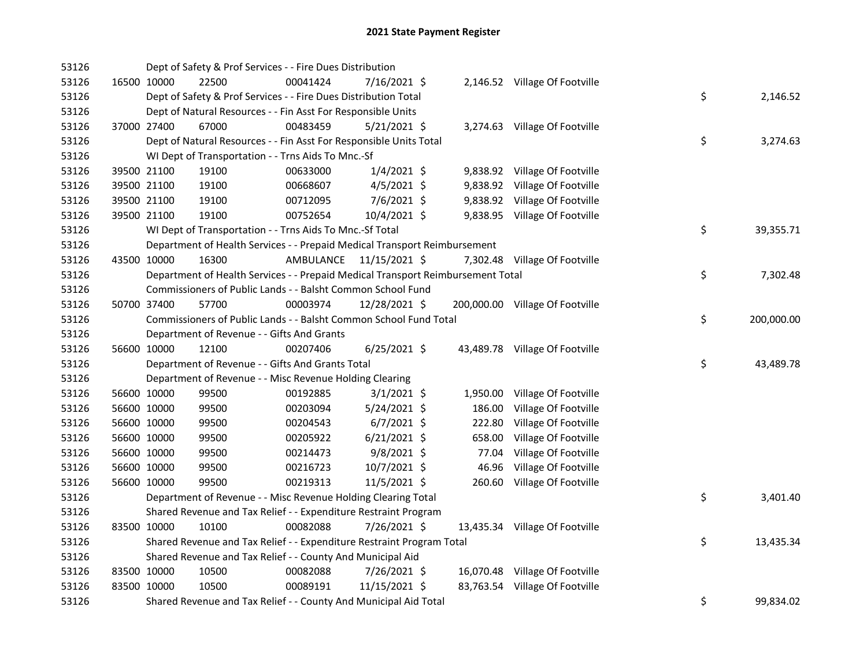| 53126 |             | Dept of Safety & Prof Services - - Fire Dues Distribution                       |                         |                |          |                                 |    |            |
|-------|-------------|---------------------------------------------------------------------------------|-------------------------|----------------|----------|---------------------------------|----|------------|
| 53126 | 16500 10000 | 22500                                                                           | 00041424                | 7/16/2021 \$   |          | 2,146.52 Village Of Footville   |    |            |
| 53126 |             | Dept of Safety & Prof Services - - Fire Dues Distribution Total                 |                         |                |          |                                 | \$ | 2,146.52   |
| 53126 |             | Dept of Natural Resources - - Fin Asst For Responsible Units                    |                         |                |          |                                 |    |            |
| 53126 | 37000 27400 | 67000                                                                           | 00483459                | $5/21/2021$ \$ |          | 3,274.63 Village Of Footville   |    |            |
| 53126 |             | Dept of Natural Resources - - Fin Asst For Responsible Units Total              |                         |                |          |                                 | \$ | 3,274.63   |
| 53126 |             | WI Dept of Transportation - - Trns Aids To Mnc.-Sf                              |                         |                |          |                                 |    |            |
| 53126 | 39500 21100 | 19100                                                                           | 00633000                | $1/4/2021$ \$  |          | 9,838.92 Village Of Footville   |    |            |
| 53126 | 39500 21100 | 19100                                                                           | 00668607                | $4/5/2021$ \$  |          | 9,838.92 Village Of Footville   |    |            |
| 53126 | 39500 21100 | 19100                                                                           | 00712095                | $7/6/2021$ \$  |          | 9,838.92 Village Of Footville   |    |            |
| 53126 | 39500 21100 | 19100                                                                           | 00752654                | 10/4/2021 \$   |          | 9,838.95 Village Of Footville   |    |            |
| 53126 |             | WI Dept of Transportation - - Trns Aids To Mnc.-Sf Total                        |                         |                |          |                                 | \$ | 39,355.71  |
| 53126 |             | Department of Health Services - - Prepaid Medical Transport Reimbursement       |                         |                |          |                                 |    |            |
| 53126 | 43500 10000 | 16300                                                                           | AMBULANCE 11/15/2021 \$ |                |          | 7,302.48 Village Of Footville   |    |            |
| 53126 |             | Department of Health Services - - Prepaid Medical Transport Reimbursement Total |                         |                |          |                                 | \$ | 7,302.48   |
| 53126 |             | Commissioners of Public Lands - - Balsht Common School Fund                     |                         |                |          |                                 |    |            |
| 53126 | 50700 37400 | 57700                                                                           | 00003974                | 12/28/2021 \$  |          | 200,000.00 Village Of Footville |    |            |
| 53126 |             | Commissioners of Public Lands - - Balsht Common School Fund Total               |                         |                |          |                                 | \$ | 200,000.00 |
| 53126 |             | Department of Revenue - - Gifts And Grants                                      |                         |                |          |                                 |    |            |
| 53126 | 56600 10000 | 12100                                                                           | 00207406                | $6/25/2021$ \$ |          | 43,489.78 Village Of Footville  |    |            |
| 53126 |             | Department of Revenue - - Gifts And Grants Total                                |                         |                |          |                                 | \$ | 43,489.78  |
| 53126 |             | Department of Revenue - - Misc Revenue Holding Clearing                         |                         |                |          |                                 |    |            |
| 53126 | 56600 10000 | 99500                                                                           | 00192885                | $3/1/2021$ \$  | 1,950.00 | Village Of Footville            |    |            |
| 53126 | 56600 10000 | 99500                                                                           | 00203094                | 5/24/2021 \$   | 186.00   | Village Of Footville            |    |            |
| 53126 | 56600 10000 | 99500                                                                           | 00204543                | $6/7/2021$ \$  | 222.80   | Village Of Footville            |    |            |
| 53126 | 56600 10000 | 99500                                                                           | 00205922                | $6/21/2021$ \$ | 658.00   | Village Of Footville            |    |            |
| 53126 | 56600 10000 | 99500                                                                           | 00214473                | $9/8/2021$ \$  | 77.04    | Village Of Footville            |    |            |
| 53126 | 56600 10000 | 99500                                                                           | 00216723                | 10/7/2021 \$   | 46.96    | Village Of Footville            |    |            |
| 53126 | 56600 10000 | 99500                                                                           | 00219313                | $11/5/2021$ \$ |          | 260.60 Village Of Footville     |    |            |
| 53126 |             | Department of Revenue - - Misc Revenue Holding Clearing Total                   |                         |                |          |                                 | \$ | 3,401.40   |
| 53126 |             | Shared Revenue and Tax Relief - - Expenditure Restraint Program                 |                         |                |          |                                 |    |            |
| 53126 | 83500 10000 | 10100                                                                           | 00082088                | 7/26/2021 \$   |          | 13,435.34 Village Of Footville  |    |            |
| 53126 |             | Shared Revenue and Tax Relief - - Expenditure Restraint Program Total           |                         |                |          |                                 | \$ | 13,435.34  |
| 53126 |             | Shared Revenue and Tax Relief - - County And Municipal Aid                      |                         |                |          |                                 |    |            |
| 53126 | 83500 10000 | 10500                                                                           | 00082088                | 7/26/2021 \$   |          | 16,070.48 Village Of Footville  |    |            |
| 53126 | 83500 10000 | 10500                                                                           | 00089191                | 11/15/2021 \$  |          | 83,763.54 Village Of Footville  |    |            |
| 53126 |             | Shared Revenue and Tax Relief - - County And Municipal Aid Total                |                         |                |          |                                 | \$ | 99,834.02  |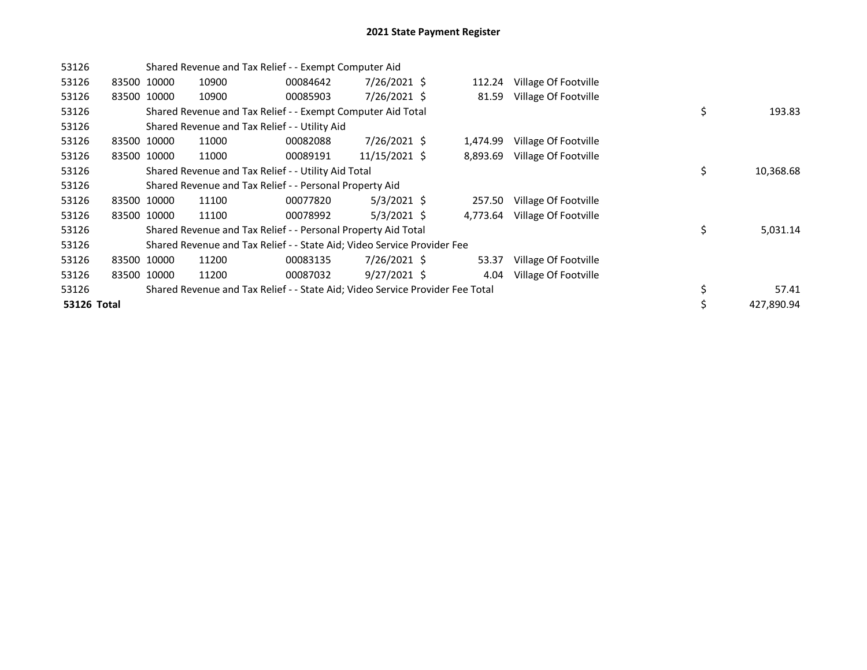| 53126       |             | Shared Revenue and Tax Relief - - Exempt Computer Aid                         |          |                |          |                      |                  |
|-------------|-------------|-------------------------------------------------------------------------------|----------|----------------|----------|----------------------|------------------|
| 53126       | 83500 10000 | 10900                                                                         | 00084642 | 7/26/2021 \$   | 112.24   | Village Of Footville |                  |
| 53126       | 83500 10000 | 10900                                                                         | 00085903 | 7/26/2021 \$   | 81.59    | Village Of Footville |                  |
| 53126       |             | Shared Revenue and Tax Relief - - Exempt Computer Aid Total                   |          |                |          |                      | \$<br>193.83     |
| 53126       |             | Shared Revenue and Tax Relief - - Utility Aid                                 |          |                |          |                      |                  |
| 53126       | 83500 10000 | 11000                                                                         | 00082088 | 7/26/2021 \$   | 1,474.99 | Village Of Footville |                  |
| 53126       | 83500 10000 | 11000                                                                         | 00089191 | 11/15/2021 \$  | 8,893.69 | Village Of Footville |                  |
| 53126       |             | Shared Revenue and Tax Relief - - Utility Aid Total                           |          |                |          |                      | \$<br>10,368.68  |
| 53126       |             | Shared Revenue and Tax Relief - - Personal Property Aid                       |          |                |          |                      |                  |
| 53126       | 83500 10000 | 11100                                                                         | 00077820 | $5/3/2021$ \$  | 257.50   | Village Of Footville |                  |
| 53126       | 83500 10000 | 11100                                                                         | 00078992 | $5/3/2021$ \$  | 4,773.64 | Village Of Footville |                  |
| 53126       |             | Shared Revenue and Tax Relief - - Personal Property Aid Total                 |          |                |          |                      | \$<br>5,031.14   |
| 53126       |             | Shared Revenue and Tax Relief - - State Aid; Video Service Provider Fee       |          |                |          |                      |                  |
| 53126       | 83500 10000 | 11200                                                                         | 00083135 | 7/26/2021 \$   | 53.37    | Village Of Footville |                  |
| 53126       | 83500 10000 | 11200                                                                         | 00087032 | $9/27/2021$ \$ | 4.04     | Village Of Footville |                  |
| 53126       |             | Shared Revenue and Tax Relief - - State Aid; Video Service Provider Fee Total |          |                |          |                      | \$<br>57.41      |
| 53126 Total |             |                                                                               |          |                |          |                      | \$<br>427,890.94 |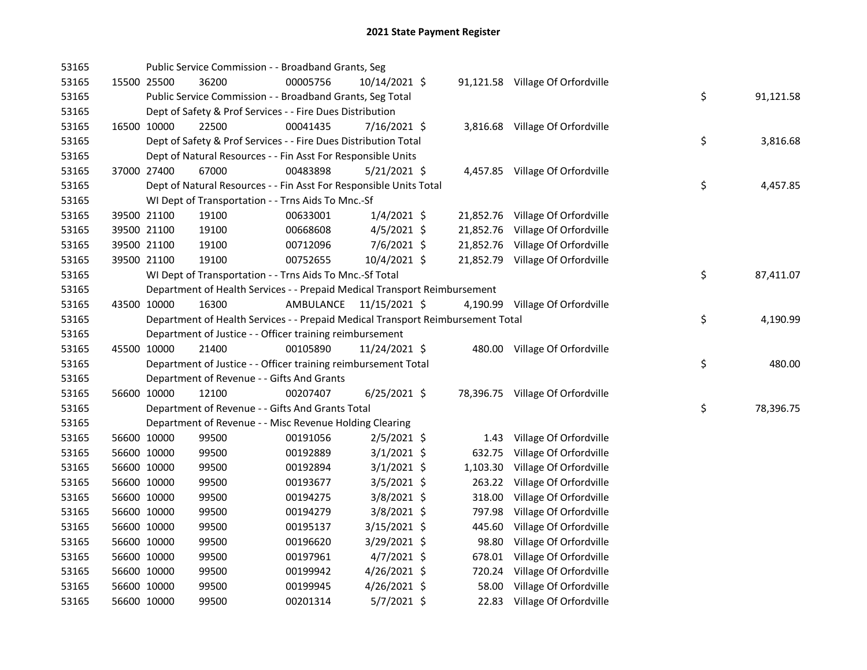| 53165 |             | Public Service Commission - - Broadband Grants, Seg                             |           |                |  |                                  |    |           |
|-------|-------------|---------------------------------------------------------------------------------|-----------|----------------|--|----------------------------------|----|-----------|
| 53165 | 15500 25500 | 36200                                                                           | 00005756  | 10/14/2021 \$  |  | 91,121.58 Village Of Orfordville |    |           |
| 53165 |             | Public Service Commission - - Broadband Grants, Seg Total                       |           |                |  |                                  | \$ | 91,121.58 |
| 53165 |             | Dept of Safety & Prof Services - - Fire Dues Distribution                       |           |                |  |                                  |    |           |
| 53165 | 16500 10000 | 22500                                                                           | 00041435  | 7/16/2021 \$   |  | 3,816.68 Village Of Orfordville  |    |           |
| 53165 |             | Dept of Safety & Prof Services - - Fire Dues Distribution Total                 |           |                |  |                                  | \$ | 3,816.68  |
| 53165 |             | Dept of Natural Resources - - Fin Asst For Responsible Units                    |           |                |  |                                  |    |           |
| 53165 | 37000 27400 | 67000                                                                           | 00483898  | $5/21/2021$ \$ |  | 4,457.85 Village Of Orfordville  |    |           |
| 53165 |             | Dept of Natural Resources - - Fin Asst For Responsible Units Total              |           |                |  |                                  | \$ | 4,457.85  |
| 53165 |             | WI Dept of Transportation - - Trns Aids To Mnc.-Sf                              |           |                |  |                                  |    |           |
| 53165 | 39500 21100 | 19100                                                                           | 00633001  | $1/4/2021$ \$  |  | 21,852.76 Village Of Orfordville |    |           |
| 53165 | 39500 21100 | 19100                                                                           | 00668608  | $4/5/2021$ \$  |  | 21,852.76 Village Of Orfordville |    |           |
| 53165 | 39500 21100 | 19100                                                                           | 00712096  | $7/6/2021$ \$  |  | 21,852.76 Village Of Orfordville |    |           |
| 53165 | 39500 21100 | 19100                                                                           | 00752655  | 10/4/2021 \$   |  | 21,852.79 Village Of Orfordville |    |           |
| 53165 |             | WI Dept of Transportation - - Trns Aids To Mnc.-Sf Total                        |           |                |  |                                  | \$ | 87,411.07 |
| 53165 |             | Department of Health Services - - Prepaid Medical Transport Reimbursement       |           |                |  |                                  |    |           |
| 53165 | 43500 10000 | 16300                                                                           | AMBULANCE | 11/15/2021 \$  |  | 4,190.99 Village Of Orfordville  |    |           |
| 53165 |             | Department of Health Services - - Prepaid Medical Transport Reimbursement Total |           |                |  |                                  | \$ | 4,190.99  |
| 53165 |             | Department of Justice - - Officer training reimbursement                        |           |                |  |                                  |    |           |
| 53165 | 45500 10000 | 21400                                                                           | 00105890  | 11/24/2021 \$  |  | 480.00 Village Of Orfordville    |    |           |
| 53165 |             | Department of Justice - - Officer training reimbursement Total                  |           |                |  |                                  | \$ | 480.00    |
| 53165 |             | Department of Revenue - - Gifts And Grants                                      |           |                |  |                                  |    |           |
| 53165 | 56600 10000 | 12100                                                                           | 00207407  | $6/25/2021$ \$ |  | 78,396.75 Village Of Orfordville |    |           |
| 53165 |             | Department of Revenue - - Gifts And Grants Total                                |           |                |  |                                  | \$ | 78,396.75 |
| 53165 |             | Department of Revenue - - Misc Revenue Holding Clearing                         |           |                |  |                                  |    |           |
| 53165 | 56600 10000 | 99500                                                                           | 00191056  | $2/5/2021$ \$  |  | 1.43 Village Of Orfordville      |    |           |
| 53165 | 56600 10000 | 99500                                                                           | 00192889  | $3/1/2021$ \$  |  | 632.75 Village Of Orfordville    |    |           |
| 53165 | 56600 10000 | 99500                                                                           | 00192894  | $3/1/2021$ \$  |  | 1,103.30 Village Of Orfordville  |    |           |
| 53165 | 56600 10000 | 99500                                                                           | 00193677  | $3/5/2021$ \$  |  | 263.22 Village Of Orfordville    |    |           |
| 53165 | 56600 10000 | 99500                                                                           | 00194275  | $3/8/2021$ \$  |  | 318.00 Village Of Orfordville    |    |           |
| 53165 | 56600 10000 | 99500                                                                           | 00194279  | 3/8/2021 \$    |  | 797.98 Village Of Orfordville    |    |           |
| 53165 | 56600 10000 | 99500                                                                           | 00195137  | $3/15/2021$ \$ |  | 445.60 Village Of Orfordville    |    |           |
| 53165 | 56600 10000 | 99500                                                                           | 00196620  | $3/29/2021$ \$ |  | 98.80 Village Of Orfordville     |    |           |
| 53165 | 56600 10000 | 99500                                                                           | 00197961  | $4/7/2021$ \$  |  | 678.01 Village Of Orfordville    |    |           |
| 53165 | 56600 10000 | 99500                                                                           | 00199942  | 4/26/2021 \$   |  | 720.24 Village Of Orfordville    |    |           |
| 53165 | 56600 10000 | 99500                                                                           | 00199945  | $4/26/2021$ \$ |  | 58.00 Village Of Orfordville     |    |           |
| 53165 | 56600 10000 | 99500                                                                           | 00201314  | 5/7/2021 \$    |  | 22.83 Village Of Orfordville     |    |           |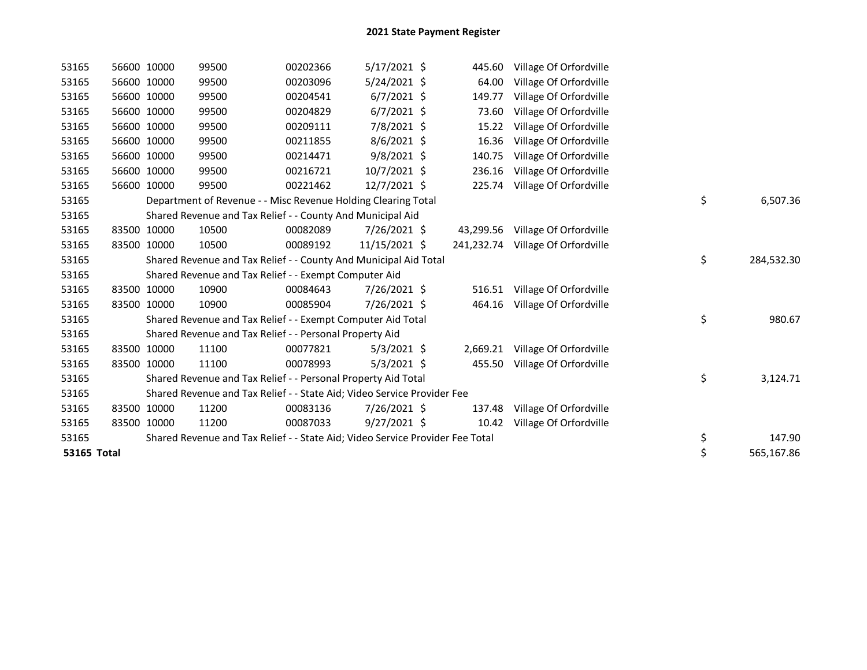| 53165       | 56600 10000 | 99500                                                                         | 00202366 | $5/17/2021$ \$ | 445.60    | Village Of Orfordville            |                  |
|-------------|-------------|-------------------------------------------------------------------------------|----------|----------------|-----------|-----------------------------------|------------------|
| 53165       | 56600 10000 | 99500                                                                         | 00203096 | 5/24/2021 \$   | 64.00     | Village Of Orfordville            |                  |
| 53165       | 56600 10000 | 99500                                                                         | 00204541 | $6/7/2021$ \$  | 149.77    | Village Of Orfordville            |                  |
| 53165       | 56600 10000 | 99500                                                                         | 00204829 | $6/7/2021$ \$  | 73.60     | Village Of Orfordville            |                  |
| 53165       | 56600 10000 | 99500                                                                         | 00209111 | 7/8/2021 \$    | 15.22     | Village Of Orfordville            |                  |
| 53165       | 56600 10000 | 99500                                                                         | 00211855 | 8/6/2021 \$    | 16.36     | Village Of Orfordville            |                  |
| 53165       | 56600 10000 | 99500                                                                         | 00214471 | $9/8/2021$ \$  | 140.75    | Village Of Orfordville            |                  |
| 53165       | 56600 10000 | 99500                                                                         | 00216721 | 10/7/2021 \$   | 236.16    | Village Of Orfordville            |                  |
| 53165       | 56600 10000 | 99500                                                                         | 00221462 | 12/7/2021 \$   | 225.74    | Village Of Orfordville            |                  |
| 53165       |             | Department of Revenue - - Misc Revenue Holding Clearing Total                 |          |                |           |                                   | \$<br>6,507.36   |
| 53165       |             | Shared Revenue and Tax Relief - - County And Municipal Aid                    |          |                |           |                                   |                  |
| 53165       | 83500 10000 | 10500                                                                         | 00082089 | 7/26/2021 \$   | 43,299.56 | Village Of Orfordville            |                  |
| 53165       | 83500 10000 | 10500                                                                         | 00089192 | 11/15/2021 \$  |           | 241,232.74 Village Of Orfordville |                  |
| 53165       |             | Shared Revenue and Tax Relief - - County And Municipal Aid Total              |          |                |           |                                   | \$<br>284,532.30 |
| 53165       |             | Shared Revenue and Tax Relief - - Exempt Computer Aid                         |          |                |           |                                   |                  |
| 53165       | 83500 10000 | 10900                                                                         | 00084643 | 7/26/2021 \$   | 516.51    | Village Of Orfordville            |                  |
| 53165       | 83500 10000 | 10900                                                                         | 00085904 | 7/26/2021 \$   | 464.16    | Village Of Orfordville            |                  |
| 53165       |             | Shared Revenue and Tax Relief - - Exempt Computer Aid Total                   |          |                |           |                                   | \$<br>980.67     |
| 53165       |             | Shared Revenue and Tax Relief - - Personal Property Aid                       |          |                |           |                                   |                  |
| 53165       | 83500 10000 | 11100                                                                         | 00077821 | $5/3/2021$ \$  |           | 2,669.21 Village Of Orfordville   |                  |
| 53165       | 83500 10000 | 11100                                                                         | 00078993 | $5/3/2021$ \$  | 455.50    | Village Of Orfordville            |                  |
| 53165       |             | Shared Revenue and Tax Relief - - Personal Property Aid Total                 |          |                |           |                                   | \$<br>3,124.71   |
| 53165       |             | Shared Revenue and Tax Relief - - State Aid; Video Service Provider Fee       |          |                |           |                                   |                  |
| 53165       | 83500 10000 | 11200                                                                         | 00083136 | 7/26/2021 \$   | 137.48    | Village Of Orfordville            |                  |
| 53165       | 83500 10000 | 11200                                                                         | 00087033 | $9/27/2021$ \$ | 10.42     | Village Of Orfordville            |                  |
| 53165       |             | Shared Revenue and Tax Relief - - State Aid; Video Service Provider Fee Total |          |                |           |                                   | \$<br>147.90     |
| 53165 Total |             |                                                                               |          |                |           |                                   | \$<br>565,167.86 |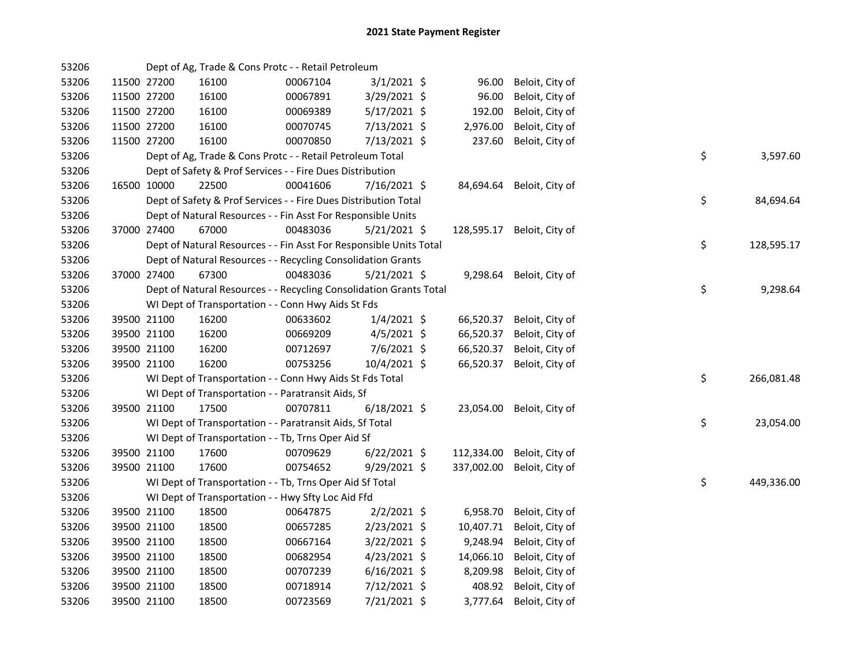| 53206 |             |             | Dept of Ag, Trade & Cons Protc - - Retail Petroleum                |          |                |            |                          |    |            |
|-------|-------------|-------------|--------------------------------------------------------------------|----------|----------------|------------|--------------------------|----|------------|
| 53206 |             | 11500 27200 | 16100                                                              | 00067104 | $3/1/2021$ \$  | 96.00      | Beloit, City of          |    |            |
| 53206 | 11500 27200 |             | 16100                                                              | 00067891 | 3/29/2021 \$   | 96.00      | Beloit, City of          |    |            |
| 53206 | 11500 27200 |             | 16100                                                              | 00069389 | $5/17/2021$ \$ | 192.00     | Beloit, City of          |    |            |
| 53206 | 11500 27200 |             | 16100                                                              | 00070745 | 7/13/2021 \$   | 2,976.00   | Beloit, City of          |    |            |
| 53206 | 11500 27200 |             | 16100                                                              | 00070850 | 7/13/2021 \$   | 237.60     | Beloit, City of          |    |            |
| 53206 |             |             | Dept of Ag, Trade & Cons Protc - - Retail Petroleum Total          |          |                |            |                          | \$ | 3,597.60   |
| 53206 |             |             | Dept of Safety & Prof Services - - Fire Dues Distribution          |          |                |            |                          |    |            |
| 53206 | 16500 10000 |             | 22500                                                              | 00041606 | 7/16/2021 \$   | 84,694.64  | Beloit, City of          |    |            |
| 53206 |             |             | Dept of Safety & Prof Services - - Fire Dues Distribution Total    |          |                |            |                          | \$ | 84,694.64  |
| 53206 |             |             | Dept of Natural Resources - - Fin Asst For Responsible Units       |          |                |            |                          |    |            |
| 53206 | 37000 27400 |             | 67000                                                              | 00483036 | 5/21/2021 \$   | 128,595.17 | Beloit, City of          |    |            |
| 53206 |             |             | Dept of Natural Resources - - Fin Asst For Responsible Units Total |          |                |            |                          | \$ | 128,595.17 |
| 53206 |             |             | Dept of Natural Resources - - Recycling Consolidation Grants       |          |                |            |                          |    |            |
| 53206 | 37000 27400 |             | 67300                                                              | 00483036 | $5/21/2021$ \$ |            | 9,298.64 Beloit, City of |    |            |
| 53206 |             |             | Dept of Natural Resources - - Recycling Consolidation Grants Total |          |                |            |                          | \$ | 9,298.64   |
| 53206 |             |             | WI Dept of Transportation - - Conn Hwy Aids St Fds                 |          |                |            |                          |    |            |
| 53206 |             | 39500 21100 | 16200                                                              | 00633602 | $1/4/2021$ \$  | 66,520.37  | Beloit, City of          |    |            |
| 53206 |             | 39500 21100 | 16200                                                              | 00669209 | $4/5/2021$ \$  | 66,520.37  | Beloit, City of          |    |            |
| 53206 | 39500 21100 |             | 16200                                                              | 00712697 | 7/6/2021 \$    | 66,520.37  | Beloit, City of          |    |            |
| 53206 | 39500 21100 |             | 16200                                                              | 00753256 | 10/4/2021 \$   | 66,520.37  | Beloit, City of          |    |            |
| 53206 |             |             | WI Dept of Transportation - - Conn Hwy Aids St Fds Total           |          |                |            |                          | \$ | 266,081.48 |
| 53206 |             |             | WI Dept of Transportation - - Paratransit Aids, Sf                 |          |                |            |                          |    |            |
| 53206 | 39500 21100 |             | 17500                                                              | 00707811 | $6/18/2021$ \$ | 23,054.00  | Beloit, City of          |    |            |
| 53206 |             |             | WI Dept of Transportation - - Paratransit Aids, Sf Total           |          |                |            |                          | \$ | 23,054.00  |
| 53206 |             |             | WI Dept of Transportation - - Tb, Trns Oper Aid Sf                 |          |                |            |                          |    |            |
| 53206 | 39500 21100 |             | 17600                                                              | 00709629 | $6/22/2021$ \$ | 112,334.00 | Beloit, City of          |    |            |
| 53206 | 39500 21100 |             | 17600                                                              | 00754652 | $9/29/2021$ \$ | 337,002.00 | Beloit, City of          |    |            |
| 53206 |             |             | WI Dept of Transportation - - Tb, Trns Oper Aid Sf Total           |          |                |            |                          | \$ | 449,336.00 |
| 53206 |             |             | WI Dept of Transportation - - Hwy Sfty Loc Aid Ffd                 |          |                |            |                          |    |            |
| 53206 |             | 39500 21100 | 18500                                                              | 00647875 | $2/2/2021$ \$  | 6,958.70   | Beloit, City of          |    |            |
| 53206 | 39500 21100 |             | 18500                                                              | 00657285 | 2/23/2021 \$   | 10,407.71  | Beloit, City of          |    |            |
| 53206 | 39500 21100 |             | 18500                                                              | 00667164 | $3/22/2021$ \$ | 9,248.94   | Beloit, City of          |    |            |
| 53206 | 39500 21100 |             | 18500                                                              | 00682954 | $4/23/2021$ \$ | 14,066.10  | Beloit, City of          |    |            |
| 53206 | 39500 21100 |             | 18500                                                              | 00707239 | $6/16/2021$ \$ | 8,209.98   | Beloit, City of          |    |            |
| 53206 | 39500 21100 |             | 18500                                                              | 00718914 | 7/12/2021 \$   | 408.92     | Beloit, City of          |    |            |
| 53206 | 39500 21100 |             | 18500                                                              | 00723569 | 7/21/2021 \$   | 3,777.64   | Beloit, City of          |    |            |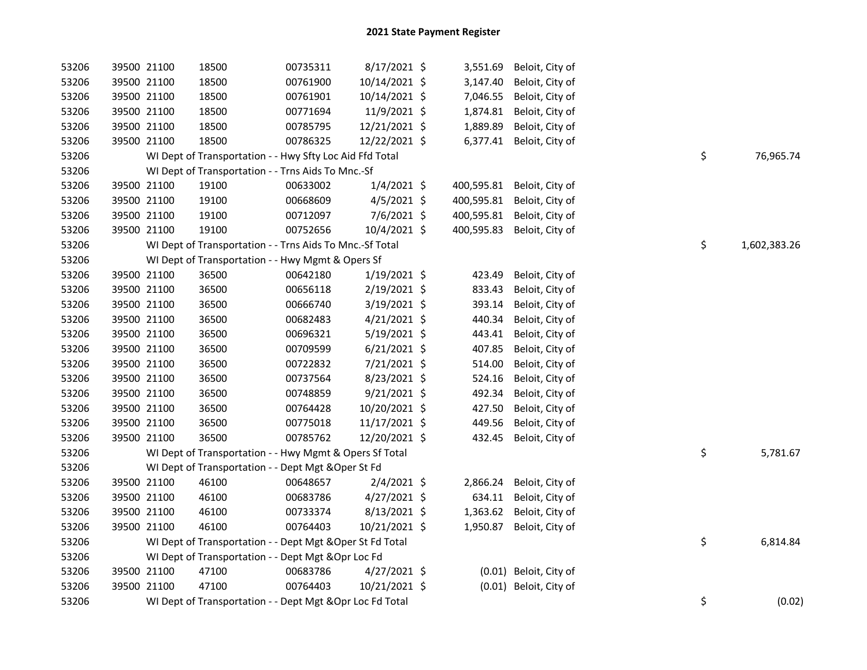| 53206 | 39500 21100 |             | 18500                                                     | 00735311 | 8/17/2021 \$   | 3,551.69   | Beloit, City of        |    |              |
|-------|-------------|-------------|-----------------------------------------------------------|----------|----------------|------------|------------------------|----|--------------|
| 53206 | 39500 21100 |             | 18500                                                     | 00761900 | 10/14/2021 \$  | 3,147.40   | Beloit, City of        |    |              |
| 53206 | 39500 21100 |             | 18500                                                     | 00761901 | 10/14/2021 \$  | 7,046.55   | Beloit, City of        |    |              |
| 53206 | 39500 21100 |             | 18500                                                     | 00771694 | 11/9/2021 \$   | 1,874.81   | Beloit, City of        |    |              |
| 53206 | 39500 21100 |             | 18500                                                     | 00785795 | 12/21/2021 \$  | 1,889.89   | Beloit, City of        |    |              |
| 53206 | 39500 21100 |             | 18500                                                     | 00786325 | 12/22/2021 \$  | 6,377.41   | Beloit, City of        |    |              |
| 53206 |             |             | WI Dept of Transportation - - Hwy Sfty Loc Aid Ffd Total  |          |                |            |                        | \$ | 76,965.74    |
| 53206 |             |             | WI Dept of Transportation - - Trns Aids To Mnc.-Sf        |          |                |            |                        |    |              |
| 53206 | 39500 21100 |             | 19100                                                     | 00633002 | $1/4/2021$ \$  | 400,595.81 | Beloit, City of        |    |              |
| 53206 |             | 39500 21100 | 19100                                                     | 00668609 | $4/5/2021$ \$  | 400,595.81 | Beloit, City of        |    |              |
| 53206 | 39500 21100 |             | 19100                                                     | 00712097 | 7/6/2021 \$    | 400,595.81 | Beloit, City of        |    |              |
| 53206 | 39500 21100 |             | 19100                                                     | 00752656 | 10/4/2021 \$   | 400,595.83 | Beloit, City of        |    |              |
| 53206 |             |             | WI Dept of Transportation - - Trns Aids To Mnc.-Sf Total  |          |                |            |                        | \$ | 1,602,383.26 |
| 53206 |             |             | WI Dept of Transportation - - Hwy Mgmt & Opers Sf         |          |                |            |                        |    |              |
| 53206 | 39500 21100 |             | 36500                                                     | 00642180 | $1/19/2021$ \$ | 423.49     | Beloit, City of        |    |              |
| 53206 | 39500 21100 |             | 36500                                                     | 00656118 | 2/19/2021 \$   | 833.43     | Beloit, City of        |    |              |
| 53206 | 39500 21100 |             | 36500                                                     | 00666740 | 3/19/2021 \$   | 393.14     | Beloit, City of        |    |              |
| 53206 | 39500 21100 |             | 36500                                                     | 00682483 | 4/21/2021 \$   | 440.34     | Beloit, City of        |    |              |
| 53206 | 39500 21100 |             | 36500                                                     | 00696321 | 5/19/2021 \$   | 443.41     | Beloit, City of        |    |              |
| 53206 | 39500 21100 |             | 36500                                                     | 00709599 | $6/21/2021$ \$ | 407.85     | Beloit, City of        |    |              |
| 53206 | 39500 21100 |             | 36500                                                     | 00722832 | 7/21/2021 \$   | 514.00     | Beloit, City of        |    |              |
| 53206 | 39500 21100 |             | 36500                                                     | 00737564 | 8/23/2021 \$   | 524.16     | Beloit, City of        |    |              |
| 53206 |             | 39500 21100 | 36500                                                     | 00748859 | $9/21/2021$ \$ | 492.34     | Beloit, City of        |    |              |
| 53206 | 39500 21100 |             | 36500                                                     | 00764428 | 10/20/2021 \$  | 427.50     | Beloit, City of        |    |              |
| 53206 | 39500 21100 |             | 36500                                                     | 00775018 | 11/17/2021 \$  | 449.56     | Beloit, City of        |    |              |
| 53206 | 39500 21100 |             | 36500                                                     | 00785762 | 12/20/2021 \$  | 432.45     | Beloit, City of        |    |              |
| 53206 |             |             | WI Dept of Transportation - - Hwy Mgmt & Opers Sf Total   |          |                |            |                        | \$ | 5,781.67     |
| 53206 |             |             | WI Dept of Transportation - - Dept Mgt & Oper St Fd       |          |                |            |                        |    |              |
| 53206 |             | 39500 21100 | 46100                                                     | 00648657 | $2/4/2021$ \$  | 2,866.24   | Beloit, City of        |    |              |
| 53206 |             | 39500 21100 | 46100                                                     | 00683786 | $4/27/2021$ \$ | 634.11     | Beloit, City of        |    |              |
| 53206 | 39500 21100 |             | 46100                                                     | 00733374 | $8/13/2021$ \$ | 1,363.62   | Beloit, City of        |    |              |
| 53206 | 39500 21100 |             | 46100                                                     | 00764403 | 10/21/2021 \$  | 1,950.87   | Beloit, City of        |    |              |
| 53206 |             |             | WI Dept of Transportation - - Dept Mgt & Oper St Fd Total |          |                |            |                        | \$ | 6,814.84     |
| 53206 |             |             | WI Dept of Transportation - - Dept Mgt & Opr Loc Fd       |          |                |            |                        |    |              |
| 53206 | 39500 21100 |             | 47100                                                     | 00683786 | $4/27/2021$ \$ |            | (0.01) Beloit, City of |    |              |
| 53206 | 39500 21100 |             | 47100                                                     | 00764403 | 10/21/2021 \$  |            | (0.01) Beloit, City of |    |              |
| 53206 |             |             | WI Dept of Transportation - - Dept Mgt & Opr Loc Fd Total |          |                |            |                        | \$ | (0.02)       |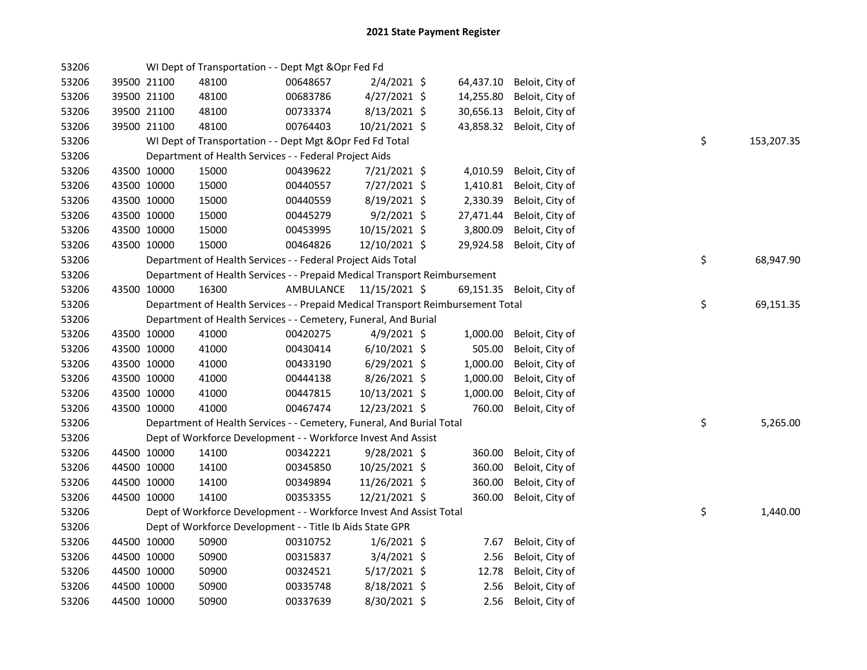| 53206 |             |             | WI Dept of Transportation - - Dept Mgt & Opr Fed Fd                             |           |                |           |                           |    |            |
|-------|-------------|-------------|---------------------------------------------------------------------------------|-----------|----------------|-----------|---------------------------|----|------------|
| 53206 |             | 39500 21100 | 48100                                                                           | 00648657  | $2/4/2021$ \$  | 64,437.10 | Beloit, City of           |    |            |
| 53206 |             | 39500 21100 | 48100                                                                           | 00683786  | $4/27/2021$ \$ | 14,255.80 | Beloit, City of           |    |            |
| 53206 | 39500 21100 |             | 48100                                                                           | 00733374  | 8/13/2021 \$   | 30,656.13 | Beloit, City of           |    |            |
| 53206 | 39500 21100 |             | 48100                                                                           | 00764403  | 10/21/2021 \$  | 43,858.32 | Beloit, City of           |    |            |
| 53206 |             |             | WI Dept of Transportation - - Dept Mgt & Opr Fed Fd Total                       |           |                |           |                           | \$ | 153,207.35 |
| 53206 |             |             | Department of Health Services - - Federal Project Aids                          |           |                |           |                           |    |            |
| 53206 |             | 43500 10000 | 15000                                                                           | 00439622  | 7/21/2021 \$   | 4,010.59  | Beloit, City of           |    |            |
| 53206 |             | 43500 10000 | 15000                                                                           | 00440557  | 7/27/2021 \$   | 1,410.81  | Beloit, City of           |    |            |
| 53206 |             | 43500 10000 | 15000                                                                           | 00440559  | 8/19/2021 \$   | 2,330.39  | Beloit, City of           |    |            |
| 53206 |             | 43500 10000 | 15000                                                                           | 00445279  | $9/2/2021$ \$  | 27,471.44 | Beloit, City of           |    |            |
| 53206 |             | 43500 10000 | 15000                                                                           | 00453995  | 10/15/2021 \$  | 3,800.09  | Beloit, City of           |    |            |
| 53206 | 43500 10000 |             | 15000                                                                           | 00464826  | 12/10/2021 \$  | 29,924.58 | Beloit, City of           |    |            |
| 53206 |             |             | Department of Health Services - - Federal Project Aids Total                    |           |                |           |                           | \$ | 68,947.90  |
| 53206 |             |             | Department of Health Services - - Prepaid Medical Transport Reimbursement       |           |                |           |                           |    |            |
| 53206 | 43500 10000 |             | 16300                                                                           | AMBULANCE | 11/15/2021 \$  |           | 69,151.35 Beloit, City of |    |            |
| 53206 |             |             | Department of Health Services - - Prepaid Medical Transport Reimbursement Total |           |                |           |                           | \$ | 69,151.35  |
| 53206 |             |             | Department of Health Services - - Cemetery, Funeral, And Burial                 |           |                |           |                           |    |            |
| 53206 |             | 43500 10000 | 41000                                                                           | 00420275  | $4/9/2021$ \$  | 1,000.00  | Beloit, City of           |    |            |
| 53206 |             | 43500 10000 | 41000                                                                           | 00430414  | $6/10/2021$ \$ | 505.00    | Beloit, City of           |    |            |
| 53206 |             | 43500 10000 | 41000                                                                           | 00433190  | $6/29/2021$ \$ | 1,000.00  | Beloit, City of           |    |            |
| 53206 |             | 43500 10000 | 41000                                                                           | 00444138  | 8/26/2021 \$   | 1,000.00  | Beloit, City of           |    |            |
| 53206 |             | 43500 10000 | 41000                                                                           | 00447815  | 10/13/2021 \$  | 1,000.00  | Beloit, City of           |    |            |
| 53206 | 43500 10000 |             | 41000                                                                           | 00467474  | 12/23/2021 \$  | 760.00    | Beloit, City of           |    |            |
| 53206 |             |             | Department of Health Services - - Cemetery, Funeral, And Burial Total           |           |                |           |                           | \$ | 5,265.00   |
| 53206 |             |             | Dept of Workforce Development - - Workforce Invest And Assist                   |           |                |           |                           |    |            |
| 53206 |             | 44500 10000 | 14100                                                                           | 00342221  | 9/28/2021 \$   | 360.00    | Beloit, City of           |    |            |
| 53206 |             | 44500 10000 | 14100                                                                           | 00345850  | 10/25/2021 \$  | 360.00    | Beloit, City of           |    |            |
| 53206 | 44500 10000 |             | 14100                                                                           | 00349894  | 11/26/2021 \$  | 360.00    | Beloit, City of           |    |            |
| 53206 | 44500 10000 |             | 14100                                                                           | 00353355  | 12/21/2021 \$  | 360.00    | Beloit, City of           |    |            |
| 53206 |             |             | Dept of Workforce Development - - Workforce Invest And Assist Total             |           |                |           |                           | \$ | 1,440.00   |
| 53206 |             |             | Dept of Workforce Development - - Title Ib Aids State GPR                       |           |                |           |                           |    |            |
| 53206 |             | 44500 10000 | 50900                                                                           | 00310752  | $1/6/2021$ \$  | 7.67      | Beloit, City of           |    |            |
| 53206 | 44500 10000 |             | 50900                                                                           | 00315837  | $3/4/2021$ \$  | 2.56      | Beloit, City of           |    |            |
| 53206 | 44500 10000 |             | 50900                                                                           | 00324521  | $5/17/2021$ \$ | 12.78     | Beloit, City of           |    |            |
| 53206 | 44500 10000 |             | 50900                                                                           | 00335748  | 8/18/2021 \$   | 2.56      | Beloit, City of           |    |            |
| 53206 | 44500 10000 |             | 50900                                                                           | 00337639  | 8/30/2021 \$   | 2.56      | Beloit, City of           |    |            |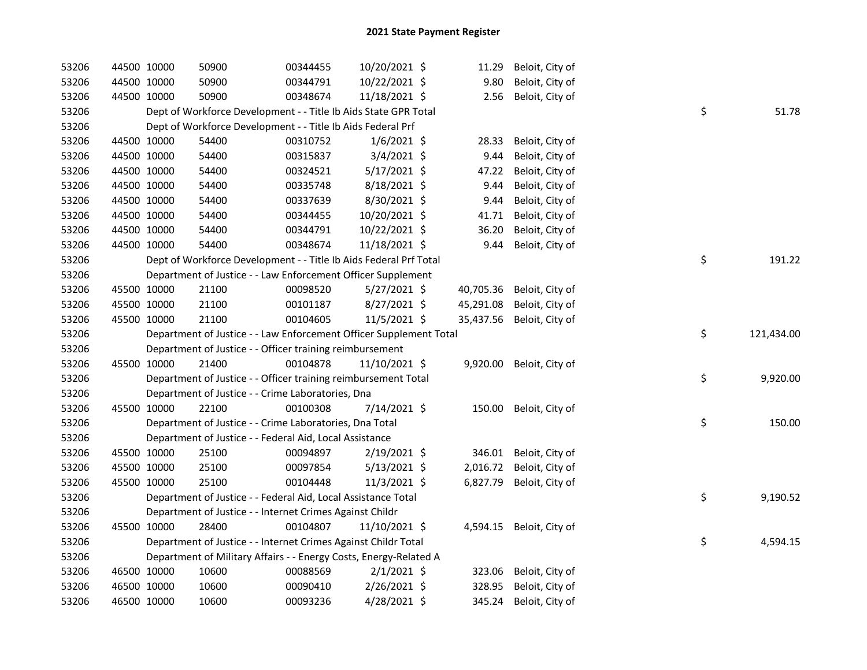| 53206 |             | 44500 10000 | 50900                                                              | 00344455 | 10/20/2021 \$  | 11.29     | Beloit, City of |    |            |
|-------|-------------|-------------|--------------------------------------------------------------------|----------|----------------|-----------|-----------------|----|------------|
| 53206 |             | 44500 10000 | 50900                                                              | 00344791 | 10/22/2021 \$  | 9.80      | Beloit, City of |    |            |
| 53206 |             | 44500 10000 | 50900                                                              | 00348674 | 11/18/2021 \$  | 2.56      | Beloit, City of |    |            |
| 53206 |             |             | Dept of Workforce Development - - Title Ib Aids State GPR Total    |          |                |           |                 | \$ | 51.78      |
| 53206 |             |             | Dept of Workforce Development - - Title Ib Aids Federal Prf        |          |                |           |                 |    |            |
| 53206 |             | 44500 10000 | 54400                                                              | 00310752 | $1/6/2021$ \$  | 28.33     | Beloit, City of |    |            |
| 53206 |             | 44500 10000 | 54400                                                              | 00315837 | $3/4/2021$ \$  | 9.44      | Beloit, City of |    |            |
| 53206 |             | 44500 10000 | 54400                                                              | 00324521 | $5/17/2021$ \$ | 47.22     | Beloit, City of |    |            |
| 53206 |             | 44500 10000 | 54400                                                              | 00335748 | 8/18/2021 \$   | 9.44      | Beloit, City of |    |            |
| 53206 |             | 44500 10000 | 54400                                                              | 00337639 | 8/30/2021 \$   | 9.44      | Beloit, City of |    |            |
| 53206 |             | 44500 10000 | 54400                                                              | 00344455 | 10/20/2021 \$  | 41.71     | Beloit, City of |    |            |
| 53206 |             | 44500 10000 | 54400                                                              | 00344791 | 10/22/2021 \$  | 36.20     | Beloit, City of |    |            |
| 53206 |             | 44500 10000 | 54400                                                              | 00348674 | 11/18/2021 \$  | 9.44      | Beloit, City of |    |            |
| 53206 |             |             | Dept of Workforce Development - - Title Ib Aids Federal Prf Total  |          |                |           |                 | \$ | 191.22     |
| 53206 |             |             | Department of Justice - - Law Enforcement Officer Supplement       |          |                |           |                 |    |            |
| 53206 |             | 45500 10000 | 21100                                                              | 00098520 | $5/27/2021$ \$ | 40,705.36 | Beloit, City of |    |            |
| 53206 | 45500 10000 |             | 21100                                                              | 00101187 | $8/27/2021$ \$ | 45,291.08 | Beloit, City of |    |            |
| 53206 |             | 45500 10000 | 21100                                                              | 00104605 | 11/5/2021 \$   | 35,437.56 | Beloit, City of |    |            |
| 53206 |             |             | Department of Justice - - Law Enforcement Officer Supplement Total |          |                |           |                 | \$ | 121,434.00 |
| 53206 |             |             | Department of Justice - - Officer training reimbursement           |          |                |           |                 |    |            |
| 53206 | 45500 10000 |             | 21400                                                              | 00104878 | 11/10/2021 \$  | 9,920.00  | Beloit, City of |    |            |
| 53206 |             |             | Department of Justice - - Officer training reimbursement Total     |          |                |           |                 | \$ | 9,920.00   |
| 53206 |             |             | Department of Justice - - Crime Laboratories, Dna                  |          |                |           |                 |    |            |
| 53206 |             | 45500 10000 | 22100                                                              | 00100308 | 7/14/2021 \$   | 150.00    | Beloit, City of |    |            |
| 53206 |             |             | Department of Justice - - Crime Laboratories, Dna Total            |          |                |           |                 | \$ | 150.00     |
| 53206 |             |             | Department of Justice - - Federal Aid, Local Assistance            |          |                |           |                 |    |            |
| 53206 |             | 45500 10000 | 25100                                                              | 00094897 | 2/19/2021 \$   | 346.01    | Beloit, City of |    |            |
| 53206 |             | 45500 10000 | 25100                                                              | 00097854 | $5/13/2021$ \$ | 2,016.72  | Beloit, City of |    |            |
| 53206 | 45500 10000 |             | 25100                                                              | 00104448 | $11/3/2021$ \$ | 6,827.79  | Beloit, City of |    |            |
| 53206 |             |             | Department of Justice - - Federal Aid, Local Assistance Total      |          |                |           |                 | \$ | 9,190.52   |
| 53206 |             |             | Department of Justice - - Internet Crimes Against Childr           |          |                |           |                 |    |            |
| 53206 |             | 45500 10000 | 28400                                                              | 00104807 | 11/10/2021 \$  | 4,594.15  | Beloit, City of |    |            |
| 53206 |             |             | Department of Justice - - Internet Crimes Against Childr Total     |          |                |           |                 | \$ | 4,594.15   |
| 53206 |             |             | Department of Military Affairs - - Energy Costs, Energy-Related A  |          |                |           |                 |    |            |
| 53206 |             | 46500 10000 | 10600                                                              | 00088569 | $2/1/2021$ \$  | 323.06    | Beloit, City of |    |            |
| 53206 |             | 46500 10000 | 10600                                                              | 00090410 | 2/26/2021 \$   | 328.95    | Beloit, City of |    |            |
| 53206 |             | 46500 10000 | 10600                                                              | 00093236 | 4/28/2021 \$   | 345.24    | Beloit, City of |    |            |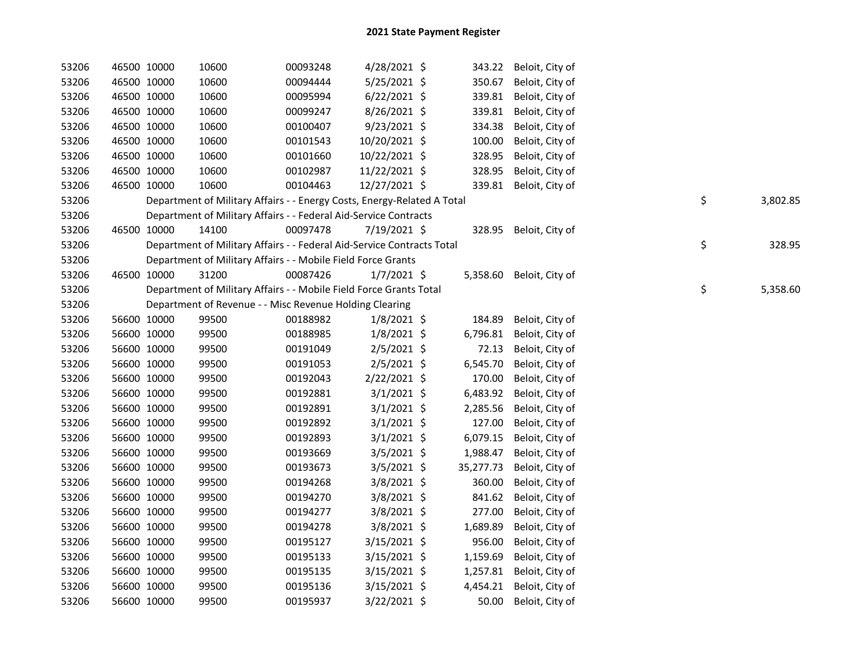| 53206 | 46500 10000 | 10600                                                                   | 00093248 | 4/28/2021 \$   |           | 343.22 Beloit, City of |    |          |
|-------|-------------|-------------------------------------------------------------------------|----------|----------------|-----------|------------------------|----|----------|
| 53206 | 46500 10000 | 10600                                                                   | 00094444 | 5/25/2021 \$   | 350.67    | Beloit, City of        |    |          |
| 53206 | 46500 10000 | 10600                                                                   | 00095994 | $6/22/2021$ \$ | 339.81    | Beloit, City of        |    |          |
| 53206 | 46500 10000 | 10600                                                                   | 00099247 | $8/26/2021$ \$ | 339.81    | Beloit, City of        |    |          |
| 53206 | 46500 10000 | 10600                                                                   | 00100407 | $9/23/2021$ \$ | 334.38    | Beloit, City of        |    |          |
| 53206 | 46500 10000 | 10600                                                                   | 00101543 | 10/20/2021 \$  | 100.00    | Beloit, City of        |    |          |
| 53206 | 46500 10000 | 10600                                                                   | 00101660 | 10/22/2021 \$  | 328.95    | Beloit, City of        |    |          |
| 53206 | 46500 10000 | 10600                                                                   | 00102987 | 11/22/2021 \$  | 328.95    | Beloit, City of        |    |          |
| 53206 | 46500 10000 | 10600                                                                   | 00104463 | 12/27/2021 \$  | 339.81    | Beloit, City of        |    |          |
| 53206 |             | Department of Military Affairs - - Energy Costs, Energy-Related A Total |          |                |           |                        | \$ | 3,802.85 |
| 53206 |             | Department of Military Affairs - - Federal Aid-Service Contracts        |          |                |           |                        |    |          |
| 53206 | 46500 10000 | 14100                                                                   | 00097478 | $7/19/2021$ \$ | 328.95    | Beloit, City of        |    |          |
| 53206 |             | Department of Military Affairs - - Federal Aid-Service Contracts Total  |          |                |           |                        | \$ | 328.95   |
| 53206 |             | Department of Military Affairs - - Mobile Field Force Grants            |          |                |           |                        |    |          |
| 53206 | 46500 10000 | 31200                                                                   | 00087426 | $1/7/2021$ \$  | 5,358.60  | Beloit, City of        |    |          |
| 53206 |             | Department of Military Affairs - - Mobile Field Force Grants Total      |          |                |           |                        | \$ | 5,358.60 |
| 53206 |             | Department of Revenue - - Misc Revenue Holding Clearing                 |          |                |           |                        |    |          |
| 53206 | 56600 10000 | 99500                                                                   | 00188982 | $1/8/2021$ \$  | 184.89    | Beloit, City of        |    |          |
| 53206 | 56600 10000 | 99500                                                                   | 00188985 | $1/8/2021$ \$  | 6,796.81  | Beloit, City of        |    |          |
| 53206 | 56600 10000 | 99500                                                                   | 00191049 | $2/5/2021$ \$  | 72.13     | Beloit, City of        |    |          |
| 53206 | 56600 10000 | 99500                                                                   | 00191053 | $2/5/2021$ \$  | 6,545.70  | Beloit, City of        |    |          |
| 53206 | 56600 10000 | 99500                                                                   | 00192043 | $2/22/2021$ \$ | 170.00    | Beloit, City of        |    |          |
| 53206 | 56600 10000 | 99500                                                                   | 00192881 | $3/1/2021$ \$  | 6,483.92  | Beloit, City of        |    |          |
| 53206 | 56600 10000 | 99500                                                                   | 00192891 | $3/1/2021$ \$  | 2,285.56  | Beloit, City of        |    |          |
| 53206 | 56600 10000 | 99500                                                                   | 00192892 | $3/1/2021$ \$  | 127.00    | Beloit, City of        |    |          |
| 53206 | 56600 10000 | 99500                                                                   | 00192893 | $3/1/2021$ \$  | 6,079.15  | Beloit, City of        |    |          |
| 53206 | 56600 10000 | 99500                                                                   | 00193669 | $3/5/2021$ \$  | 1,988.47  | Beloit, City of        |    |          |
| 53206 | 56600 10000 | 99500                                                                   | 00193673 | $3/5/2021$ \$  | 35,277.73 | Beloit, City of        |    |          |
| 53206 | 56600 10000 | 99500                                                                   | 00194268 | 3/8/2021 \$    | 360.00    | Beloit, City of        |    |          |
| 53206 | 56600 10000 | 99500                                                                   | 00194270 | 3/8/2021 \$    | 841.62    | Beloit, City of        |    |          |
| 53206 | 56600 10000 | 99500                                                                   | 00194277 | 3/8/2021 \$    | 277.00    | Beloit, City of        |    |          |
| 53206 | 56600 10000 | 99500                                                                   | 00194278 | 3/8/2021 \$    | 1,689.89  | Beloit, City of        |    |          |
| 53206 | 56600 10000 | 99500                                                                   | 00195127 | $3/15/2021$ \$ | 956.00    | Beloit, City of        |    |          |
| 53206 | 56600 10000 | 99500                                                                   | 00195133 | $3/15/2021$ \$ | 1,159.69  | Beloit, City of        |    |          |
| 53206 | 56600 10000 | 99500                                                                   | 00195135 | $3/15/2021$ \$ | 1,257.81  | Beloit, City of        |    |          |
| 53206 | 56600 10000 | 99500                                                                   | 00195136 | $3/15/2021$ \$ | 4,454.21  | Beloit, City of        |    |          |
| 53206 | 56600 10000 | 99500                                                                   | 00195937 | 3/22/2021 \$   | 50.00     | Beloit, City of        |    |          |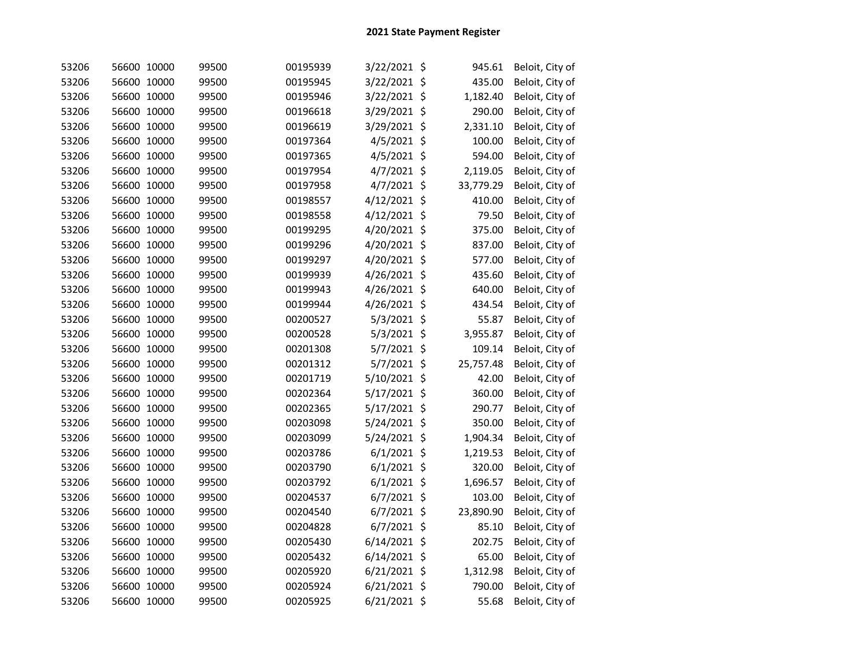| 53206 | 56600 10000 | 99500 | 00195939 | 3/22/2021 \$   | 945.61          | Beloit, City of |
|-------|-------------|-------|----------|----------------|-----------------|-----------------|
| 53206 | 56600 10000 | 99500 | 00195945 | 3/22/2021 \$   | 435.00          | Beloit, City of |
| 53206 | 56600 10000 | 99500 | 00195946 | 3/22/2021 \$   | 1,182.40        | Beloit, City of |
| 53206 | 56600 10000 | 99500 | 00196618 | 3/29/2021 \$   | 290.00          | Beloit, City of |
| 53206 | 56600 10000 | 99500 | 00196619 | 3/29/2021 \$   | 2,331.10        | Beloit, City of |
| 53206 | 56600 10000 | 99500 | 00197364 | 4/5/2021 \$    | 100.00          | Beloit, City of |
| 53206 | 56600 10000 | 99500 | 00197365 | 4/5/2021 \$    | 594.00          | Beloit, City of |
| 53206 | 56600 10000 | 99500 | 00197954 | $4/7/2021$ \$  | 2,119.05        | Beloit, City of |
| 53206 | 56600 10000 | 99500 | 00197958 | 4/7/2021       | \$<br>33,779.29 | Beloit, City of |
| 53206 | 56600 10000 | 99500 | 00198557 | 4/12/2021 \$   | 410.00          | Beloit, City of |
| 53206 | 56600 10000 | 99500 | 00198558 | 4/12/2021 \$   | 79.50           | Beloit, City of |
| 53206 | 56600 10000 | 99500 | 00199295 | 4/20/2021 \$   | 375.00          | Beloit, City of |
| 53206 | 56600 10000 | 99500 | 00199296 | 4/20/2021 \$   | 837.00          | Beloit, City of |
| 53206 | 56600 10000 | 99500 | 00199297 | 4/20/2021 \$   | 577.00          | Beloit, City of |
| 53206 | 56600 10000 | 99500 | 00199939 | 4/26/2021 \$   | 435.60          | Beloit, City of |
| 53206 | 56600 10000 | 99500 | 00199943 | 4/26/2021 \$   | 640.00          | Beloit, City of |
| 53206 | 56600 10000 | 99500 | 00199944 | 4/26/2021 \$   | 434.54          | Beloit, City of |
| 53206 | 56600 10000 | 99500 | 00200527 | 5/3/2021 \$    | 55.87           | Beloit, City of |
| 53206 | 56600 10000 | 99500 | 00200528 | 5/3/2021 \$    | 3,955.87        | Beloit, City of |
| 53206 | 56600 10000 | 99500 | 00201308 | 5/7/2021 \$    | 109.14          | Beloit, City of |
| 53206 | 56600 10000 | 99500 | 00201312 | 5/7/2021 \$    | 25,757.48       | Beloit, City of |
| 53206 | 56600 10000 | 99500 | 00201719 | 5/10/2021 \$   | 42.00           | Beloit, City of |
| 53206 | 56600 10000 | 99500 | 00202364 | 5/17/2021 \$   | 360.00          | Beloit, City of |
| 53206 | 56600 10000 | 99500 | 00202365 | 5/17/2021 \$   | 290.77          | Beloit, City of |
| 53206 | 56600 10000 | 99500 | 00203098 | 5/24/2021 \$   | 350.00          | Beloit, City of |
| 53206 | 56600 10000 | 99500 | 00203099 | 5/24/2021 \$   | 1,904.34        | Beloit, City of |
| 53206 | 56600 10000 | 99500 | 00203786 | $6/1/2021$ \$  | 1,219.53        | Beloit, City of |
| 53206 | 56600 10000 | 99500 | 00203790 | $6/1/2021$ \$  | 320.00          | Beloit, City of |
| 53206 | 56600 10000 | 99500 | 00203792 | $6/1/2021$ \$  | 1,696.57        | Beloit, City of |
| 53206 | 56600 10000 | 99500 | 00204537 | 6/7/2021 \$    | 103.00          | Beloit, City of |
| 53206 | 56600 10000 | 99500 | 00204540 | 6/7/2021 \$    | 23,890.90       | Beloit, City of |
| 53206 | 56600 10000 | 99500 | 00204828 | 6/7/2021 \$    | 85.10           | Beloit, City of |
| 53206 | 56600 10000 | 99500 | 00205430 | $6/14/2021$ \$ | 202.75          | Beloit, City of |
| 53206 | 56600 10000 | 99500 | 00205432 | 6/14/2021 \$   | 65.00           | Beloit, City of |
| 53206 | 56600 10000 | 99500 | 00205920 | 6/21/2021 \$   | 1,312.98        | Beloit, City of |
| 53206 | 56600 10000 | 99500 | 00205924 | 6/21/2021 \$   | 790.00          | Beloit, City of |
| 53206 | 56600 10000 | 99500 | 00205925 | $6/21/2021$ \$ | 55.68           | Beloit, City of |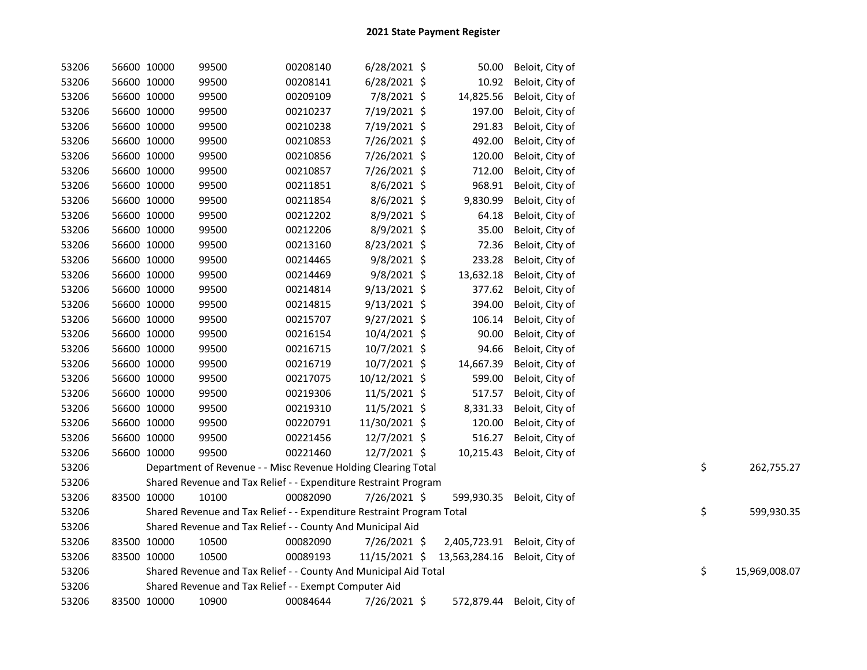| 53206 | 56600 10000 | 99500                                                                 | 00208140 | $6/28/2021$ \$ | 50.00         | Beloit, City of              |    |               |
|-------|-------------|-----------------------------------------------------------------------|----------|----------------|---------------|------------------------------|----|---------------|
| 53206 | 56600 10000 | 99500                                                                 | 00208141 | $6/28/2021$ \$ | 10.92         | Beloit, City of              |    |               |
| 53206 | 56600 10000 | 99500                                                                 | 00209109 | 7/8/2021 \$    | 14,825.56     | Beloit, City of              |    |               |
| 53206 | 56600 10000 | 99500                                                                 | 00210237 | 7/19/2021 \$   | 197.00        | Beloit, City of              |    |               |
| 53206 | 56600 10000 | 99500                                                                 | 00210238 | 7/19/2021 \$   | 291.83        | Beloit, City of              |    |               |
| 53206 | 56600 10000 | 99500                                                                 | 00210853 | 7/26/2021 \$   | 492.00        | Beloit, City of              |    |               |
| 53206 | 56600 10000 | 99500                                                                 | 00210856 | 7/26/2021 \$   | 120.00        | Beloit, City of              |    |               |
| 53206 | 56600 10000 | 99500                                                                 | 00210857 | 7/26/2021 \$   | 712.00        | Beloit, City of              |    |               |
| 53206 | 56600 10000 | 99500                                                                 | 00211851 | $8/6/2021$ \$  | 968.91        | Beloit, City of              |    |               |
| 53206 | 56600 10000 | 99500                                                                 | 00211854 | 8/6/2021 \$    | 9,830.99      | Beloit, City of              |    |               |
| 53206 | 56600 10000 | 99500                                                                 | 00212202 | 8/9/2021 \$    | 64.18         | Beloit, City of              |    |               |
| 53206 | 56600 10000 | 99500                                                                 | 00212206 | 8/9/2021 \$    | 35.00         | Beloit, City of              |    |               |
| 53206 | 56600 10000 | 99500                                                                 | 00213160 | 8/23/2021 \$   | 72.36         | Beloit, City of              |    |               |
| 53206 | 56600 10000 | 99500                                                                 | 00214465 | 9/8/2021 \$    | 233.28        | Beloit, City of              |    |               |
| 53206 | 56600 10000 | 99500                                                                 | 00214469 | 9/8/2021 \$    | 13,632.18     | Beloit, City of              |    |               |
| 53206 | 56600 10000 | 99500                                                                 | 00214814 | $9/13/2021$ \$ | 377.62        | Beloit, City of              |    |               |
| 53206 | 56600 10000 | 99500                                                                 | 00214815 | $9/13/2021$ \$ | 394.00        | Beloit, City of              |    |               |
| 53206 | 56600 10000 | 99500                                                                 | 00215707 | $9/27/2021$ \$ | 106.14        | Beloit, City of              |    |               |
| 53206 | 56600 10000 | 99500                                                                 | 00216154 | 10/4/2021 \$   | 90.00         | Beloit, City of              |    |               |
| 53206 | 56600 10000 | 99500                                                                 | 00216715 | 10/7/2021 \$   | 94.66         | Beloit, City of              |    |               |
| 53206 | 56600 10000 | 99500                                                                 | 00216719 | 10/7/2021 \$   | 14,667.39     | Beloit, City of              |    |               |
| 53206 | 56600 10000 | 99500                                                                 | 00217075 | 10/12/2021 \$  | 599.00        | Beloit, City of              |    |               |
| 53206 | 56600 10000 | 99500                                                                 | 00219306 | 11/5/2021 \$   | 517.57        | Beloit, City of              |    |               |
| 53206 | 56600 10000 | 99500                                                                 | 00219310 | 11/5/2021 \$   | 8,331.33      | Beloit, City of              |    |               |
| 53206 | 56600 10000 | 99500                                                                 | 00220791 | 11/30/2021 \$  | 120.00        | Beloit, City of              |    |               |
| 53206 | 56600 10000 | 99500                                                                 | 00221456 | 12/7/2021 \$   | 516.27        | Beloit, City of              |    |               |
| 53206 | 56600 10000 | 99500                                                                 | 00221460 | 12/7/2021 \$   | 10,215.43     | Beloit, City of              |    |               |
| 53206 |             | Department of Revenue - - Misc Revenue Holding Clearing Total         |          |                |               |                              | \$ | 262,755.27    |
| 53206 |             | Shared Revenue and Tax Relief - - Expenditure Restraint Program       |          |                |               |                              |    |               |
| 53206 | 83500 10000 | 10100                                                                 | 00082090 | 7/26/2021 \$   | 599,930.35    | Beloit, City of              |    |               |
| 53206 |             | Shared Revenue and Tax Relief - - Expenditure Restraint Program Total |          |                |               |                              | \$ | 599,930.35    |
| 53206 |             | Shared Revenue and Tax Relief - - County And Municipal Aid            |          |                |               |                              |    |               |
| 53206 | 83500 10000 | 10500                                                                 | 00082090 | 7/26/2021 \$   |               | 2,405,723.91 Beloit, City of |    |               |
| 53206 | 83500 10000 | 10500                                                                 | 00089193 | 11/15/2021 \$  | 13,563,284.16 | Beloit, City of              |    |               |
| 53206 |             | Shared Revenue and Tax Relief - - County And Municipal Aid Total      |          |                |               |                              | \$ | 15,969,008.07 |
| 53206 |             | Shared Revenue and Tax Relief - - Exempt Computer Aid                 |          |                |               |                              |    |               |
| 53206 | 83500 10000 | 10900                                                                 | 00084644 | 7/26/2021 \$   |               | 572,879.44 Beloit, City of   |    |               |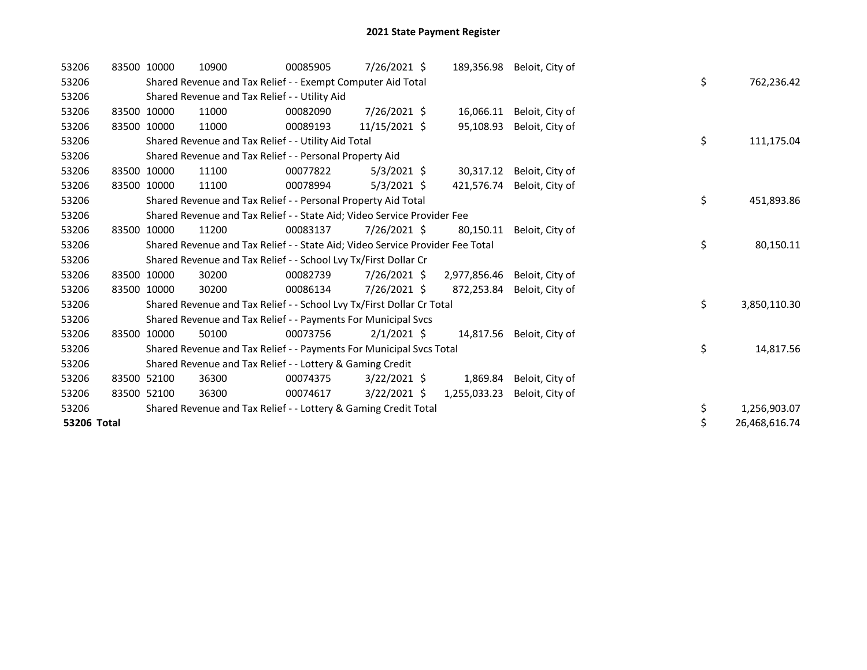| 53206       | 83500 10000 |             | 10900                                                                         | 00085905 | $7/26/2021$ \$ | 189,356.98   | Beloit, City of |    |               |
|-------------|-------------|-------------|-------------------------------------------------------------------------------|----------|----------------|--------------|-----------------|----|---------------|
| 53206       |             |             | Shared Revenue and Tax Relief - - Exempt Computer Aid Total                   |          |                |              |                 | \$ | 762,236.42    |
| 53206       |             |             | Shared Revenue and Tax Relief - - Utility Aid                                 |          |                |              |                 |    |               |
| 53206       |             | 83500 10000 | 11000                                                                         | 00082090 | $7/26/2021$ \$ | 16,066.11    | Beloit, City of |    |               |
| 53206       |             | 83500 10000 | 11000                                                                         | 00089193 | 11/15/2021 \$  | 95,108.93    | Beloit, City of |    |               |
| 53206       |             |             | Shared Revenue and Tax Relief - - Utility Aid Total                           |          |                |              |                 | \$ | 111,175.04    |
| 53206       |             |             | Shared Revenue and Tax Relief - - Personal Property Aid                       |          |                |              |                 |    |               |
| 53206       | 83500       | 10000       | 11100                                                                         | 00077822 | $5/3/2021$ \$  | 30,317.12    | Beloit, City of |    |               |
| 53206       |             | 83500 10000 | 11100                                                                         | 00078994 | $5/3/2021$ \$  | 421,576.74   | Beloit, City of |    |               |
| 53206       |             |             | Shared Revenue and Tax Relief - - Personal Property Aid Total                 |          |                |              |                 | \$ | 451,893.86    |
| 53206       |             |             | Shared Revenue and Tax Relief - - State Aid; Video Service Provider Fee       |          |                |              |                 |    |               |
| 53206       | 83500       | 10000       | 11200                                                                         | 00083137 | 7/26/2021 \$   | 80,150.11    | Beloit, City of |    |               |
| 53206       |             |             | Shared Revenue and Tax Relief - - State Aid; Video Service Provider Fee Total |          |                |              |                 | \$ | 80,150.11     |
| 53206       |             |             | Shared Revenue and Tax Relief - - School Lvy Tx/First Dollar Cr               |          |                |              |                 |    |               |
| 53206       | 83500       | 10000       | 30200                                                                         | 00082739 | 7/26/2021 \$   | 2,977,856.46 | Beloit, City of |    |               |
| 53206       | 83500       | 10000       | 30200                                                                         | 00086134 | 7/26/2021 \$   | 872,253.84   | Beloit, City of |    |               |
| 53206       |             |             | Shared Revenue and Tax Relief - - School Lvy Tx/First Dollar Cr Total         |          |                |              |                 | \$ | 3,850,110.30  |
| 53206       |             |             | Shared Revenue and Tax Relief - - Payments For Municipal Svcs                 |          |                |              |                 |    |               |
| 53206       |             | 83500 10000 | 50100                                                                         | 00073756 | $2/1/2021$ \$  | 14,817.56    | Beloit, City of |    |               |
| 53206       |             |             | Shared Revenue and Tax Relief - - Payments For Municipal Svcs Total           |          |                |              |                 | \$ | 14,817.56     |
| 53206       |             |             | Shared Revenue and Tax Relief - - Lottery & Gaming Credit                     |          |                |              |                 |    |               |
| 53206       | 83500       | 52100       | 36300                                                                         | 00074375 | $3/22/2021$ \$ | 1,869.84     | Beloit, City of |    |               |
| 53206       |             | 83500 52100 | 36300                                                                         | 00074617 | $3/22/2021$ \$ | 1,255,033.23 | Beloit, City of |    |               |
| 53206       |             |             | Shared Revenue and Tax Relief - - Lottery & Gaming Credit Total               |          |                |              |                 | \$ | 1,256,903.07  |
| 53206 Total |             |             |                                                                               |          |                |              |                 | \$ | 26,468,616.74 |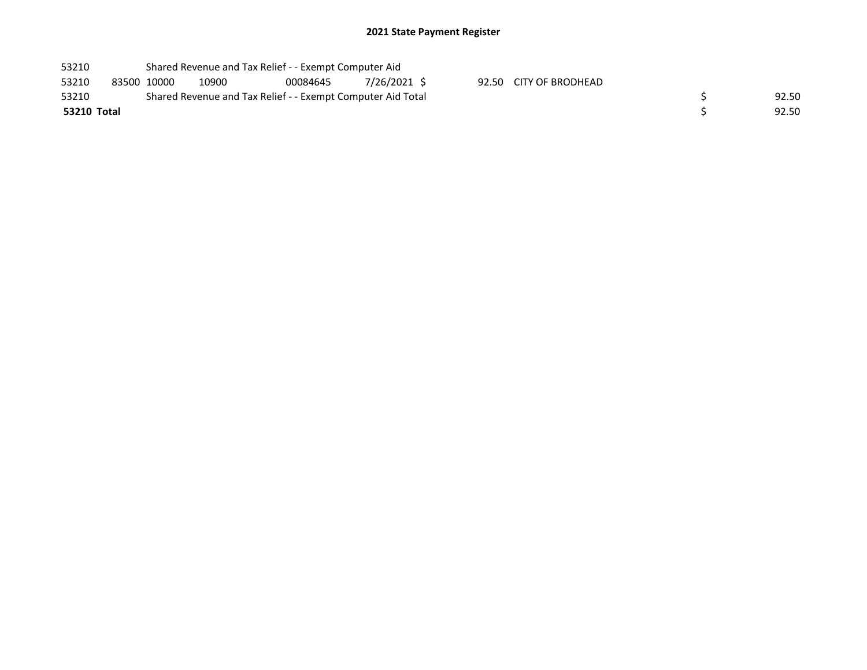## 2021 State Payment Register

| 53210       |             | Shared Revenue and Tax Relief - - Exempt Computer Aid                |       |          |              |  |                        |  |  |  |  |  |
|-------------|-------------|----------------------------------------------------------------------|-------|----------|--------------|--|------------------------|--|--|--|--|--|
| 53210       | 83500 10000 |                                                                      | 10900 | 00084645 | 7/26/2021 \$ |  | 92.50 CITY OF BRODHEAD |  |  |  |  |  |
| 53210       |             | Shared Revenue and Tax Relief - - Exempt Computer Aid Total<br>92.50 |       |          |              |  |                        |  |  |  |  |  |
| 53210 Total |             |                                                                      |       | 92.50    |              |  |                        |  |  |  |  |  |
|             |             |                                                                      |       |          |              |  |                        |  |  |  |  |  |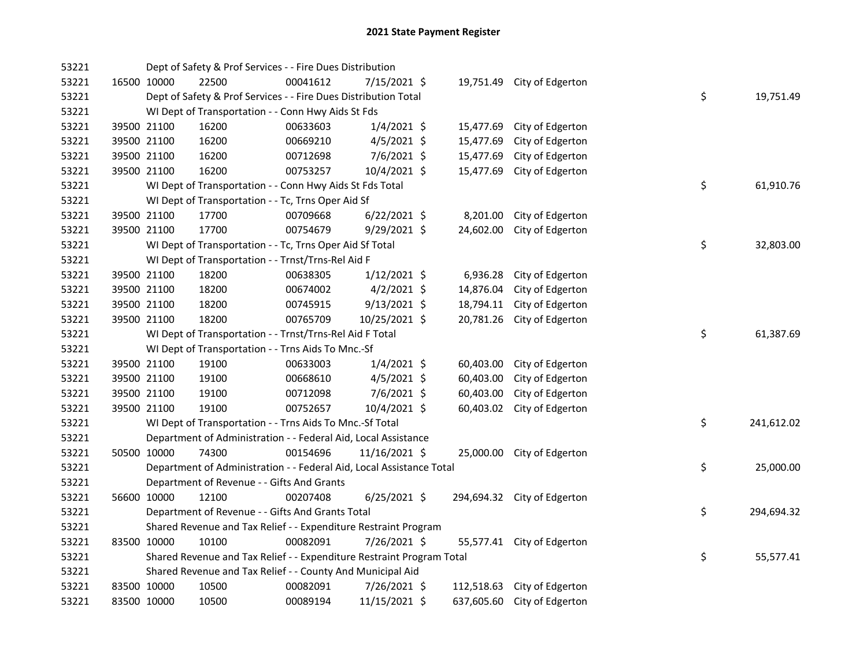| 53221 |             | Dept of Safety & Prof Services - - Fire Dues Distribution             |          |                |           |                             |    |            |
|-------|-------------|-----------------------------------------------------------------------|----------|----------------|-----------|-----------------------------|----|------------|
| 53221 | 16500 10000 | 22500                                                                 | 00041612 | 7/15/2021 \$   |           | 19,751.49 City of Edgerton  |    |            |
| 53221 |             | Dept of Safety & Prof Services - - Fire Dues Distribution Total       |          |                |           |                             | \$ | 19,751.49  |
| 53221 |             | WI Dept of Transportation - - Conn Hwy Aids St Fds                    |          |                |           |                             |    |            |
| 53221 | 39500 21100 | 16200                                                                 | 00633603 | $1/4/2021$ \$  | 15,477.69 | City of Edgerton            |    |            |
| 53221 | 39500 21100 | 16200                                                                 | 00669210 | $4/5/2021$ \$  | 15,477.69 | City of Edgerton            |    |            |
| 53221 | 39500 21100 | 16200                                                                 | 00712698 | $7/6/2021$ \$  | 15,477.69 | City of Edgerton            |    |            |
| 53221 | 39500 21100 | 16200                                                                 | 00753257 | 10/4/2021 \$   | 15,477.69 | City of Edgerton            |    |            |
| 53221 |             | WI Dept of Transportation - - Conn Hwy Aids St Fds Total              |          |                |           |                             | \$ | 61,910.76  |
| 53221 |             | WI Dept of Transportation - - Tc, Trns Oper Aid Sf                    |          |                |           |                             |    |            |
| 53221 | 39500 21100 | 17700                                                                 | 00709668 | $6/22/2021$ \$ | 8,201.00  | City of Edgerton            |    |            |
| 53221 | 39500 21100 | 17700                                                                 | 00754679 | 9/29/2021 \$   | 24,602.00 | City of Edgerton            |    |            |
| 53221 |             | WI Dept of Transportation - - Tc, Trns Oper Aid Sf Total              |          |                |           |                             | \$ | 32,803.00  |
| 53221 |             | WI Dept of Transportation - - Trnst/Trns-Rel Aid F                    |          |                |           |                             |    |            |
| 53221 | 39500 21100 | 18200                                                                 | 00638305 | $1/12/2021$ \$ | 6,936.28  | City of Edgerton            |    |            |
| 53221 | 39500 21100 | 18200                                                                 | 00674002 | $4/2/2021$ \$  | 14,876.04 | City of Edgerton            |    |            |
| 53221 | 39500 21100 | 18200                                                                 | 00745915 | $9/13/2021$ \$ | 18,794.11 | City of Edgerton            |    |            |
| 53221 | 39500 21100 | 18200                                                                 | 00765709 | 10/25/2021 \$  |           | 20,781.26 City of Edgerton  |    |            |
| 53221 |             | WI Dept of Transportation - - Trnst/Trns-Rel Aid F Total              |          |                |           |                             | \$ | 61,387.69  |
| 53221 |             | WI Dept of Transportation - - Trns Aids To Mnc.-Sf                    |          |                |           |                             |    |            |
| 53221 | 39500 21100 | 19100                                                                 | 00633003 | $1/4/2021$ \$  | 60,403.00 | City of Edgerton            |    |            |
| 53221 | 39500 21100 | 19100                                                                 | 00668610 | $4/5/2021$ \$  | 60,403.00 | City of Edgerton            |    |            |
| 53221 | 39500 21100 | 19100                                                                 | 00712098 | 7/6/2021 \$    | 60,403.00 | City of Edgerton            |    |            |
| 53221 | 39500 21100 | 19100                                                                 | 00752657 | 10/4/2021 \$   | 60,403.02 | City of Edgerton            |    |            |
| 53221 |             | WI Dept of Transportation - - Trns Aids To Mnc.-Sf Total              |          |                |           |                             | \$ | 241,612.02 |
| 53221 |             | Department of Administration - - Federal Aid, Local Assistance        |          |                |           |                             |    |            |
| 53221 | 50500 10000 | 74300                                                                 | 00154696 | 11/16/2021 \$  |           | 25,000.00 City of Edgerton  |    |            |
| 53221 |             | Department of Administration - - Federal Aid, Local Assistance Total  |          |                |           |                             | \$ | 25,000.00  |
| 53221 |             | Department of Revenue - - Gifts And Grants                            |          |                |           |                             |    |            |
| 53221 | 56600 10000 | 12100                                                                 | 00207408 | $6/25/2021$ \$ |           | 294,694.32 City of Edgerton |    |            |
| 53221 |             | Department of Revenue - - Gifts And Grants Total                      |          |                |           |                             | \$ | 294,694.32 |
| 53221 |             | Shared Revenue and Tax Relief - - Expenditure Restraint Program       |          |                |           |                             |    |            |
| 53221 | 83500 10000 | 10100                                                                 | 00082091 | 7/26/2021 \$   |           | 55,577.41 City of Edgerton  |    |            |
| 53221 |             | Shared Revenue and Tax Relief - - Expenditure Restraint Program Total |          |                |           |                             | \$ | 55,577.41  |
| 53221 |             | Shared Revenue and Tax Relief - - County And Municipal Aid            |          |                |           |                             |    |            |
| 53221 | 83500 10000 | 10500                                                                 | 00082091 | 7/26/2021 \$   |           | 112,518.63 City of Edgerton |    |            |
| 53221 | 83500 10000 | 10500                                                                 | 00089194 | 11/15/2021 \$  |           | 637,605.60 City of Edgerton |    |            |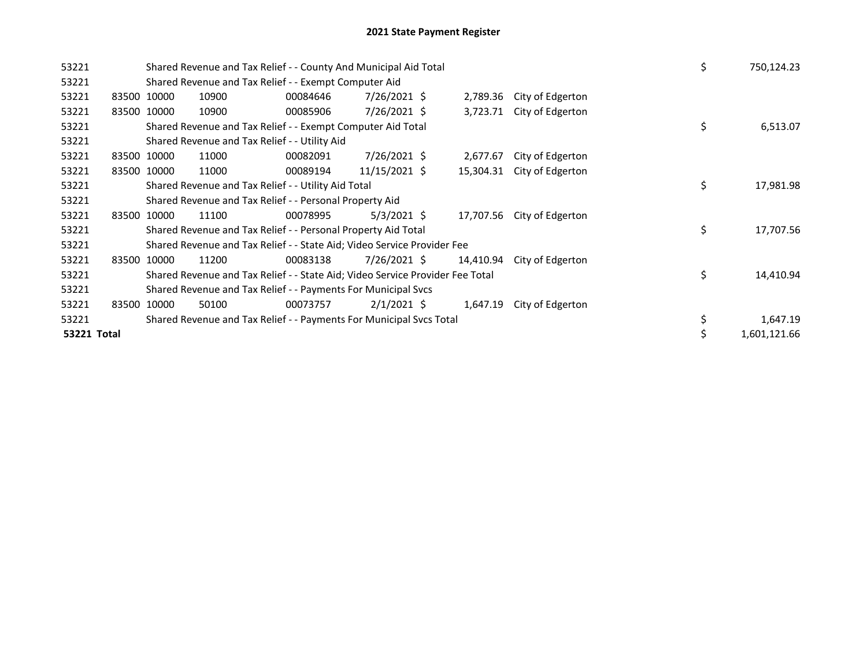| 53221       |  |             | Shared Revenue and Tax Relief - - County And Municipal Aid Total              | \$       | 750,124.23     |           |                  |    |           |
|-------------|--|-------------|-------------------------------------------------------------------------------|----------|----------------|-----------|------------------|----|-----------|
| 53221       |  |             | Shared Revenue and Tax Relief - - Exempt Computer Aid                         |          |                |           |                  |    |           |
| 53221       |  | 83500 10000 | 10900                                                                         | 00084646 | 7/26/2021 \$   | 2,789.36  | City of Edgerton |    |           |
| 53221       |  | 83500 10000 | 10900                                                                         | 00085906 | 7/26/2021 \$   | 3,723.71  | City of Edgerton |    |           |
| 53221       |  |             | Shared Revenue and Tax Relief - - Exempt Computer Aid Total                   |          |                |           |                  | \$ | 6,513.07  |
| 53221       |  |             | Shared Revenue and Tax Relief - - Utility Aid                                 |          |                |           |                  |    |           |
| 53221       |  | 83500 10000 | 11000                                                                         | 00082091 | 7/26/2021 \$   | 2,677.67  | City of Edgerton |    |           |
| 53221       |  | 83500 10000 | 11000                                                                         | 00089194 | 11/15/2021 \$  | 15,304.31 | City of Edgerton |    |           |
| 53221       |  |             | Shared Revenue and Tax Relief - - Utility Aid Total                           | \$       | 17,981.98      |           |                  |    |           |
| 53221       |  |             | Shared Revenue and Tax Relief - - Personal Property Aid                       |          |                |           |                  |    |           |
| 53221       |  | 83500 10000 | 11100                                                                         | 00078995 | $5/3/2021$ \$  | 17,707.56 | City of Edgerton |    |           |
| 53221       |  |             | Shared Revenue and Tax Relief - - Personal Property Aid Total                 |          |                |           |                  | \$ | 17,707.56 |
| 53221       |  |             | Shared Revenue and Tax Relief - - State Aid; Video Service Provider Fee       |          |                |           |                  |    |           |
| 53221       |  | 83500 10000 | 11200                                                                         | 00083138 | $7/26/2021$ \$ | 14,410.94 | City of Edgerton |    |           |
| 53221       |  |             | Shared Revenue and Tax Relief - - State Aid; Video Service Provider Fee Total |          |                |           |                  | \$ | 14,410.94 |
| 53221       |  |             | Shared Revenue and Tax Relief - - Payments For Municipal Svcs                 |          |                |           |                  |    |           |
| 53221       |  | 83500 10000 | 50100                                                                         | 00073757 | $2/1/2021$ \$  | 1,647.19  | City of Edgerton |    |           |
| 53221       |  |             | Shared Revenue and Tax Relief - - Payments For Municipal Svcs Total           | \$       | 1,647.19       |           |                  |    |           |
| 53221 Total |  | \$          | 1,601,121.66                                                                  |          |                |           |                  |    |           |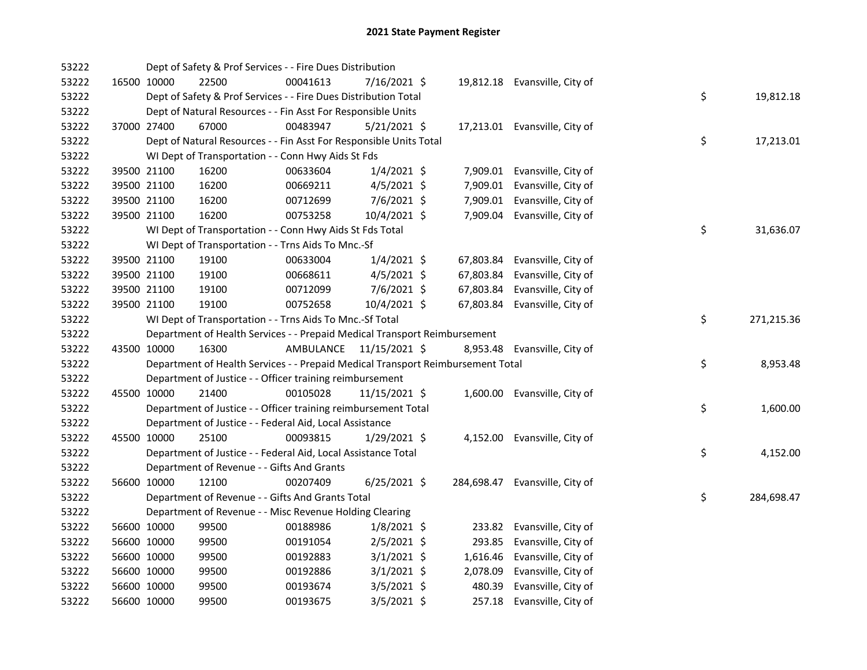| 53222 |             |             | Dept of Safety & Prof Services - - Fire Dues Distribution                       |           |                |           |                                |    |            |
|-------|-------------|-------------|---------------------------------------------------------------------------------|-----------|----------------|-----------|--------------------------------|----|------------|
| 53222 |             | 16500 10000 | 22500                                                                           | 00041613  | 7/16/2021 \$   |           | 19,812.18 Evansville, City of  |    |            |
| 53222 |             |             | Dept of Safety & Prof Services - - Fire Dues Distribution Total                 |           |                |           |                                | \$ | 19,812.18  |
| 53222 |             |             | Dept of Natural Resources - - Fin Asst For Responsible Units                    |           |                |           |                                |    |            |
| 53222 |             | 37000 27400 | 67000                                                                           | 00483947  | $5/21/2021$ \$ |           | 17,213.01 Evansville, City of  |    |            |
| 53222 |             |             | Dept of Natural Resources - - Fin Asst For Responsible Units Total              |           |                |           |                                | \$ | 17,213.01  |
| 53222 |             |             | WI Dept of Transportation - - Conn Hwy Aids St Fds                              |           |                |           |                                |    |            |
| 53222 |             | 39500 21100 | 16200                                                                           | 00633604  | $1/4/2021$ \$  |           | 7,909.01 Evansville, City of   |    |            |
| 53222 |             | 39500 21100 | 16200                                                                           | 00669211  | $4/5/2021$ \$  | 7,909.01  | Evansville, City of            |    |            |
| 53222 |             | 39500 21100 | 16200                                                                           | 00712699  | 7/6/2021 \$    | 7,909.01  | Evansville, City of            |    |            |
| 53222 |             | 39500 21100 | 16200                                                                           | 00753258  | 10/4/2021 \$   |           | 7,909.04 Evansville, City of   |    |            |
| 53222 |             |             | WI Dept of Transportation - - Conn Hwy Aids St Fds Total                        |           |                |           |                                | \$ | 31,636.07  |
| 53222 |             |             | WI Dept of Transportation - - Trns Aids To Mnc.-Sf                              |           |                |           |                                |    |            |
| 53222 |             | 39500 21100 | 19100                                                                           | 00633004  | $1/4/2021$ \$  | 67,803.84 | Evansville, City of            |    |            |
| 53222 |             | 39500 21100 | 19100                                                                           | 00668611  | $4/5/2021$ \$  | 67,803.84 | Evansville, City of            |    |            |
| 53222 |             | 39500 21100 | 19100                                                                           | 00712099  | 7/6/2021 \$    | 67,803.84 | Evansville, City of            |    |            |
| 53222 |             | 39500 21100 | 19100                                                                           | 00752658  | 10/4/2021 \$   |           | 67,803.84 Evansville, City of  |    |            |
| 53222 |             |             | WI Dept of Transportation - - Trns Aids To Mnc.-Sf Total                        |           |                |           |                                | \$ | 271,215.36 |
| 53222 |             |             | Department of Health Services - - Prepaid Medical Transport Reimbursement       |           |                |           |                                |    |            |
| 53222 |             | 43500 10000 | 16300                                                                           | AMBULANCE | 11/15/2021 \$  |           | 8,953.48 Evansville, City of   |    |            |
| 53222 |             |             | Department of Health Services - - Prepaid Medical Transport Reimbursement Total |           |                |           |                                | \$ | 8,953.48   |
| 53222 |             |             | Department of Justice - - Officer training reimbursement                        |           |                |           |                                |    |            |
| 53222 |             | 45500 10000 | 21400                                                                           | 00105028  | 11/15/2021 \$  |           | 1,600.00 Evansville, City of   |    |            |
| 53222 |             |             | Department of Justice - - Officer training reimbursement Total                  |           |                |           |                                | \$ | 1,600.00   |
| 53222 |             |             | Department of Justice - - Federal Aid, Local Assistance                         |           |                |           |                                |    |            |
| 53222 |             | 45500 10000 | 25100                                                                           | 00093815  | $1/29/2021$ \$ |           | 4,152.00 Evansville, City of   |    |            |
| 53222 |             |             | Department of Justice - - Federal Aid, Local Assistance Total                   |           |                |           |                                | \$ | 4,152.00   |
| 53222 |             |             | Department of Revenue - - Gifts And Grants                                      |           |                |           |                                |    |            |
| 53222 |             | 56600 10000 | 12100                                                                           | 00207409  | $6/25/2021$ \$ |           | 284,698.47 Evansville, City of |    |            |
| 53222 |             |             | Department of Revenue - - Gifts And Grants Total                                |           |                |           |                                | \$ | 284,698.47 |
| 53222 |             |             | Department of Revenue - - Misc Revenue Holding Clearing                         |           |                |           |                                |    |            |
| 53222 |             | 56600 10000 | 99500                                                                           | 00188986  | $1/8/2021$ \$  |           | 233.82 Evansville, City of     |    |            |
| 53222 |             | 56600 10000 | 99500                                                                           | 00191054  | $2/5/2021$ \$  |           | 293.85 Evansville, City of     |    |            |
| 53222 |             | 56600 10000 | 99500                                                                           | 00192883  | $3/1/2021$ \$  |           | 1,616.46 Evansville, City of   |    |            |
| 53222 | 56600 10000 |             | 99500                                                                           | 00192886  | $3/1/2021$ \$  | 2,078.09  | Evansville, City of            |    |            |
| 53222 | 56600 10000 |             | 99500                                                                           | 00193674  | $3/5/2021$ \$  | 480.39    | Evansville, City of            |    |            |
| 53222 |             | 56600 10000 | 99500                                                                           | 00193675  | $3/5/2021$ \$  |           | 257.18 Evansville, City of     |    |            |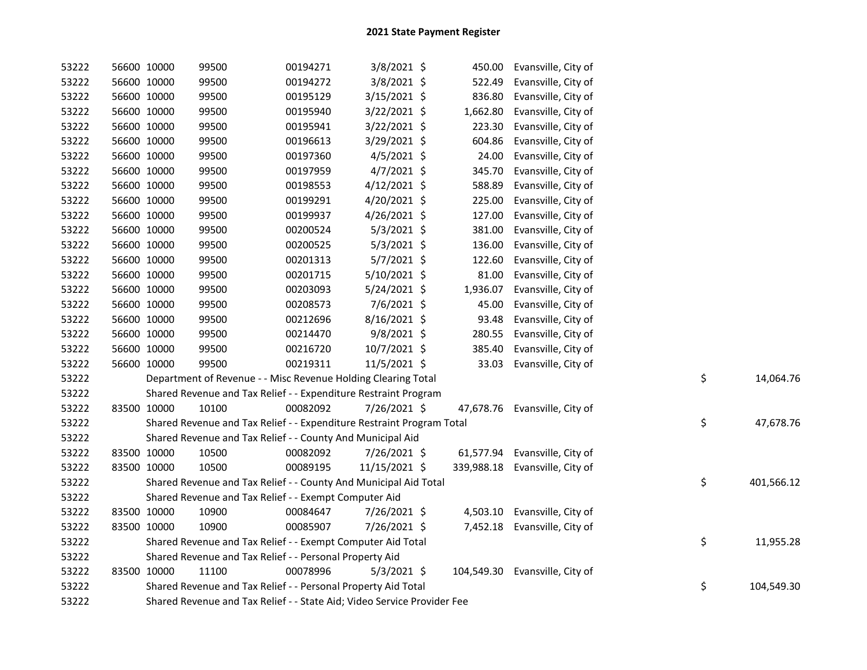| 53222 | 56600 10000 |             | 99500                                                                   | 00194271 | 3/8/2021 \$    |            | 450.00 Evansville, City of     |    |            |
|-------|-------------|-------------|-------------------------------------------------------------------------|----------|----------------|------------|--------------------------------|----|------------|
| 53222 | 56600 10000 |             | 99500                                                                   | 00194272 | 3/8/2021 \$    | 522.49     | Evansville, City of            |    |            |
| 53222 | 56600 10000 |             | 99500                                                                   | 00195129 | 3/15/2021 \$   | 836.80     | Evansville, City of            |    |            |
| 53222 | 56600 10000 |             | 99500                                                                   | 00195940 | 3/22/2021 \$   | 1,662.80   | Evansville, City of            |    |            |
| 53222 | 56600 10000 |             | 99500                                                                   | 00195941 | 3/22/2021 \$   | 223.30     | Evansville, City of            |    |            |
| 53222 | 56600 10000 |             | 99500                                                                   | 00196613 | 3/29/2021 \$   | 604.86     | Evansville, City of            |    |            |
| 53222 | 56600 10000 |             | 99500                                                                   | 00197360 | $4/5/2021$ \$  | 24.00      | Evansville, City of            |    |            |
| 53222 | 56600 10000 |             | 99500                                                                   | 00197959 | $4/7/2021$ \$  | 345.70     | Evansville, City of            |    |            |
| 53222 | 56600 10000 |             | 99500                                                                   | 00198553 | $4/12/2021$ \$ | 588.89     | Evansville, City of            |    |            |
| 53222 | 56600 10000 |             | 99500                                                                   | 00199291 | 4/20/2021 \$   | 225.00     | Evansville, City of            |    |            |
| 53222 | 56600 10000 |             | 99500                                                                   | 00199937 | $4/26/2021$ \$ | 127.00     | Evansville, City of            |    |            |
| 53222 | 56600 10000 |             | 99500                                                                   | 00200524 | $5/3/2021$ \$  | 381.00     | Evansville, City of            |    |            |
| 53222 | 56600 10000 |             | 99500                                                                   | 00200525 | 5/3/2021 \$    | 136.00     | Evansville, City of            |    |            |
| 53222 | 56600 10000 |             | 99500                                                                   | 00201313 | $5/7/2021$ \$  | 122.60     | Evansville, City of            |    |            |
| 53222 | 56600 10000 |             | 99500                                                                   | 00201715 | 5/10/2021 \$   | 81.00      | Evansville, City of            |    |            |
| 53222 | 56600 10000 |             | 99500                                                                   | 00203093 | 5/24/2021 \$   | 1,936.07   | Evansville, City of            |    |            |
| 53222 | 56600 10000 |             | 99500                                                                   | 00208573 | 7/6/2021 \$    | 45.00      | Evansville, City of            |    |            |
| 53222 | 56600 10000 |             | 99500                                                                   | 00212696 | 8/16/2021 \$   | 93.48      | Evansville, City of            |    |            |
| 53222 | 56600 10000 |             | 99500                                                                   | 00214470 | 9/8/2021 \$    | 280.55     | Evansville, City of            |    |            |
| 53222 | 56600 10000 |             | 99500                                                                   | 00216720 | 10/7/2021 \$   | 385.40     | Evansville, City of            |    |            |
| 53222 | 56600 10000 |             | 99500                                                                   | 00219311 | 11/5/2021 \$   | 33.03      | Evansville, City of            |    |            |
| 53222 |             |             | Department of Revenue - - Misc Revenue Holding Clearing Total           |          |                |            |                                | \$ | 14,064.76  |
| 53222 |             |             | Shared Revenue and Tax Relief - - Expenditure Restraint Program         |          |                |            |                                |    |            |
| 53222 | 83500 10000 |             | 10100                                                                   | 00082092 | 7/26/2021 \$   |            | 47,678.76 Evansville, City of  |    |            |
| 53222 |             |             | Shared Revenue and Tax Relief - - Expenditure Restraint Program Total   |          |                |            |                                | \$ | 47,678.76  |
| 53222 |             |             | Shared Revenue and Tax Relief - - County And Municipal Aid              |          |                |            |                                |    |            |
| 53222 | 83500 10000 |             | 10500                                                                   | 00082092 | 7/26/2021 \$   |            | 61,577.94 Evansville, City of  |    |            |
| 53222 | 83500 10000 |             | 10500                                                                   | 00089195 | 11/15/2021 \$  |            | 339,988.18 Evansville, City of |    |            |
| 53222 |             |             | Shared Revenue and Tax Relief - - County And Municipal Aid Total        |          |                |            |                                | \$ | 401,566.12 |
| 53222 |             |             | Shared Revenue and Tax Relief - - Exempt Computer Aid                   |          |                |            |                                |    |            |
| 53222 |             | 83500 10000 | 10900                                                                   | 00084647 | 7/26/2021 \$   |            | 4,503.10 Evansville, City of   |    |            |
| 53222 | 83500 10000 |             | 10900                                                                   | 00085907 | 7/26/2021 \$   |            | 7,452.18 Evansville, City of   |    |            |
| 53222 |             |             | Shared Revenue and Tax Relief - - Exempt Computer Aid Total             |          |                |            |                                | \$ | 11,955.28  |
| 53222 |             |             | Shared Revenue and Tax Relief - - Personal Property Aid                 |          |                |            |                                |    |            |
| 53222 | 83500 10000 |             | 11100                                                                   | 00078996 | $5/3/2021$ \$  | 104,549.30 | Evansville, City of            |    |            |
| 53222 |             |             | Shared Revenue and Tax Relief - - Personal Property Aid Total           |          |                |            |                                | \$ | 104,549.30 |
| 53222 |             |             | Shared Revenue and Tax Relief - - State Aid; Video Service Provider Fee |          |                |            |                                |    |            |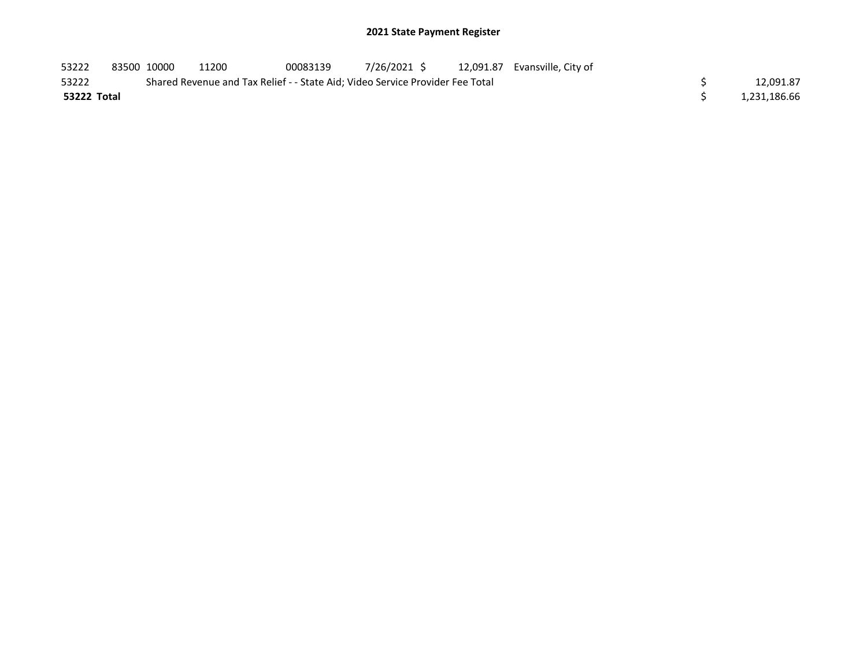## 2021 State Payment Register

| 53222       | 83500 10000 | 11200                                                                         | 00083139 |  | 7/26/2021 \$ 12,091.87 Evansville, City of |  |              |
|-------------|-------------|-------------------------------------------------------------------------------|----------|--|--------------------------------------------|--|--------------|
| 53222       |             | Shared Revenue and Tax Relief - - State Aid; Video Service Provider Fee Total |          |  |                                            |  | 12,091.87    |
| 53222 Total |             |                                                                               |          |  |                                            |  | 1,231,186.66 |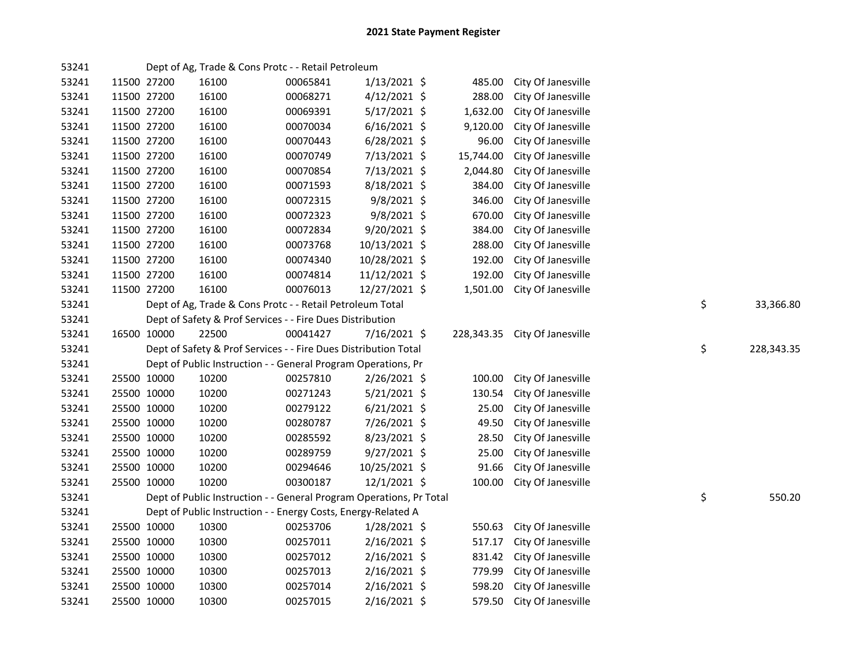| 53241 |             |             | Dept of Ag, Trade & Cons Protc - - Retail Petroleum                 |          |                |           |                               |                  |
|-------|-------------|-------------|---------------------------------------------------------------------|----------|----------------|-----------|-------------------------------|------------------|
| 53241 | 11500 27200 |             | 16100                                                               | 00065841 | $1/13/2021$ \$ | 485.00    | City Of Janesville            |                  |
| 53241 | 11500 27200 |             | 16100                                                               | 00068271 | $4/12/2021$ \$ | 288.00    | City Of Janesville            |                  |
| 53241 | 11500 27200 |             | 16100                                                               | 00069391 | $5/17/2021$ \$ | 1,632.00  | City Of Janesville            |                  |
| 53241 | 11500 27200 |             | 16100                                                               | 00070034 | $6/16/2021$ \$ | 9,120.00  | City Of Janesville            |                  |
| 53241 | 11500 27200 |             | 16100                                                               | 00070443 | $6/28/2021$ \$ | 96.00     | City Of Janesville            |                  |
| 53241 | 11500 27200 |             | 16100                                                               | 00070749 | 7/13/2021 \$   | 15,744.00 | City Of Janesville            |                  |
| 53241 | 11500 27200 |             | 16100                                                               | 00070854 | 7/13/2021 \$   | 2,044.80  | City Of Janesville            |                  |
| 53241 | 11500 27200 |             | 16100                                                               | 00071593 | 8/18/2021 \$   | 384.00    | City Of Janesville            |                  |
| 53241 | 11500 27200 |             | 16100                                                               | 00072315 | 9/8/2021 \$    | 346.00    | City Of Janesville            |                  |
| 53241 | 11500 27200 |             | 16100                                                               | 00072323 | 9/8/2021 \$    | 670.00    | City Of Janesville            |                  |
| 53241 | 11500 27200 |             | 16100                                                               | 00072834 | 9/20/2021 \$   | 384.00    | City Of Janesville            |                  |
| 53241 | 11500 27200 |             | 16100                                                               | 00073768 | 10/13/2021 \$  | 288.00    | City Of Janesville            |                  |
| 53241 | 11500 27200 |             | 16100                                                               | 00074340 | 10/28/2021 \$  | 192.00    | City Of Janesville            |                  |
| 53241 | 11500 27200 |             | 16100                                                               | 00074814 | 11/12/2021 \$  | 192.00    | City Of Janesville            |                  |
| 53241 | 11500 27200 |             | 16100                                                               | 00076013 | 12/27/2021 \$  | 1,501.00  | City Of Janesville            |                  |
| 53241 |             |             | Dept of Ag, Trade & Cons Protc - - Retail Petroleum Total           |          |                |           |                               | \$<br>33,366.80  |
| 53241 |             |             | Dept of Safety & Prof Services - - Fire Dues Distribution           |          |                |           |                               |                  |
| 53241 | 16500 10000 |             | 22500                                                               | 00041427 | 7/16/2021 \$   |           | 228,343.35 City Of Janesville |                  |
| 53241 |             |             | Dept of Safety & Prof Services - - Fire Dues Distribution Total     |          |                |           |                               | \$<br>228,343.35 |
| 53241 |             |             | Dept of Public Instruction - - General Program Operations, Pr       |          |                |           |                               |                  |
| 53241 | 25500 10000 |             | 10200                                                               | 00257810 | 2/26/2021 \$   | 100.00    | City Of Janesville            |                  |
| 53241 | 25500 10000 |             | 10200                                                               | 00271243 | 5/21/2021 \$   | 130.54    | City Of Janesville            |                  |
| 53241 | 25500 10000 |             | 10200                                                               | 00279122 | $6/21/2021$ \$ | 25.00     | City Of Janesville            |                  |
| 53241 | 25500 10000 |             | 10200                                                               | 00280787 | 7/26/2021 \$   | 49.50     | City Of Janesville            |                  |
| 53241 | 25500 10000 |             | 10200                                                               | 00285592 | 8/23/2021 \$   | 28.50     | City Of Janesville            |                  |
| 53241 | 25500 10000 |             | 10200                                                               | 00289759 | 9/27/2021 \$   | 25.00     | City Of Janesville            |                  |
| 53241 | 25500 10000 |             | 10200                                                               | 00294646 | 10/25/2021 \$  | 91.66     | City Of Janesville            |                  |
| 53241 | 25500 10000 |             | 10200                                                               | 00300187 | 12/1/2021 \$   | 100.00    | City Of Janesville            |                  |
| 53241 |             |             | Dept of Public Instruction - - General Program Operations, Pr Total |          |                |           |                               | \$<br>550.20     |
| 53241 |             |             | Dept of Public Instruction - - Energy Costs, Energy-Related A       |          |                |           |                               |                  |
| 53241 | 25500 10000 |             | 10300                                                               | 00253706 | $1/28/2021$ \$ | 550.63    | City Of Janesville            |                  |
| 53241 | 25500 10000 |             | 10300                                                               | 00257011 | $2/16/2021$ \$ | 517.17    | City Of Janesville            |                  |
| 53241 | 25500 10000 |             | 10300                                                               | 00257012 | $2/16/2021$ \$ |           | 831.42 City Of Janesville     |                  |
| 53241 | 25500 10000 |             | 10300                                                               | 00257013 | $2/16/2021$ \$ | 779.99    | City Of Janesville            |                  |
| 53241 |             | 25500 10000 | 10300                                                               | 00257014 | $2/16/2021$ \$ | 598.20    | City Of Janesville            |                  |
| 53241 | 25500 10000 |             | 10300                                                               | 00257015 | 2/16/2021 \$   | 579.50    | City Of Janesville            |                  |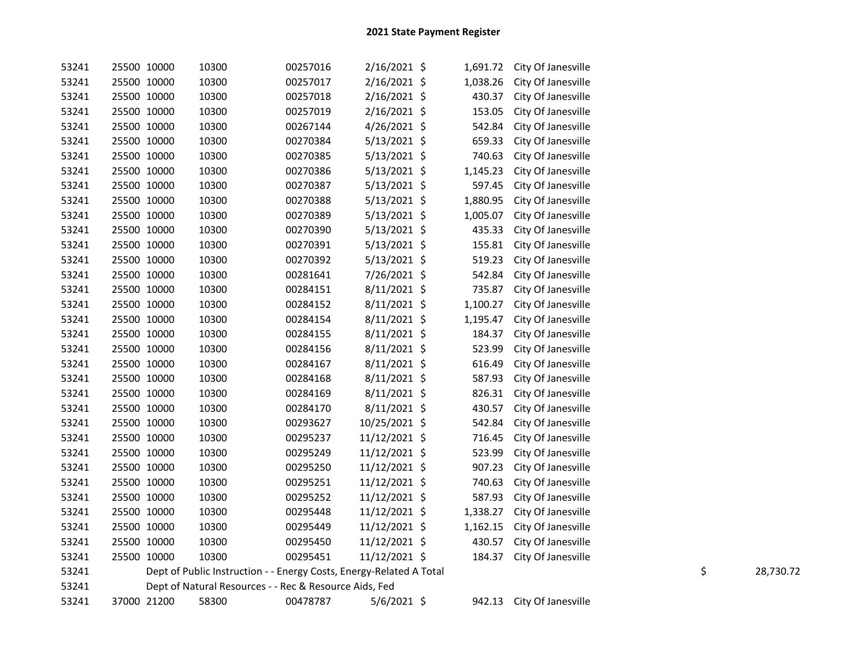| 53241 | 25500 10000 | 10300                                                               | 00257016 | 2/16/2021 \$   | 1,691.72 | City Of Janesville        |    |           |
|-------|-------------|---------------------------------------------------------------------|----------|----------------|----------|---------------------------|----|-----------|
| 53241 | 25500 10000 | 10300                                                               | 00257017 | 2/16/2021 \$   | 1,038.26 | City Of Janesville        |    |           |
| 53241 | 25500 10000 | 10300                                                               | 00257018 | 2/16/2021 \$   | 430.37   | City Of Janesville        |    |           |
| 53241 | 25500 10000 | 10300                                                               | 00257019 | $2/16/2021$ \$ | 153.05   | City Of Janesville        |    |           |
| 53241 | 25500 10000 | 10300                                                               | 00267144 | 4/26/2021 \$   | 542.84   | City Of Janesville        |    |           |
| 53241 | 25500 10000 | 10300                                                               | 00270384 | $5/13/2021$ \$ | 659.33   | City Of Janesville        |    |           |
| 53241 | 25500 10000 | 10300                                                               | 00270385 | $5/13/2021$ \$ | 740.63   | City Of Janesville        |    |           |
| 53241 | 25500 10000 | 10300                                                               | 00270386 | $5/13/2021$ \$ | 1,145.23 | City Of Janesville        |    |           |
| 53241 | 25500 10000 | 10300                                                               | 00270387 | 5/13/2021 \$   | 597.45   | City Of Janesville        |    |           |
| 53241 | 25500 10000 | 10300                                                               | 00270388 | $5/13/2021$ \$ | 1,880.95 | City Of Janesville        |    |           |
| 53241 | 25500 10000 | 10300                                                               | 00270389 | $5/13/2021$ \$ | 1,005.07 | City Of Janesville        |    |           |
| 53241 | 25500 10000 | 10300                                                               | 00270390 | 5/13/2021 \$   | 435.33   | City Of Janesville        |    |           |
| 53241 | 25500 10000 | 10300                                                               | 00270391 | $5/13/2021$ \$ | 155.81   | City Of Janesville        |    |           |
| 53241 | 25500 10000 | 10300                                                               | 00270392 | $5/13/2021$ \$ | 519.23   | City Of Janesville        |    |           |
| 53241 | 25500 10000 | 10300                                                               | 00281641 | 7/26/2021 \$   | 542.84   | City Of Janesville        |    |           |
| 53241 | 25500 10000 | 10300                                                               | 00284151 | $8/11/2021$ \$ | 735.87   | City Of Janesville        |    |           |
| 53241 | 25500 10000 | 10300                                                               | 00284152 | $8/11/2021$ \$ | 1,100.27 | City Of Janesville        |    |           |
| 53241 | 25500 10000 | 10300                                                               | 00284154 | $8/11/2021$ \$ | 1,195.47 | City Of Janesville        |    |           |
| 53241 | 25500 10000 | 10300                                                               | 00284155 | $8/11/2021$ \$ | 184.37   | City Of Janesville        |    |           |
| 53241 | 25500 10000 | 10300                                                               | 00284156 | $8/11/2021$ \$ | 523.99   | City Of Janesville        |    |           |
| 53241 | 25500 10000 | 10300                                                               | 00284167 | $8/11/2021$ \$ | 616.49   | City Of Janesville        |    |           |
| 53241 | 25500 10000 | 10300                                                               | 00284168 | $8/11/2021$ \$ | 587.93   | City Of Janesville        |    |           |
| 53241 | 25500 10000 | 10300                                                               | 00284169 | $8/11/2021$ \$ | 826.31   | City Of Janesville        |    |           |
| 53241 | 25500 10000 | 10300                                                               | 00284170 | $8/11/2021$ \$ | 430.57   | City Of Janesville        |    |           |
| 53241 | 25500 10000 | 10300                                                               | 00293627 | 10/25/2021 \$  | 542.84   | City Of Janesville        |    |           |
| 53241 | 25500 10000 | 10300                                                               | 00295237 | 11/12/2021 \$  | 716.45   | City Of Janesville        |    |           |
| 53241 | 25500 10000 | 10300                                                               | 00295249 | 11/12/2021 \$  | 523.99   | City Of Janesville        |    |           |
| 53241 | 25500 10000 | 10300                                                               | 00295250 | 11/12/2021 \$  | 907.23   | City Of Janesville        |    |           |
| 53241 | 25500 10000 | 10300                                                               | 00295251 | 11/12/2021 \$  | 740.63   | City Of Janesville        |    |           |
| 53241 | 25500 10000 | 10300                                                               | 00295252 | 11/12/2021 \$  | 587.93   | City Of Janesville        |    |           |
| 53241 | 25500 10000 | 10300                                                               | 00295448 | 11/12/2021 \$  | 1,338.27 | City Of Janesville        |    |           |
| 53241 | 25500 10000 | 10300                                                               | 00295449 | 11/12/2021 \$  | 1,162.15 | City Of Janesville        |    |           |
| 53241 | 25500 10000 | 10300                                                               | 00295450 | 11/12/2021 \$  | 430.57   | City Of Janesville        |    |           |
| 53241 | 25500 10000 | 10300                                                               | 00295451 | 11/12/2021 \$  | 184.37   | City Of Janesville        |    |           |
| 53241 |             | Dept of Public Instruction - - Energy Costs, Energy-Related A Total |          |                |          |                           | \$ | 28,730.72 |
| 53241 |             | Dept of Natural Resources - - Rec & Resource Aids, Fed              |          |                |          |                           |    |           |
| 53241 | 37000 21200 | 58300                                                               | 00478787 | $5/6/2021$ \$  |          | 942.13 City Of Janesville |    |           |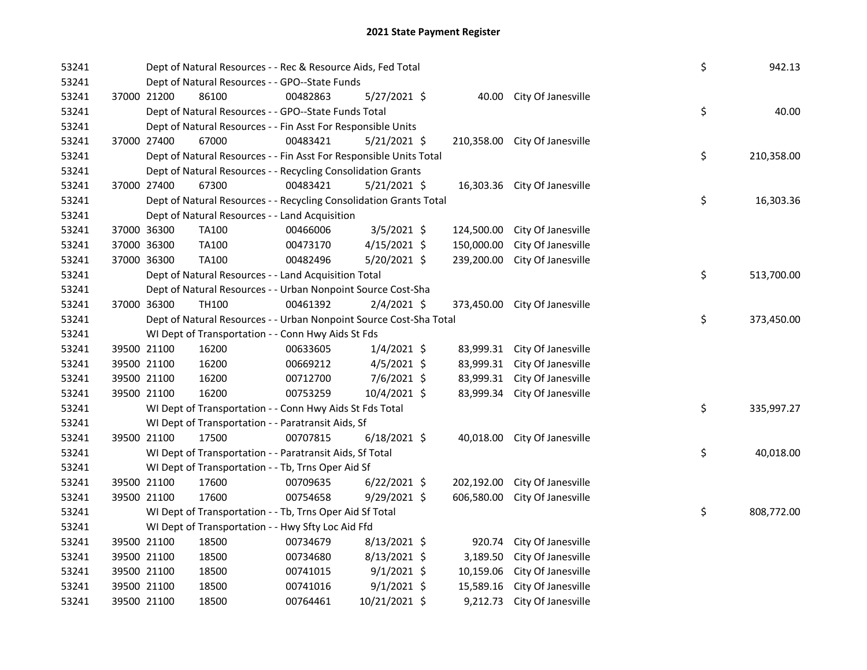| 53241          |             | Dept of Natural Resources - - Rec & Resource Aids, Fed Total          | \$       | 942.13         |            |                               |    |            |
|----------------|-------------|-----------------------------------------------------------------------|----------|----------------|------------|-------------------------------|----|------------|
| 53241          |             | Dept of Natural Resources - - GPO--State Funds                        |          |                |            |                               |    |            |
| 53241          | 37000 21200 | 86100                                                                 | 00482863 | $5/27/2021$ \$ |            | 40.00 City Of Janesville      |    |            |
| 53241          |             | Dept of Natural Resources - - GPO--State Funds Total                  |          |                |            |                               | \$ | 40.00      |
| 53241          | 37000 27400 | Dept of Natural Resources - - Fin Asst For Responsible Units<br>67000 | 00483421 |                |            |                               |    |            |
| 53241<br>53241 |             | Dept of Natural Resources - - Fin Asst For Responsible Units Total    |          | $5/21/2021$ \$ |            | 210,358.00 City Of Janesville | \$ | 210,358.00 |
| 53241          |             | Dept of Natural Resources - - Recycling Consolidation Grants          |          |                |            |                               |    |            |
| 53241          | 37000 27400 | 67300                                                                 | 00483421 | $5/21/2021$ \$ |            | 16,303.36 City Of Janesville  |    |            |
| 53241          |             | Dept of Natural Resources - - Recycling Consolidation Grants Total    |          |                |            |                               | \$ | 16,303.36  |
| 53241          |             | Dept of Natural Resources - - Land Acquisition                        |          |                |            |                               |    |            |
| 53241          | 37000 36300 | TA100                                                                 | 00466006 | $3/5/2021$ \$  | 124,500.00 | City Of Janesville            |    |            |
| 53241          | 37000 36300 | TA100                                                                 | 00473170 | $4/15/2021$ \$ | 150,000.00 | City Of Janesville            |    |            |
| 53241          | 37000 36300 | TA100                                                                 | 00482496 | 5/20/2021 \$   | 239,200.00 | City Of Janesville            |    |            |
| 53241          |             | Dept of Natural Resources - - Land Acquisition Total                  |          |                |            |                               | \$ | 513,700.00 |
| 53241          |             | Dept of Natural Resources - - Urban Nonpoint Source Cost-Sha          |          |                |            |                               |    |            |
| 53241          | 37000 36300 | TH100                                                                 | 00461392 | $2/4/2021$ \$  |            | 373,450.00 City Of Janesville |    |            |
| 53241          |             | Dept of Natural Resources - - Urban Nonpoint Source Cost-Sha Total    |          |                |            |                               | \$ | 373,450.00 |
| 53241          |             | WI Dept of Transportation - - Conn Hwy Aids St Fds                    |          |                |            |                               |    |            |
| 53241          | 39500 21100 | 16200                                                                 | 00633605 | $1/4/2021$ \$  |            | 83,999.31 City Of Janesville  |    |            |
| 53241          | 39500 21100 | 16200                                                                 | 00669212 | $4/5/2021$ \$  |            | 83,999.31 City Of Janesville  |    |            |
| 53241          | 39500 21100 | 16200                                                                 | 00712700 | 7/6/2021 \$    |            | 83,999.31 City Of Janesville  |    |            |
| 53241          | 39500 21100 | 16200                                                                 | 00753259 | 10/4/2021 \$   |            | 83,999.34 City Of Janesville  |    |            |
| 53241          |             | WI Dept of Transportation - - Conn Hwy Aids St Fds Total              |          |                |            |                               | \$ | 335,997.27 |
| 53241          |             | WI Dept of Transportation - - Paratransit Aids, Sf                    |          |                |            |                               |    |            |
| 53241          | 39500 21100 | 17500                                                                 | 00707815 | $6/18/2021$ \$ |            | 40,018.00 City Of Janesville  |    |            |
| 53241          |             | WI Dept of Transportation - - Paratransit Aids, Sf Total              |          |                |            |                               | \$ | 40,018.00  |
| 53241          |             | WI Dept of Transportation - - Tb, Trns Oper Aid Sf                    |          |                |            |                               |    |            |
| 53241          | 39500 21100 | 17600                                                                 | 00709635 | $6/22/2021$ \$ | 202,192.00 | City Of Janesville            |    |            |
| 53241          | 39500 21100 | 17600                                                                 | 00754658 | 9/29/2021 \$   | 606,580.00 | City Of Janesville            |    |            |
| 53241          |             | WI Dept of Transportation - - Tb, Trns Oper Aid Sf Total              |          |                |            |                               | \$ | 808,772.00 |
| 53241          |             | WI Dept of Transportation - - Hwy Sfty Loc Aid Ffd                    |          |                |            |                               |    |            |
| 53241          | 39500 21100 | 18500                                                                 | 00734679 | $8/13/2021$ \$ | 920.74     | City Of Janesville            |    |            |
| 53241          | 39500 21100 | 18500                                                                 | 00734680 | $8/13/2021$ \$ | 3,189.50   | City Of Janesville            |    |            |
| 53241          | 39500 21100 | 18500                                                                 | 00741015 | $9/1/2021$ \$  | 10,159.06  | City Of Janesville            |    |            |
| 53241          | 39500 21100 | 18500                                                                 | 00741016 | $9/1/2021$ \$  | 15,589.16  | City Of Janesville            |    |            |
| 53241          | 39500 21100 | 18500                                                                 | 00764461 | 10/21/2021 \$  | 9,212.73   | City Of Janesville            |    |            |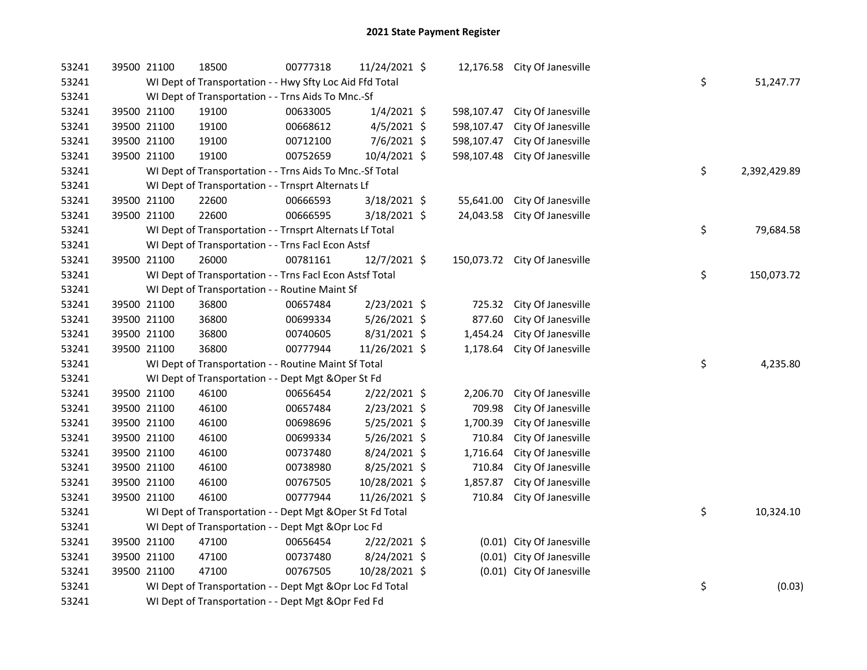| 53241 | 39500 21100 | 18500                                                     | 00777318 | 11/24/2021 \$  |            | 12,176.58 City Of Janesville  |    |              |
|-------|-------------|-----------------------------------------------------------|----------|----------------|------------|-------------------------------|----|--------------|
| 53241 |             | WI Dept of Transportation - - Hwy Sfty Loc Aid Ffd Total  |          |                |            |                               | \$ | 51,247.77    |
| 53241 |             | WI Dept of Transportation - - Trns Aids To Mnc.-Sf        |          |                |            |                               |    |              |
| 53241 | 39500 21100 | 19100                                                     | 00633005 | $1/4/2021$ \$  | 598,107.47 | City Of Janesville            |    |              |
| 53241 | 39500 21100 | 19100                                                     | 00668612 | $4/5/2021$ \$  | 598,107.47 | City Of Janesville            |    |              |
| 53241 | 39500 21100 | 19100                                                     | 00712100 | 7/6/2021 \$    | 598,107.47 | City Of Janesville            |    |              |
| 53241 | 39500 21100 | 19100                                                     | 00752659 | 10/4/2021 \$   | 598,107.48 | City Of Janesville            |    |              |
| 53241 |             | WI Dept of Transportation - - Trns Aids To Mnc.-Sf Total  |          |                |            |                               | \$ | 2,392,429.89 |
| 53241 |             | WI Dept of Transportation - - Trnsprt Alternats Lf        |          |                |            |                               |    |              |
| 53241 | 39500 21100 | 22600                                                     | 00666593 | 3/18/2021 \$   | 55,641.00  | City Of Janesville            |    |              |
| 53241 | 39500 21100 | 22600                                                     | 00666595 | 3/18/2021 \$   | 24,043.58  | City Of Janesville            |    |              |
| 53241 |             | WI Dept of Transportation - - Trnsprt Alternats Lf Total  |          |                |            |                               | \$ | 79,684.58    |
| 53241 |             | WI Dept of Transportation - - Trns Facl Econ Astsf        |          |                |            |                               |    |              |
| 53241 | 39500 21100 | 26000                                                     | 00781161 | 12/7/2021 \$   |            | 150,073.72 City Of Janesville |    |              |
| 53241 |             | WI Dept of Transportation - - Trns Facl Econ Astsf Total  |          |                |            |                               | \$ | 150,073.72   |
| 53241 |             | WI Dept of Transportation - - Routine Maint Sf            |          |                |            |                               |    |              |
| 53241 | 39500 21100 | 36800                                                     | 00657484 | 2/23/2021 \$   | 725.32     | City Of Janesville            |    |              |
| 53241 | 39500 21100 | 36800                                                     | 00699334 | 5/26/2021 \$   | 877.60     | City Of Janesville            |    |              |
| 53241 | 39500 21100 | 36800                                                     | 00740605 | 8/31/2021 \$   | 1,454.24   | City Of Janesville            |    |              |
| 53241 | 39500 21100 | 36800                                                     | 00777944 | 11/26/2021 \$  | 1,178.64   | City Of Janesville            |    |              |
| 53241 |             | WI Dept of Transportation - - Routine Maint Sf Total      |          |                |            |                               | \$ | 4,235.80     |
| 53241 |             | WI Dept of Transportation - - Dept Mgt & Oper St Fd       |          |                |            |                               |    |              |
| 53241 | 39500 21100 | 46100                                                     | 00656454 | 2/22/2021 \$   | 2,206.70   | City Of Janesville            |    |              |
| 53241 | 39500 21100 | 46100                                                     | 00657484 | 2/23/2021 \$   | 709.98     | City Of Janesville            |    |              |
| 53241 | 39500 21100 | 46100                                                     | 00698696 | $5/25/2021$ \$ | 1,700.39   | City Of Janesville            |    |              |
| 53241 | 39500 21100 | 46100                                                     | 00699334 | 5/26/2021 \$   | 710.84     | City Of Janesville            |    |              |
| 53241 | 39500 21100 | 46100                                                     | 00737480 | 8/24/2021 \$   | 1,716.64   | City Of Janesville            |    |              |
| 53241 | 39500 21100 | 46100                                                     | 00738980 | 8/25/2021 \$   | 710.84     | City Of Janesville            |    |              |
| 53241 | 39500 21100 | 46100                                                     | 00767505 | 10/28/2021 \$  | 1,857.87   | City Of Janesville            |    |              |
| 53241 | 39500 21100 | 46100                                                     | 00777944 | 11/26/2021 \$  | 710.84     | City Of Janesville            |    |              |
| 53241 |             | WI Dept of Transportation - - Dept Mgt & Oper St Fd Total |          |                |            |                               | \$ | 10,324.10    |
| 53241 |             | WI Dept of Transportation - - Dept Mgt & Opr Loc Fd       |          |                |            |                               |    |              |
| 53241 | 39500 21100 | 47100                                                     | 00656454 | 2/22/2021 \$   |            | (0.01) City Of Janesville     |    |              |
| 53241 | 39500 21100 | 47100                                                     | 00737480 | 8/24/2021 \$   |            | (0.01) City Of Janesville     |    |              |
| 53241 | 39500 21100 | 47100                                                     | 00767505 | 10/28/2021 \$  |            | (0.01) City Of Janesville     |    |              |
| 53241 |             | WI Dept of Transportation - - Dept Mgt & Opr Loc Fd Total |          |                |            |                               | \$ | (0.03)       |
| 53241 |             | WI Dept of Transportation - - Dept Mgt & Opr Fed Fd       |          |                |            |                               |    |              |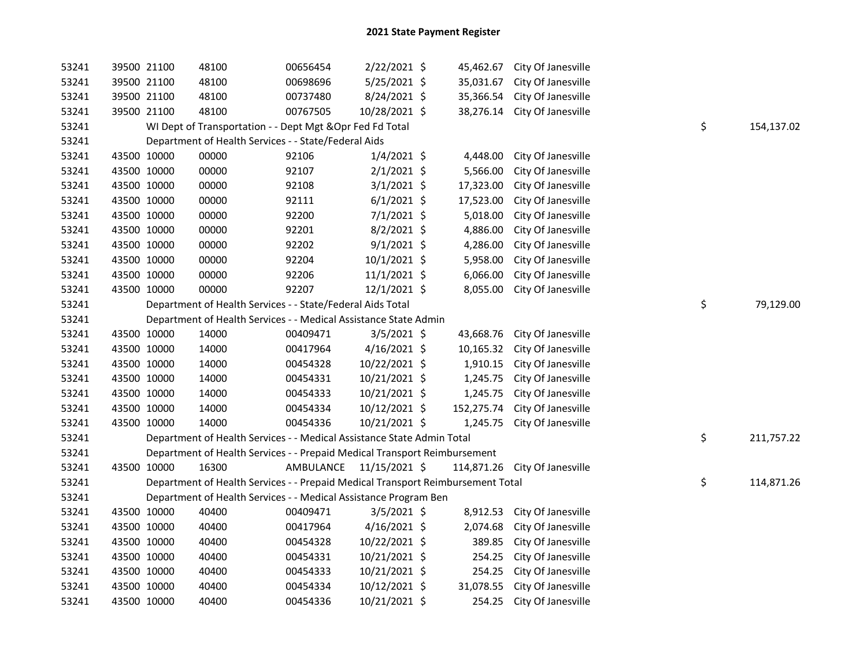| 53241 |             | 39500 21100 | 48100                                                                           | 00656454  | 2/22/2021 \$   | 45,462.67  | City Of Janesville            |    |            |
|-------|-------------|-------------|---------------------------------------------------------------------------------|-----------|----------------|------------|-------------------------------|----|------------|
| 53241 |             | 39500 21100 | 48100                                                                           | 00698696  | 5/25/2021 \$   | 35,031.67  | City Of Janesville            |    |            |
| 53241 |             | 39500 21100 | 48100                                                                           | 00737480  | 8/24/2021 \$   | 35,366.54  | City Of Janesville            |    |            |
| 53241 |             | 39500 21100 | 48100                                                                           | 00767505  | 10/28/2021 \$  | 38,276.14  | City Of Janesville            |    |            |
| 53241 |             |             | WI Dept of Transportation - - Dept Mgt & Opr Fed Fd Total                       |           |                |            |                               | \$ | 154,137.02 |
| 53241 |             |             | Department of Health Services - - State/Federal Aids                            |           |                |            |                               |    |            |
| 53241 |             | 43500 10000 | 00000                                                                           | 92106     | $1/4/2021$ \$  | 4,448.00   | City Of Janesville            |    |            |
| 53241 |             | 43500 10000 | 00000                                                                           | 92107     | $2/1/2021$ \$  | 5,566.00   | City Of Janesville            |    |            |
| 53241 |             | 43500 10000 | 00000                                                                           | 92108     | $3/1/2021$ \$  | 17,323.00  | City Of Janesville            |    |            |
| 53241 |             | 43500 10000 | 00000                                                                           | 92111     | $6/1/2021$ \$  | 17,523.00  | City Of Janesville            |    |            |
| 53241 |             | 43500 10000 | 00000                                                                           | 92200     | $7/1/2021$ \$  | 5,018.00   | City Of Janesville            |    |            |
| 53241 |             | 43500 10000 | 00000                                                                           | 92201     | $8/2/2021$ \$  | 4,886.00   | City Of Janesville            |    |            |
| 53241 |             | 43500 10000 | 00000                                                                           | 92202     | $9/1/2021$ \$  | 4,286.00   | City Of Janesville            |    |            |
| 53241 |             | 43500 10000 | 00000                                                                           | 92204     | $10/1/2021$ \$ | 5,958.00   | City Of Janesville            |    |            |
| 53241 |             | 43500 10000 | 00000                                                                           | 92206     | $11/1/2021$ \$ | 6,066.00   | City Of Janesville            |    |            |
| 53241 |             | 43500 10000 | 00000                                                                           | 92207     | $12/1/2021$ \$ | 8,055.00   | City Of Janesville            |    |            |
| 53241 |             |             | Department of Health Services - - State/Federal Aids Total                      |           |                |            |                               | \$ | 79,129.00  |
| 53241 |             |             | Department of Health Services - - Medical Assistance State Admin                |           |                |            |                               |    |            |
| 53241 |             | 43500 10000 | 14000                                                                           | 00409471  | $3/5/2021$ \$  | 43,668.76  | City Of Janesville            |    |            |
| 53241 |             | 43500 10000 | 14000                                                                           | 00417964  | $4/16/2021$ \$ | 10,165.32  | City Of Janesville            |    |            |
| 53241 |             | 43500 10000 | 14000                                                                           | 00454328  | 10/22/2021 \$  | 1,910.15   | City Of Janesville            |    |            |
| 53241 |             | 43500 10000 | 14000                                                                           | 00454331  | 10/21/2021 \$  | 1,245.75   | City Of Janesville            |    |            |
| 53241 |             | 43500 10000 | 14000                                                                           | 00454333  | 10/21/2021 \$  | 1,245.75   | City Of Janesville            |    |            |
| 53241 |             | 43500 10000 | 14000                                                                           | 00454334  | 10/12/2021 \$  | 152,275.74 | City Of Janesville            |    |            |
| 53241 |             | 43500 10000 | 14000                                                                           | 00454336  | 10/21/2021 \$  | 1,245.75   | City Of Janesville            |    |            |
| 53241 |             |             | Department of Health Services - - Medical Assistance State Admin Total          |           |                |            |                               | \$ | 211,757.22 |
| 53241 |             |             | Department of Health Services - - Prepaid Medical Transport Reimbursement       |           |                |            |                               |    |            |
| 53241 |             | 43500 10000 | 16300                                                                           | AMBULANCE | 11/15/2021 \$  |            | 114,871.26 City Of Janesville |    |            |
| 53241 |             |             | Department of Health Services - - Prepaid Medical Transport Reimbursement Total |           |                |            |                               | \$ | 114,871.26 |
| 53241 |             |             | Department of Health Services - - Medical Assistance Program Ben                |           |                |            |                               |    |            |
| 53241 |             | 43500 10000 | 40400                                                                           | 00409471  | $3/5/2021$ \$  | 8,912.53   | City Of Janesville            |    |            |
| 53241 |             | 43500 10000 | 40400                                                                           | 00417964  | $4/16/2021$ \$ | 2,074.68   | City Of Janesville            |    |            |
| 53241 |             | 43500 10000 | 40400                                                                           | 00454328  | 10/22/2021 \$  | 389.85     | City Of Janesville            |    |            |
| 53241 |             | 43500 10000 | 40400                                                                           | 00454331  | 10/21/2021 \$  | 254.25     | City Of Janesville            |    |            |
| 53241 |             | 43500 10000 | 40400                                                                           | 00454333  | 10/21/2021 \$  |            | 254.25 City Of Janesville     |    |            |
| 53241 |             | 43500 10000 | 40400                                                                           | 00454334  | 10/12/2021 \$  | 31,078.55  | City Of Janesville            |    |            |
| 53241 | 43500 10000 |             | 40400                                                                           | 00454336  | 10/21/2021 \$  |            | 254.25 City Of Janesville     |    |            |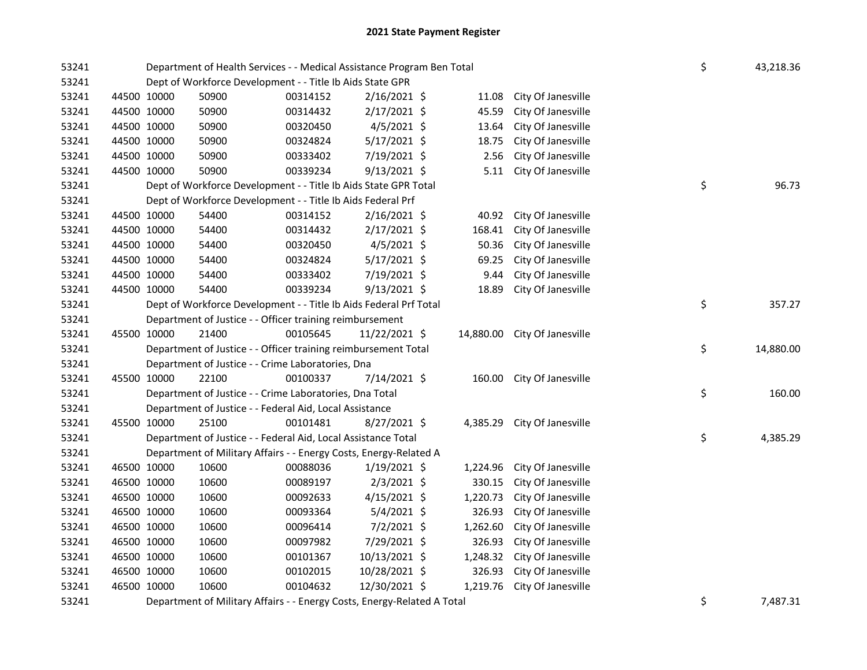| 53241 |             | Department of Health Services - - Medical Assistance Program Ben Total  | \$       | 43,218.36      |           |                    |    |           |
|-------|-------------|-------------------------------------------------------------------------|----------|----------------|-----------|--------------------|----|-----------|
| 53241 |             | Dept of Workforce Development - - Title Ib Aids State GPR               |          |                |           |                    |    |           |
| 53241 | 44500 10000 | 50900                                                                   | 00314152 | $2/16/2021$ \$ | 11.08     | City Of Janesville |    |           |
| 53241 | 44500 10000 | 50900                                                                   | 00314432 | 2/17/2021 \$   | 45.59     | City Of Janesville |    |           |
| 53241 | 44500 10000 | 50900                                                                   | 00320450 | 4/5/2021 \$    | 13.64     | City Of Janesville |    |           |
| 53241 | 44500 10000 | 50900                                                                   | 00324824 | 5/17/2021 \$   | 18.75     | City Of Janesville |    |           |
| 53241 | 44500 10000 | 50900                                                                   | 00333402 | 7/19/2021 \$   | 2.56      | City Of Janesville |    |           |
| 53241 | 44500 10000 | 50900                                                                   | 00339234 | $9/13/2021$ \$ | 5.11      | City Of Janesville |    |           |
| 53241 |             | Dept of Workforce Development - - Title Ib Aids State GPR Total         |          |                |           |                    | \$ | 96.73     |
| 53241 |             | Dept of Workforce Development - - Title Ib Aids Federal Prf             |          |                |           |                    |    |           |
| 53241 | 44500 10000 | 54400                                                                   | 00314152 | $2/16/2021$ \$ | 40.92     | City Of Janesville |    |           |
| 53241 | 44500 10000 | 54400                                                                   | 00314432 | 2/17/2021 \$   | 168.41    | City Of Janesville |    |           |
| 53241 | 44500 10000 | 54400                                                                   | 00320450 | 4/5/2021 \$    | 50.36     | City Of Janesville |    |           |
| 53241 | 44500 10000 | 54400                                                                   | 00324824 | 5/17/2021 \$   | 69.25     | City Of Janesville |    |           |
| 53241 | 44500 10000 | 54400                                                                   | 00333402 | 7/19/2021 \$   | 9.44      | City Of Janesville |    |           |
| 53241 | 44500 10000 | 54400                                                                   | 00339234 | $9/13/2021$ \$ | 18.89     | City Of Janesville |    |           |
| 53241 |             | Dept of Workforce Development - - Title Ib Aids Federal Prf Total       |          |                |           |                    | \$ | 357.27    |
| 53241 |             | Department of Justice - - Officer training reimbursement                |          |                |           |                    |    |           |
| 53241 | 45500 10000 | 21400                                                                   | 00105645 | 11/22/2021 \$  | 14,880.00 | City Of Janesville |    |           |
| 53241 |             | Department of Justice - - Officer training reimbursement Total          |          |                |           |                    | \$ | 14,880.00 |
| 53241 |             | Department of Justice - - Crime Laboratories, Dna                       |          |                |           |                    |    |           |
| 53241 | 45500 10000 | 22100                                                                   | 00100337 | 7/14/2021 \$   | 160.00    | City Of Janesville |    |           |
| 53241 |             | Department of Justice - - Crime Laboratories, Dna Total                 |          |                |           |                    | \$ | 160.00    |
| 53241 |             | Department of Justice - - Federal Aid, Local Assistance                 |          |                |           |                    |    |           |
| 53241 | 45500 10000 | 25100                                                                   | 00101481 | $8/27/2021$ \$ | 4,385.29  | City Of Janesville |    |           |
| 53241 |             | Department of Justice - - Federal Aid, Local Assistance Total           |          |                |           |                    | \$ | 4,385.29  |
| 53241 |             | Department of Military Affairs - - Energy Costs, Energy-Related A       |          |                |           |                    |    |           |
| 53241 | 46500 10000 | 10600                                                                   | 00088036 | $1/19/2021$ \$ | 1,224.96  | City Of Janesville |    |           |
| 53241 | 46500 10000 | 10600                                                                   | 00089197 | $2/3/2021$ \$  | 330.15    | City Of Janesville |    |           |
| 53241 | 46500 10000 | 10600                                                                   | 00092633 | $4/15/2021$ \$ | 1,220.73  | City Of Janesville |    |           |
| 53241 | 46500 10000 | 10600                                                                   | 00093364 | $5/4/2021$ \$  | 326.93    | City Of Janesville |    |           |
| 53241 | 46500 10000 | 10600                                                                   | 00096414 | 7/2/2021 \$    | 1,262.60  | City Of Janesville |    |           |
| 53241 | 46500 10000 | 10600                                                                   | 00097982 | 7/29/2021 \$   | 326.93    | City Of Janesville |    |           |
| 53241 | 46500 10000 | 10600                                                                   | 00101367 | 10/13/2021 \$  | 1,248.32  | City Of Janesville |    |           |
| 53241 | 46500 10000 | 10600                                                                   | 00102015 | 10/28/2021 \$  | 326.93    | City Of Janesville |    |           |
| 53241 | 46500 10000 | 10600                                                                   | 00104632 | 12/30/2021 \$  | 1,219.76  | City Of Janesville |    |           |
| 53241 |             | Department of Military Affairs - - Energy Costs, Energy-Related A Total |          |                | \$        | 7,487.31           |    |           |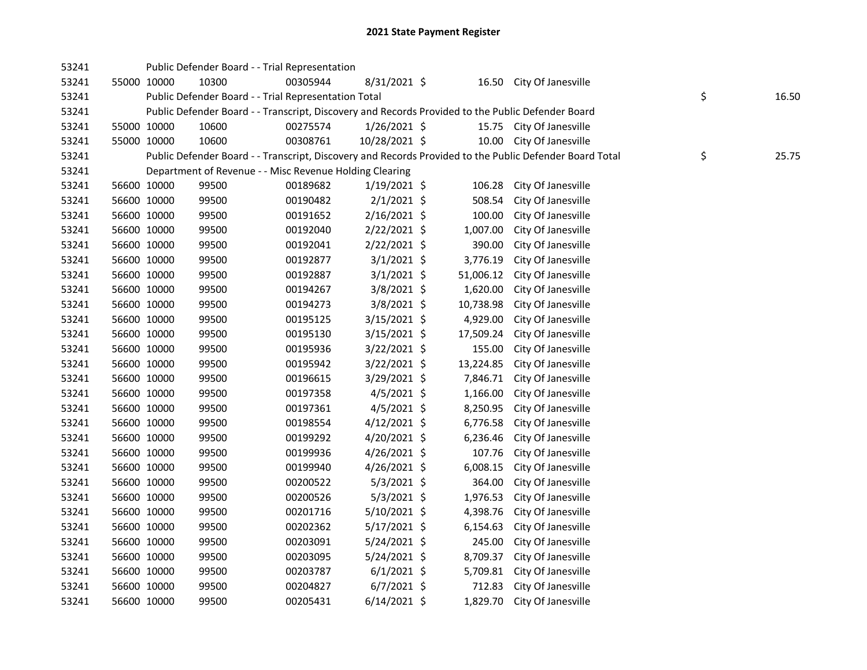| 53241 |             |             |       | Public Defender Board - - Trial Representation          |                |           |                                                                                                         |    |       |
|-------|-------------|-------------|-------|---------------------------------------------------------|----------------|-----------|---------------------------------------------------------------------------------------------------------|----|-------|
| 53241 | 55000 10000 |             | 10300 | 00305944                                                | 8/31/2021 \$   |           | 16.50 City Of Janesville                                                                                |    |       |
| 53241 |             |             |       | Public Defender Board - - Trial Representation Total    |                |           |                                                                                                         | \$ | 16.50 |
| 53241 |             |             |       |                                                         |                |           | Public Defender Board - - Transcript, Discovery and Records Provided to the Public Defender Board       |    |       |
| 53241 | 55000 10000 |             | 10600 | 00275574                                                | $1/26/2021$ \$ |           | 15.75 City Of Janesville                                                                                |    |       |
| 53241 | 55000 10000 |             | 10600 | 00308761                                                | 10/28/2021 \$  |           | 10.00 City Of Janesville                                                                                |    |       |
| 53241 |             |             |       |                                                         |                |           | Public Defender Board - - Transcript, Discovery and Records Provided to the Public Defender Board Total | \$ | 25.75 |
| 53241 |             |             |       | Department of Revenue - - Misc Revenue Holding Clearing |                |           |                                                                                                         |    |       |
| 53241 | 56600 10000 |             | 99500 | 00189682                                                | $1/19/2021$ \$ | 106.28    | City Of Janesville                                                                                      |    |       |
| 53241 |             | 56600 10000 | 99500 | 00190482                                                | $2/1/2021$ \$  | 508.54    | City Of Janesville                                                                                      |    |       |
| 53241 | 56600 10000 |             | 99500 | 00191652                                                | $2/16/2021$ \$ | 100.00    | City Of Janesville                                                                                      |    |       |
| 53241 | 56600 10000 |             | 99500 | 00192040                                                | 2/22/2021 \$   | 1,007.00  | City Of Janesville                                                                                      |    |       |
| 53241 | 56600 10000 |             | 99500 | 00192041                                                | 2/22/2021 \$   | 390.00    | City Of Janesville                                                                                      |    |       |
| 53241 | 56600 10000 |             | 99500 | 00192877                                                | $3/1/2021$ \$  | 3,776.19  | City Of Janesville                                                                                      |    |       |
| 53241 | 56600 10000 |             | 99500 | 00192887                                                | $3/1/2021$ \$  | 51,006.12 | City Of Janesville                                                                                      |    |       |
| 53241 | 56600 10000 |             | 99500 | 00194267                                                | 3/8/2021 \$    | 1,620.00  | City Of Janesville                                                                                      |    |       |
| 53241 | 56600 10000 |             | 99500 | 00194273                                                | 3/8/2021 \$    | 10,738.98 | City Of Janesville                                                                                      |    |       |
| 53241 | 56600 10000 |             | 99500 | 00195125                                                | $3/15/2021$ \$ | 4,929.00  | City Of Janesville                                                                                      |    |       |
| 53241 | 56600 10000 |             | 99500 | 00195130                                                | $3/15/2021$ \$ | 17,509.24 | City Of Janesville                                                                                      |    |       |
| 53241 | 56600 10000 |             | 99500 | 00195936                                                | $3/22/2021$ \$ | 155.00    | City Of Janesville                                                                                      |    |       |
| 53241 | 56600 10000 |             | 99500 | 00195942                                                | 3/22/2021 \$   | 13,224.85 | City Of Janesville                                                                                      |    |       |
| 53241 | 56600 10000 |             | 99500 | 00196615                                                | 3/29/2021 \$   | 7,846.71  | City Of Janesville                                                                                      |    |       |
| 53241 | 56600 10000 |             | 99500 | 00197358                                                | 4/5/2021 \$    | 1,166.00  | City Of Janesville                                                                                      |    |       |
| 53241 | 56600 10000 |             | 99500 | 00197361                                                | 4/5/2021 \$    | 8,250.95  | City Of Janesville                                                                                      |    |       |
| 53241 | 56600 10000 |             | 99500 | 00198554                                                | $4/12/2021$ \$ | 6,776.58  | City Of Janesville                                                                                      |    |       |
| 53241 | 56600 10000 |             | 99500 | 00199292                                                | 4/20/2021 \$   | 6,236.46  | City Of Janesville                                                                                      |    |       |
| 53241 | 56600 10000 |             | 99500 | 00199936                                                | $4/26/2021$ \$ | 107.76    | City Of Janesville                                                                                      |    |       |
| 53241 | 56600 10000 |             | 99500 | 00199940                                                | $4/26/2021$ \$ | 6,008.15  | City Of Janesville                                                                                      |    |       |
| 53241 | 56600 10000 |             | 99500 | 00200522                                                | $5/3/2021$ \$  | 364.00    | City Of Janesville                                                                                      |    |       |
| 53241 | 56600 10000 |             | 99500 | 00200526                                                | $5/3/2021$ \$  | 1,976.53  | City Of Janesville                                                                                      |    |       |
| 53241 | 56600 10000 |             | 99500 | 00201716                                                | 5/10/2021 \$   | 4,398.76  | City Of Janesville                                                                                      |    |       |
| 53241 | 56600 10000 |             | 99500 | 00202362                                                | $5/17/2021$ \$ | 6,154.63  | City Of Janesville                                                                                      |    |       |
| 53241 | 56600 10000 |             | 99500 | 00203091                                                | 5/24/2021 \$   | 245.00    | City Of Janesville                                                                                      |    |       |
| 53241 | 56600 10000 |             | 99500 | 00203095                                                | $5/24/2021$ \$ | 8,709.37  | City Of Janesville                                                                                      |    |       |
| 53241 | 56600 10000 |             | 99500 | 00203787                                                | $6/1/2021$ \$  | 5,709.81  | City Of Janesville                                                                                      |    |       |
| 53241 | 56600 10000 |             | 99500 | 00204827                                                | $6/7/2021$ \$  | 712.83    | City Of Janesville                                                                                      |    |       |
| 53241 | 56600 10000 |             | 99500 | 00205431                                                | $6/14/2021$ \$ | 1,829.70  | City Of Janesville                                                                                      |    |       |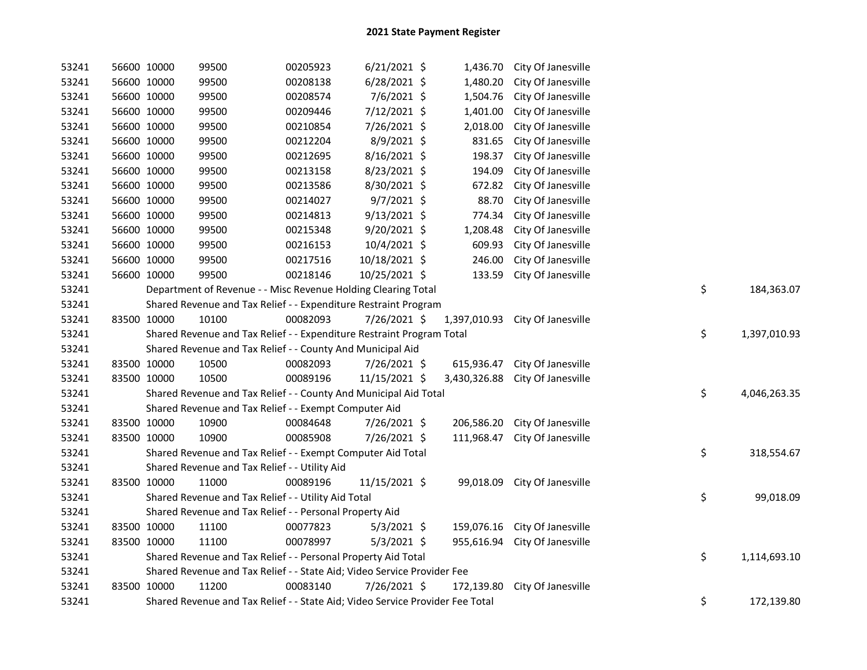| 53241 | 56600 10000 |             | 99500                                                                         | 00205923 | $6/21/2021$ \$ | 1,436.70     | City Of Janesville            |    |              |
|-------|-------------|-------------|-------------------------------------------------------------------------------|----------|----------------|--------------|-------------------------------|----|--------------|
| 53241 | 56600 10000 |             | 99500                                                                         | 00208138 | $6/28/2021$ \$ | 1,480.20     | City Of Janesville            |    |              |
| 53241 | 56600 10000 |             | 99500                                                                         | 00208574 | 7/6/2021 \$    | 1,504.76     | City Of Janesville            |    |              |
| 53241 | 56600 10000 |             | 99500                                                                         | 00209446 | 7/12/2021 \$   | 1,401.00     | City Of Janesville            |    |              |
| 53241 | 56600 10000 |             | 99500                                                                         | 00210854 | 7/26/2021 \$   | 2,018.00     | City Of Janesville            |    |              |
| 53241 | 56600 10000 |             | 99500                                                                         | 00212204 | 8/9/2021 \$    | 831.65       | City Of Janesville            |    |              |
| 53241 | 56600 10000 |             | 99500                                                                         | 00212695 | 8/16/2021 \$   | 198.37       | City Of Janesville            |    |              |
| 53241 | 56600 10000 |             | 99500                                                                         | 00213158 | 8/23/2021 \$   | 194.09       | City Of Janesville            |    |              |
| 53241 | 56600 10000 |             | 99500                                                                         | 00213586 | 8/30/2021 \$   | 672.82       | City Of Janesville            |    |              |
| 53241 | 56600 10000 |             | 99500                                                                         | 00214027 | 9/7/2021 \$    | 88.70        | City Of Janesville            |    |              |
| 53241 | 56600 10000 |             | 99500                                                                         | 00214813 | $9/13/2021$ \$ | 774.34       | City Of Janesville            |    |              |
| 53241 | 56600 10000 |             | 99500                                                                         | 00215348 | 9/20/2021 \$   | 1,208.48     | City Of Janesville            |    |              |
| 53241 | 56600 10000 |             | 99500                                                                         | 00216153 | 10/4/2021 \$   | 609.93       | City Of Janesville            |    |              |
| 53241 | 56600 10000 |             | 99500                                                                         | 00217516 | 10/18/2021 \$  | 246.00       | City Of Janesville            |    |              |
| 53241 | 56600 10000 |             | 99500                                                                         | 00218146 | 10/25/2021 \$  | 133.59       | City Of Janesville            |    |              |
| 53241 |             |             | Department of Revenue - - Misc Revenue Holding Clearing Total                 |          |                |              |                               | \$ | 184,363.07   |
| 53241 |             |             | Shared Revenue and Tax Relief - - Expenditure Restraint Program               |          |                |              |                               |    |              |
| 53241 | 83500 10000 |             | 10100                                                                         | 00082093 | 7/26/2021 \$   | 1,397,010.93 | City Of Janesville            |    |              |
| 53241 |             |             | Shared Revenue and Tax Relief - - Expenditure Restraint Program Total         |          |                |              |                               | \$ | 1,397,010.93 |
| 53241 |             |             | Shared Revenue and Tax Relief - - County And Municipal Aid                    |          |                |              |                               |    |              |
| 53241 | 83500 10000 |             | 10500                                                                         | 00082093 | 7/26/2021 \$   | 615,936.47   | City Of Janesville            |    |              |
| 53241 | 83500 10000 |             | 10500                                                                         | 00089196 | 11/15/2021 \$  | 3,430,326.88 | City Of Janesville            |    |              |
| 53241 |             |             | Shared Revenue and Tax Relief - - County And Municipal Aid Total              |          |                |              |                               | \$ | 4,046,263.35 |
| 53241 |             |             | Shared Revenue and Tax Relief - - Exempt Computer Aid                         |          |                |              |                               |    |              |
| 53241 | 83500 10000 |             | 10900                                                                         | 00084648 | 7/26/2021 \$   | 206,586.20   | City Of Janesville            |    |              |
| 53241 | 83500 10000 |             | 10900                                                                         | 00085908 | 7/26/2021 \$   | 111,968.47   | City Of Janesville            |    |              |
| 53241 |             |             | Shared Revenue and Tax Relief - - Exempt Computer Aid Total                   |          |                |              |                               | \$ | 318,554.67   |
| 53241 |             |             | Shared Revenue and Tax Relief - - Utility Aid                                 |          |                |              |                               |    |              |
| 53241 | 83500 10000 |             | 11000                                                                         | 00089196 | 11/15/2021 \$  | 99,018.09    | City Of Janesville            |    |              |
| 53241 |             |             | Shared Revenue and Tax Relief - - Utility Aid Total                           |          |                |              |                               | \$ | 99,018.09    |
| 53241 |             |             | Shared Revenue and Tax Relief - - Personal Property Aid                       |          |                |              |                               |    |              |
| 53241 |             | 83500 10000 | 11100                                                                         | 00077823 | $5/3/2021$ \$  | 159,076.16   | City Of Janesville            |    |              |
| 53241 | 83500 10000 |             | 11100                                                                         | 00078997 | $5/3/2021$ \$  |              | 955,616.94 City Of Janesville |    |              |
| 53241 |             |             | Shared Revenue and Tax Relief - - Personal Property Aid Total                 |          |                |              |                               | \$ | 1,114,693.10 |
| 53241 |             |             | Shared Revenue and Tax Relief - - State Aid; Video Service Provider Fee       |          |                |              |                               |    |              |
| 53241 | 83500 10000 |             | 11200                                                                         | 00083140 | 7/26/2021 \$   | 172,139.80   | City Of Janesville            |    |              |
| 53241 |             |             | Shared Revenue and Tax Relief - - State Aid; Video Service Provider Fee Total |          |                |              |                               | \$ | 172,139.80   |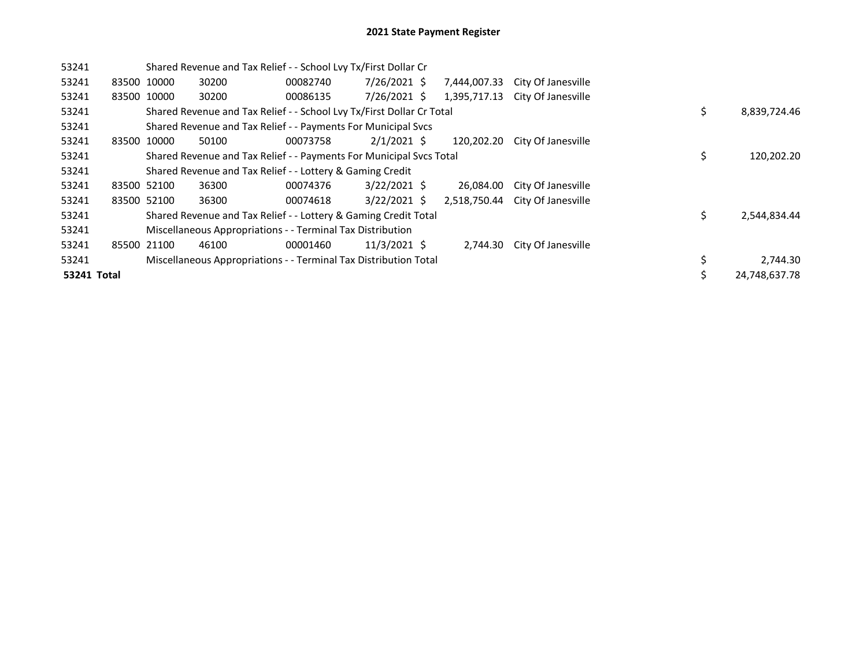| 53241              |             |                                                                  | Shared Revenue and Tax Relief - - School Lvy Tx/First Dollar Cr       |          |                |  |              |                                 |  |   |               |
|--------------------|-------------|------------------------------------------------------------------|-----------------------------------------------------------------------|----------|----------------|--|--------------|---------------------------------|--|---|---------------|
| 53241              |             | 83500 10000                                                      | 30200                                                                 | 00082740 | 7/26/2021 \$   |  | 7,444,007.33 | City Of Janesville              |  |   |               |
| 53241              | 83500 10000 |                                                                  | 30200                                                                 | 00086135 | 7/26/2021 \$   |  | 1,395,717.13 | City Of Janesville              |  |   |               |
| 53241              |             |                                                                  | Shared Revenue and Tax Relief - - School Lvy Tx/First Dollar Cr Total |          |                |  |              |                                 |  |   |               |
| 53241              |             |                                                                  | Shared Revenue and Tax Relief - - Payments For Municipal Svcs         |          |                |  |              |                                 |  |   |               |
| 53241              |             | 83500 10000                                                      | 50100                                                                 | 00073758 | $2/1/2021$ \$  |  | 120,202.20   | City Of Janesville              |  |   |               |
| 53241              |             |                                                                  | Shared Revenue and Tax Relief - - Payments For Municipal Svcs Total   |          |                |  |              |                                 |  |   |               |
| 53241              |             |                                                                  | Shared Revenue and Tax Relief - - Lottery & Gaming Credit             |          |                |  |              |                                 |  |   |               |
| 53241              | 83500 52100 |                                                                  | 36300                                                                 | 00074376 | $3/22/2021$ \$ |  | 26,084.00    | City Of Janesville              |  |   |               |
| 53241              |             | 83500 52100                                                      | 36300                                                                 | 00074618 | $3/22/2021$ \$ |  |              | 2,518,750.44 City Of Janesville |  |   |               |
| 53241              |             |                                                                  | Shared Revenue and Tax Relief - - Lottery & Gaming Credit Total       |          |                |  |              |                                 |  | Ś | 2,544,834.44  |
| 53241              |             |                                                                  | Miscellaneous Appropriations - - Terminal Tax Distribution            |          |                |  |              |                                 |  |   |               |
| 53241              |             | 85500 21100                                                      | 46100                                                                 | 00001460 | $11/3/2021$ \$ |  | 2,744.30     | City Of Janesville              |  |   |               |
| 53241              |             | Miscellaneous Appropriations - - Terminal Tax Distribution Total |                                                                       |          |                |  |              |                                 |  |   | 2,744.30      |
| <b>53241 Total</b> |             |                                                                  |                                                                       |          |                |  |              |                                 |  |   | 24,748,637.78 |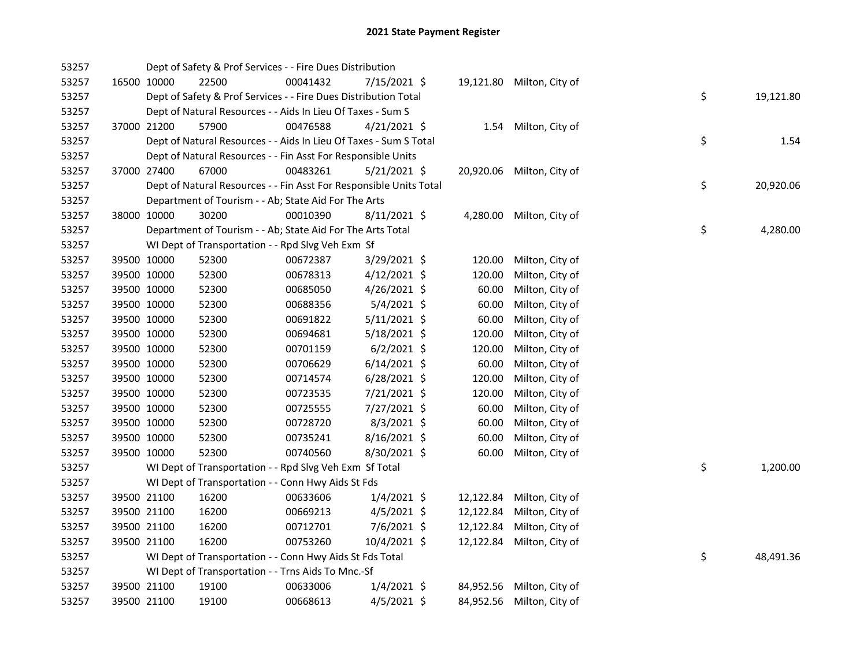| 53257 |             | Dept of Safety & Prof Services - - Fire Dues Distribution          |          |                |           |                           |    |           |
|-------|-------------|--------------------------------------------------------------------|----------|----------------|-----------|---------------------------|----|-----------|
| 53257 | 16500 10000 | 22500                                                              | 00041432 | 7/15/2021 \$   |           | 19,121.80 Milton, City of |    |           |
| 53257 |             | Dept of Safety & Prof Services - - Fire Dues Distribution Total    |          |                |           |                           | \$ | 19,121.80 |
| 53257 |             | Dept of Natural Resources - - Aids In Lieu Of Taxes - Sum S        |          |                |           |                           |    |           |
| 53257 | 37000 21200 | 57900                                                              | 00476588 | $4/21/2021$ \$ |           | 1.54 Milton, City of      |    |           |
| 53257 |             | Dept of Natural Resources - - Aids In Lieu Of Taxes - Sum S Total  |          |                |           |                           | \$ | 1.54      |
| 53257 |             | Dept of Natural Resources - - Fin Asst For Responsible Units       |          |                |           |                           |    |           |
| 53257 | 37000 27400 | 67000                                                              | 00483261 | $5/21/2021$ \$ |           | 20,920.06 Milton, City of |    |           |
| 53257 |             | Dept of Natural Resources - - Fin Asst For Responsible Units Total |          |                |           |                           | \$ | 20,920.06 |
| 53257 |             | Department of Tourism - - Ab; State Aid For The Arts               |          |                |           |                           |    |           |
| 53257 | 38000 10000 | 30200                                                              | 00010390 | $8/11/2021$ \$ |           | 4,280.00 Milton, City of  |    |           |
| 53257 |             | Department of Tourism - - Ab; State Aid For The Arts Total         |          |                |           |                           | \$ | 4,280.00  |
| 53257 |             | WI Dept of Transportation - - Rpd Slvg Veh Exm Sf                  |          |                |           |                           |    |           |
| 53257 | 39500 10000 | 52300                                                              | 00672387 | 3/29/2021 \$   | 120.00    | Milton, City of           |    |           |
| 53257 | 39500 10000 | 52300                                                              | 00678313 | $4/12/2021$ \$ | 120.00    | Milton, City of           |    |           |
| 53257 | 39500 10000 | 52300                                                              | 00685050 | 4/26/2021 \$   | 60.00     | Milton, City of           |    |           |
| 53257 | 39500 10000 | 52300                                                              | 00688356 | $5/4/2021$ \$  | 60.00     | Milton, City of           |    |           |
| 53257 | 39500 10000 | 52300                                                              | 00691822 | $5/11/2021$ \$ | 60.00     | Milton, City of           |    |           |
| 53257 | 39500 10000 | 52300                                                              | 00694681 | $5/18/2021$ \$ | 120.00    | Milton, City of           |    |           |
| 53257 | 39500 10000 | 52300                                                              | 00701159 | $6/2/2021$ \$  | 120.00    | Milton, City of           |    |           |
| 53257 | 39500 10000 | 52300                                                              | 00706629 | $6/14/2021$ \$ | 60.00     | Milton, City of           |    |           |
| 53257 | 39500 10000 | 52300                                                              | 00714574 | $6/28/2021$ \$ | 120.00    | Milton, City of           |    |           |
| 53257 | 39500 10000 | 52300                                                              | 00723535 | 7/21/2021 \$   | 120.00    | Milton, City of           |    |           |
| 53257 | 39500 10000 | 52300                                                              | 00725555 | 7/27/2021 \$   | 60.00     | Milton, City of           |    |           |
| 53257 | 39500 10000 | 52300                                                              | 00728720 | $8/3/2021$ \$  | 60.00     | Milton, City of           |    |           |
| 53257 | 39500 10000 | 52300                                                              | 00735241 | 8/16/2021 \$   | 60.00     | Milton, City of           |    |           |
| 53257 | 39500 10000 | 52300                                                              | 00740560 | 8/30/2021 \$   | 60.00     | Milton, City of           |    |           |
| 53257 |             | WI Dept of Transportation - - Rpd Slvg Veh Exm Sf Total            |          |                |           |                           | \$ | 1,200.00  |
| 53257 |             | WI Dept of Transportation - - Conn Hwy Aids St Fds                 |          |                |           |                           |    |           |
| 53257 | 39500 21100 | 16200                                                              | 00633606 | $1/4/2021$ \$  | 12,122.84 | Milton, City of           |    |           |
| 53257 | 39500 21100 | 16200                                                              | 00669213 | $4/5/2021$ \$  | 12,122.84 | Milton, City of           |    |           |
| 53257 | 39500 21100 | 16200                                                              | 00712701 | 7/6/2021 \$    | 12,122.84 | Milton, City of           |    |           |
| 53257 | 39500 21100 | 16200                                                              | 00753260 | 10/4/2021 \$   |           | 12,122.84 Milton, City of |    |           |
| 53257 |             | WI Dept of Transportation - - Conn Hwy Aids St Fds Total           |          |                |           |                           | \$ | 48,491.36 |
| 53257 |             | WI Dept of Transportation - - Trns Aids To Mnc.-Sf                 |          |                |           |                           |    |           |
| 53257 | 39500 21100 | 19100                                                              | 00633006 | $1/4/2021$ \$  |           | 84,952.56 Milton, City of |    |           |
| 53257 | 39500 21100 | 19100                                                              | 00668613 | $4/5/2021$ \$  |           | 84,952.56 Milton, City of |    |           |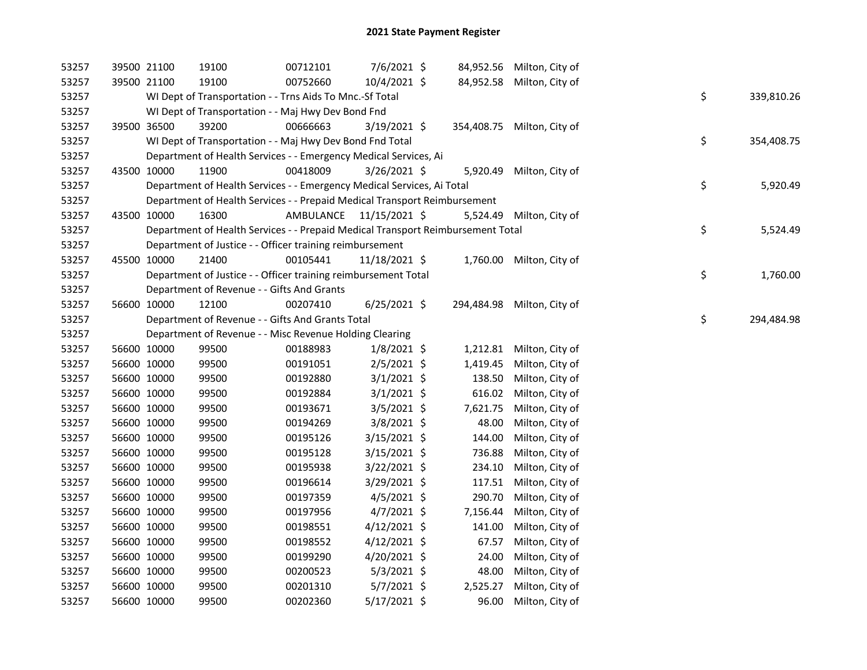| 53257 |             | 39500 21100 | 19100                                                                           | 00712101                | 7/6/2021 \$    |            | 84,952.56 Milton, City of  |    |            |
|-------|-------------|-------------|---------------------------------------------------------------------------------|-------------------------|----------------|------------|----------------------------|----|------------|
| 53257 |             | 39500 21100 | 19100                                                                           | 00752660                | 10/4/2021 \$   |            | 84,952.58 Milton, City of  |    |            |
| 53257 |             |             | WI Dept of Transportation - - Trns Aids To Mnc.-Sf Total                        |                         |                |            |                            | \$ | 339,810.26 |
| 53257 |             |             | WI Dept of Transportation - - Maj Hwy Dev Bond Fnd                              |                         |                |            |                            |    |            |
| 53257 |             | 39500 36500 | 39200                                                                           | 00666663                | $3/19/2021$ \$ |            | 354,408.75 Milton, City of |    |            |
| 53257 |             |             | WI Dept of Transportation - - Maj Hwy Dev Bond Fnd Total                        |                         |                |            |                            | \$ | 354,408.75 |
| 53257 |             |             | Department of Health Services - - Emergency Medical Services, Ai                |                         |                |            |                            |    |            |
| 53257 | 43500 10000 |             | 11900                                                                           | 00418009                | $3/26/2021$ \$ | 5,920.49   | Milton, City of            |    |            |
| 53257 |             |             | Department of Health Services - - Emergency Medical Services, Ai Total          |                         |                |            |                            | \$ | 5,920.49   |
| 53257 |             |             | Department of Health Services - - Prepaid Medical Transport Reimbursement       |                         |                |            |                            |    |            |
| 53257 |             | 43500 10000 | 16300                                                                           | AMBULANCE 11/15/2021 \$ |                | 5,524.49   | Milton, City of            |    |            |
| 53257 |             |             | Department of Health Services - - Prepaid Medical Transport Reimbursement Total |                         |                |            |                            | \$ | 5,524.49   |
| 53257 |             |             | Department of Justice - - Officer training reimbursement                        |                         |                |            |                            |    |            |
| 53257 | 45500 10000 |             | 21400                                                                           | 00105441                | 11/18/2021 \$  |            | 1,760.00 Milton, City of   |    |            |
| 53257 |             |             | Department of Justice - - Officer training reimbursement Total                  |                         |                |            |                            | \$ | 1,760.00   |
| 53257 |             |             | Department of Revenue - - Gifts And Grants                                      |                         |                |            |                            |    |            |
| 53257 |             | 56600 10000 | 12100                                                                           | 00207410                | $6/25/2021$ \$ | 294,484.98 | Milton, City of            |    |            |
| 53257 |             |             | Department of Revenue - - Gifts And Grants Total                                |                         |                |            |                            | \$ | 294,484.98 |
| 53257 |             |             | Department of Revenue - - Misc Revenue Holding Clearing                         |                         |                |            |                            |    |            |
| 53257 |             | 56600 10000 | 99500                                                                           | 00188983                | $1/8/2021$ \$  | 1,212.81   | Milton, City of            |    |            |
| 53257 |             | 56600 10000 | 99500                                                                           | 00191051                | $2/5/2021$ \$  | 1,419.45   | Milton, City of            |    |            |
| 53257 |             | 56600 10000 | 99500                                                                           | 00192880                | $3/1/2021$ \$  | 138.50     | Milton, City of            |    |            |
| 53257 |             | 56600 10000 | 99500                                                                           | 00192884                | $3/1/2021$ \$  | 616.02     | Milton, City of            |    |            |
| 53257 |             | 56600 10000 | 99500                                                                           | 00193671                | $3/5/2021$ \$  | 7,621.75   | Milton, City of            |    |            |
| 53257 |             | 56600 10000 | 99500                                                                           | 00194269                | $3/8/2021$ \$  | 48.00      | Milton, City of            |    |            |
| 53257 |             | 56600 10000 | 99500                                                                           | 00195126                | $3/15/2021$ \$ | 144.00     | Milton, City of            |    |            |
| 53257 |             | 56600 10000 | 99500                                                                           | 00195128                | 3/15/2021 \$   | 736.88     | Milton, City of            |    |            |
| 53257 |             | 56600 10000 | 99500                                                                           | 00195938                | 3/22/2021 \$   | 234.10     | Milton, City of            |    |            |
| 53257 |             | 56600 10000 | 99500                                                                           | 00196614                | 3/29/2021 \$   | 117.51     | Milton, City of            |    |            |
| 53257 |             | 56600 10000 | 99500                                                                           | 00197359                | $4/5/2021$ \$  | 290.70     | Milton, City of            |    |            |
| 53257 |             | 56600 10000 | 99500                                                                           | 00197956                | $4/7/2021$ \$  | 7,156.44   | Milton, City of            |    |            |
| 53257 |             | 56600 10000 | 99500                                                                           | 00198551                | $4/12/2021$ \$ | 141.00     | Milton, City of            |    |            |
| 53257 |             | 56600 10000 | 99500                                                                           | 00198552                | $4/12/2021$ \$ | 67.57      | Milton, City of            |    |            |
| 53257 |             | 56600 10000 | 99500                                                                           | 00199290                | 4/20/2021 \$   | 24.00      | Milton, City of            |    |            |
| 53257 |             | 56600 10000 | 99500                                                                           | 00200523                | $5/3/2021$ \$  | 48.00      | Milton, City of            |    |            |
| 53257 |             | 56600 10000 | 99500                                                                           | 00201310                | $5/7/2021$ \$  | 2,525.27   | Milton, City of            |    |            |
| 53257 |             | 56600 10000 | 99500                                                                           | 00202360                | $5/17/2021$ \$ | 96.00      | Milton, City of            |    |            |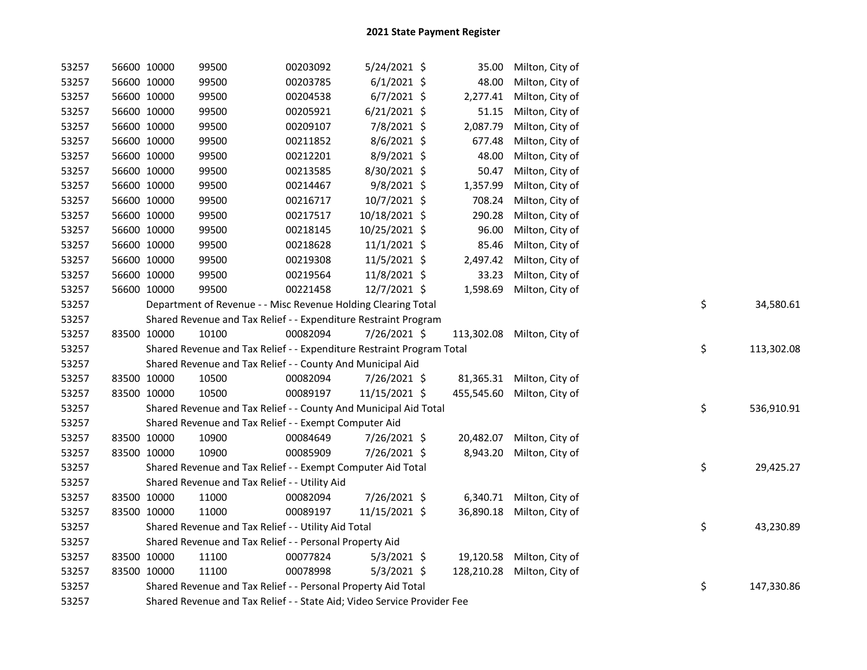| 53257 | 56600 10000                                             | 99500                                                                   | 00203092 | 5/24/2021 \$   |  | 35.00      | Milton, City of            |  |                  |
|-------|---------------------------------------------------------|-------------------------------------------------------------------------|----------|----------------|--|------------|----------------------------|--|------------------|
| 53257 | 56600 10000                                             | 99500                                                                   | 00203785 | $6/1/2021$ \$  |  | 48.00      | Milton, City of            |  |                  |
| 53257 | 56600 10000                                             | 99500                                                                   | 00204538 | $6/7/2021$ \$  |  | 2,277.41   | Milton, City of            |  |                  |
| 53257 | 56600 10000                                             | 99500                                                                   | 00205921 | $6/21/2021$ \$ |  | 51.15      | Milton, City of            |  |                  |
| 53257 | 56600 10000                                             | 99500                                                                   | 00209107 | 7/8/2021 \$    |  | 2,087.79   | Milton, City of            |  |                  |
| 53257 | 56600 10000                                             | 99500                                                                   | 00211852 | 8/6/2021 \$    |  | 677.48     | Milton, City of            |  |                  |
| 53257 | 56600 10000                                             | 99500                                                                   | 00212201 | 8/9/2021 \$    |  | 48.00      | Milton, City of            |  |                  |
| 53257 | 56600 10000                                             | 99500                                                                   | 00213585 | 8/30/2021 \$   |  | 50.47      | Milton, City of            |  |                  |
| 53257 | 56600 10000                                             | 99500                                                                   | 00214467 | $9/8/2021$ \$  |  | 1,357.99   | Milton, City of            |  |                  |
| 53257 | 56600 10000                                             | 99500                                                                   | 00216717 | 10/7/2021 \$   |  | 708.24     | Milton, City of            |  |                  |
| 53257 | 56600 10000                                             | 99500                                                                   | 00217517 | 10/18/2021 \$  |  | 290.28     | Milton, City of            |  |                  |
| 53257 | 56600 10000                                             | 99500                                                                   | 00218145 | 10/25/2021 \$  |  | 96.00      | Milton, City of            |  |                  |
| 53257 | 56600 10000                                             | 99500                                                                   | 00218628 | $11/1/2021$ \$ |  | 85.46      | Milton, City of            |  |                  |
| 53257 | 56600 10000                                             | 99500                                                                   | 00219308 | 11/5/2021 \$   |  | 2,497.42   | Milton, City of            |  |                  |
| 53257 | 56600 10000                                             | 99500                                                                   | 00219564 | 11/8/2021 \$   |  | 33.23      | Milton, City of            |  |                  |
| 53257 | 56600 10000                                             | 99500                                                                   | 00221458 | 12/7/2021 \$   |  | 1,598.69   | Milton, City of            |  |                  |
| 53257 |                                                         | Department of Revenue - - Misc Revenue Holding Clearing Total           |          |                |  |            |                            |  | \$<br>34,580.61  |
| 53257 |                                                         | Shared Revenue and Tax Relief - - Expenditure Restraint Program         |          |                |  |            |                            |  |                  |
| 53257 | 83500 10000                                             | 10100                                                                   | 00082094 | 7/26/2021 \$   |  |            | 113,302.08 Milton, City of |  |                  |
| 53257 |                                                         | Shared Revenue and Tax Relief - - Expenditure Restraint Program Total   |          |                |  |            |                            |  | \$<br>113,302.08 |
| 53257 |                                                         | Shared Revenue and Tax Relief - - County And Municipal Aid              |          |                |  |            |                            |  |                  |
| 53257 | 83500 10000                                             | 10500                                                                   | 00082094 | 7/26/2021 \$   |  |            | 81,365.31 Milton, City of  |  |                  |
| 53257 | 83500 10000                                             | 10500                                                                   | 00089197 | 11/15/2021 \$  |  | 455,545.60 | Milton, City of            |  |                  |
| 53257 |                                                         | Shared Revenue and Tax Relief - - County And Municipal Aid Total        |          |                |  |            |                            |  | \$<br>536,910.91 |
| 53257 |                                                         | Shared Revenue and Tax Relief - - Exempt Computer Aid                   |          |                |  |            |                            |  |                  |
| 53257 | 83500 10000                                             | 10900                                                                   | 00084649 | 7/26/2021 \$   |  | 20,482.07  | Milton, City of            |  |                  |
| 53257 | 83500 10000                                             | 10900                                                                   | 00085909 | 7/26/2021 \$   |  | 8,943.20   | Milton, City of            |  |                  |
| 53257 |                                                         | Shared Revenue and Tax Relief - - Exempt Computer Aid Total             |          |                |  |            |                            |  | \$<br>29,425.27  |
| 53257 |                                                         | Shared Revenue and Tax Relief - - Utility Aid                           |          |                |  |            |                            |  |                  |
| 53257 | 83500 10000                                             | 11000                                                                   | 00082094 | 7/26/2021 \$   |  |            | 6,340.71 Milton, City of   |  |                  |
| 53257 | 83500 10000                                             | 11000                                                                   | 00089197 | 11/15/2021 \$  |  |            | 36,890.18 Milton, City of  |  |                  |
| 53257 |                                                         | Shared Revenue and Tax Relief - - Utility Aid Total                     |          |                |  |            |                            |  | \$<br>43,230.89  |
| 53257 | Shared Revenue and Tax Relief - - Personal Property Aid |                                                                         |          |                |  |            |                            |  |                  |
| 53257 | 83500 10000                                             | 11100                                                                   | 00077824 | $5/3/2021$ \$  |  |            | 19,120.58 Milton, City of  |  |                  |
| 53257 | 83500 10000                                             | 11100                                                                   | 00078998 | $5/3/2021$ \$  |  | 128,210.28 | Milton, City of            |  |                  |
| 53257 |                                                         | Shared Revenue and Tax Relief - - Personal Property Aid Total           |          |                |  |            |                            |  | \$<br>147,330.86 |
| 53257 |                                                         | Shared Revenue and Tax Relief - - State Aid; Video Service Provider Fee |          |                |  |            |                            |  |                  |